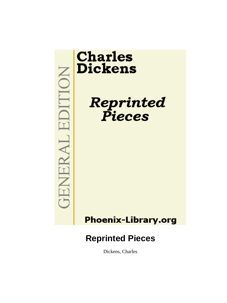

Dickens, Charles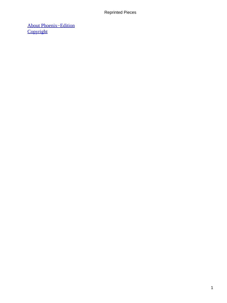[About Phoenix−Edition](#page-165-0) **[Copyright](#page-166-0)**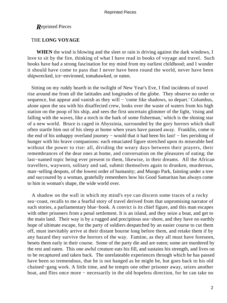# THE **LONG VOYAGE**

**WHEN** the wind is blowing and the sleet or rain is driving against the dark windows, I love to sit by the fire, thinking of what I have read in books of voyage and travel. Such books have had a strong fascination for my mind from my earliest childhood; and I wonder it should have come to pass that I never have been round the world, never have been shipwrecked, ice−environed, tomahawked, or eaten.

 Sitting on my ruddy hearth in the twilight of New Year's Eve, I find incidents of travel rise around me from all the latitudes and longitudes of the globe. They observe no order or sequence, but appear and vanish as they will – 'come like shadows, so depart.' Columbus, alone upon the sea with his disaffected crew, looks over the waste of waters from his high station on the poop of his ship, and sees the first uncertain glimmer of the light, 'rising and falling with the waves, like a torch in the bark of some fisherman,' which is the shining star of a new world. Bruce is caged in Abyssinia, surrounded by the gory horrors which shall often startle him out of his sleep at home when years have passed away. Franklin, come to the end of his unhappy overland journey − would that it had been his last! − lies perishing of hunger with his brave companions: each emaciated figure stretched upon its miserable bed without the power to rise: all, dividing the weary days between their prayers, their remembrances of the dear ones at home, and conversation on the pleasures of eating; the last−named topic being ever present to them, likewise, in their dreams. All the African travellers, wayworn, solitary and sad, submit themselves again to drunken, murderous, man−selling despots, of the lowest order of humanity; and Mungo Park, fainting under a tree and succoured by a woman, gratefully remembers how his Good Samaritan has always come to him in woman's shape, the wide world over.

 A shadow on the wall in which my mind's eye can discern some traces of a rocky sea−coast, recalls to me a fearful story of travel derived from that unpromising narrator of such stories, a parliamentary blue−book. A convict is its chief figure, and this man escapes with other prisoners from a penal settlement. It is an island, and they seize a boat, and get to the main land. Their way is by a rugged and precipitous sea−shore, and they have no earthly hope of ultimate escape, for the party of soldiers despatched by an easier course to cut them off, must inevitably arrive at their distant bourne long before them, and retake them if by any hazard they survive the horrors of the way. Famine, as they all must have foreseen, besets them early in their course. Some of the party die and are eaten; some are murdered by the rest and eaten. This one awful creature eats his fill, and sustains his strength, and lives on to be recaptured and taken back. The unrelateable experiences through which he has passed have been so tremendous, that he is not hanged as he might be, but goes back to his old chained−gang work. A little time, and he tempts one other prisoner away, seizes another boat, and flies once more − necessarily in the old hopeless direction, for he can take no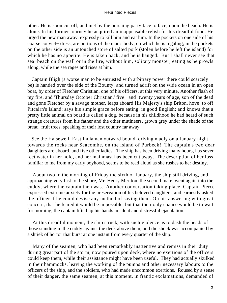other. He is soon cut off, and met by the pursuing party face to face, upon the beach. He is alone. In his former journey he acquired an inappeasable relish for his dreadful food. He urged the new man away, expressly to kill him and eat him. In the pockets on one side of his coarse convict− dress, are portions of the man's body, on which he is regaling; in the pockets on the other side is an untouched store of salted pork (stolen before he left the island) for which he has no appetite. He is taken back, and he is hanged. But I shall never see that sea−beach on the wall or in the fire, without him, solitary monster, eating as he prowls along, while the sea rages and rises at him.

 Captain Bligh (a worse man to be entrusted with arbitrary power there could scarcely be) is handed over the side of the Bounty, and turned adrift on the wide ocean in an open boat, by order of Fletcher Christian, one of his officers, at this very minute. Another flash of my fire, and 'Thursday October Christian,' five− and−twenty years of age, son of the dead and gone Fletcher by a savage mother, leaps aboard His Majesty's ship Briton, hove−to off Pitcairn's Island; says his simple grace before eating, in good English; and knows that a pretty little animal on board is called a dog, because in his childhood he had heard of such strange creatures from his father and the other mutineers, grown grey under the shade of the bread−fruit trees, speaking of their lost country far away.

 See the Halsewell, East Indiaman outward bound, driving madly on a January night towards the rocks near Seacombe, on the island of Purbeck! The captain's two dear daughters are aboard, and five other ladies. The ship has been driving many hours, has seven feet water in her hold, and her mainmast has been cut away. The description of her loss, familiar to me from my early boyhood, seems to be read aloud as she rushes to her destiny.

 'About two in the morning of Friday the sixth of January, the ship still driving, and approaching very fast to the shore, Mr. Henry Meriton, the second mate, went again into the cuddy, where the captain then was. Another conversation taking place, Captain Pierce expressed extreme anxiety for the preservation of his beloved daughters, and earnestly asked the officer if he could devise any method of saving them. On his answering with great concern, that he feared it would be impossible, but that their only chance would be to wait for morning, the captain lifted up his hands in silent and distressful ejaculation.

 'At this dreadful moment, the ship struck, with such violence as to dash the heads of those standing in the cuddy against the deck above them, and the shock was accompanied by a shriek of horror that burst at one instant from every quarter of the ship.

 'Many of the seamen, who had been remarkably inattentive and remiss in their duty during great part of the storm, now poured upon deck, where no exertions of the officers could keep them, while their assistance might have been useful. They had actually skulked in their hammocks, leaving the working of the pumps and other necessary labours to the officers of the ship, and the soldiers, who had made uncommon exertions. Roused by a sense of their danger, the same seamen, at this moment, in frantic exclamations, demanded of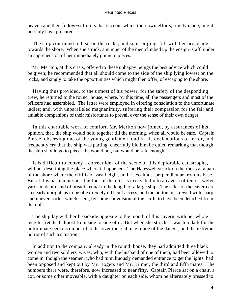heaven and their fellow−sufferers that succour which their own efforts, timely made, might possibly have procured.

 'The ship continued to beat on the rocks; and soon bilging, fell with her broadside towards the shore. When she struck, a number of the men climbed up the ensign−staff, under an apprehension of her immediately going to pieces.

 'Mr. Meriton, at this crisis, offered to these unhappy beings the best advice which could be given; he recommended that all should come to the side of the ship lying lowest on the rocks, and singly to take the opportunities which might then offer, of escaping to the shore.

 'Having thus provided, to the utmost of his power, for the safety of the desponding crew, he returned to the round−house, where, by this time, all the passengers and most of the officers had assembled. The latter were employed in offering consolation to the unfortunate ladies; and, with unparalleled magnanimity, suffering their compassion for the fair and amiable companions of their misfortunes to prevail over the sense of their own danger.

 'In this charitable work of comfort, Mr. Meriton now joined, by assurances of his opinion, that, the ship would hold together till the morning, when all would be safe. Captain Pierce, observing one of the young gentlemen loud in his exclamations of terror, and frequently cry that the ship was parting, cheerfully bid him be quiet, remarking that though the ship should go to pieces, he would not, but would be safe enough.

 'It is difficult to convey a correct idea of the scene of this deplorable catastrophe, without describing the place where it happened. The Haleswell struck on the rocks at a part of the shore where the cliff is of vast height, and rises almost perpendicular from its base. But at this particular spot, the foot of the cliff is excavated into a cavern of ten or twelve yards in depth, and of breadth equal to the length of a large ship. The sides of the cavern are so nearly upright, as to be of extremely difficult access; and the bottom is strewed with sharp and uneven rocks, which seem, by some convulsion of the earth, to have been detached from its roof.

 'The ship lay with her broadside opposite to the mouth of this cavern, with her whole length stretched almost from side to side of it. But when she struck, it was too dark for the unfortunate persons on board to discover the real magnitude of the danger, and the extreme horror of such a situation.

 'In addition to the company already in the round−house, they had admitted three black women and two soldiers' wives; who, with the husband of one of them, had been allowed to come in, though the seamen, who had tumultuously demanded entrance to get the lights, had been opposed and kept out by Mr. Rogers and Mr. Brimer, the third and fifth mates. The numbers there were, therefore, now increased to near fifty. Captain Pierce sat on a chair, a cot, or some other moveable, with a daughter on each side, whom he alternately pressed to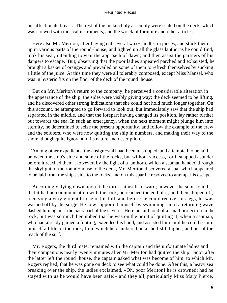his affectionate breast. The rest of the melancholy assembly were seated on the deck, which was strewed with musical instruments, and the wreck of furniture and other articles.

 'Here also Mr. Meriton, after having cut several wax−candles in pieces, and stuck them up in various parts of the round−house, and lighted up all the glass lanthorns he could find, took his seat, intending to wait the approach of dawn; and then assist the partners of his dangers to escape. But, observing that the poor ladies appeared parched and exhausted, he brought a basket of oranges and prevailed on some of them to refresh themselves by sucking a little of the juice. At this time they were all tolerably composed, except Miss Mansel, who was in hysteric fits on the floor of the deck of the round−house.

 'But on Mr. Meriton's return to the company, he perceived a considerable alteration in the appearance of the ship; the sides were visibly giving way; the deck seemed to be lifting, and he discovered other strong indications that she could not hold much longer together. On this account, he attempted to go forward to look out, but immediately saw that the ship had separated in the middle, and that the forepart having changed its position, lay rather further out towards the sea. In such an emergency, when the next moment might plunge him into eternity, he determined to seize the present opportunity, and follow the example of the crew and the soldiers, who were now quitting the ship in numbers, and making their way to the shore, though quite ignorant of its nature and description.

 'Among other expedients, the ensign−staff had been unshipped, and attempted to be laid between the ship's side and some of the rocks, but without success, for it snapped asunder before it reached them. However, by the light of a lanthorn, which a seaman handed through the skylight of the round−house to the deck, Mr. Meriton discovered a spar which appeared to be laid from the ship's side to the rocks, and on this spar he resolved to attempt his escape.

 'Accordingly, lying down upon it, he thrust himself forward; however, he soon found that it had no communication with the rock; he reached the end of it, and then slipped off, receiving a very violent bruise in his fall, and before he could recover his legs, he was washed off by the surge. He now supported himself by swimming, until a returning wave dashed him against the back part of the cavern. Here he laid hold of a small projection in the rock, but was so much benumbed that he was on the point of quitting it, when a seaman, who had already gained a footing, extended his hand, and assisted him until he could secure himself a little on the rock; from which he clambered on a shelf still higher, and out of the reach of the surf.

 'Mr. Rogers, the third mate, remained with the captain and the unfortunate ladies and their companions nearly twenty minutes after Mr. Meriton had quitted the ship. Soon after the latter left the round−house, the captain asked what was become of him, to which Mr. Rogers replied, that he was gone on deck to see what could be done. After this, a heavy sea breaking over the ship, the ladies exclaimed, «Oh, poor Meriton! he is drowned; had he stayed with us he would have been safe!» and they all, particularly Miss Mary Pierce,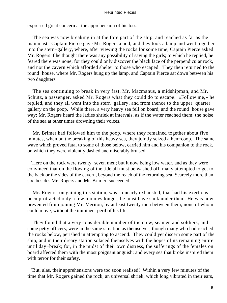expressed great concern at the apprehension of his loss.

 'The sea was now breaking in at the fore part of the ship, and reached as far as the mainmast. Captain Pierce gave Mr. Rogers a nod, and they took a lamp and went together into the stern−gallery, where, after viewing the rocks for some time, Captain Pierce asked Mr. Rogers if he thought there was any possibility of saving the girls; to which he replied, he feared there was none; for they could only discover the black face of the perpendicular rock, and not the cavern which afforded shelter to those who escaped. They then returned to the round−house, where Mr. Rogers hung up the lamp, and Captain Pierce sat down between his two daughters.

 'The sea continuing to break in very fast, Mr. Macmanus, a midshipman, and Mr. Schutz, a passenger, asked Mr. Rogers what they could do to escape. «Follow me,» he replied, and they all went into the stern−gallery, and from thence to the upper−quarter− gallery on the poop. While there, a very heavy sea fell on board, and the round−house gave way; Mr. Rogers heard the ladies shriek at intervals, as if the water reached them; the noise of the sea at other times drowning their voices.

 'Mr. Brimer had followed him to the poop, where they remained together about five minutes, when on the breaking of this heavy sea, they jointly seized a hen−coop. The same wave which proved fatal to some of those below, carried him and his companion to the rock, on which they were violently dashed and miserably bruised.

 'Here on the rock were twenty−seven men; but it now being low water, and as they were convinced that on the flowing of the tide all must be washed off, many attempted to get to the back or the sides of the cavern, beyond the reach of the returning sea. Scarcely more than six, besides Mr. Rogers and Mr. Brimer, succeeded.

 'Mr. Rogers, on gaining this station, was so nearly exhausted, that had his exertions been protracted only a few minutes longer, he must have sunk under them. He was now prevented from joining Mr. Meriton, by at least twenty men between them, none of whom could move, without the imminent peril of his life.

 'They found that a very considerable number of the crew, seamen and soldiers, and some petty officers, were in the same situation as themselves, though many who had reached the rocks below, perished in attempting to ascend. They could yet discern some part of the ship, and in their dreary station solaced themselves with the hopes of its remaining entire until day−break; for, in the midst of their own distress, the sufferings of the females on board affected them with the most poignant anguish; and every sea that broke inspired them with terror for their safety.

 'But, alas, their apprehensions were too soon realised! Within a very few minutes of the time that Mr. Rogers gained the rock, an universal shriek, which long vibrated in their ears,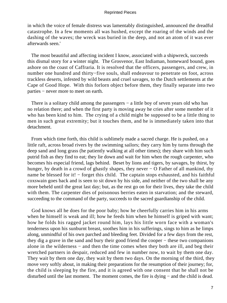in which the voice of female distress was lamentably distinguished, announced the dreadful catastrophe. In a few moments all was hushed, except the roaring of the winds and the dashing of the waves; the wreck was buried in the deep, and not an atom of it was ever afterwards seen.'

 The most beautiful and affecting incident I know, associated with a shipwreck, succeeds this dismal story for a winter night. The Grosvenor, East Indiaman, homeward bound, goes ashore on the coast of Caffraria. It is resolved that the officers, passengers, and crew, in number one hundred and thirty−five souls, shall endeavour to penetrate on foot, across trackless deserts, infested by wild beasts and cruel savages, to the Dutch settlements at the Cape of Good Hope. With this forlorn object before them, they finally separate into two parties − never more to meet on earth.

 There is a solitary child among the passengers − a little boy of seven years old who has no relation there; and when the first party is moving away he cries after some member of it who has been kind to him. The crying of a child might be supposed to be a little thing to men in such great extremity; but it touches them, and he is immediately taken into that detachment.

 From which time forth, this child is sublimely made a sacred charge. He is pushed, on a little raft, across broad rivers by the swimming sailors; they carry him by turns through the deep sand and long grass (he patiently walking at all other times); they share with him such putrid fish as they find to eat; they lie down and wait for him when the rough carpenter, who becomes his especial friend, lags behind. Beset by lions and tigers, by savages, by thirst, by hunger, by death in a crowd of ghastly shapes, they never − O Father of all mankind, thy name be blessed for it! – forget this child. The captain stops exhausted, and his faithful coxswain goes back and is seen to sit down by his side, and neither of the two shall be any more beheld until the great last day; but, as the rest go on for their lives, they take the child with them. The carpenter dies of poisonous berries eaten in starvation; and the steward, succeeding to the command of the party, succeeds to the sacred guardianship of the child.

 God knows all he does for the poor baby; how he cheerfully carries him in his arms when he himself is weak and ill; how he feeds him when he himself is griped with want; how he folds his ragged jacket round him, lays his little worn face with a woman's tenderness upon his sunburnt breast, soothes him in his sufferings, sings to him as he limps along, unmindful of his own parched and bleeding feet. Divided for a few days from the rest, they dig a grave in the sand and bury their good friend the cooper − these two companions alone in the wilderness − and then the time comes when they both are ill, and beg their wretched partners in despair, reduced and few in number now, to wait by them one day. They wait by them one day, they wait by them two days. On the morning of the third, they move very softly about, in making their preparations for the resumption of their journey; for, the child is sleeping by the fire, and it is agreed with one consent that he shall not be disturbed until the last moment. The moment comes, the fire is dying − and the child is dead.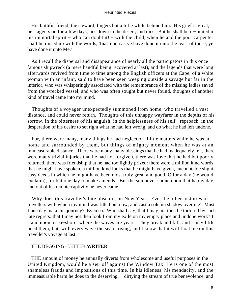His faithful friend, the steward, lingers but a little while behind him. His grief is great, he staggers on for a few days, lies down in the desert, and dies. But he shall be re−united in his immortal spirit – who can doubt it! – with the child, when he and the poor carpenter shall be raised up with the words, 'Inasmuch as ye have done it unto the least of these, ye have done it unto Me.'

 As I recall the dispersal and disappearance of nearly all the participators in this once famous shipwreck (a mere handful being recovered at last), and the legends that were long afterwards revived from time to time among the English officers at the Cape, of a white woman with an infant, said to have been seen weeping outside a savage hut far in the interior, who was whisperingly associated with the remembrance of the missing ladies saved from the wrecked vessel, and who was often sought but never found, thoughts of another kind of travel came into my mind.

 Thoughts of a voyager unexpectedly summoned from home, who travelled a vast distance, and could never return. Thoughts of this unhappy wayfarer in the depths of his sorrow, in the bitterness of his anguish, in the helplessness of his self− reproach, in the desperation of his desire to set right what he had left wrong, and do what he had left undone.

 For, there were many, many things he had neglected. Little matters while he was at home and surrounded by them, but things of mighty moment when he was at an immeasurable distance. There were many many blessings that he had inadequately felt, there were many trivial injuries that he had not forgiven, there was love that he had but poorly returned, there was friendship that he had too lightly prized: there were a million kind words that he might have spoken, a million kind looks that he might have given, uncountable slight easy deeds in which he might have been most truly great and good. O for a day (he would exclaim), for but one day to make amends! But the sun never shone upon that happy day, and out of his remote captivity he never came.

 Why does this traveller's fate obscure, on New Year's Eve, the other histories of travellers with which my mind was filled but now, and cast a solemn shadow over me! Must I one day make his journey? Even so. Who shall say, that I may not then be tortured by such late regrets: that I may not then look from my exile on my empty place and undone work? I stand upon a sea−shore, where the waves are years. They break and fall, and I may little heed them; but, with every wave the sea is rising, and I know that it will float me on this traveller's voyage at last.

## THE BEGGING−LETTER **WRITER**

 THE amount of money he annually diverts from wholesome and useful purposes in the United Kingdom, would be a set−off against the Window Tax. He is one of the most shameless frauds and impositions of this time. In his idleness, his mendacity, and the immeasurable harm he does to the deserving, – dirtying the stream of true benevolence, and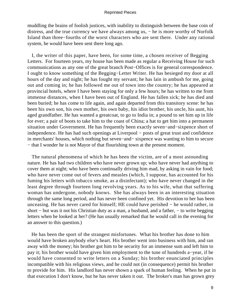muddling the brains of foolish justices, with inability to distinguish between the base coin of distress, and the true currency we have always among us, − he is more worthy of Norfolk Island than three−fourths of the worst characters who are sent there. Under any rational system, he would have been sent there long ago.

 I, the writer of this paper, have been, for some time, a chosen receiver of Begging Letters. For fourteen years, my house has been made as regular a Receiving House for such communications as any one of the great branch Post−Offices is for general correspondence. I ought to know something of the Begging−Letter Writer. He has besieged my door at all hours of the day and night; he has fought my servant; he has lain in ambush for me, going out and coming in; he has followed me out of town into the country; he has appeared at provincial hotels, where I have been staying for only a few hours; he has written to me from immense distances, when I have been out of England. He has fallen sick; he has died and been buried; he has come to life again, and again departed from this transitory scene: he has been his own son, his own mother, his own baby, his idiot brother, his uncle, his aunt, his aged grandfather. He has wanted a greatcoat, to go to India in; a pound to set him up in life for ever; a pair of boots to take him to the coast of China; a hat to get him into a permanent situation under Government. He has frequently been exactly seven−and−sixpence short of independence. He has had such openings at Liverpool − posts of great trust and confidence in merchants' houses, which nothing but seven−and− sixpence was wanting to him to secure − that I wonder he is not Mayor of that flourishing town at the present moment.

 The natural phenomena of which he has been the victim, are of a most astounding nature. He has had two children who have never grown up; who have never had anything to cover them at night; who have been continually driving him mad, by asking in vain for food; who have never come out of fevers and measles (which, I suppose, has accounted for his fuming his letters with tobacco smoke, as a disinfectant); who have never changed in the least degree through fourteen long revolving years. As to his wife, what that suffering woman has undergone, nobody knows. She has always been in an interesting situation through the same long period, and has never been confined yet. His devotion to her has been unceasing. He has never cared for himself; HE could have perished − he would rather, in short − but was it not his Christian duty as a man, a husband, and a father, − to write begging letters when he looked at her? (He has usually remarked that he would call in the evening for an answer to this question.)

 He has been the sport of the strangest misfortunes. What his brother has done to him would have broken anybody else's heart. His brother went into business with him, and ran away with the money; his brother got him to be security for an immense sum and left him to pay it; his brother would have given him employment to the tune of hundreds a−year, if he would have consented to write letters on a Sunday; his brother enunciated principles incompatible with his religious views, and he could not (in consequence) permit his brother to provide for him. His landlord has never shown a spark of human feeling. When he put in that execution I don't know, but he has never taken it out. The broker's man has grown grey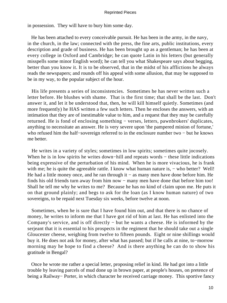in possession. They will have to bury him some day.

 He has been attached to every conceivable pursuit. He has been in the army, in the navy, in the church, in the law; connected with the press, the fine arts, public institutions, every description and grade of business. He has been brought up as a gentleman; he has been at every college in Oxford and Cambridge; he can quote Latin in his letters (but generally misspells some minor English word); he can tell you what Shakespeare says about begging, better than you know it. It is to be observed, that in the midst of his afflictions he always reads the newspapers; and rounds off his appeal with some allusion, that may be supposed to be in my way, to the popular subject of the hour.

 His life presents a series of inconsistencies. Sometimes he has never written such a letter before. He blushes with shame. That is the first time; that shall be the last. Don't answer it, and let it be understood that, then, he will kill himself quietly. Sometimes (and more frequently) he HAS written a few such letters. Then he encloses the answers, with an intimation that they are of inestimable value to him, and a request that they may be carefully returned. He is fond of enclosing something − verses, letters, pawnbrokers' duplicates, anything to necessitate an answer. He is very severe upon 'the pampered minion of fortune,' who refused him the half−sovereign referred to in the enclosure number two − but he knows me better.

 He writes in a variety of styles; sometimes in low spirits; sometimes quite jocosely. When he is in low spirits he writes down–hill and repeats words – these little indications being expressive of the perturbation of his mind. When he is more vivacious, he is frank with me; he is quite the agreeable rattle. I know what human nature is, – who better? Well! He had a little money once, and he ran through it – as many men have done before him. He finds his old friends turn away from him now – many men have done that before him too! Shall he tell me why he writes to me? Because he has no kind of claim upon me. He puts it on that ground plainly; and begs to ask for the loan (as I know human nature) of two sovereigns, to be repaid next Tuesday six weeks, before twelve at noon.

 Sometimes, when he is sure that I have found him out, and that there is no chance of money, he writes to inform me that I have got rid of him at last. He has enlisted into the Company's service, and is off directly − but he wants a cheese. He is informed by the serjeant that it is essential to his prospects in the regiment that he should take out a single Gloucester cheese, weighing from twelve to fifteen pounds. Eight or nine shillings would buy it. He does not ask for money, after what has passed; but if he calls at nine, to−morrow morning may he hope to find a cheese? And is there anything he can do to show his gratitude in Bengal?

 Once he wrote me rather a special letter, proposing relief in kind. He had got into a little trouble by leaving parcels of mud done up in brown paper, at people's houses, on pretence of being a Railway− Porter, in which character he received carriage money. This sportive fancy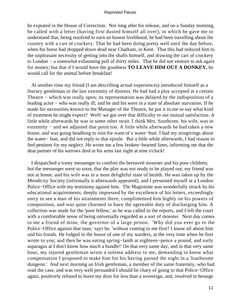he expiated in the House of Correction. Not long after his release, and on a Sunday morning, he called with a letter (having first dusted himself all over), in which he gave me to understand that, being resolved to earn an honest livelihood, he had been travelling about the country with a cart of crockery. That he had been doing pretty well until the day before, when his horse had dropped down dead near Chatham, in Kent. That this had reduced him to the unpleasant necessity of getting into the shafts himself, and drawing the cart of crockery to London − a somewhat exhausting pull of thirty miles. That he did not venture to ask again for money; but that if I would have the goodness **TO LEAVE HIM OUT A DONKEY,** he would call for the animal before breakfast!

 At another time my friend (I am describing actual experiences) introduced himself as a literary gentleman in the last extremity of distress. He had had a play accepted at a certain Theatre − which was really open; its representation was delayed by the indisposition of a leading actor − who was really ill; and he and his were in a state of absolute starvation. If he made his necessities known to the Manager of the Theatre, he put it to me to say what kind of treatment he might expect? Well! we got over that difficulty to our mutual satisfaction. A little while afterwards he was in some other strait. I think Mrs. Southcote, his wife, was in extremity – and we adjusted that point too. A little while afterwards he had taken a new house, and was going headlong to ruin for want of a water−butt. I had my misgivings about the water− butt, and did not reply to that epistle. But a little while afterwards, I had reason to feel penitent for my neglect. He wrote me a few broken−hearted lines, informing me that the dear partner of his sorrows died in his arms last night at nine o'clock!

 I despatched a trusty messenger to comfort the bereaved mourner and his poor children; but the messenger went so soon, that the play was not ready to be played out; my friend was not at home, and his wife was in a most delightful state of health. He was taken up by the Mendicity Society (informally it afterwards appeared), and I presented myself at a London Police−Office with my testimony against him. The Magistrate was wonderfully struck by his educational acquirements, deeply impressed by the excellence of his letters, exceedingly sorry to see a man of his attainments there, complimented him highly on his powers of composition, and was quite charmed to have the agreeable duty of discharging him. A collection was made for the 'poor fellow,' as he was called in the reports, and I left the court with a comfortable sense of being universally regarded as a sort of monster. Next day comes to me a friend of mine, the governor of a large prison. 'Why did you ever go to the Police−Office against that man,' says he, 'without coming to me first? I know all about him and his frauds. He lodged in the house of one of my warders, at the very time when he first wrote to you; and then he was eating spring−lamb at eighteen−pence a pound, and early asparagus at I don't know how much a bundle!' On that very same day, and in that very same hour, my injured gentleman wrote a solemn address to me, demanding to know what compensation I proposed to make him for his having passed the night in a 'loathsome dungeon.' And next morning an Irish gentleman, a member of the same fraternity, who had read the case, and was very well persuaded I should be chary of going to that Police−Office again, positively refused to leave my door for less than a sovereign, and, resolved to besiege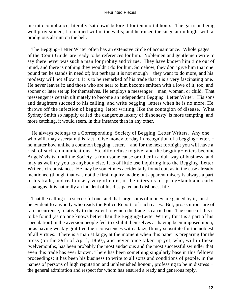me into compliance, literally 'sat down' before it for ten mortal hours. The garrison being well provisioned, I remained within the walls; and he raised the siege at midnight with a prodigious alarum on the bell.

 The Begging−Letter Writer often has an extensive circle of acquaintance. Whole pages of the 'Court Guide' are ready to be references for him. Noblemen and gentlemen write to say there never was such a man for probity and virtue. They have known him time out of mind, and there is nothing they wouldn't do for him. Somehow, they don't give him that one pound ten he stands in need of; but perhaps it is not enough − they want to do more, and his modesty will not allow it. It is to be remarked of his trade that it is a very fascinating one. He never leaves it; and those who are near to him become smitten with a love of it, too, and sooner or later set up for themselves. He employs a messenger – man, woman, or child. That messenger is certain ultimately to become an independent Begging−Letter Writer. His sons and daughters succeed to his calling, and write begging−letters when he is no more. He throws off the infection of begging−letter writing, like the contagion of disease. What Sydney Smith so happily called 'the dangerous luxury of dishonesty' is more tempting, and more catching, it would seem, in this instance than in any other.

 He always belongs to a Corresponding−Society of Begging−Letter Writers. Any one who will, may ascertain this fact. Give money to–day in recognition of a begging–letter, – no matter how unlike a common begging–letter, – and for the next fortnight you will have a rush of such communications. Steadily refuse to give; and the begging−letters become Angels' visits, until the Society is from some cause or other in a dull way of business, and may as well try you as anybody else. It is of little use inquiring into the Begging−Letter Writer's circumstances. He may be sometimes accidentally found out, as in the case already mentioned (though that was not the first inquiry made); but apparent misery is always a part of his trade, and real misery very often is, in the intervals of spring−lamb and early asparagus. It is naturally an incident of his dissipated and dishonest life.

 That the calling is a successful one, and that large sums of money are gained by it, must be evident to anybody who reads the Police Reports of such cases. But, prosecutions are of rare occurrence, relatively to the extent to which the trade is carried on. The cause of this is to be found (as no one knows better than the Begging−Letter Writer, for it is a part of his speculation) in the aversion people feel to exhibit themselves as having been imposed upon, or as having weakly gratified their consciences with a lazy, flimsy substitute for the noblest of all virtues. There is a man at large, at the moment when this paper is preparing for the press (on the 29th of April, 1850), and never once taken up yet, who, within these twelvemonths, has been probably the most audacious and the most successful swindler that even this trade has ever known. There has been something singularly base in this fellow's proceedings; it has been his business to write to all sorts and conditions of people, in the names of persons of high reputation and unblemished honour, professing to be in distress − the general admiration and respect for whom has ensured a ready and generous reply.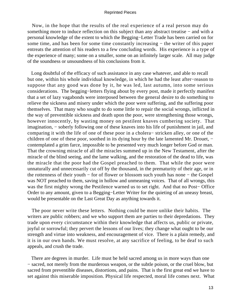Now, in the hope that the results of the real experience of a real person may do something more to induce reflection on this subject than any abstract treatise – and with a personal knowledge of the extent to which the Begging−Letter Trade has been carried on for some time, and has been for some time constantly increasing − the writer of this paper entreats the attention of his readers to a few concluding words. His experience is a type of the experience of many; some on a smaller, some on an infinitely larger scale. All may judge of the soundness or unsoundness of his conclusions from it.

 Long doubtful of the efficacy of such assistance in any case whatever, and able to recall but one, within his whole individual knowledge, in which he had the least after−reason to suppose that any good was done by it, he was led, last autumn, into some serious considerations. The begging−letters flying about by every post, made it perfectly manifest that a set of lazy vagabonds were interposed between the general desire to do something to relieve the sickness and misery under which the poor were suffering, and the suffering poor themselves. That many who sought to do some little to repair the social wrongs, inflicted in the way of preventible sickness and death upon the poor, were strengthening those wrongs, however innocently, by wasting money on pestilent knaves cumbering society. That imagination, − soberly following one of these knaves into his life of punishment in jail, and comparing it with the life of one of these poor in a cholera− stricken alley, or one of the children of one of these poor, soothed in its dying hour by the late lamented Mr. Drouet, − contemplated a grim farce, impossible to be presented very much longer before God or man. That the crowning miracle of all the miracles summed up in the New Testament, after the miracle of the blind seeing, and the lame walking, and the restoration of the dead to life, was the miracle that the poor had the Gospel preached to them. That while the poor were unnaturally and unnecessarily cut off by the thousand, in the prematurity of their age, or in the rottenness of their youth − for of flower or blossom such youth has none − the Gospel was NOT preached to them, saving in hollow and unmeaning voices. That of all wrongs, this was the first mighty wrong the Pestilence warned us to set right. And that no Post− Office Order to any amount, given to a Begging−Letter Writer for the quieting of an uneasy breast, would be presentable on the Last Great Day as anything towards it.

 The poor never write these letters. Nothing could be more unlike their habits. The writers are public robbers; and we who support them are parties to their depredations. They trade upon every circumstance within their knowledge that affects us, public or private, joyful or sorrowful; they pervert the lessons of our lives; they change what ought to be our strength and virtue into weakness, and encouragement of vice. There is a plain remedy, and it is in our own hands. We must resolve, at any sacrifice of feeling, to be deaf to such appeals, and crush the trade.

 There are degrees in murder. Life must be held sacred among us in more ways than one − sacred, not merely from the murderous weapon, or the subtle poison, or the cruel blow, but sacred from preventible diseases, distortions, and pains. That is the first great end we have to set against this miserable imposition. Physical life respected, moral life comes next. What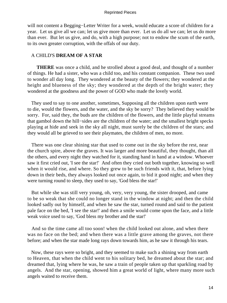will not content a Begging−Letter Writer for a week, would educate a score of children for a year. Let us give all we can; let us give more than ever. Let us do all we can; let us do more than ever. But let us give, and do, with a high purpose; not to endow the scum of the earth, to its own greater corruption, with the offals of our duty.

# A CHILD'S **DREAM OF A STAR**

**THERE** was once a child, and he strolled about a good deal, and thought of a number of things. He had a sister, who was a child too, and his constant companion. These two used to wonder all day long. They wondered at the beauty of the flowers; they wondered at the height and blueness of the sky; they wondered at the depth of the bright water; they wondered at the goodness and the power of GOD who made the lovely world.

 They used to say to one another, sometimes, Supposing all the children upon earth were to die, would the flowers, and the water, and the sky be sorry? They believed they would be sorry. For, said they, the buds are the children of the flowers, and the little playful streams that gambol down the hill−sides are the children of the water; and the smallest bright specks playing at hide and seek in the sky all night, must surely be the children of the stars; and they would all be grieved to see their playmates, the children of men, no more.

 There was one clear shining star that used to come out in the sky before the rest, near the church spire, above the graves. It was larger and more beautiful, they thought, than all the others, and every night they watched for it, standing hand in hand at a window. Whoever saw it first cried out, 'I see the star!' And often they cried out both together, knowing so well when it would rise, and where. So they grew to be such friends with it, that, before lying down in their beds, they always looked out once again, to bid it good night; and when they were turning round to sleep, they used to say, 'God bless the star!'

 But while she was still very young, oh, very, very young, the sister drooped, and came to be so weak that she could no longer stand in the window at night; and then the child looked sadly out by himself, and when he saw the star, turned round and said to the patient pale face on the bed, 'I see the star!' and then a smile would come upon the face, and a little weak voice used to say, 'God bless my brother and the star!'

 And so the time came all too soon! when the child looked out alone, and when there was no face on the bed; and when there was a little grave among the graves, not there before; and when the star made long rays down towards him, as he saw it through his tears.

 Now, these rays were so bright, and they seemed to make such a shining way from earth to Heaven, that when the child went to his solitary bed, he dreamed about the star; and dreamed that, lying where he was, he saw a train of people taken up that sparkling road by angels. And the star, opening, showed him a great world of light, where many more such angels waited to receive them.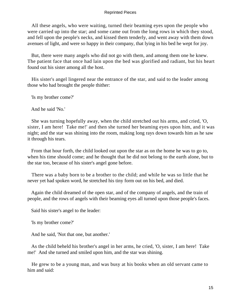All these angels, who were waiting, turned their beaming eyes upon the people who were carried up into the star; and some came out from the long rows in which they stood, and fell upon the people's necks, and kissed them tenderly, and went away with them down avenues of light, and were so happy in their company, that lying in his bed he wept for joy.

 But, there were many angels who did not go with them, and among them one he knew. The patient face that once had lain upon the bed was glorified and radiant, but his heart found out his sister among all the host.

 His sister's angel lingered near the entrance of the star, and said to the leader among those who had brought the people thither:

'Is my brother come?'

And he said 'No.'

 She was turning hopefully away, when the child stretched out his arms, and cried, 'O, sister, I am here! Take me!' and then she turned her beaming eyes upon him, and it was night; and the star was shining into the room, making long rays down towards him as he saw it through his tears.

 From that hour forth, the child looked out upon the star as on the home he was to go to, when his time should come; and he thought that he did not belong to the earth alone, but to the star too, because of his sister's angel gone before.

 There was a baby born to be a brother to the child; and while he was so little that he never yet had spoken word, he stretched his tiny form out on his bed, and died.

 Again the child dreamed of the open star, and of the company of angels, and the train of people, and the rows of angels with their beaming eyes all turned upon those people's faces.

Said his sister's angel to the leader:

'Is my brother come?'

And he said, 'Not that one, but another.'

 As the child beheld his brother's angel in her arms, he cried, 'O, sister, I am here! Take me!' And she turned and smiled upon him, and the star was shining.

 He grew to be a young man, and was busy at his books when an old servant came to him and said: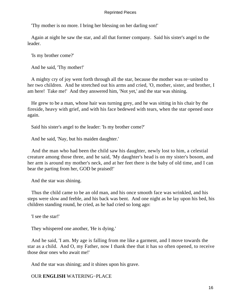'Thy mother is no more. I bring her blessing on her darling son!'

 Again at night he saw the star, and all that former company. Said his sister's angel to the leader.

'Is my brother come?'

And he said, 'Thy mother!'

 A mighty cry of joy went forth through all the star, because the mother was re−united to her two children. And he stretched out his arms and cried, 'O, mother, sister, and brother, I am here! Take me!' And they answered him, 'Not yet,' and the star was shining.

 He grew to be a man, whose hair was turning grey, and he was sitting in his chair by the fireside, heavy with grief, and with his face bedewed with tears, when the star opened once again.

Said his sister's angel to the leader: 'Is my brother come?'

And he said, 'Nay, but his maiden daughter.'

 And the man who had been the child saw his daughter, newly lost to him, a celestial creature among those three, and he said, 'My daughter's head is on my sister's bosom, and her arm is around my mother's neck, and at her feet there is the baby of old time, and I can bear the parting from her, GOD be praised!'

And the star was shining.

 Thus the child came to be an old man, and his once smooth face was wrinkled, and his steps were slow and feeble, and his back was bent. And one night as he lay upon his bed, his children standing round, he cried, as he had cried so long ago:

'I see the star!'

They whispered one another, 'He is dying.'

 And he said, 'I am. My age is falling from me like a garment, and I move towards the star as a child. And O, my Father, now I thank thee that it has so often opened, to receive those dear ones who await me!'

And the star was shining; and it shines upon his grave.

# OUR **ENGLISH** WATERING−PLACE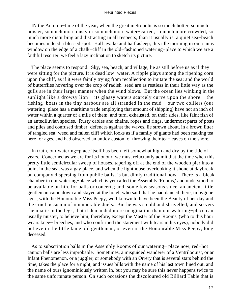IN the Autumn−time of the year, when the great metropolis is so much hotter, so much noisier, so much more dusty or so much more water−carted, so much more crowded, so much more disturbing and distracting in all respects, than it usually is, a quiet sea−beach becomes indeed a blessed spot. Half awake and half asleep, this idle morning in our sunny window on the edge of a chalk−cliff in the old−fashioned watering−place to which we are a faithful resorter, we feel a lazy inclination to sketch its picture.

 The place seems to respond. Sky, sea, beach, and village, lie as still before us as if they were sitting for the picture. It is dead low−water. A ripple plays among the ripening corn upon the cliff, as if it were faintly trying from recollection to imitate the sea; and the world of butterflies hovering over the crop of radish−seed are as restless in their little way as the gulls are in their larger manner when the wind blows. But the ocean lies winking in the sunlight like a drowsy lion – its glassy waters scarcely curve upon the shore – the fishing−boats in the tiny harbour are all stranded in the mud − our two colliers (our watering−place has a maritime trade employing that amount of shipping) have not an inch of water within a quarter of a mile of them, and turn, exhausted, on their sides, like faint fish of an antediluvian species. Rusty cables and chains, ropes and rings, undermost parts of posts and piles and confused timber−defences against the waves, lie strewn about, in a brown litter of tangled sea−weed and fallen cliff which looks as if a family of giants had been making tea here for ages, and had observed an untidy custom of throwing their tea−leaves on the shore.

 In truth, our watering−place itself has been left somewhat high and dry by the tide of years. Concerned as we are for its honour, we must reluctantly admit that the time when this pretty little semicircular sweep of houses, tapering off at the end of the wooden pier into a point in the sea, was a gay place, and when the lighthouse overlooking it shone at daybreak on company dispersing from public balls, is but dimly traditional now. There is a bleak chamber in our watering−place which is yet called the Assembly 'Rooms,' and understood to be available on hire for balls or concerts; and, some few seasons since, an ancient little gentleman came down and stayed at the hotel, who said that he had danced there, in bygone ages, with the Honourable Miss Peepy, well known to have been the Beauty of her day and the cruel occasion of innumerable duels. But he was so old and shrivelled, and so very rheumatic in the legs, that it demanded more imagination than our watering−place can usually muster, to believe him; therefore, except the Master of the 'Rooms' (who to this hour wears knee− breeches, and who confirmed the statement with tears in his eyes), nobody did believe in the little lame old gentleman, or even in the Honourable Miss Peepy, long deceased.

 As to subscription balls in the Assembly Rooms of our watering− place now, red−hot cannon balls are less improbable. Sometimes, a misguided wanderer of a Ventriloquist, or an Infant Phenomenon, or a juggler, or somebody with an Orrery that is several stars behind the time, takes the place for a night, and issues bills with the name of his last town lined out, and the name of ours ignominiously written in, but you may be sure this never happens twice to the same unfortunate person. On such occasions the discoloured old Billiard Table that is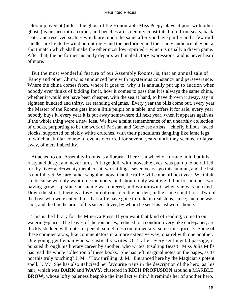seldom played at (unless the ghost of the Honourable Miss Peepy plays at pool with other ghosts) is pushed into a corner, and benches are solemnly constituted into front seats, back seats, and reserved seats – which are much the same after you have paid – and a few dull candles are lighted − wind permitting − and the performer and the scanty audience play out a short match which shall make the other most low−spirited − which is usually a drawn game. After that, the performer instantly departs with maledictory expressions, and is never heard of more.

 But the most wonderful feature of our Assembly Rooms, is, that an annual sale of 'Fancy and other China,' is announced here with mysterious constancy and perseverance. Where the china comes from, where it goes to, why it is annually put up to auction when nobody ever thinks of bidding for it, how it comes to pass that it is always the same china, whether it would not have been cheaper, with the sea at hand, to have thrown it away, say in eighteen hundred and thirty, are standing enigmas. Every year the bills come out, every year the Master of the Rooms gets into a little pulpit on a table, and offers it for sale, every year nobody buys it, every year it is put away somewhere till next year, when it appears again as if the whole thing were a new idea. We have a faint remembrance of an unearthly collection of clocks, purporting to be the work of Parisian and Genevese artists − chiefly bilious−faced clocks, supported on sickly white crutches, with their pendulums dangling like lame legs − to which a similar course of events occurred for several years, until they seemed to lapse away, of mere imbecility.

 Attached to our Assembly Rooms is a library. There is a wheel of fortune in it, but it is rusty and dusty, and never turns. A large doll, with moveable eyes, was put up to be raffled for, by five− and−twenty members at two shillings, seven years ago this autumn, and the list is not full yet. We are rather sanguine, now, that the raffle will come off next year. We think so, because we only want nine members, and should only want eight, but for number two having grown up since her name was entered, and withdrawn it when she was married. Down the street, there is a toy−ship of considerable burden, in the same condition. Two of the boys who were entered for that raffle have gone to India in real ships, since; and one was shot, and died in the arms of his sister's lover, by whom he sent his last words home.

 This is the library for the Minerva Press. If you want that kind of reading, come to our watering−place. The leaves of the romances, reduced to a condition very like curl−paper, are thickly studded with notes in pencil: sometimes complimentary, sometimes jocose. Some of these commentators, like commentators in a more extensive way, quarrel with one another. One young gentleman who sarcastically writes 'O!!!' after every sentimental passage, is pursued through his literary career by another, who writes 'Insulting Beast!' Miss Julia Mills has read the whole collection of these books. She has left marginal notes on the pages, as 'Is not this truly touching? J. M.' 'How thrilling! J. M.' 'Entranced here by the Magician's potent spell. J. M.' She has also italicised her favourite traits in the description of the hero, as 'his hair, which was **DARK** and **WAVY,** clustered in **RICH PROFUSION** around a MARBLE **BROW,** whose lofty paleness bespoke the intellect within.' It reminds her of another hero.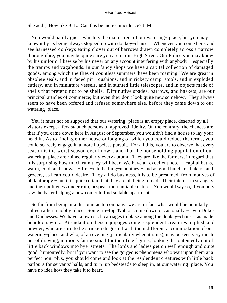She adds, 'How like B. L. Can this be mere coincidence? J. M.'

 You would hardly guess which is the main street of our watering− place, but you may know it by its being always stopped up with donkey−chaises. Whenever you come here, and see harnessed donkeys eating clover out of barrows drawn completely across a narrow thoroughfare, you may be quite sure you are in our High Street. Our Police you may know by his uniform, likewise by his never on any account interfering with anybody − especially the tramps and vagabonds. In our fancy shops we have a capital collection of damaged goods, among which the flies of countless summers 'have been roaming.' We are great in obsolete seals, and in faded pin− cushions, and in rickety camp−stools, and in exploded cutlery, and in miniature vessels, and in stunted little telescopes, and in objects made of shells that pretend not to be shells. Diminutive spades, barrows, and baskets, are our principal articles of commerce; but even they don't look quite new somehow. They always seem to have been offered and refused somewhere else, before they came down to our watering−place.

 Yet, it must not be supposed that our watering−place is an empty place, deserted by all visitors except a few staunch persons of approved fidelity. On the contrary, the chances are that if you came down here in August or September, you wouldn't find a house to lay your head in. As to finding either house or lodging of which you could reduce the terms, you could scarcely engage in a more hopeless pursuit. For all this, you are to observe that every season is the worst season ever known, and that the householding population of our watering−place are ruined regularly every autumn. They are like the farmers, in regard that it is surprising how much ruin they will bear. We have an excellent hotel − capital baths, warm, cold, and shower − first–rate bathing–machines – and as good butchers, bakers, and grocers, as heart could desire. They all do business, it is to be presumed, from motives of philanthropy – but it is quite certain that they are all being ruined. Their interest in strangers, and their politeness under ruin, bespeak their amiable nature. You would say so, if you only saw the baker helping a new comer to find suitable apartments.

 So far from being at a discount as to company, we are in fact what would be popularly called rather a nobby place. Some tip−top 'Nobbs' come down occasionally − even Dukes and Duchesses. We have known such carriages to blaze among the donkey−chaises, as made beholders wink. Attendant on these equipages come resplendent creatures in plush and powder, who are sure to be stricken disgusted with the indifferent accommodation of our watering−place, and who, of an evening (particularly when it rains), may be seen very much out of drawing, in rooms far too small for their fine figures, looking discontentedly out of little back windows into bye−streets. The lords and ladies get on well enough and quite good−humouredly: but if you want to see the gorgeous phenomena who wait upon them at a perfect non−plus, you should come and look at the resplendent creatures with little back parlours for servants' halls, and turn−up bedsteads to sleep in, at our watering−place. You have no idea how they take it to heart.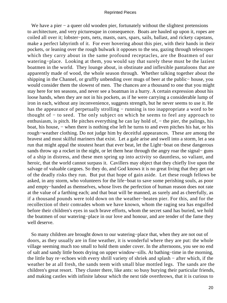We have a pier – a queer old wooden pier, fortunately without the slightest pretensions to architecture, and very picturesque in consequence. Boats are hauled up upon it, ropes are coiled all over it; lobster−pots, nets, masts, oars, spars, sails, ballast, and rickety capstans, make a perfect labyrinth of it. For ever hovering about this pier, with their hands in their pockets, or leaning over the rough bulwark it opposes to the sea, gazing through telescopes which they carry about in the same profound receptacles, are the Boatmen of our watering−place. Looking at them, you would say that surely these must be the laziest boatmen in the world. They lounge about, in obstinate and inflexible pantaloons that are apparently made of wood, the whole season through. Whether talking together about the shipping in the Channel, or gruffly unbending over mugs of beer at the public− house, you would consider them the slowest of men. The chances are a thousand to one that you might stay here for ten seasons, and never see a boatman in a hurry. A certain expression about his loose hands, when they are not in his pockets, as if he were carrying a considerable lump of iron in each, without any inconvenience, suggests strength, but he never seems to use it. He has the appearance of perpetually strolling – running is too inappropriate a word to be thought of − to seed. The only subject on which he seems to feel any approach to enthusiasm, is pitch. He pitches everything he can lay hold of, – the pier, the palings, his boat, his house, − when there is nothing else left he turns to and even pitches his hat, or his rough−weather clothing. Do not judge him by deceitful appearances. These are among the bravest and most skilful mariners that exist. Let a gale arise and swell into a storm, let a sea run that might appal the stoutest heart that ever beat, let the Light−boat on these dangerous sands throw up a rocket in the night, or let them hear through the angry roar the signal– guns of a ship in distress, and these men spring up into activity so dauntless, so valiant, and heroic, that the world cannot surpass it. Cavillers may object that they chiefly live upon the salvage of valuable cargoes. So they do, and God knows it is no great living that they get out of the deadly risks they run. But put that hope of gain aside. Let these rough fellows be asked, in any storm, who volunteers for the life−boat to save some perishing souls, as poor and empty−handed as themselves, whose lives the perfection of human reason does not rate at the value of a farthing each; and that boat will be manned, as surely and as cheerfully, as if a thousand pounds were told down on the weather−beaten pier. For this, and for the recollection of their comrades whom we have known, whom the raging sea has engulfed before their children's eyes in such brave efforts, whom the secret sand has buried, we hold the boatmen of our watering−place in our love and honour, and are tender of the fame they well deserve.

 So many children are brought down to our watering−place that, when they are not out of doors, as they usually are in fine weather, it is wonderful where they are put: the whole village seeming much too small to hold them under cover. In the afternoons, you see no end of salt and sandy little boots drying on upper window−sills. At bathing−time in the morning, the little bay re−echoes with every shrill variety of shriek and splash − after which, if the weather be at all fresh, the sands teem with small blue mottled legs. The sands are the children's great resort. They cluster there, like ants: so busy burying their particular friends, and making castles with infinite labour which the next tide overthrows, that it is curious to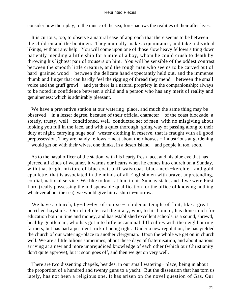consider how their play, to the music of the sea, foreshadows the realities of their after lives.

 It is curious, too, to observe a natural ease of approach that there seems to be between the children and the boatmen. They mutually make acquaintance, and take individual likings, without any help. You will come upon one of those slow heavy fellows sitting down patiently mending a little ship for a mite of a boy, whom he could crush to death by throwing his lightest pair of trousers on him. You will be sensible of the oddest contrast between the smooth little creature, and the rough man who seems to be carved out of hard−grained wood − between the delicate hand expectantly held out, and the immense thumb and finger that can hardly feel the rigging of thread they mend − between the small voice and the gruff growl − and yet there is a natural propriety in the companionship: always to be noted in confidence between a child and a person who has any merit of reality and genuineness: which is admirably pleasant.

 We have a preventive station at our watering−place, and much the same thing may be observed − in a lesser degree, because of their official character − of the coast blockade; a steady, trusty, well− conditioned, well−conducted set of men, with no misgiving about looking you full in the face, and with a quiet thorough−going way of passing along to their duty at night, carrying huge sou'−wester clothing in reserve, that is fraught with all good prepossession. They are handy fellows – neat about their houses – industrious at gardening − would get on with their wives, one thinks, in a desert island − and people it, too, soon.

 As to the naval officer of the station, with his hearty fresh face, and his blue eye that has pierced all kinds of weather, it warms our hearts when he comes into church on a Sunday, with that bright mixture of blue coat, buff waistcoat, black neck−kerchief, and gold epaulette, that is associated in the minds of all Englishmen with brave, unpretending, cordial, national service. We like to look at him in his Sunday state; and if we were First Lord (really possessing the indispensable qualification for the office of knowing nothing whatever about the sea), we would give him a ship to−morrow.

 We have a church, by−the−by, of course − a hideous temple of flint, like a great petrified haystack. Our chief clerical dignitary, who, to his honour, has done much for education both in time and money, and has established excellent schools, is a sound, shrewd, healthy gentleman, who has got into little occasional difficulties with the neighbouring farmers, but has had a pestilent trick of being right. Under a new regulation, he has yielded the church of our watering−place to another clergyman. Upon the whole we get on in church well. We are a little bilious sometimes, about these days of fraternisation, and about nations arriving at a new and more unprejudiced knowledge of each other (which our Christianity don't quite approve), but it soon goes off, and then we get on very well.

 There are two dissenting chapels, besides, in our small watering− place; being in about the proportion of a hundred and twenty guns to a yacht. But the dissension that has torn us lately, has not been a religious one. It has arisen on the novel question of Gas. Our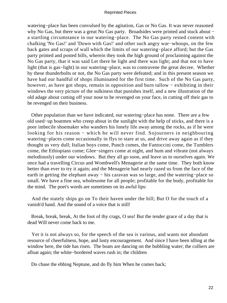watering−place has been convulsed by the agitation, Gas or No Gas. It was never reasoned why No Gas, but there was a great No Gas party. Broadsides were printed and stuck about − a startling circumstance in our watering−place. The No Gas party rested content with chalking 'No Gas!' and 'Down with Gas!' and other such angry war−whoops, on the few back gates and scraps of wall which the limits of our watering−place afford; but the Gas party printed and posted bills, wherein they took the high ground of proclaiming against the No Gas party, that it was said Let there be light and there was light; and that not to have light (that is gas−light) in our watering−place, was to contravene the great decree. Whether by these thunderbolts or not, the No Gas party were defeated; and in this present season we have had our handful of shops illuminated for the first time. Such of the No Gas party, however, as have got shops, remain in opposition and burn tallow − exhibiting in their windows the very picture of the sulkiness that punishes itself, and a new illustration of the old adage about cutting off your nose to be revenged on your face, in cutting off their gas to be revenged on their business.

 Other population than we have indicated, our watering−place has none. There are a few old used−up boatmen who creep about in the sunlight with the help of sticks, and there is a poor imbecile shoemaker who wanders his lonely life away among the rocks, as if he were looking for his reason − which he will never find. Sojourners in neighbouring watering−places come occasionally in flys to stare at us, and drive away again as if they thought us very dull; Italian boys come, Punch comes, the Fantoccini come, the Tumblers come, the Ethiopians come; Glee−singers come at night, and hum and vibrate (not always melodiously) under our windows. But they all go soon, and leave us to ourselves again. We once had a travelling Circus and Wombwell's Menagerie at the same time. They both know better than ever to try it again; and the Menagerie had nearly razed us from the face of the earth in getting the elephant away − his caravan was so large, and the watering–place so small. We have a fine sea, wholesome for all people; profitable for the body, profitable for the mind. The poet's words are sometimes on its awful lips:

 And the stately ships go on To their haven under the hill; But O for the touch of a vanish'd hand. And the sound of a voice that is still!

 Break, break, break, At the foot of thy crags, O sea! But the tender grace of a day that is dead Will never come back to me.

 Yet it is not always so, for the speech of the sea is various, and wants not abundant resource of cheerfulness, hope, and lusty encouragement. And since I have been idling at the window here, the tide has risen. The boats are dancing on the bubbling water; the colliers are afloat again; the white−bordered waves rush in; the children

Do chase the ebbing Neptune, and do fly him When he comes back;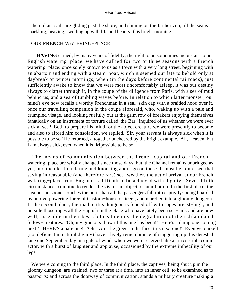the radiant sails are gliding past the shore, and shining on the far horizon; all the sea is sparkling, heaving, swelling up with life and beauty, this bright morning.

# OUR **FRENCH** WATERING−PLACE

**HAVING** earned, by many years of fidelity, the right to be sometimes inconstant to our English watering−place, we have dallied for two or three seasons with a French watering−place: once solely known to us as a town with a very long street, beginning with an abattoir and ending with a steam−boat, which it seemed our fate to behold only at daybreak on winter mornings, when (in the days before continental railroads), just sufficiently awake to know that we were most uncomfortably asleep, it was our destiny always to clatter through it, in the coupe of the diligence from Paris, with a sea of mud behind us, and a sea of tumbling waves before. In relation to which latter monster, our mind's eye now recalls a worthy Frenchman in a seal−skin cap with a braided hood over it, once our travelling companion in the coupe aforesaid, who, waking up with a pale and crumpled visage, and looking ruefully out at the grim row of breakers enjoying themselves fanatically on an instrument of torture called 'the Bar,' inquired of us whether we were ever sick at sea? Both to prepare his mind for the abject creature we were presently to become, and also to afford him consolation, we replied, 'Sir, your servant is always sick when it is possible to be so.' He returned, altogether uncheered by the bright example, 'Ah, Heaven, but I am always sick, even when it is IMpossible to be so.'

 The means of communication between the French capital and our French watering−place are wholly changed since those days; but, the Channel remains unbridged as yet, and the old floundering and knocking about go on there. It must be confessed that saving in reasonable (and therefore rare) sea−weather, the act of arrival at our French watering−place from England is difficult to be achieved with dignity. Several little circumstances combine to render the visitor an object of humiliation. In the first place, the steamer no sooner touches the port, than all the passengers fall into captivity: being boarded by an overpowering force of Custom−house officers, and marched into a gloomy dungeon. In the second place, the road to this dungeon is fenced off with ropes breast−high, and outside those ropes all the English in the place who have lately been sea−sick and are now well, assemble in their best clothes to enjoy the degradation of their dilapidated fellow−creatures. 'Oh, my gracious! how ill this one has been!' 'Here's a damp one coming next!' 'HERE'S a pale one!' 'Oh! Ain't he green in the face, this next one!' Even we ourself (not deficient in natural dignity) have a lively remembrance of staggering up this detested lane one September day in a gale of wind, when we were received like an irresistible comic actor, with a burst of laughter and applause, occasioned by the extreme imbecility of our legs.

 We were coming to the third place. In the third place, the captives, being shut up in the gloomy dungeon, are strained, two or three at a time, into an inner cell, to be examined as to passports; and across the doorway of communication, stands a military creature making a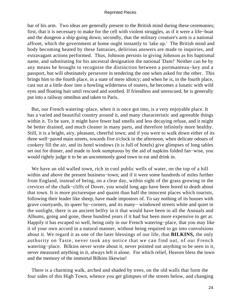bar of his arm. Two ideas are generally present to the British mind during these ceremonies; first, that it is necessary to make for the cell with violent struggles, as if it were a life−boat and the dungeon a ship going down; secondly, that the military creature's arm is a national affront, which the government at home ought instantly to 'take up.' The British mind and body becoming heated by these fantasies, delirious answers are made to inquiries, and extravagant actions performed. Thus, Johnson persists in giving Johnson as his baptismal name, and substituting for his ancestral designation the national 'Dam!' Neither can he by any means be brought to recognise the distinction between a portmanteau−key and a passport, but will obstinately persevere in tendering the one when asked for the other. This brings him to the fourth place, in a state of mere idiotcy; and when he is, in the fourth place, cast out at a little door into a howling wilderness of touters, he becomes a lunatic with wild eyes and floating hair until rescued and soothed. If friendless and unrescued, he is generally put into a railway omnibus and taken to Paris.

 But, our French watering−place, when it is once got into, is a very enjoyable place. It has a varied and beautiful country around it, and many characteristic and agreeable things within it. To be sure, it might have fewer bad smells and less decaying refuse, and it might be better drained, and much cleaner in many parts, and therefore infinitely more healthy. Still, it is a bright, airy, pleasant, cheerful town; and if you were to walk down either of its three well−paved main streets, towards five o'clock in the afternoon, when delicate odours of cookery fill the air, and its hotel windows (it is full of hotels) give glimpses of long tables set out for dinner, and made to look sumptuous by the aid of napkins folded fan−wise, you would rightly judge it to be an uncommonly good town to eat and drink in.

 We have an old walled town, rich in cool public wells of water, on the top of a hill within and above the present business−town; and if it were some hundreds of miles further from England, instead of being, on a clear day, within sight of the grass growing in the crevices of the chalk−cliffs of Dover, you would long ago have been bored to death about that town. It is more picturesque and quaint than half the innocent places which tourists, following their leader like sheep, have made impostors of. To say nothing of its houses with grave courtyards, its queer by−corners, and its many− windowed streets white and quiet in the sunlight, there is an ancient belfry in it that would have been in all the Annuals and Albums, going and gone, these hundred years if it had but been more expensive to get at. Happily it has escaped so well, being only in our French watering−place, that you may like it of your own accord in a natural manner, without being required to go into convulsions about it. We regard it as one of the later blessings of our life, that **BILKINS,** the only authority on Taste, never took any notice that we can find out, of our French watering−place. Bilkins never wrote about it, never pointed out anything to be seen in it, never measured anything in it, always left it alone. For which relief, Heaven bless the town and the memory of the immortal Bilkins likewise!

 There is a charming walk, arched and shaded by trees, on the old walls that form the four sides of this High Town, whence you get glimpses of the streets below, and changing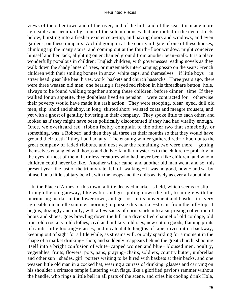views of the other town and of the river, and of the hills and of the sea. It is made more agreeable and peculiar by some of the solemn houses that are rooted in the deep streets below, bursting into a fresher existence a−top, and having doors and windows, and even gardens, on these ramparts. A child going in at the courtyard gate of one of these houses, climbing up the many stairs, and coming out at the fourth−floor window, might conceive himself another Jack, alighting on enchanted ground from another bean−stalk. It is a place wonderfully populous in children; English children, with governesses reading novels as they walk down the shady lanes of trees, or nursemaids interchanging gossip on the seats; French children with their smiling bonnes in snow−white caps, and themselves − if little boys − in straw head−gear like bee−hives, work−baskets and church hassocks. Three years ago, there were three weazen old men, one bearing a frayed red ribbon in his threadbare button−hole, always to be found walking together among these children, before dinner− time. If they walked for an appetite, they doubtless lived en pension – were contracted for – otherwise their poverty would have made it a rash action. They were stooping, blear−eyed, dull old men, slip−shod and shabby, in long−skirted short−waisted coats and meagre trousers, and yet with a ghost of gentility hovering in their company. They spoke little to each other, and looked as if they might have been politically discontented if they had had vitality enough. Once, we overheard red−ribbon feebly complain to the other two that somebody, or something, was 'a Robber;' and then they all three set their mouths so that they would have ground their teeth if they had had any. The ensuing winter gathered red− ribbon unto the great company of faded ribbons, and next year the remaining two were there − getting themselves entangled with hoops and dolls − familiar mysteries to the children − probably in the eyes of most of them, harmless creatures who had never been like children, and whom children could never be like. Another winter came, and another old man went, and so, this present year, the last of the triumvirate, left off walking − it was no good, now − and sat by himself on a little solitary bench, with the hoops and the dolls as lively as ever all about him.

 In the Place d'Armes of this town, a little decayed market is held, which seems to slip through the old gateway, like water, and go rippling down the hill, to mingle with the murmuring market in the lower town, and get lost in its movement and bustle. It is very agreeable on an idle summer morning to pursue this market−stream from the hill−top. It begins, dozingly and dully, with a few sacks of corn; starts into a surprising collection of boots and shoes; goes brawling down the hill in a diversified channel of old cordage, old iron, old crockery, old clothes, civil and military, old rags, new cotton goods, flaming prints of saints, little looking−glasses, and incalculable lengths of tape; dives into a backway, keeping out of sight for a little while, as streams will, or only sparkling for a moment in the shape of a market drinking− shop; and suddenly reappears behind the great church, shooting itself into a bright confusion of white−capped women and blue− bloused men, poultry, vegetables, fruits, flowers, pots, pans, praying−chairs, soldiers, country butter, umbrellas and other sun− shades, girl−porters waiting to be hired with baskets at their backs, and one weazen little old man in a cocked hat, wearing a cuirass of drinking−glasses and carrying on his shoulder a crimson temple fluttering with flags, like a glorified pavior's rammer without the handle, who rings a little bell in all parts of the scene, and cries his cooling drink Hola,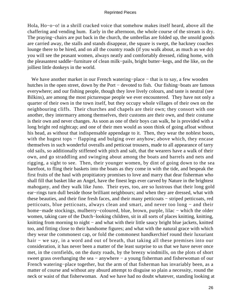Hola, Ho−o−o! in a shrill cracked voice that somehow makes itself heard, above all the chaffering and vending hum. Early in the afternoon, the whole course of the stream is dry. The praying–chairs are put back in the church, the umbrellas are folded up, the unsold goods are carried away, the stalls and stands disappear, the square is swept, the hackney coaches lounge there to be hired, and on all the country roads (if you walk about, as much as we do) you will see the peasant women, always neatly and comfortably dressed, riding home, with the pleasantest saddle−furniture of clean milk−pails, bright butter−kegs, and the like, on the jolliest little donkeys in the world.

We have another market in our French watering–place – that is to say, a few wooden hutches in the open street, down by the Port − devoted to fish. Our fishing−boats are famous everywhere; and our fishing people, though they love lively colours, and taste is neutral (see Bilkins), are among the most picturesque people we ever encountered. They have not only a quarter of their own in the town itself, but they occupy whole villages of their own on the neighbouring cliffs. Their churches and chapels are their own; they consort with one another, they intermarry among themselves, their customs are their own, and their costume is their own and never changes. As soon as one of their boys can walk, he is provided with a long bright red nightcap; and one of their men would as soon think of going afloat without his head, as without that indispensable appendage to it. Then, they wear the noblest boots, with the hugest tops – flapping and bulging over anyhow; above which, they encase themselves in such wonderful overalls and petticoat trousers, made to all appearance of tarry old sails, so additionally stiffened with pitch and salt, that the wearers have a walk of their own, and go straddling and swinging about among the boats and barrels and nets and rigging, a sight to see. Then, their younger women, by dint of going down to the sea barefoot, to fling their baskets into the boats as they come in with the tide, and bespeak the first fruits of the haul with propitiatory promises to love and marry that dear fisherman who shall fill that basket like an Angel, have the finest legs ever carved by Nature in the brightest mahogany, and they walk like Juno. Their eyes, too, are so lustrous that their long gold ear−rings turn dull beside those brilliant neighbours; and when they are dressed, what with these beauties, and their fine fresh faces, and their many petticoats − striped petticoats, red petticoats, blue petticoats, always clean and smart, and never too long − and their home−made stockings, mulberry–coloured, blue, brown, purple, lilac – which the older women, taking care of the Dutch−looking children, sit in all sorts of places knitting, knitting, knitting from morning to night − and what with their little saucy bright blue jackets, knitted too, and fitting close to their handsome figures; and what with the natural grace with which they wear the commonest cap, or fold the commonest handkerchief round their luxuriant hair − we say, in a word and out of breath, that taking all these premises into our consideration, it has never been a matter of the least surprise to us that we have never once met, in the cornfields, on the dusty roads, by the breezy windmills, on the plots of short sweet grass overhanging the sea – anywhere – a young fisherman and fisherwoman of our French watering−place together, but the arm of that fisherman has invariably been, as a matter of course and without any absurd attempt to disguise so plain a necessity, round the neck or waist of that fisherwoman. And we have had no doubt whatever, standing looking at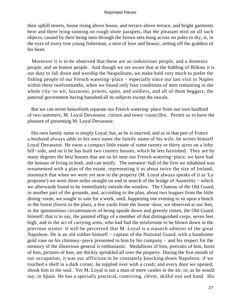their uphill streets, house rising above house, and terrace above terrace, and bright garments here and there lying sunning on rough stone parapets, that the pleasant mist on all such objects, caused by their being seen through the brown nets hung across on poles to dry, is, in the eyes of every true young fisherman, a mist of love and beauty, setting off the goddess of his heart.

 Moreover it is to be observed that these are an industrious people, and a domestic people, and an honest people. And though we are aware that at the bidding of Bilkins it is our duty to fall down and worship the Neapolitans, we make bold very much to prefer the fishing people of our French watering−place − especially since our last visit to Naples within these twelvemonths, when we found only four conditions of men remaining in the whole city: to wit, lazzaroni, priests, spies, and soldiers, and all of them beggars; the paternal government having banished all its subjects except the rascals.

 But we can never henceforth separate our French watering−place from our own landlord of two summers, M. Loyal Devasseur, citizen and town−councillor. Permit us to have the pleasure of presenting M. Loyal Devasseur.

 His own family name is simply Loyal; but, as he is married, and as in that part of France a husband always adds to his own name the family name of his wife, he writes himself Loyal Devasseur. He owns a compact little estate of some twenty or thirty acres on a lofty hill−side, and on it he has built two country houses, which he lets furnished. They are by many degrees the best houses that are so let near our French watering−place; we have had the honour of living in both, and can testify. The entrance−hall of the first we inhabited was ornamented with a plan of the estate, representing it as about twice the size of Ireland; insomuch that when we were yet new to the property (M. Loyal always speaks of it as 'La propriete') we went three miles straight on end in search of the bridge of Austerlitz – which we afterwards found to be immediately outside the window. The Chateau of the Old Guard, in another part of the grounds, and, according to the plan, about two leagues from the little dining−room, we sought in vain for a week, until, happening one evening to sit upon a bench in the forest (forest in the plan), a few yards from the house−door, we observed at our feet, in the ignominious circumstances of being upside down and greenly rotten, the Old Guard himself: that is to say, the painted effigy of a member of that distinguished corps, seven feet high, and in the act of carrying arms, who had had the misfortune to be blown down in the previous winter. It will be perceived that M. Loyal is a staunch admirer of the great Napoleon. He is an old soldier himself – captain of the National Guard, with a handsome gold vase on his chimney−piece presented to him by his company − and his respect for the memory of the illustrious general is enthusiastic. Medallions of him, portraits of him, busts of him, pictures of him, are thickly sprinkled all over the property. During the first month of our occupation, it was our affliction to be constantly knocking down Napoleon: if we touched a shelf in a dark corner, he toppled over with a crash; and every door we opened, shook him to the soul. Yet M. Loyal is not a man of mere castles in the air, or, as he would say, in Spain. He has a specially practical, contriving, clever, skilful eye and hand. His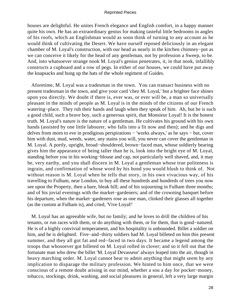houses are delightful. He unites French elegance and English comfort, in a happy manner quite his own. He has an extraordinary genius for making tasteful little bedrooms in angles of his roofs, which an Englishman would as soon think of turning to any account as he would think of cultivating the Desert. We have ourself reposed deliciously in an elegant chamber of M. Loyal's construction, with our head as nearly in the kitchen chimney−pot as we can conceive it likely for the head of any gentleman, not by profession a Sweep, to be. And, into whatsoever strange nook M. Loyal's genius penetrates, it, in that nook, infallibly constructs a cupboard and a row of pegs. In either of our houses, we could have put away the knapsacks and hung up the hats of the whole regiment of Guides.

 Aforetime, M. Loyal was a tradesman in the town. You can transact business with no present tradesman in the town, and give your card 'chez M. Loyal,' but a brighter face shines upon you directly. We doubt if there is, ever was, or ever will be, a man so universally pleasant in the minds of people as M. Loyal is in the minds of the citizens of our French watering−place. They rub their hands and laugh when they speak of him. Ah, but he is such a good child, such a brave boy, such a generous spirit, that Monsieur Loyal! It is the honest truth. M. Loyal's nature is the nature of a gentleman. He cultivates his ground with his own hands (assisted by one little labourer, who falls into a fit now and then); and he digs and delves from morn to eve in prodigious perspirations − 'works always,' as he says − but, cover him with dust, mud, weeds, water, any stains you will, you never can cover the gentleman in M. Loyal. A portly, upright, broad−shouldered, brown−faced man, whose soldierly bearing gives him the appearance of being taller than he is, look into the bright eye of M. Loyal, standing before you in his working−blouse and cap, not particularly well shaved, and, it may be, very earthy, and you shall discern in M. Loyal a gentleman whose true politeness is ingrain, and confirmation of whose word by his bond you would blush to think of. Not without reason is M. Loyal when he tells that story, in his own vivacious way, of his travelling to Fulham, near London, to buy all these hundreds and hundreds of trees you now see upon the Property, then a bare, bleak hill; and of his sojourning in Fulham three months; and of his jovial evenings with the market−gardeners; and of the crowning banquet before his departure, when the market−gardeners rose as one man, clinked their glasses all together (as the custom at Fulham is), and cried, 'Vive Loyal!'

 M. Loyal has an agreeable wife, but no family; and he loves to drill the children of his tenants, or run races with them, or do anything with them, or for them, that is good−natured. He is of a highly convivial temperament, and his hospitality is unbounded. Billet a soldier on him, and he is delighted. Five−and−thirty soldiers had M. Loyal billeted on him this present summer, and they all got fat and red−faced in two days. It became a legend among the troops that whosoever got billeted on M. Loyal rolled in clover; and so it fell out that the fortunate man who drew the billet 'M. Loyal Devasseur' always leaped into the air, though in heavy marching order. M. Loyal cannot bear to admit anything that might seem by any implication to disparage the military profession. We hinted to him once, that we were conscious of a remote doubt arising in our mind, whether a sou a day for pocket−money, tobacco, stockings, drink, washing, and social pleasures in general, left a very large margin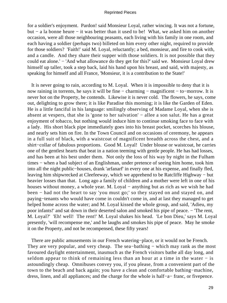for a soldier's enjoyment. Pardon! said Monsieur Loyal, rather wincing. It was not a fortune, but − a la bonne heure − it was better than it used to be! What, we asked him on another occasion, were all those neighbouring peasants, each living with his family in one room, and each having a soldier (perhaps two) billeted on him every other night, required to provide for those soldiers? 'Faith!' said M. Loyal, reluctantly; a bed, monsieur, and fire to cook with, and a candle. And they share their supper with those soldiers. It is not possible that they could eat alone.' − 'And what allowance do they get for this?' said we. Monsieur Loyal drew himself up taller, took a step back, laid his hand upon his breast, and said, with majesty, as speaking for himself and all France, 'Monsieur, it is a contribution to the State!'

 It is never going to rain, according to M. Loyal. When it is impossible to deny that it is now raining in torrents, he says it will be fine − charming − magnificent − to−morrow. It is never hot on the Property, he contends. Likewise it is never cold. The flowers, he says, come out, delighting to grow there; it is like Paradise this morning; it is like the Garden of Eden. He is a little fanciful in his language: smilingly observing of Madame Loyal, when she is absent at vespers, that she is 'gone to her salvation' − allee a son salut. He has a great enjoyment of tobacco, but nothing would induce him to continue smoking face to face with a lady. His short black pipe immediately goes into his breast pocket, scorches his blouse, and nearly sets him on fire. In the Town Council and on occasions of ceremony, he appears in a full suit of black, with a waistcoat of magnificent breadth across the chest, and a shirt−collar of fabulous proportions. Good M. Loyal! Under blouse or waistcoat, he carries one of the gentlest hearts that beat in a nation teeming with gentle people. He has had losses, and has been at his best under them. Not only the loss of his way by night in the Fulham times − when a bad subject of an Englishman, under pretence of seeing him home, took him into all the night public−houses, drank 'arfanarf' in every one at his expense, and finally fled, leaving him shipwrecked at Cleefeeway, which we apprehend to be Ratcliffe Highway − but heavier losses than that. Long ago a family of children and a mother were left in one of his houses without money, a whole year. M. Loyal − anything but as rich as we wish he had been − had not the heart to say 'you must go;' so they stayed on and stayed on, and paying−tenants who would have come in couldn't come in, and at last they managed to get helped home across the water; and M. Loyal kissed the whole group, and said, 'Adieu, my poor infants!' and sat down in their deserted salon and smoked his pipe of peace. − 'The rent, M. Loyal?' 'Eh! well! The rent!' M. Loyal shakes his head. 'Le bon Dieu,' says M. Loyal presently, 'will recompense me,' and he laughs and smokes his pipe of peace. May he smoke it on the Property, and not be recompensed, these fifty years!

 There are public amusements in our French watering−place, or it would not be French. They are very popular, and very cheap. The sea–bathing – which may rank as the most favoured daylight entertainment, inasmuch as the French visitors bathe all day long, and seldom appear to think of remaining less than an hour at a time in the water – is astoundingly cheap. Omnibuses convey you, if you please, from a convenient part of the town to the beach and back again; you have a clean and comfortable bathing−machine, dress, linen, and all appliances; and the charge for the whole is half−a− franc, or fivepence.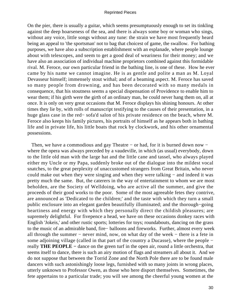On the pier, there is usually a guitar, which seems presumptuously enough to set its tinkling against the deep hoarseness of the sea, and there is always some boy or woman who sings, without any voice, little songs without any tune: the strain we have most frequently heard being an appeal to 'the sportsman' not to bag that choicest of game, the swallow. For bathing purposes, we have also a subscription establishment with an esplanade, where people lounge about with telescopes, and seem to get a good deal of weariness for their money; and we have also an association of individual machine proprietors combined against this formidable rival. M. Feroce, our own particular friend in the bathing line, is one of these. How he ever came by his name we cannot imagine. He is as gentle and polite a man as M. Loyal Devasseur himself; immensely stout withal; and of a beaming aspect. M. Feroce has saved so many people from drowning, and has been decorated with so many medals in consequence, that his stoutness seems a special dispensation of Providence to enable him to wear them; if his girth were the girth of an ordinary man, he could never hang them on, all at once. It is only on very great occasions that M. Feroce displays his shining honours. At other times they lie by, with rolls of manuscript testifying to the causes of their presentation, in a huge glass case in the red− sofa'd salon of his private residence on the beach, where M. Feroce also keeps his family pictures, his portraits of himself as he appears both in bathing life and in private life, his little boats that rock by clockwork, and his other ornamental possessions.

Then, we have a commodious and gay Theatre – or had, for it is burned down now – where the opera was always preceded by a vaudeville, in which (as usual) everybody, down to the little old man with the large hat and the little cane and tassel, who always played either my Uncle or my Papa, suddenly broke out of the dialogue into the mildest vocal snatches, to the great perplexity of unaccustomed strangers from Great Britain, who never could make out when they were singing and when they were talking − and indeed it was pretty much the same. But, the caterers in the way of entertainment to whom we are most beholden, are the Society of Welldoing, who are active all the summer, and give the proceeds of their good works to the poor. Some of the most agreeable fetes they contrive, are announced as 'Dedicated to the children;' and the taste with which they turn a small public enclosure into an elegant garden beautifully illuminated; and the thorough−going heartiness and energy with which they personally direct the childish pleasures; are supremely delightful. For fivepence a head, we have on these occasions donkey races with English 'Jokeis,' and other rustic sports; lotteries for toys; roundabouts, dancing on the grass to the music of an admirable band, fire− balloons and fireworks. Further, almost every week all through the summer − never mind, now, on what day of the week − there is a fete in some adjoining village (called in that part of the country a Ducasse), where the people − really **THE PEOPLE −** dance on the green turf in the open air, round a little orchestra, that seems itself to dance, there is such an airy motion of flags and streamers all about it. And we do not suppose that between the Torrid Zone and the North Pole there are to be found male dancers with such astonishingly loose legs, furnished with so many joints in wrong places, utterly unknown to Professor Owen, as those who here disport themselves. Sometimes, the fete appertains to a particular trade; you will see among the cheerful young women at the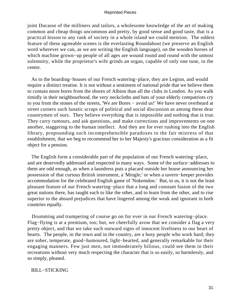joint Ducasse of the milliners and tailors, a wholesome knowledge of the art of making common and cheap things uncommon and pretty, by good sense and good taste, that is a practical lesson to any rank of society in a whole island we could mention. The oddest feature of these agreeable scenes is the everlasting Roundabout (we preserve an English word wherever we can, as we are writing the English language), on the wooden horses of which machine grown−up people of all ages are wound round and round with the utmost solemnity, while the proprietor's wife grinds an organ, capable of only one tune, in the centre.

 As to the boarding−houses of our French watering−place, they are Legion, and would require a distinct treatise. It is not without a sentiment of national pride that we believe them to contain more bores from the shores of Albion than all the clubs in London. As you walk timidly in their neighbourhood, the very neckcloths and hats of your elderly compatriots cry to you from the stones of the streets, 'We are Bores − avoid us!' We have never overheard at street corners such lunatic scraps of political and social discussion as among these dear countrymen of ours. They believe everything that is impossible and nothing that is true. They carry rumours, and ask questions, and make corrections and improvements on one another, staggering to the human intellect. And they are for ever rushing into the English library, propounding such incomprehensible paradoxes to the fair mistress of that establishment, that we beg to recommend her to her Majesty's gracious consideration as a fit object for a pension.

 The English form a considerable part of the population of our French watering−place, and are deservedly addressed and respected in many ways. Some of the surface−addresses to them are odd enough, as when a laundress puts a placard outside her house announcing her possession of that curious British instrument, a 'Mingle;' or when a tavern−keeper provides accommodation for the celebrated English game of 'Nokemdon.' But, to us, it is not the least pleasant feature of our French watering−place that a long and constant fusion of the two great nations there, has taught each to like the other, and to learn from the other, and to rise superior to the absurd prejudices that have lingered among the weak and ignorant in both countries equally.

 Drumming and trumpeting of course go on for ever in our French watering−place. Flag−flying is at a premium, too; but, we cheerfully avow that we consider a flag a very pretty object, and that we take such outward signs of innocent liveliness to our heart of hearts. The people, in the town and in the country, are a busy people who work hard; they are sober, temperate, good−humoured, light−hearted, and generally remarkable for their engaging manners. Few just men, not immoderately bilious, could see them in their recreations without very much respecting the character that is so easily, so harmlessly, and so simply, pleased.

## BILL−STICKING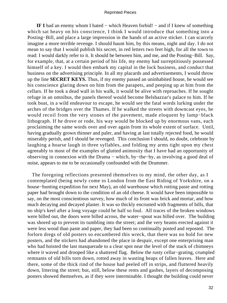**IF I** had an enemy whom I hated − which Heaven forbid! − and if I knew of something which sat heavy on his conscience, I think I would introduce that something into a Posting−Bill, and place a large impression in the hands of an active sticker. I can scarcely imagine a more terrible revenge. I should haunt him, by this means, night and day. I do not mean to say that I would publish his secret, in red letters two feet high, for all the town to read: I would darkly refer to it. It should be between him, and me, and the Posting−Bill. Say, for example, that, at a certain period of his life, my enemy had surreptitiously possessed himself of a key. I would then embark my capital in the lock business, and conduct that business on the advertising principle. In all my placards and advertisements, I would throw up the line **SECRET KEYS.** Thus, if my enemy passed an uninhabited house, he would see his conscience glaring down on him from the parapets, and peeping up at him from the cellars. If he took a dead wall in his walk, it would be alive with reproaches. If he sought refuge in an omnibus, the panels thereof would become Belshazzar's palace to him. If he took boat, in a wild endeavour to escape, he would see the fatal words lurking under the arches of the bridges over the Thames. If he walked the streets with downcast eyes, he would recoil from the very stones of the pavement, made eloquent by lamp−black lithograph. If he drove or rode, his way would be blocked up by enormous vans, each proclaiming the same words over and over again from its whole extent of surface. Until, having gradually grown thinner and paler, and having at last totally rejected food, he would miserably perish, and I should be revenged. This conclusion I should, no doubt, celebrate by laughing a hoarse laugh in three syllables, and folding my arms tight upon my chest agreeably to most of the examples of glutted animosity that I have had an opportunity of observing in connexion with the Drama − which, by−the−by, as involving a good deal of noise, appears to me to be occasionally confounded with the Drummer.

 The foregoing reflections presented themselves to my mind, the other day, as I contemplated (being newly come to London from the East Riding of Yorkshire, on a house−hunting expedition for next May), an old warehouse which rotting paste and rotting paper had brought down to the condition of an old cheese. It would have been impossible to say, on the most conscientious survey, how much of its front was brick and mortar, and how much decaying and decayed plaster. It was so thickly encrusted with fragments of bills, that no ship's keel after a long voyage could be half so foul. All traces of the broken windows were billed out, the doors were billed across, the water−spout was billed over. The building was shored up to prevent its tumbling into the street; and the very beams erected against it were less wood than paste and paper, they had been so continually posted and reposted. The forlorn dregs of old posters so encumbered this wreck, that there was no hold for new posters, and the stickers had abandoned the place in despair, except one enterprising man who had hoisted the last masquerade to a clear spot near the level of the stack of chimneys where it waved and drooped like a shattered flag. Below the rusty cellar−grating, crumpled remnants of old bills torn down, rotted away in wasting heaps of fallen leaves. Here and there, some of the thick rind of the house had peeled off in strips, and fluttered heavily down, littering the street; but, still, below these rents and gashes, layers of decomposing posters showed themselves, as if they were interminable. I thought the building could never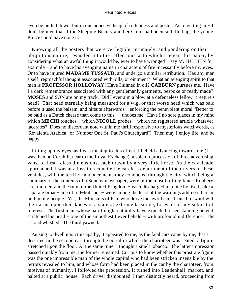even be pulled down, but in one adhesive heap of rottenness and poster. As to getting in − I don't believe that if the Sleeping Beauty and her Court had been so billed up, the young Prince could have done it.

 Knowing all the posters that were yet legible, intimately, and pondering on their ubiquitous nature, I was led into the reflections with which I began this paper, by considering what an awful thing it would be, ever to have wronged − say M. JULLIEN for example − and to have his avenging name in characters of fire incessantly before my eyes. Or to have injured **MADAME TUSSAUD,** and undergo a similar retribution. Has any man a self−reproachful thought associated with pills, or ointment? What an avenging spirit to that man is **PROFESSOR HOLLOWAY!** Have I sinned in oil? **CABBURN** pursues me. Have I a dark remembrance associated with any gentlemanly garments, bespoke or ready made? **MOSES** and SON are on my track. Did I ever aim a blow at a defenceless fellow−creature's head? That head eternally being measured for a wig, or that worse head which was bald before it used the balsam, and hirsute afterwards − enforcing the benevolent moral, 'Better to be bald as a Dutch cheese than come to this,' – undoes me. Have I no sore places in my mind which **MECHI** touches – which **NICOLL** probes – which no registered article whatever lacerates? Does no discordant note within me thrill responsive to mysterious watchwords, as 'Revalenta Arabica,' or 'Number One St. Paul's Churchyard'? Then may I enjoy life, and be happy.

 Lifting up my eyes, as I was musing to this effect, I beheld advancing towards me (I was then on Cornhill, near to the Royal Exchange), a solemn procession of three advertising vans, of first− class dimensions, each drawn by a very little horse. As the cavalcade approached, I was at a loss to reconcile the careless deportment of the drivers of these vehicles, with the terrific announcements they conducted through the city, which being a summary of the contents of a Sunday newspaper, were of the most thrilling kind. Robbery, fire, murder, and the ruin of the United Kingdom − each discharged in a line by itself, like a separate broad–side of red–hot shot – were among the least of the warnings addressed to an unthinking people. Yet, the Ministers of Fate who drove the awful cars, leaned forward with their arms upon their knees in a state of extreme lassitude, for want of any subject of interest. The first man, whose hair I might naturally have expected to see standing on end, scratched his head – one of the smoothest I ever beheld – with profound indifference. The second whistled. The third yawned.

 Pausing to dwell upon this apathy, it appeared to me, as the fatal cars came by me, that I descried in the second car, through the portal in which the charioteer was seated, a figure stretched upon the floor. At the same time, I thought I smelt tobacco. The latter impression passed quickly from me; the former remained. Curious to know whether this prostrate figure was the one impressible man of the whole capital who had been stricken insensible by the terrors revealed to him, and whose form had been placed in the car by the charioteer, from motives of humanity, I followed the procession. It turned into Leadenhall−market, and halted at a public−house. Each driver dismounted. I then distinctly heard, proceeding from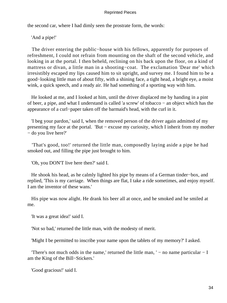the second car, where I had dimly seen the prostrate form, the words:

'And a pipe!'

 The driver entering the public−house with his fellows, apparently for purposes of refreshment, I could not refrain from mounting on the shaft of the second vehicle, and looking in at the portal. I then beheld, reclining on his back upon the floor, on a kind of mattress or divan, a little man in a shooting−coat. The exclamation 'Dear me' which irresistibly escaped my lips caused him to sit upright, and survey me. I found him to be a good−looking little man of about fifty, with a shining face, a tight head, a bright eye, a moist wink, a quick speech, and a ready air. He had something of a sporting way with him.

 He looked at me, and I looked at him, until the driver displaced me by handing in a pint of beer, a pipe, and what I understand is called 'a screw' of tobacco − an object which has the appearance of a curl−paper taken off the barmaid's head, with the curl in it.

 'I beg your pardon,' said I, when the removed person of the driver again admitted of my presenting my face at the portal. 'But − excuse my curiosity, which I inherit from my mother − do you live here?'

 'That's good, too!' returned the little man, composedly laying aside a pipe he had smoked out, and filling the pipe just brought to him.

'Oh, you DON'T live here then?' said I.

 He shook his head, as he calmly lighted his pipe by means of a German tinder−box, and replied, 'This is my carriage. When things are flat, I take a ride sometimes, and enjoy myself. I am the inventor of these wans.'

 His pipe was now alight. He drank his beer all at once, and he smoked and he smiled at me.

'It was a great idea!' said I.

'Not so bad,' returned the little man, with the modesty of merit.

'Might I be permitted to inscribe your name upon the tablets of my memory?' I asked.

'There's not much odds in the name,' returned the little man,  $'$  – no name particular – I am the King of the Bill−Stickers.'

'Good gracious!' said I.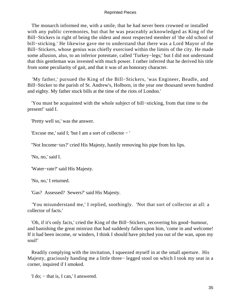The monarch informed me, with a smile, that he had never been crowned or installed with any public ceremonies, but that he was peaceably acknowledged as King of the Bill−Stickers in right of being the oldest and most respected member of 'the old school of bill−sticking.' He likewise gave me to understand that there was a Lord Mayor of the Bill−Stickers, whose genius was chiefly exercised within the limits of the city. He made some allusion, also, to an inferior potentate, called 'Turkey−legs;' but I did not understand that this gentleman was invested with much power. I rather inferred that he derived his title from some peculiarity of gait, and that it was of an honorary character.

 'My father,' pursued the King of the Bill−Stickers, 'was Engineer, Beadle, and Bill−Sticker to the parish of St. Andrew's, Holborn, in the year one thousand seven hundred and eighty. My father stuck bills at the time of the riots of London.'

 'You must be acquainted with the whole subject of bill−sticking, from that time to the present!' said I.

'Pretty well so,' was the answer.

'Excuse me,' said I; 'but I am a sort of collector − '

''Not Income−tax?' cried His Majesty, hastily removing his pipe from his lips.

'No, no,' said I.

'Water−rate?' said His Majesty.

'No, no,' I returned.

'Gas? Assessed? Sewers?' said His Majesty.

 'You misunderstand me,' I replied, soothingly. 'Not that sort of collector at all: a collector of facts.'

 'Oh, if it's only facts,' cried the King of the Bill−Stickers, recovering his good−humour, and banishing the great mistrust that had suddenly fallen upon him, 'come in and welcome! If it had been income, or winders, I think I should have pitched you out of the wan, upon my soul!'

 Readily complying with the invitation, I squeezed myself in at the small aperture. His Majesty, graciously handing me a little three− legged stool on which I took my seat in a corner, inquired if I smoked.

'I do; − that is, I can,' I answered.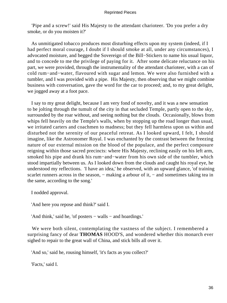'Pipe and a screw!' said His Majesty to the attendant charioteer. 'Do you prefer a dry smoke, or do you moisten it?'

 As unmitigated tobacco produces most disturbing effects upon my system (indeed, if I had perfect moral courage, I doubt if I should smoke at all, under any circumstances), I advocated moisture, and begged the Sovereign of the Bill−Stickers to name his usual liquor, and to concede to me the privilege of paying for it. After some delicate reluctance on his part, we were provided, through the instrumentality of the attendant charioteer, with a can of cold rum−and−water, flavoured with sugar and lemon. We were also furnished with a tumbler, and I was provided with a pipe. His Majesty, then observing that we might combine business with conversation, gave the word for the car to proceed; and, to my great delight, we jogged away at a foot pace.

 I say to my great delight, because I am very fond of novelty, and it was a new sensation to be jolting through the tumult of the city in that secluded Temple, partly open to the sky, surrounded by the roar without, and seeing nothing but the clouds. Occasionally, blows from whips fell heavily on the Temple's walls, when by stopping up the road longer than usual, we irritated carters and coachmen to madness; but they fell harmless upon us within and disturbed not the serenity of our peaceful retreat. As I looked upward, I felt, I should imagine, like the Astronomer Royal. I was enchanted by the contrast between the freezing nature of our external mission on the blood of the populace, and the perfect composure reigning within those sacred precincts: where His Majesty, reclining easily on his left arm, smoked his pipe and drank his rum−and−water from his own side of the tumbler, which stood impartially between us. As I looked down from the clouds and caught his royal eye, he understood my reflections. 'I have an idea,' he observed, with an upward glance, 'of training scarlet runners across in the season, – making a arbour of it, – and sometimes taking tea in the same, according to the song.'

I nodded approval.

'And here you repose and think?' said I.

'And think,' said he, 'of posters − walls − and hoardings.'

 We were both silent, contemplating the vastness of the subject. I remembered a surprising fancy of dear **THOMAS** HOOD'S, and wondered whether this monarch ever sighed to repair to the great wall of China, and stick bills all over it.

'And so,' said he, rousing himself, 'it's facts as you collect?'

'Facts,' said I.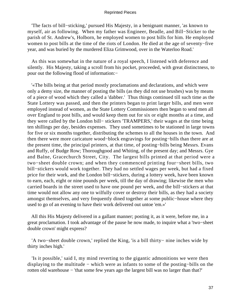'The facts of bill−sticking,' pursued His Majesty, in a benignant manner, 'as known to myself, air as following. When my father was Engineer, Beadle, and Bill−Sticker to the parish of St. Andrew's, Holborn, he employed women to post bills for him. He employed women to post bills at the time of the riots of London. He died at the age of seventy−five year, and was buried by the murdered Eliza Grimwood, over in the Waterloo Road.'

 As this was somewhat in the nature of a royal speech, I listened with deference and silently. His Majesty, taking a scroll from his pocket, proceeded, with great distinctness, to pour out the following flood of information:−

 '«The bills being at that period mostly proclamations and declarations, and which were only a demy size, the manner of posting the bills (as they did not use brushes) was by means of a piece of wood which they called a 'dabber.' Thus things continued till such time as the State Lottery was passed, and then the printers began to print larger bills, and men were employed instead of women, as the State Lottery Commissioners then began to send men all over England to post bills, and would keep them out for six or eight months at a time, and they were called by the London bill− stickers 'TRAMPERS,' their wages at the time being ten shillings per day, besides expenses. They used sometimes to be stationed in large towns for five or six months together, distributing the schemes to all the houses in the town. And then there were more caricature wood−block engravings for posting−bills than there are at the present time, the principal printers, at that time, of posting−bills being Messrs. Evans and Ruffy, of Budge Row; Thoroughgood and Whiting, of the present day; and Messrs. Gye and Balne, Gracechurch Street, City. The largest bills printed at that period were a two−sheet double crown; and when they commenced printing four−sheet bills, two bill−stickers would work together. They had no settled wages per week, but had a fixed price for their work, and the London bill−stickers, during a lottery week, have been known to earn, each, eight or nine pounds per week, till the day of drawing; likewise the men who carried boards in the street used to have one pound per week, and the bill−stickers at that time would not allow any one to wilfully cover or destroy their bills, as they had a society amongst themselves, and very frequently dined together at some public−house where they used to go of an evening to have their work delivered out untoe 'em.»'

 All this His Majesty delivered in a gallant manner; posting it, as it were, before me, in a great proclamation. I took advantage of the pause he now made, to inquire what a 'two−sheet double crown' might express?

 'A two−sheet double crown,' replied the King, 'is a bill thirty− nine inches wide by thirty inches high.'

 'Is it possible,' said I, my mind reverting to the gigantic admonitions we were then displaying to the multitude − which were as infants to some of the posting−bills on the rotten old warehouse − 'that some few years ago the largest bill was no larger than that?'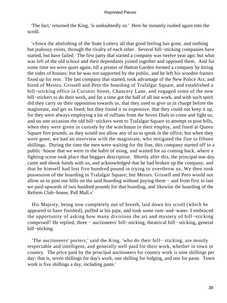'The fact,' returned the King, 'is undoubtedly so.' Here he instantly rushed again into the scroll.

 '«Since the abolishing of the State Lottery all that good feeling has gone, and nothing but jealousy exists, through the rivalry of each other. Several bill−sticking companies have started, but have failed. The first party that started a company was twelve year ago; but what was left of the old school and their dependants joined together and opposed them. And for some time we were quiet again, till a printer of Hatton Garden formed a company by hiring the sides of houses; but he was not supported by the public, and he left his wooden frames fixed up for rent. The last company that started, took advantage of the New Police Act, and hired of Messrs. Grissell and Peto the hoarding of Trafalgar Square, and established a bill−sticking office in Cursitor Street, Chancery Lane, and engaged some of the new bill−stickers to do their work, and for a time got the half of all our work, and with such spirit did they carry on their opposition towards us, that they used to give us in charge before the magistrate, and get us fined; but they found it so expensive, that they could not keep it up, for they were always employing a lot of ruffians from the Seven Dials to come and fight us; and on one occasion the old bill−stickers went to Trafalgar Square to attempt to post bills, when they were given in custody by the watchman in their employ, and fined at Queen Square five pounds, as they would not allow any of us to speak in the office; but when they were gone, we had an interview with the magistrate, who mitigated the fine to fifteen shillings. During the time the men were waiting for the fine, this company started off to a public−house that we were in the habit of using, and waited for us coming back, where a fighting scene took place that beggars description. Shortly after this, the principal one day came and shook hands with us, and acknowledged that he had broken up the company, and that he himself had lost five hundred pound in trying to overthrow us. We then took possession of the hoarding in Trafalgar Square; but Messrs. Grissell and Peto would not allow us to post our bills on the said hoarding without paying them − and from first to last we paid upwards of two hundred pounds for that hoarding, and likewise the hoarding of the Reform Club−house, Pall Mall.»'

 His Majesty, being now completely out of breath, laid down his scroll (which he appeared to have finished), puffed at his pipe, and took some rum−and−water. I embraced the opportunity of asking how many divisions the art and mystery of bill−sticking comprised? He replied, three − auctioneers' bill−sticking, theatrical bill− sticking, general bill−sticking.

 'The auctioneers' porters,' said the King, 'who do their bill− sticking, are mostly respectable and intelligent, and generally well paid for their work, whether in town or country. The price paid by the principal auctioneers for country work is nine shillings per day; that is, seven shillings for day's work, one shilling for lodging, and one for paste. Town work is five shillings a day, including paste.'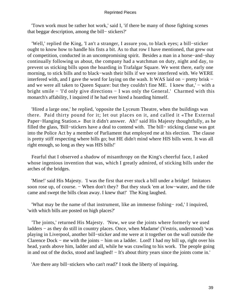'Town work must be rather hot work,' said I, 'if there be many of those fighting scenes that beggar description, among the bill− stickers?'

 'Well,' replied the King, 'I an't a stranger, I assure you, to black eyes; a bill−sticker ought to know how to handle his fists a bit. As to that row I have mentioned, that grew out of competition, conducted in an uncompromising spirit. Besides a man in a horse−and−shay continually following us about, the company had a watchman on duty, night and day, to prevent us sticking bills upon the hoarding in Trafalgar Square. We went there, early one morning, to stick bills and to black−wash their bills if we were interfered with. We WERE interfered with, and I gave the word for laying on the wash. It WAS laid on − pretty brisk − and we were all taken to Queen Square: but they couldn't fine ME. I knew that,' – with a bright smile − 'I'd only give directions − I was only the General.' Charmed with this monarch's affability, I inquired if he had ever hired a hoarding himself.

 'Hired a large one,' he replied, 'opposite the Lyceum Theatre, when the buildings was there. Paid thirty pound for it; let out places on it, and called it «The External Paper−Hanging Station.» But it didn't answer. Ah!' said His Majesty thoughtfully, as he filled the glass, 'Bill−stickers have a deal to contend with. The bill− sticking clause was got into the Police Act by a member of Parliament that employed me at his election. The clause is pretty stiff respecting where bills go; but HE didn't mind where HIS bills went. It was all right enough, so long as they was HIS bills!'

 Fearful that I observed a shadow of misanthropy on the King's cheerful face, I asked whose ingenious invention that was, which I greatly admired, of sticking bills under the arches of the bridges.

 'Mine!' said His Majesty. 'I was the first that ever stuck a bill under a bridge! Imitators soon rose up, of course. − When don't they? But they stuck 'em at low–water, and the tide came and swept the bills clean away. I knew that!' The King laughed.

 'What may be the name of that instrument, like an immense fishing− rod,' I inquired, 'with which bills are posted on high places?'

 'The joints,' returned His Majesty. 'Now, we use the joints where formerly we used ladders − as they do still in country places. Once, when Madame' (Vestris, understood) 'was playing in Liverpool, another bill−sticker and me were at it together on the wall outside the Clarence Dock − me with the joints − him on a ladder. Lord! I had my bill up, right over his head, yards above him, ladder and all, while he was crawling to his work. The people going in and out of the docks, stood and laughed! − It's about thirty years since the joints come in.'

'Are there any bill−stickers who can't read?' I took the liberty of inquiring.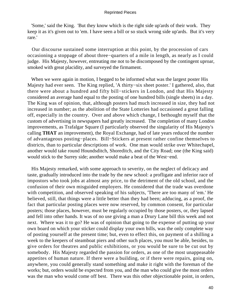'Some,' said the King. 'But they know which is the right side up'ards of their work. They keep it as it's given out to 'em. I have seen a bill or so stuck wrong side up'ards. But it's very rare.'

 Our discourse sustained some interruption at this point, by the procession of cars occasioning a stoppage of about three−quarters of a mile in length, as nearly as I could judge. His Majesty, however, entreating me not to be discomposed by the contingent uproar, smoked with great placidity, and surveyed the firmament.

 When we were again in motion, I begged to be informed what was the largest poster His Majesty had ever seen. The King replied, 'A thirty−six sheet poster.' I gathered, also, that there were about a hundred and fifty bill−stickers in London, and that His Majesty considered an average hand equal to the posting of one hundred bills (single sheets) in a day. The King was of opinion, that, although posters had much increased in size, they had not increased in number; as the abolition of the State Lotteries had occasioned a great falling off, especially in the country. Over and above which change, I bethought myself that the custom of advertising in newspapers had greatly increased. The completion of many London improvements, as Trafalgar Square (I particularly observed the singularity of His Majesty's calling **THAT** an improvement), the Royal Exchange, had of late years reduced the number of advantageous posting−places. Bill−Stickers at present rather confine themselves to districts, than to particular descriptions of work. One man would strike over Whitechapel, another would take round Houndsditch, Shoreditch, and the City Road; one (the King said) would stick to the Surrey side; another would make a beat of the West−end.

 His Majesty remarked, with some approach to severity, on the neglect of delicacy and taste, gradually introduced into the trade by the new school: a profligate and inferior race of impostors who took jobs at almost any price, to the detriment of the old school, and the confusion of their own misguided employers. He considered that the trade was overdone with competition, and observed speaking of his subjects, 'There are too many of 'em.' He believed, still, that things were a little better than they had been; adducing, as a proof, the fact that particular posting places were now reserved, by common consent, for particular posters; those places, however, must be regularly occupied by those posters, or, they lapsed and fell into other hands. It was of no use giving a man a Drury Lane bill this week and not next. Where was it to go? He was of opinion that going to the expense of putting up your own board on which your sticker could display your own bills, was the only complete way of posting yourself at the present time; but, even to effect this, on payment of a shilling a week to the keepers of steamboat piers and other such places, you must be able, besides, to give orders for theatres and public exhibitions, or you would be sure to be cut out by somebody. His Majesty regarded the passion for orders, as one of the most unappeasable appetites of human nature. If there were a building, or if there were repairs, going on, anywhere, you could generally stand something and make it right with the foreman of the works; but, orders would be expected from you, and the man who could give the most orders was the man who would come off best. There was this other objectionable point, in orders,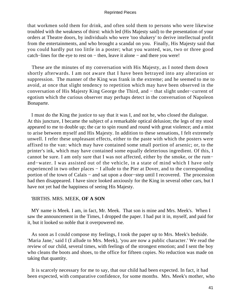that workmen sold them for drink, and often sold them to persons who were likewise troubled with the weakness of thirst: which led (His Majesty said) to the presentation of your orders at Theatre doors, by individuals who were 'too shakery' to derive intellectual profit from the entertainments, and who brought a scandal on you. Finally, His Majesty said that you could hardly put too little in a poster; what you wanted, was, two or three good catch−lines for the eye to rest on − then, leave it alone − and there you were!

 These are the minutes of my conversation with His Majesty, as I noted them down shortly afterwards. I am not aware that I have been betrayed into any alteration or suppression. The manner of the King was frank in the extreme; and he seemed to me to avoid, at once that slight tendency to repetition which may have been observed in the conversation of His Majesty King George the Third, and − that slight under−current of egotism which the curious observer may perhaps detect in the conversation of Napoleon Bonaparte.

 I must do the King the justice to say that it was I, and not he, who closed the dialogue. At this juncture, I became the subject of a remarkable optical delusion; the legs of my stool appeared to me to double up; the car to spin round and round with great violence; and a mist to arise between myself and His Majesty. In addition to these sensations, I felt extremely unwell. I refer these unpleasant effects, either to the paste with which the posters were affixed to the van: which may have contained some small portion of arsenic; or, to the printer's ink, which may have contained some equally deleterious ingredient. Of this, I cannot be sure. I am only sure that I was not affected, either by the smoke, or the rum− and−water. I was assisted out of the vehicle, in a state of mind which I have only experienced in two other places − I allude to the Pier at Dover, and to the corresponding portion of the town of Calais − and sat upon a door−step until I recovered. The procession had then disappeared. I have since looked anxiously for the King in several other cars, but I have not yet had the happiness of seeing His Majesty.

# 'BIRTHS. MRS. MEEK, **OF A SON**

 MY name is Meek. I am, in fact, Mr. Meek. That son is mine and Mrs. Meek's. When I saw the announcement in the Times, I dropped the paper. I had put it in, myself, and paid for it, but it looked so noble that it overpowered me.

 As soon as I could compose my feelings, I took the paper up to Mrs. Meek's bedside. 'Maria Jane,' said I (I allude to Mrs. Meek), 'you are now a public character.' We read the review of our child, several times, with feelings of the strongest emotion; and I sent the boy who cleans the boots and shoes, to the office for fifteen copies. No reduction was made on taking that quantity.

 It is scarcely necessary for me to say, that our child had been expected. In fact, it had been expected, with comparative confidence, for some months. Mrs. Meek's mother, who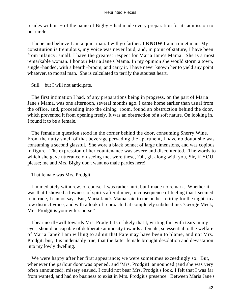resides with us − of the name of Bigby − had made every preparation for its admission to our circle.

 I hope and believe I am a quiet man. I will go farther. **I KNOW I** am a quiet man. My constitution is tremulous, my voice was never loud, and, in point of stature, I have been from infancy, small. I have the greatest respect for Maria Jane's Mama. She is a most remarkable woman. I honour Maria Jane's Mama. In my opinion she would storm a town, single−handed, with a hearth−broom, and carry it. I have never known her to yield any point whatever, to mortal man. She is calculated to terrify the stoutest heart.

Still − but I will not anticipate.

 The first intimation I had, of any preparations being in progress, on the part of Maria Jane's Mama, was one afternoon, several months ago. I came home earlier than usual from the office, and, proceeding into the dining−room, found an obstruction behind the door, which prevented it from opening freely. It was an obstruction of a soft nature. On looking in, I found it to be a female.

 The female in question stood in the corner behind the door, consuming Sherry Wine. From the nutty smell of that beverage pervading the apartment, I have no doubt she was consuming a second glassful. She wore a black bonnet of large dimensions, and was copious in figure. The expression of her countenance was severe and discontented. The words to which she gave utterance on seeing me, were these, 'Oh, git along with you, Sir, if YOU please; me and Mrs. Bigby don't want no male parties here!'

That female was Mrs. Prodgit.

 I immediately withdrew, of course. I was rather hurt, but I made no remark. Whether it was that I showed a lowness of spirits after dinner, in consequence of feeling that I seemed to intrude, I cannot say. But, Maria Jane's Mama said to me on her retiring for the night: in a low distinct voice, and with a look of reproach that completely subdued me: 'George Meek, Mrs. Prodgit is your wife's nurse!'

 I bear no ill−will towards Mrs. Prodgit. Is it likely that I, writing this with tears in my eyes, should be capable of deliberate animosity towards a female, so essential to the welfare of Maria Jane? I am willing to admit that Fate may have been to blame, and not Mrs. Prodgit; but, it is undeniably true, that the latter female brought desolation and devastation into my lowly dwelling.

 We were happy after her first appearance; we were sometimes exceedingly so. But, whenever the parlour door was opened, and 'Mrs. Prodgit!' announced (and she was very often announced), misery ensued. I could not bear Mrs. Prodgit's look. I felt that I was far from wanted, and had no business to exist in Mrs. Prodgit's presence. Between Maria Jane's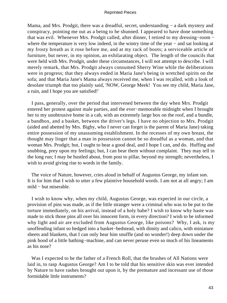Mama, and Mrs. Prodgit, there was a dreadful, secret, understanding – a dark mystery and conspiracy, pointing me out as a being to be shunned. I appeared to have done something that was evil. Whenever Mrs. Prodgit called, after dinner, I retired to my dressing−room − where the temperature is very low indeed, in the wintry time of the year – and sat looking at my frosty breath as it rose before me, and at my rack of boots; a serviceable article of furniture, but never, in my opinion, an exhilarating object. The length of the councils that were held with Mrs. Prodgit, under these circumstances, I will not attempt to describe. I will merely remark, that Mrs. Prodgit always consumed Sherry Wine while the deliberations were in progress; that they always ended in Maria Jane's being in wretched spirits on the sofa; and that Maria Jane's Mama always received me, when I was recalled, with a look of desolate triumph that too plainly said, 'NOW, George Meek! You see my child, Maria Jane, a ruin, and I hope you are satisfied!'

 I pass, generally, over the period that intervened between the day when Mrs. Prodgit entered her protest against male parties, and the ever−memorable midnight when I brought her to my unobtrusive home in a cab, with an extremely large box on the roof, and a bundle, a bandbox, and a basket, between the driver's legs. I have no objection to Mrs. Prodgit (aided and abetted by Mrs. Bigby, who I never can forget is the parent of Maria Jane) taking entire possession of my unassuming establishment. In the recesses of my own breast, the thought may linger that a man in possession cannot be so dreadful as a woman, and that woman Mrs. Prodgit; but, I ought to bear a good deal, and I hope I can, and do. Huffing and snubbing, prey upon my feelings; but, I can bear them without complaint. They may tell in the long run; I may be hustled about, from post to pillar, beyond my strength; nevertheless, I wish to avoid giving rise to words in the family.

 The voice of Nature, however, cries aloud in behalf of Augustus George, my infant son. It is for him that I wish to utter a few plaintive household words. I am not at all angry; I am mild − but miserable.

 I wish to know why, when my child, Augustus George, was expected in our circle, a provision of pins was made, as if the little stranger were a criminal who was to be put to the torture immediately, on his arrival, instead of a holy babe? I wish to know why haste was made to stick those pins all over his innocent form, in every direction? I wish to be informed why light and air are excluded from Augustus George, like poisons? Why, I ask, is my unoffending infant so hedged into a basket−bedstead, with dimity and calico, with miniature sheets and blankets, that I can only hear him snuffle (and no wonder!) deep down under the pink hood of a little bathing−machine, and can never peruse even so much of his lineaments as his nose?

 Was I expected to be the father of a French Roll, that the brushes of All Nations were laid in, to rasp Augustus George? Am I to be told that his sensitive skin was ever intended by Nature to have rashes brought out upon it, by the premature and incessant use of those formidable little instruments?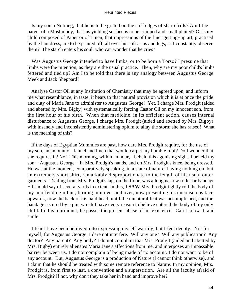Is my son a Nutmeg, that he is to be grated on the stiff edges of sharp frills? Am I the parent of a Muslin boy, that his yielding surface is to be crimped and small plaited? Or is my child composed of Paper or of Linen, that impressions of the finer getting−up art, practised by the laundress, are to be printed off, all over his soft arms and legs, as I constantly observe them? The starch enters his soul; who can wonder that he cries?

 Was Augustus George intended to have limbs, or to be born a Torso? I presume that limbs were the intention, as they are the usual practice. Then, why are my poor child's limbs fettered and tied up? Am I to be told that there is any analogy between Augustus George Meek and Jack Sheppard?

 Analyse Castor Oil at any Institution of Chemistry that may be agreed upon, and inform me what resemblance, in taste, it bears to that natural provision which it is at once the pride and duty of Maria Jane to administer to Augustus George! Yet, I charge Mrs. Prodgit (aided and abetted by Mrs. Bigby) with systematically forcing Castor Oil on my innocent son, from the first hour of his birth. When that medicine, in its efficient action, causes internal disturbance to Augustus George, I charge Mrs. Prodgit (aided and abetted by Mrs. Bigby) with insanely and inconsistently administering opium to allay the storm she has raised! What is the meaning of this?

 If the days of Egyptian Mummies are past, how dare Mrs. Prodgit require, for the use of my son, an amount of flannel and linen that would carpet my humble roof? Do I wonder that she requires it? No! This morning, within an hour, I beheld this agonising sight. I beheld my son – Augustus George – in Mrs. Prodgit's hands, and on Mrs. Prodgit's knee, being dressed. He was at the moment, comparatively speaking, in a state of nature; having nothing on, but an extremely short shirt, remarkably disproportionate to the length of his usual outer garments. Trailing from Mrs. Prodgit's lap, on the floor, was a long narrow roller or bandage − I should say of several yards in extent. In this, **I SAW** Mrs. Prodgit tightly roll the body of my unoffending infant, turning him over and over, now presenting his unconscious face upwards, now the back of his bald head, until the unnatural feat was accomplished, and the bandage secured by a pin, which I have every reason to believe entered the body of my only child. In this tourniquet, he passes the present phase of his existence. Can I know it, and smile!

 I fear I have been betrayed into expressing myself warmly, but I feel deeply. Not for myself; for Augustus George. I dare not interfere. Will any one? Will any publication? Any doctor? Any parent? Any body? I do not complain that Mrs. Prodgit (aided and abetted by Mrs. Bigby) entirely alienates Maria Jane's affections from me, and interposes an impassable barrier between us. I do not complain of being made of no account. I do not want to be of any account. But, Augustus George is a production of Nature (I cannot think otherwise), and I claim that he should be treated with some remote reference to Nature. In my opinion, Mrs. Prodgit is, from first to last, a convention and a superstition. Are all the faculty afraid of Mrs. Prodgit? If not, why don't they take her in hand and improve her?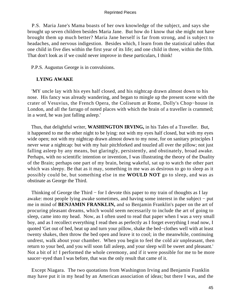P.S. Maria Jane's Mama boasts of her own knowledge of the subject, and says she brought up seven children besides Maria Jane. But how do I know that she might not have brought them up much better? Maria Jane herself is far from strong, and is subject to headaches, and nervous indigestion. Besides which, I learn from the statistical tables that one child in five dies within the first year of its life; and one child in three, within the fifth. That don't look as if we could never improve in these particulars, I think!

P.P.S. Augustus George is in convulsions.

# **LYING AWAKE**

 'MY uncle lay with his eyes half closed, and his nightcap drawn almost down to his nose. His fancy was already wandering, and began to mingle up the present scene with the crater of Vesuvius, the French Opera, the Coliseum at Rome, Dolly's Chop−house in London, and all the farrago of noted places with which the brain of a traveller is crammed; in a word, he was just falling asleep.'

 Thus, that delightful writer, **WASHINGTON IRVING,** in his Tales of a Traveller. But, it happened to me the other night to be lying: not with my eyes half closed, but with my eyes wide open; not with my nightcap drawn almost down to my nose, for on sanitary principles I never wear a nightcap: but with my hair pitchforked and touzled all over the pillow; not just falling asleep by any means, but glaringly, persistently, and obstinately, broad awake. Perhaps, with no scientific intention or invention, I was illustrating the theory of the Duality of the Brain; perhaps one part of my brain, being wakeful, sat up to watch the other part which was sleepy. Be that as it may, something in me was as desirous to go to sleep as it possibly could be, but something else in me **WOULD NOT** go to sleep, and was as obstinate as George the Third.

 Thinking of George the Third − for I devote this paper to my train of thoughts as I lay awake: most people lying awake sometimes, and having some interest in the subject − put me in mind of **BENJAMIN FRANKLIN,** and so Benjamin Franklin's paper on the art of procuring pleasant dreams, which would seem necessarily to include the art of going to sleep, came into my head. Now, as I often used to read that paper when I was a very small boy, and as I recollect everything I read then as perfectly as I forget everything I read now, I quoted 'Get out of bed, beat up and turn your pillow, shake the bed−clothes well with at least twenty shakes, then throw the bed open and leave it to cool; in the meanwhile, continuing undrest, walk about your chamber. When you begin to feel the cold air unpleasant, then return to your bed, and you will soon fall asleep, and your sleep will be sweet and pleasant.' Not a bit of it! I performed the whole ceremony, and if it were possible for me to be more saucer−eyed than I was before, that was the only result that came of it.

 Except Niagara. The two quotations from Washington Irving and Benjamin Franklin may have put it in my head by an American association of ideas; but there I was, and the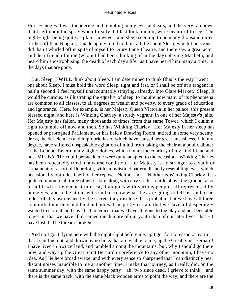Horse−shoe Fall was thundering and tumbling in my eyes and ears, and the very rainbows that I left upon the spray when I really did last look upon it, were beautiful to see. The night−light being quite as plain, however, and sleep seeming to be many thousand miles further off than Niagara, I made up my mind to think a little about Sleep; which I no sooner did than I whirled off in spite of myself to Drury Lane Theatre, and there saw a great actor and dear friend of mine (whom I had been thinking of in the day) playing Macbeth, and heard him apostrophising 'the death of each day's life,' as I have heard him many a time, in the days that are gone.

 But, Sleep. **I WILL** think about Sleep. I am determined to think (this is the way I went on) about Sleep. I must hold the word Sleep, tight and fast, or I shall be off at a tangent in half a second. I feel myself unaccountably straying, already, into Clare Market. Sleep. It would be curious, as illustrating the equality of sleep, to inquire how many of its phenomena are common to all classes, to all degrees of wealth and poverty, to every grade of education and ignorance. Here, for example, is her Majesty Queen Victoria in her palace, this present blessed night, and here is Winking Charley, a sturdy vagrant, in one of her Majesty's jails. Her Majesty has fallen, many thousands of times, from that same Tower, which I claim a right to tumble off now and then. So has Winking Charley. Her Majesty in her sleep has opened or prorogued Parliament, or has held a Drawing Room, attired in some very scanty dress, the deficiencies and improprieties of which have caused her great uneasiness. I, in my degree, have suffered unspeakable agitation of mind from taking the chair at a public dinner at the London Tavern in my night−clothes, which not all the courtesy of my kind friend and host MR. BATHE could persuade me were quite adapted to the occasion. Winking Charley has been repeatedly tried in a worse condition. Her Majesty is no stranger to a vault or firmament, of a sort of floorcloth, with an indistinct pattern distantly resembling eyes, which occasionally obtrudes itself on her repose. Neither am I. Neither is Winking Charley. It is quite common to all three of us to skim along with airy strides a little above the ground; also to hold, with the deepest interest, dialogues with various people, all represented by ourselves; and to be at our wit's end to know what they are going to tell us; and to be indescribably astonished by the secrets they disclose. It is probable that we have all three committed murders and hidden bodies. It is pretty certain that we have all desperately wanted to cry out, and have had no voice; that we have all gone to the play and not been able to get in; that we have all dreamed much more of our youth than of our later lives; that − I have lost it! The thread's broken.

 And up I go. I, lying here with the night−light before me, up I go, for no reason on earth that I can find out, and drawn by no links that are visible to me, up the Great Saint Bernard! I have lived in Switzerland, and rambled among the mountains; but, why I should go there now, and why up the Great Saint Bernard in preference to any other mountain, I have no idea. As I lie here broad awake, and with every sense so sharpened that I can distinctly hear distant noises inaudible to me at another time, I make that journey, as I really did, on the same summer day, with the same happy party – ah! two since dead, I grieve to think – and there is the same track, with the same black wooden arms to point the way, and there are the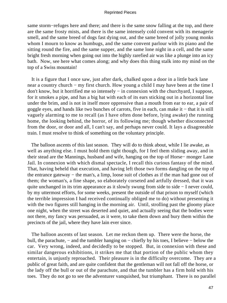same storm−refuges here and there; and there is the same snow falling at the top, and there are the same frosty mists, and there is the same intensely cold convent with its menagerie smell, and the same breed of dogs fast dying out, and the same breed of jolly young monks whom I mourn to know as humbugs, and the same convent parlour with its piano and the sitting round the fire, and the same supper, and the same lone night in a cell, and the same bright fresh morning when going out into the highly rarefied air was like a plunge into an icy bath. Now, see here what comes along; and why does this thing stalk into my mind on the top of a Swiss mountain!

 It is a figure that I once saw, just after dark, chalked upon a door in a little back lane near a country church – my first church. How young a child I may have been at the time I don't know, but it horrified me so intensely − in connexion with the churchyard, I suppose, for it smokes a pipe, and has a big hat with each of its ears sticking out in a horizontal line under the brim, and is not in itself more oppressive than a mouth from ear to ear, a pair of goggle eyes, and hands like two bunches of carrots, five in each, can make it − that it is still vaguely alarming to me to recall (as I have often done before, lying awake) the running home, the looking behind, the horror, of its following me; though whether disconnected from the door, or door and all, I can't say, and perhaps never could. It lays a disagreeable train. I must resolve to think of something on the voluntary principle.

 The balloon ascents of this last season. They will do to think about, while I lie awake, as well as anything else. I must hold them tight though, for I feel them sliding away, and in their stead are the Mannings, husband and wife, hanging on the top of Horse− monger Lane Jail. In connexion with which dismal spectacle, I recall this curious fantasy of the mind. That, having beheld that execution, and having left those two forms dangling on the top of the entrance gateway − the man's, a limp, loose suit of clothes as if the man had gone out of them; the woman's, a fine shape, so elaborately corseted and artfully dressed, that it was quite unchanged in its trim appearance as it slowly swung from side to side − I never could, by my uttermost efforts, for some weeks, present the outside of that prison to myself (which the terrible impression I had received continually obliged me to do) without presenting it with the two figures still hanging in the morning air. Until, strolling past the gloomy place one night, when the street was deserted and quiet, and actually seeing that the bodies were not there, my fancy was persuaded, as it were, to take them down and bury them within the precincts of the jail, where they have lain ever since.

 The balloon ascents of last season. Let me reckon them up. There were the horse, the bull, the parachute, − and the tumbler hanging on − chiefly by his toes, I believe − below the car. Very wrong, indeed, and decidedly to be stopped. But, in connexion with these and similar dangerous exhibitions, it strikes me that that portion of the public whom they entertain, is unjustly reproached. Their pleasure is in the difficulty overcome. They are a public of great faith, and are quite confident that the gentleman will not fall off the horse, or the lady off the bull or out of the parachute, and that the tumbler has a firm hold with his toes. They do not go to see the adventurer vanquished, but triumphant. There is no parallel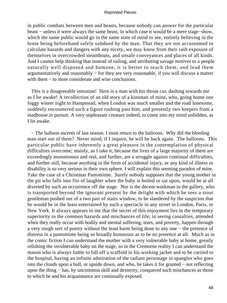in public combats between men and beasts, because nobody can answer for the particular beast − unless it were always the same beast, in which case it would be a mere stage−show, which the same public would go in the same state of mind to see, entirely believing in the brute being beforehand safely subdued by the man. That they are not accustomed to calculate hazards and dangers with any nicety, we may know from their rash exposure of themselves in overcrowded steamboats, and unsafe conveyances and places of all kinds. And I cannot help thinking that instead of railing, and attributing savage motives to a people naturally well disposed and humane, it is better to teach them, and lead them argumentatively and reasonably − for they are very reasonable, if you will discuss a matter with them – to more considerate and wise conclusions.

 This is a disagreeable intrusion! Here is a man with his throat cut, dashing towards me as I lie awake! A recollection of an old story of a kinsman of mine, who, going home one foggy winter night to Hampstead, when London was much smaller and the road lonesome, suddenly encountered such a figure rushing past him, and presently two keepers from a madhouse in pursuit. A very unpleasant creature indeed, to come into my mind unbidden, as I lie awake.

 − The balloon ascents of last season. I must return to the balloons. Why did the bleeding man start out of them? Never mind; if I inquire, he will be back again. The balloons. This particular public have inherently a great pleasure in the contemplation of physical difficulties overcome; mainly, as I take it, because the lives of a large majority of them are exceedingly monotonous and real, and further, are a struggle against continual difficulties, and further still, because anything in the form of accidental injury, or any kind of illness or disability is so very serious in their own sphere. I will explain this seeming paradox of mine. Take the case of a Christmas Pantomime. Surely nobody supposes that the young mother in the pit who falls into fits of laughter when the baby is boiled or sat upon, would be at all diverted by such an occurrence off the stage. Nor is the decent workman in the gallery, who is transported beyond the ignorant present by the delight with which he sees a stout gentleman pushed out of a two pair of stairs window, to be slandered by the suspicion that he would be in the least entertained by such a spectacle in any street in London, Paris, or New York. It always appears to me that the secret of this enjoyment lies in the temporary superiority to the common hazards and mischances of life; in seeing casualties, attended when they really occur with bodily and mental suffering, tears, and poverty, happen through a very rough sort of poetry without the least harm being done to any one − the pretence of distress in a pantomime being so broadly humorous as to be no pretence at all. Much as in the comic fiction I can understand the mother with a very vulnerable baby at home, greatly relishing the invulnerable baby on the stage, so in the Cremorne reality I can understand the mason who is always liable to fall off a scaffold in his working jacket and to be carried to the hospital, having an infinite admiration of the radiant personage in spangles who goes into the clouds upon a bull, or upside down, and who, he takes it for granted − not reflecting upon the thing − has, by uncommon skill and dexterity, conquered such mischances as those to which he and his acquaintance are continually exposed.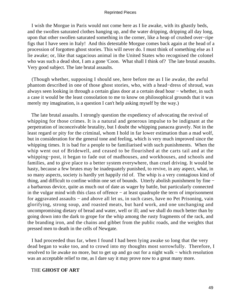I wish the Morgue in Paris would not come here as I lie awake, with its ghastly beds, and the swollen saturated clothes hanging up, and the water dripping, dripping all day long, upon that other swollen saturated something in the corner, like a heap of crushed over−ripe figs that I have seen in Italy! And this detestable Morgue comes back again at the head of a procession of forgotten ghost stories. This will never do. I must think of something else as I lie awake; or, like that sagacious animal in the United States who recognised the colonel who was such a dead shot, I am a gone 'Coon. What shall I think of? The late brutal assaults. Very good subject. The late brutal assaults.

 (Though whether, supposing I should see, here before me as I lie awake, the awful phantom described in one of those ghost stories, who, with a head−dress of shroud, was always seen looking in through a certain glass door at a certain dead hour − whether, in such a case it would be the least consolation to me to know on philosophical grounds that it was merely my imagination, is a question I can't help asking myself by the way.)

 The late brutal assaults. I strongly question the expediency of advocating the revival of whipping for those crimes. It is a natural and generous impulse to be indignant at the perpetration of inconceivable brutality, but I doubt the whipping panacea gravely. Not in the least regard or pity for the criminal, whom I hold in far lower estimation than a mad wolf, but in consideration for the general tone and feeling, which is very much improved since the whipping times. It is bad for a people to be familiarised with such punishments. When the whip went out of Bridewell, and ceased to be flourished at the carts tail and at the whipping−post, it began to fade out of madhouses, and workhouses, and schools and families, and to give place to a better system everywhere, than cruel driving. It would be hasty, because a few brutes may be inadequately punished, to revive, in any aspect, what, in so many aspects, society is hardly yet happily rid of. The whip is a very contagious kind of thing, and difficult to confine within one set of bounds. Utterly abolish punishment by fine − a barbarous device, quite as much out of date as wager by battle, but particularly connected in the vulgar mind with this class of offence − at least quadruple the term of imprisonment for aggravated assaults – and above all let us, in such cases, have no Pet Prisoning, vain glorifying, strong soup, and roasted meats, but hard work, and one unchanging and uncompromising dietary of bread and water, well or ill; and we shall do much better than by going down into the dark to grope for the whip among the rusty fragments of the rack, and the branding iron, and the chains and gibbet from the public roads, and the weights that pressed men to death in the cells of Newgate.

 I had proceeded thus far, when I found I had been lying awake so long that the very dead began to wake too, and to crowd into my thoughts most sorrowfully. Therefore, I resolved to lie awake no more, but to get up and go out for a night walk − which resolution was an acceptable relief to me, as I dare say it may prove now to a great many more.

# THE **GHOST OF ART**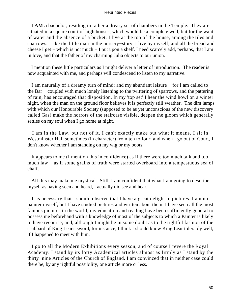I **AM a** bachelor, residing in rather a dreary set of chambers in the Temple. They are situated in a square court of high houses, which would be a complete well, but for the want of water and the absence of a bucket. I live at the top of the house, among the tiles and sparrows. Like the little man in the nursery−story, I live by myself, and all the bread and cheese I get − which is not much − I put upon a shelf. I need scarcely add, perhaps, that I am in love, and that the father of my charming Julia objects to our union.

 I mention these little particulars as I might deliver a letter of introduction. The reader is now acquainted with me, and perhaps will condescend to listen to my narrative.

 I am naturally of a dreamy turn of mind; and my abundant leisure − for I am called to the Bar − coupled with much lonely listening to the twittering of sparrows, and the pattering of rain, has encouraged that disposition. In my 'top set' I hear the wind howl on a winter night, when the man on the ground floor believes it is perfectly still weather. The dim lamps with which our Honourable Society (supposed to be as yet unconscious of the new discovery called Gas) make the horrors of the staircase visible, deepen the gloom which generally settles on my soul when I go home at night.

 I am in the Law, but not of it. I can't exactly make out what it means. I sit in Westminster Hall sometimes (in character) from ten to four; and when I go out of Court, I don't know whether I am standing on my wig or my boots.

 It appears to me (I mention this in confidence) as if there were too much talk and too much law − as if some grains of truth were started overboard into a tempestuous sea of chaff.

 All this may make me mystical. Still, I am confident that what I am going to describe myself as having seen and heard, I actually did see and hear.

 It is necessary that I should observe that I have a great delight in pictures. I am no painter myself, but I have studied pictures and written about them. I have seen all the most famous pictures in the world; my education and reading have been sufficiently general to possess me beforehand with a knowledge of most of the subjects to which a Painter is likely to have recourse; and, although I might be in some doubt as to the rightful fashion of the scabbard of King Lear's sword, for instance, I think I should know King Lear tolerably well, if I happened to meet with him.

 I go to all the Modern Exhibitions every season, and of course I revere the Royal Academy. I stand by its forty Academical articles almost as firmly as I stand by the thirty−nine Articles of the Church of England. I am convinced that in neither case could there be, by any rightful possibility, one article more or less.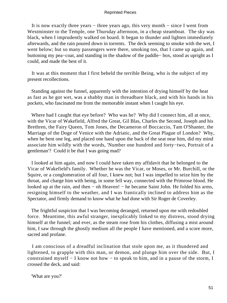It is now exactly three years − three years ago, this very month − since I went from Westminster to the Temple, one Thursday afternoon, in a cheap steamboat. The sky was black, when I imprudently walked on board. It began to thunder and lighten immediately afterwards, and the rain poured down in torrents. The deck seeming to smoke with the wet, I went below; but so many passengers were there, smoking too, that I came up again, and buttoning my pea−coat, and standing in the shadow of the paddle− box, stood as upright as I could, and made the best of it.

 It was at this moment that I first beheld the terrible Being, who is the subject of my present recollections.

 Standing against the funnel, apparently with the intention of drying himself by the heat as fast as he got wet, was a shabby man in threadbare black, and with his hands in his pockets, who fascinated me from the memorable instant when I caught his eye.

 Where had I caught that eye before? Who was he? Why did I connect him, all at once, with the Vicar of Wakefield, Alfred the Great, Gil Blas, Charles the Second, Joseph and his Brethren, the Fairy Queen, Tom Jones, the Decameron of Boccaccio, Tam O'Shanter, the Marriage of the Doge of Venice with the Adriatic, and the Great Plague of London? Why, when he bent one leg, and placed one hand upon the back of the seat near him, did my mind associate him wildly with the words, 'Number one hundred and forty−two, Portrait of a gentleman'? Could it be that I was going mad?

 I looked at him again, and now I could have taken my affidavit that he belonged to the Vicar of Wakefield's family. Whether he was the Vicar, or Moses, or Mr. Burchill, or the Squire, or a conglomeration of all four, I knew not; but I was impelled to seize him by the throat, and charge him with being, in some fell way, connected with the Primrose blood. He looked up at the rain, and then − oh Heaven! − he became Saint John. He folded his arms, resigning himself to the weather, and I was frantically inclined to address him as the Spectator, and firmly demand to know what he had done with Sir Roger de Coverley.

 The frightful suspicion that I was becoming deranged, returned upon me with redoubled force. Meantime, this awful stranger, inexplicably linked to my distress, stood drying himself at the funnel; and ever, as the steam rose from his clothes, diffusing a mist around him, I saw through the ghostly medium all the people I have mentioned, and a score more, sacred and profane.

 I am conscious of a dreadful inclination that stole upon me, as it thundered and lightened, to grapple with this man, or demon, and plunge him over the side. But, I constrained myself − I know not how − to speak to him, and in a pause of the storm, I crossed the deck, and said:

'What are you?'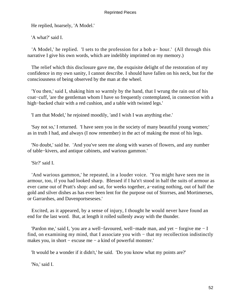He replied, hoarsely, 'A Model.'

'A what?' said I.

 'A Model,' he replied. 'I sets to the profession for a bob a− hour.' (All through this narrative I give his own words, which are indelibly imprinted on my memory.)

 The relief which this disclosure gave me, the exquisite delight of the restoration of my confidence in my own sanity, I cannot describe. I should have fallen on his neck, but for the consciousness of being observed by the man at the wheel.

 'You then,' said I, shaking him so warmly by the hand, that I wrung the rain out of his coat−cuff, 'are the gentleman whom I have so frequently contemplated, in connection with a high−backed chair with a red cushion, and a table with twisted legs.'

'I am that Model,' he rejoined moodily, 'and I wish I was anything else.'

 'Say not so,' I returned. 'I have seen you in the society of many beautiful young women;' as in truth I had, and always (I now remember) in the act of making the most of his legs.

 'No doubt,' said he. 'And you've seen me along with warses of flowers, and any number of table−kivers, and antique cabinets, and warious gammon.'

'Sir?' said I.

 'And warious gammon,' he repeated, in a louder voice. 'You might have seen me in armour, too, if you had looked sharp. Blessed if I ha'n't stood in half the suits of armour as ever came out of Pratt's shop: and sat, for weeks together, a−eating nothing, out of half the gold and silver dishes as has ever been lent for the purpose out of Storrses, and Mortimerses, or Garrardses, and Davenportseseses.'

 Excited, as it appeared, by a sense of injury, I thought he would never have found an end for the last word. But, at length it rolled sullenly away with the thunder.

 'Pardon me,' said I, 'you are a well−favoured, well−made man, and yet − forgive me − I find, on examining my mind, that I associate you with − that my recollection indistinctly makes you, in short − excuse me − a kind of powerful monster.'

'It would be a wonder if it didn't,' he said. 'Do you know what my points are?'

'No,' said I.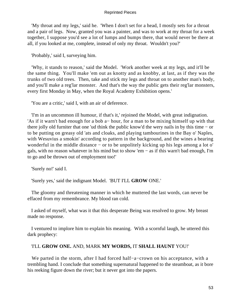'My throat and my legs,' said he. 'When I don't set for a head, I mostly sets for a throat and a pair of legs. Now, granted you was a painter, and was to work at my throat for a week together, I suppose you'd see a lot of lumps and bumps there, that would never be there at all, if you looked at me, complete, instead of only my throat. Wouldn't you?'

'Probably,' said I, surveying him.

 'Why, it stands to reason,' said the Model. 'Work another week at my legs, and it'll be the same thing. You'll make 'em out as knotty and as knobby, at last, as if they was the trunks of two old trees. Then, take and stick my legs and throat on to another man's body, and you'll make a reg'lar monster. And that's the way the public gets their reg'lar monsters, every first Monday in May, when the Royal Academy Exhibition opens.'

'You are a critic,' said I, with an air of deference.

 'I'm in an uncommon ill humour, if that's it,' rejoined the Model, with great indignation. 'As if it warn't bad enough for a bob a− hour, for a man to be mixing himself up with that there jolly old furniter that one 'ud think the public know'd the wery nails in by this time − or to be putting on greasy old 'ats and cloaks, and playing tambourines in the Bay o' Naples, with Wesuvius a smokin' according to pattern in the background, and the wines a bearing wonderful in the middle distance − or to be unpolitely kicking up his legs among a lot o' gals, with no reason whatever in his mind but to show 'em − as if this warn't bad enough, I'm to go and be thrown out of employment too!'

'Surely no!' said I.

'Surely yes,' said the indignant Model. 'BUT I'LL **GROW** ONE.'

 The gloomy and threatening manner in which he muttered the last words, can never be effaced from my remembrance. My blood ran cold.

 I asked of myself, what was it that this desperate Being was resolved to grow. My breast made no response.

 I ventured to implore him to explain his meaning. With a scornful laugh, he uttered this dark prophecy:

# 'I'LL **GROW ONE.** AND, MARK **MY WORDS,** IT **SHALL HAUNT** YOU!'

 We parted in the storm, after I had forced half−a−crown on his acceptance, with a trembling hand. I conclude that something supernatural happened to the steamboat, as it bore his reeking figure down the river; but it never got into the papers.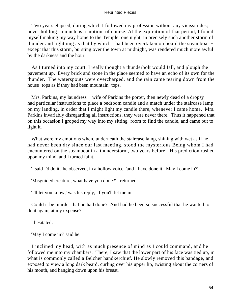Two years elapsed, during which I followed my profession without any vicissitudes; never holding so much as a motion, of course. At the expiration of that period, I found myself making my way home to the Temple, one night, in precisely such another storm of thunder and lightning as that by which I had been overtaken on board the steamboat − except that this storm, bursting over the town at midnight, was rendered much more awful by the darkness and the hour.

 As I turned into my court, I really thought a thunderbolt would fall, and plough the pavement up. Every brick and stone in the place seemed to have an echo of its own for the thunder. The waterspouts were overcharged, and the rain came tearing down from the house−tops as if they had been mountain−tops.

Mrs. Parkins, my laundress – wife of Parkins the porter, then newly dead of a dropsy – had particular instructions to place a bedroom candle and a match under the staircase lamp on my landing, in order that I might light my candle there, whenever I came home. Mrs. Parkins invariably disregarding all instructions, they were never there. Thus it happened that on this occasion I groped my way into my sitting−room to find the candle, and came out to light it.

 What were my emotions when, underneath the staircase lamp, shining with wet as if he had never been dry since our last meeting, stood the mysterious Being whom I had encountered on the steamboat in a thunderstorm, two years before! His prediction rushed upon my mind, and I turned faint.

'I said I'd do it,' he observed, in a hollow voice, 'and I have done it. May I come in?'

'Misguided creature, what have you done?' I returned.

'I'll let you know,' was his reply, 'if you'll let me in.'

 Could it be murder that he had done? And had he been so successful that he wanted to do it again, at my expense?

I hesitated.

'May I come in?' said he.

 I inclined my head, with as much presence of mind as I could command, and he followed me into my chambers. There, I saw that the lower part of his face was tied up, in what is commonly called a Belcher handkerchief. He slowly removed this bandage, and exposed to view a long dark beard, curling over his upper lip, twisting about the corners of his mouth, and hanging down upon his breast.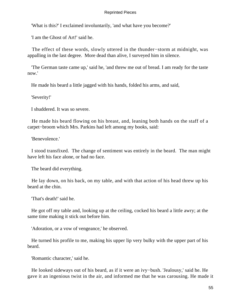'What is this?' I exclaimed involuntarily, 'and what have you become?'

'I am the Ghost of Art!' said he.

 The effect of these words, slowly uttered in the thunder−storm at midnight, was appalling in the last degree. More dead than alive, I surveyed him in silence.

 'The German taste came up,' said he, 'and threw me out of bread. I am ready for the taste now.'

He made his beard a little jagged with his hands, folded his arms, and said,

'Severity!'

I shuddered. It was so severe.

 He made his beard flowing on his breast, and, leaning both hands on the staff of a carpet−broom which Mrs. Parkins had left among my books, said:

'Benevolence.'

 I stood transfixed. The change of sentiment was entirely in the beard. The man might have left his face alone, or had no face.

The beard did everything.

 He lay down, on his back, on my table, and with that action of his head threw up his beard at the chin.

'That's death!' said he.

 He got off my table and, looking up at the ceiling, cocked his beard a little awry; at the same time making it stick out before him.

'Adoration, or a vow of vengeance,' he observed.

 He turned his profile to me, making his upper lip very bulky with the upper part of his beard.

'Romantic character,' said he.

 He looked sideways out of his beard, as if it were an ivy−bush. 'Jealousy,' said he. He gave it an ingenious twist in the air, and informed me that he was carousing. He made it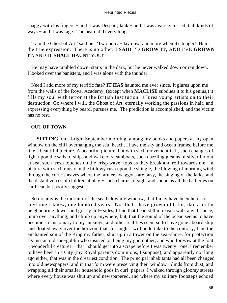shaggy with his fingers − and it was Despair; lank − and it was avarice: tossed it all kinds of ways – and it was rage. The beard did everything.

 'I am the Ghost of Art,' said he. 'Two bob a−day now, and more when it's longer! Hair's the true expression. There is no other. **I SAID** I'D **GROW IT,** AND I'VE **GROWN IT,** AND **IT SHALL HAUNT** YOU!'

 He may have tumbled down−stairs in the dark, but he never walked down or ran down. I looked over the banisters, and I was alone with the thunder.

 Need I add more of my terrific fate? **IT HAS** haunted me ever since. It glares upon me from the walls of the Royal Academy, (except when **MACLISE** subdues it to his genius,) it fills my soul with terror at the British Institution, it lures young artists on to their destruction. Go where I will, the Ghost of Art, eternally working the passions in hair, and expressing everything by beard, pursues me. The prediction is accomplished, and the victim has no rest.

# OUT **OF TOWN**

**SITTING,** on a bright September morning, among my books and papers at my open window on the cliff overhanging the sea−beach, I have the sky and ocean framed before me like a beautiful picture. A beautiful picture, but with such movement in it, such changes of light upon the sails of ships and wake of steamboats, such dazzling gleams of silver far out at sea, such fresh touches on the crisp wave−tops as they break and roll towards me − a picture with such music in the billowy rush upon the shingle, the blowing of morning wind through the corn−sheaves where the farmers' waggons are busy, the singing of the larks, and the distant voices of children at play − such charms of sight and sound as all the Galleries on earth can but poorly suggest.

 So dreamy is the murmur of the sea below my window, that I may have been here, for anything I know, one hundred years. Not that I have grown old, for, daily on the neighbouring downs and grassy hill− sides, I find that I can still in reason walk any distance, jump over anything, and climb up anywhere; but, that the sound of the ocean seems to have become so customary to my musings, and other realities seem so to have gone aboard ship and floated away over the horizon, that, for aught I will undertake to the contrary, I am the enchanted son of the King my father, shut up in a tower on the sea−shore, for protection against an old she−goblin who insisted on being my godmother, and who foresaw at the font − wonderful creature! − that I should get into a scrape before I was twenty− one. I remember to have been in a City (my Royal parent's dominions, I suppose), and apparently not long ago either, that was in the dreariest condition. The principal inhabitants had all been changed into old newspapers, and in that form were preserving their window−blinds from dust, and wrapping all their smaller household gods in curl−papers. I walked through gloomy streets where every house was shut up and newspapered, and where my solitary footsteps echoed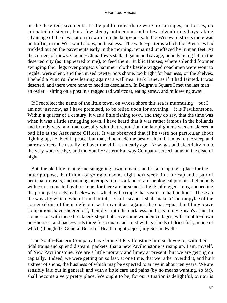on the deserted pavements. In the public rides there were no carriages, no horses, no animated existence, but a few sleepy policemen, and a few adventurous boys taking advantage of the devastation to swarm up the lamp−posts. In the Westward streets there was no traffic; in the Westward shops, no business. The water−patterns which the 'Prentices had trickled out on the pavements early in the morning, remained uneffaced by human feet. At the corners of mews, Cochin−China fowls stalked gaunt and savage; nobody being left in the deserted city (as it appeared to me), to feed them. Public Houses, where splendid footmen swinging their legs over gorgeous hammer−cloths beside wigged coachmen were wont to regale, were silent, and the unused pewter pots shone, too bright for business, on the shelves. I beheld a Punch's Show leaning against a wall near Park Lane, as if it had fainted. It was deserted, and there were none to heed its desolation. In Belgrave Square I met the last man − an ostler − sitting on a post in a ragged red waistcoat, eating straw, and mildewing away.

 If I recollect the name of the little town, on whose shore this sea is murmuring − but I am not just now, as I have premised, to be relied upon for anything − it is Pavilionstone. Within a quarter of a century, it was a little fishing town, and they do say, that the time was, when it was a little smuggling town. I have heard that it was rather famous in the hollands and brandy way, and that coevally with that reputation the lamplighter's was considered a bad life at the Assurance Offices. It was observed that if he were not particular about lighting up, he lived in peace; but that, if he made the best of the oil−lamps in the steep and narrow streets, he usually fell over the cliff at an early age. Now, gas and electricity run to the very water's edge, and the South−Eastern Railway Company screech at us in the dead of night.

 But, the old little fishing and smuggling town remains, and is so tempting a place for the latter purpose, that I think of going out some night next week, in a fur cap and a pair of petticoat trousers, and running an empty tub, as a kind of archaeological pursuit. Let nobody with corns come to Pavilionstone, for there are breakneck flights of ragged steps, connecting the principal streets by back−ways, which will cripple that visitor in half an hour. These are the ways by which, when I run that tub, I shall escape. I shall make a Thermopylae of the corner of one of them, defend it with my cutlass against the coast−guard until my brave companions have sheered off, then dive into the darkness, and regain my Susan's arms. In connection with these breakneck steps I observe some wooden cottages, with tumble−down out−houses, and back−yards three feet square, adorned with garlands of dried fish, in one of which (though the General Board of Health might object) my Susan dwells.

 The South−Eastern Company have brought Pavilionstone into such vogue, with their tidal trains and splendid steam−packets, that a new Pavilionstone is rising up. I am, myself, of New Pavilionstone. We are a little mortary and limey at present, but we are getting on capitally. Indeed, we were getting on so fast, at one time, that we rather overdid it, and built a street of shops, the business of which may be expected to arrive in about ten years. We are sensibly laid out in general; and with a little care and pains (by no means wanting, so far), shall become a very pretty place. We ought to be, for our situation is delightful, our air is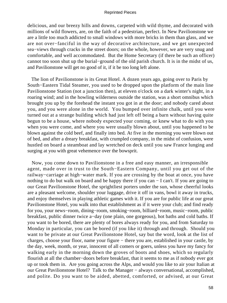delicious, and our breezy hills and downs, carpeted with wild thyme, and decorated with millions of wild flowers, are, on the faith of a pedestrian, perfect. In New Pavilionstone we are a little too much addicted to small windows with more bricks in them than glass, and we are not over−fanciful in the way of decorative architecture, and we get unexpected sea−views through cracks in the street doors; on the whole, however, we are very snug and comfortable, and well accommodated. But the Home Secretary (if there be such an officer) cannot too soon shut up the burial−ground of the old parish church. It is in the midst of us, and Pavilionstone will get no good of it, if it be too long left alone.

 The lion of Pavilionstone is its Great Hotel. A dozen years ago, going over to Paris by South−Eastern Tidal Steamer, you used to be dropped upon the platform of the main line Pavilionstone Station (not a junction then), at eleven o'clock on a dark winter's night, in a roaring wind; and in the howling wilderness outside the station, was a short omnibus which brought you up by the forehead the instant you got in at the door; and nobody cared about you, and you were alone in the world. You bumped over infinite chalk, until you were turned out at a strange building which had just left off being a barn without having quite begun to be a house, where nobody expected your coming, or knew what to do with you when you were come, and where you were usually blown about, until you happened to be blown against the cold beef, and finally into bed. At five in the morning you were blown out of bed, and after a dreary breakfast, with crumpled company, in the midst of confusion, were hustled on board a steamboat and lay wretched on deck until you saw France lunging and surging at you with great vehemence over the bowsprit.

 Now, you come down to Pavilionstone in a free and easy manner, an irresponsible agent, made over in trust to the South−Eastern Company, until you get out of the railway−carriage at high−water mark. If you are crossing by the boat at once, you have nothing to do but walk on board and be happy there if you can − I can't. If you are going to our Great Pavilionstone Hotel, the sprightliest porters under the sun, whose cheerful looks are a pleasant welcome, shoulder your luggage, drive it off in vans, bowl it away in trucks, and enjoy themselves in playing athletic games with it. If you are for public life at our great Pavilionstone Hotel, you walk into that establishment as if it were your club; and find ready for you, your news−room, dining−room, smoking−room, billiard−room, music−room, public breakfast, public dinner twice a−day (one plain, one gorgeous), hot baths and cold baths. If you want to be bored, there are plenty of bores always ready for you, and from Saturday to Monday in particular, you can be bored (if you like it) through and through. Should you want to be private at our Great Pavilionstone Hotel, say but the word, look at the list of charges, choose your floor, name your figure − there you are, established in your castle, by the day, week, month, or year, innocent of all comers or goers, unless you have my fancy for walking early in the morning down the groves of boots and shoes, which so regularly flourish at all the chamber−doors before breakfast, that it seems to me as if nobody ever got up or took them in. Are you going across the Alps, and would you like to air your Italian at our Great Pavilionstone Hotel? Talk to the Manager – always conversational, accomplished, and polite. Do you want to be aided, abetted, comforted, or advised, at our Great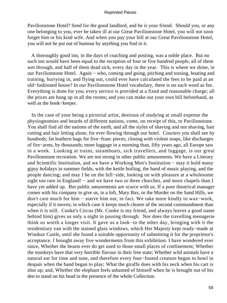Pavilionstone Hotel? Send for the good landlord, and he is your friend. Should you, or any one belonging to you, ever be taken ill at our Great Pavilionstone Hotel, you will not soon forget him or his kind wife. And when you pay your bill at our Great Pavilionstone Hotel, you will not be put out of humour by anything you find in it.

 A thoroughly good inn, in the days of coaching and posting, was a noble place. But no such inn would have been equal to the reception of four or five hundred people, all of them wet through, and half of them dead sick, every day in the year. This is where we shine, in our Pavilionstone Hotel. Again − who, coming and going, pitching and tossing, boating and training, hurrying in, and flying out, could ever have calculated the fees to be paid at an old−fashioned house? In our Pavilionstone Hotel vocabulary, there is no such word as fee. Everything is done for you; every service is provided at a fixed and reasonable charge; all the prices are hung up in all the rooms; and you can make out your own bill beforehand, as well as the book−keeper.

 In the case of your being a pictorial artist, desirous of studying at small expense the physiognomies and beards of different nations, come, on receipt of this, to Pavilionstone. You shall find all the nations of the earth, and all the styles of shaving and not shaving, hair cutting and hair letting alone, for ever flowing through our hotel. Couriers you shall see by hundreds; fat leathern bags for five−franc pieces, closing with violent snaps, like discharges of fire−arms, by thousands; more luggage in a morning than, fifty years ago, all Europe saw in a week. Looking at trains, steamboats, sick travellers, and luggage, is our great Pavilionstone recreation. We are not strong in other public amusements. We have a Literary and Scientific Institution, and we have a Working Men's Institution − may it hold many gipsy holidays in summer fields, with the kettle boiling, the band of music playing, and the people dancing; and may I be on the hill−side, looking on with pleasure at a wholesome sight too rare in England! – and we have two or three churches, and more chapels than I have yet added up. But public amusements are scarce with us. If a poor theatrical manager comes with his company to give us, in a loft, Mary Bax, or the Murder on the Sand Hills, we don't care much for him − starve him out, in fact. We take more kindly to wax−work, especially if it moves; in which case it keeps much clearer of the second commandment than when it is still. Cooke's Circus (Mr. Cooke is my friend, and always leaves a good name behind him) gives us only a night in passing through. Nor does the travelling menagerie think us worth a longer visit. It gave us a look−in the other day, bringing with it the residentiary van with the stained glass windows, which Her Majesty kept ready−made at Windsor Castle, until she found a suitable opportunity of submitting it for the proprietor's acceptance. I brought away five wonderments from this exhibition. I have wondered ever since, Whether the beasts ever do get used to those small places of confinement; Whether the monkeys have that very horrible flavour in their free state; Whether wild animals have a natural ear for time and tune, and therefore every four−footed creature began to howl in despair when the band began to play; What the giraffe does with his neck when his cart is shut up; and, Whether the elephant feels ashamed of himself when he is brought out of his den to stand on his head in the presence of the whole Collection.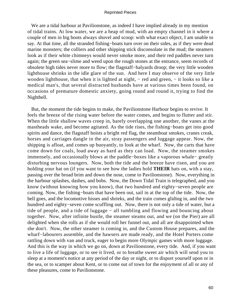We are a tidal harbour at Pavilionstone, as indeed I have implied already in my mention of tidal trains. At low water, we are a heap of mud, with an empty channel in it where a couple of men in big boots always shovel and scoop: with what exact object, I am unable to say. At that time, all the stranded fishing−boats turn over on their sides, as if they were dead marine monsters; the colliers and other shipping stick disconsolate in the mud; the steamers look as if their white chimneys would never smoke more, and their red paddles never turn again; the green sea−slime and weed upon the rough stones at the entrance, seem records of obsolete high tides never more to flow; the flagstaff−halyards droop; the very little wooden lighthouse shrinks in the idle glare of the sun. And here I may observe of the very little wooden lighthouse, that when it is lighted at night, – red and green, – it looks so like a medical man's, that several distracted husbands have at various times been found, on occasions of premature domestic anxiety, going round and round it, trying to find the Nightbell.

 But, the moment the tide begins to make, the Pavilionstone Harbour begins to revive. It feels the breeze of the rising water before the water comes, and begins to flutter and stir. When the little shallow waves creep in, barely overlapping one another, the vanes at the mastheads wake, and become agitated. As the tide rises, the fishing−boats get into good spirits and dance, the flagstaff hoists a bright red flag, the steamboat smokes, cranes creak, horses and carriages dangle in the air, stray passengers and luggage appear. Now, the shipping is afloat, and comes up buoyantly, to look at the wharf. Now, the carts that have come down for coals, load away as hard as they can load. Now, the steamer smokes immensely, and occasionally blows at the paddle−boxes like a vaporous whale− greatly disturbing nervous loungers. Now, both the tide and the breeze have risen, and you are holding your hat on (if you want to see how the ladies hold **THEIR** hats on, with a stay, passing over the broad brim and down the nose, come to Pavilionstone). Now, everything in the harbour splashes, dashes, and bobs. Now, the Down Tidal Train is telegraphed, and you know (without knowing how you know), that two hundred and eighty−seven people are coming. Now, the fishing−boats that have been out, sail in at the top of the tide. Now, the bell goes, and the locomotive hisses and shrieks, and the train comes gliding in, and the two hundred and eighty−seven come scuffling out. Now, there is not only a tide of water, but a tide of people, and a tide of luggage − all tumbling and flowing and bouncing about together. Now, after infinite bustle, the steamer steams out, and we (on the Pier) are all delighted when she rolls as if she would roll her funnel out, and all are disappointed when she don't. Now, the other steamer is coming in, and the Custom House prepares, and the wharf−labourers assemble, and the hawsers are made ready, and the Hotel Porters come rattling down with van and truck, eager to begin more Olympic games with more luggage. And this is the way in which we go on, down at Pavilionstone, every tide. And, if you want to live a life of luggage, or to see it lived, or to breathe sweet air which will send you to sleep at a moment's notice at any period of the day or night, or to disport yourself upon or in the sea, or to scamper about Kent, or to come out of town for the enjoyment of all or any of these pleasures, come to Pavilionstone.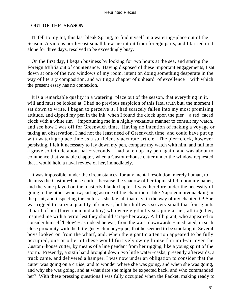# OUT **OF THE SEASON**

 IT fell to my lot, this last bleak Spring, to find myself in a watering−place out of the Season. A vicious north−east squall blew me into it from foreign parts, and I tarried in it alone for three days, resolved to be exceedingly busy.

 On the first day, I began business by looking for two hours at the sea, and staring the Foreign Militia out of countenance. Having disposed of these important engagements, I sat down at one of the two windows of my room, intent on doing something desperate in the way of literary composition, and writing a chapter of unheard−of excellence − with which the present essay has no connexion.

 It is a remarkable quality in a watering−place out of the season, that everything in it, will and must be looked at. I had no previous suspicion of this fatal truth but, the moment I sat down to write, I began to perceive it. I had scarcely fallen into my most promising attitude, and dipped my pen in the ink, when I found the clock upon the pier − a red−faced clock with a white rim − importuning me in a highly vexatious manner to consult my watch, and see how I was off for Greenwich time. Having no intention of making a voyage or taking an observation, I had not the least need of Greenwich time, and could have put up with watering−place time as a sufficiently accurate article. The pier−clock, however, persisting, I felt it necessary to lay down my pen, compare my watch with him, and fall into a grave solicitude about half− seconds. I had taken up my pen again, and was about to commence that valuable chapter, when a Custom−house cutter under the window requested that I would hold a naval review of her, immediately.

 It was impossible, under the circumstances, for any mental resolution, merely human, to dismiss the Custom−house cutter, because the shadow of her topmast fell upon my paper, and the vane played on the masterly blank chapter. I was therefore under the necessity of going to the other window; sitting astride of the chair there, like Napoleon bivouacking in the print; and inspecting the cutter as she lay, all that day, in the way of my chapter, O! She was rigged to carry a quantity of canvas, but her hull was so very small that four giants aboard of her (three men and a boy) who were vigilantly scraping at her, all together, inspired me with a terror lest they should scrape her away. A fifth giant, who appeared to consider himself 'below' − as indeed he was, from the waist downwards − meditated, in such close proximity with the little gusty chimney−pipe, that he seemed to be smoking it. Several boys looked on from the wharf, and, when the gigantic attention appeared to be fully occupied, one or other of these would furtively swing himself in mid−air over the Custom−house cutter, by means of a line pendant from her rigging, like a young spirit of the storm. Presently, a sixth hand brought down two little water−casks; presently afterwards, a truck came, and delivered a hamper. I was now under an obligation to consider that the cutter was going on a cruise, and to wonder where she was going, and when she was going, and why she was going, and at what date she might be expected back, and who commanded her? With these pressing questions I was fully occupied when the Packet, making ready to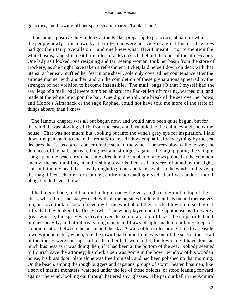go across, and blowing off her spare steam, roared, 'Look at me!'

 It became a positive duty to look at the Packet preparing to go across; aboard of which, the people newly come down by the rail− road were hurrying in a great fluster. The crew had got their tarry overalls on − and one knew what **THAT** meant − not to mention the white basins, ranged in neat little piles of a dozen each, behind the door of the after−cabin. One lady as I looked, one resigning and far−seeing woman, took her basin from the store of crockery, as she might have taken a refreshment−ticket, laid herself down on deck with that utensil at her ear, muffled her feet in one shawl, solemnly covered her countenance after the antique manner with another, and on the completion of these preparations appeared by the strength of her volition to become insensible. The mail−bags (O that I myself had the sea−legs of a mail−bag!) were tumbled aboard; the Packet left off roaring, warped out, and made at the white line upon the bar. One dip, one roll, one break of the sea over her bows, and Moore's Almanack or the sage Raphael could not have told me more of the state of things aboard, than I knew.

 The famous chapter was all but begun now, and would have been quite begun, but for the wind. It was blowing stiffly from the east, and it rumbled in the chimney and shook the house. That was not much; but, looking out into the wind's grey eye for inspiration, I laid down my pen again to make the remark to myself, how emphatically everything by the sea declares that it has a great concern in the state of the wind. The trees blown all one way; the defences of the harbour reared highest and strongest against the raging point; the shingle flung up on the beach from the same direction; the number of arrows pointed at the common enemy; the sea tumbling in and rushing towards them as if it were inflamed by the sight. This put it in my head that I really ought to go out and take a walk in the wind; so, I gave up the magnificent chapter for that day, entirely persuading myself that I was under a moral obligation to have a blow.

 I had a good one, and that on the high road − the very high road − on the top of the cliffs, where I met the stage−coach with all the outsides holding their hats on and themselves too, and overtook a flock of sheep with the wool about their necks blown into such great ruffs that they looked like fleecy owls. The wind played upon the lighthouse as if it were a great whistle, the spray was driven over the sea in a cloud of haze, the ships rolled and pitched heavily, and at intervals long slants and flaws of light made mountain−steeps of communication between the ocean and the sky. A walk of ten miles brought me to a seaside town without a cliff, which, like the town I had come from, was out of the season too. Half of the houses were shut up; half of the other half were to let; the town might have done as much business as it was doing then, if it had been at the bottom of the sea. Nobody seemed to flourish save the attorney; his clerk's pen was going in the bow− window of his wooden house; his brass door−plate alone was free from salt, and had been polished up that morning. On the beach, among the rough buggers and capstans, groups of storm−beaten boatmen, like a sort of marine monsters, watched under the lee of those objects, or stood leaning forward against the wind, looking out through battered spy−glasses. The parlour bell in the Admiral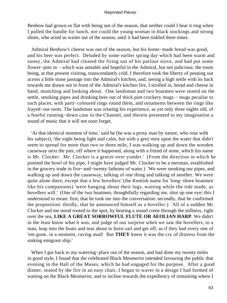Benbow had grown so flat with being out of the season, that neither could I hear it ring when I pulled the handle for lunch, nor could the young woman in black stockings and strong shoes, who acted as waiter out of the season, until it had been tinkled three times.

 Admiral Benbow's cheese was out of the season, but his home−made bread was good, and his beer was perfect. Deluded by some earlier spring day which had been warm and sunny, the Admiral had cleared the firing out of his parlour stove, and had put some flower−pots in − which was amiable and hopeful in the Admiral, but not judicious: the room being, at that present visiting, transcendantly cold. I therefore took the liberty of peeping out across a little stone passage into the Admiral's kitchen, and, seeing a high settle with its back towards me drawn out in front of the Admiral's kitchen fire, I strolled in, bread and cheese in hand, munching and looking about. One landsman and two boatmen were seated on the settle, smoking pipes and drinking beer out of thick pint crockery mugs – mugs peculiar to such places, with parti−coloured rings round them, and ornaments between the rings like frayed−out roots. The landsman was relating his experience, as yet only three nights old, of a fearful running−down case in the Channel, and therein presented to my imagination a sound of music that it will not soon forget.

 'At that identical moment of time,' said he (he was a prosy man by nature, who rose with his subject), 'the night being light and calm, but with a grey mist upon the water that didn't seem to spread for more than two or three mile, I was walking up and down the wooden causeway next the pier, off where it happened, along with a friend of mine, which his name is Mr. Clocker. Mr. Clocker is a grocer over yonder.' (From the direction in which he pointed the bowl of his pipe, I might have judged Mr. Clocker to be a merman, established in the grocery trade in five−and−twenty fathoms of water.) 'We were smoking our pipes, and walking up and down the causeway, talking of one thing and talking of another. We were quite alone there, except that a few hovellers' (the Kentish name for 'long−shore boatmen like his companions) 'were hanging about their lugs, waiting while the tide made, as hovellers will.' (One of the two boatmen, thoughtfully regarding me, shut up one eye; this I understood to mean: first, that he took me into the conversation: secondly, that he confirmed the proposition: thirdly, that he announced himself as a hoveller.) 'All of a sudden Mr. Clocker and me stood rooted to the spot, by hearing a sound come through the stillness, right over the sea, **LIKE A GREAT SORROWFUL FLUTE OR AEOLIAN HARP.** We didn't in the least know what it was, and judge of our surprise when we saw the hovellers, to a man, leap into the boats and tear about to hoist sail and get off, as if they had every one of 'em gone, in a moment, raving mad! But **THEY** knew it was the cry of distress from the sinking emigrant ship.'

 When I got back to my watering−place out of the season, and had done my twenty miles in good style, I found that the celebrated Black Mesmerist intended favouring the public that evening in the Hall of the Muses, which he had engaged for the purpose. After a good dinner, seated by the fire in an easy chair, I began to waver in a design I had formed of waiting on the Black Mesmerist, and to incline towards the expediency of remaining where I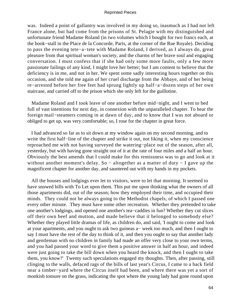was. Indeed a point of gallantry was involved in my doing so, inasmuch as I had not left France alone, but had come from the prisons of St. Pelagie with my distinguished and unfortunate friend Madame Roland (in two volumes which I bought for two francs each, at the book−stall in the Place de la Concorde, Paris, at the corner of the Rue Royale). Deciding to pass the evening tete−a−tete with Madame Roland, I derived, as I always do, great pleasure from that spiritual woman's society, and the charms of her brave soul and engaging conversation. I must confess that if she had only some more faults, only a few more passionate failings of any kind, I might love her better; but I am content to believe that the deficiency is in me, and not in her. We spent some sadly interesting hours together on this occasion, and she told me again of her cruel discharge from the Abbaye, and of her being re−arrested before her free feet had sprung lightly up half−a−dozen steps of her own staircase, and carried off to the prison which she only left for the guillotine.

 Madame Roland and I took leave of one another before mid−night, and I went to bed full of vast intentions for next day, in connexion with the unparalleled chapter. To hear the foreign mail−steamers coming in at dawn of day, and to know that I was not aboard or obliged to get up, was very comfortable; so, I rose for the chapter in great force.

 I had advanced so far as to sit down at my window again on my second morning, and to write the first half−line of the chapter and strike it out, not liking it, when my conscience reproached me with not having surveyed the watering−place out of the season, after all, yesterday, but with having gone straight out of it at the rate of four miles and a half an hour. Obviously the best amends that I could make for this remissness was to go and look at it without another moment's delay. So – altogether as a matter of duty – I gave up the magnificent chapter for another day, and sauntered out with my hands in my pockets.

 All the houses and lodgings ever let to visitors, were to let that morning. It seemed to have snowed bills with To Let upon them. This put me upon thinking what the owners of all those apartments did, out of the season; how they employed their time, and occupied their minds. They could not be always going to the Methodist chapels, of which I passed one every other minute. They must have some other recreation. Whether they pretended to take one another's lodgings, and opened one another's tea−caddies in fun? Whether they cut slices off their own beef and mutton, and made believe that it belonged to somebody else? Whether they played little dramas of life, as children do, and said, 'I ought to come and look at your apartments, and you ought to ask two guineas a− week too much, and then I ought to say I must have the rest of the day to think of it, and then you ought to say that another lady and gentleman with no children in family had made an offer very close to your own terms, and you had passed your word to give them a positive answer in half an hour, and indeed were just going to take the bill down when you heard the knock, and then I ought to take them, you know?' Twenty such speculations engaged my thoughts. Then, after passing, still clinging to the walls, defaced rags of the bills of last year's Circus, I came to a back field near a timber−yard where the Circus itself had been, and where there was yet a sort of monkish tonsure on the grass, indicating the spot where the young lady had gone round upon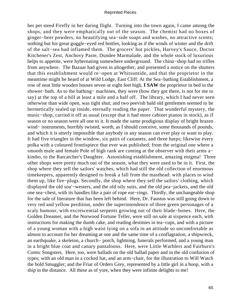her pet steed Firefly in her daring flight. Turning into the town again, I came among the shops, and they were emphatically out of the season. The chemist had no boxes of ginger−beer powders, no beautifying sea−side soaps and washes, no attractive scents; nothing but his great goggle−eyed red bottles, looking as if the winds of winter and the drift of the salt−sea had inflamed them. The grocers' hot pickles, Harvey's Sauce, Doctor Kitchener's Zest, Anchovy Paste, Dundee Marmalade, and the whole stock of luxurious helps to appetite, were hybernating somewhere underground. The china−shop had no trifles from anywhere. The Bazaar had given in altogether, and presented a notice on the shutters that this establishment would re−open at Whitsuntide, and that the proprietor in the meantime might be heard of at Wild Lodge, East Cliff. At the Sea−bathing Establishment, a row of neat little wooden houses seven or eight feet high, **I SAW** the proprietor in bed in the shower−bath. As to the bathing− machines, they were (how they got there, is not for me to say) at the top of a hill at least a mile and a half off. The library, which I had never seen otherwise than wide open, was tight shut; and two peevish bald old gentlemen seemed to be hermetically sealed up inside, eternally reading the paper. That wonderful mystery, the music−shop, carried it off as usual (except that it had more cabinet pianos in stock), as if season or no season were all one to it. It made the same prodigious display of bright brazen wind− instruments, horribly twisted, worth, as I should conceive, some thousands of pounds, and which it is utterly impossible that anybody in any season can ever play or want to play. It had five triangles in the window, six pairs of castanets, and three harps; likewise every polka with a coloured frontispiece that ever was published; from the original one where a smooth male and female Pole of high rank are coming at the observer with their arms a− kimbo, to the Ratcatcher's Daughter. Astonishing establishment, amazing enigma! Three other shops were pretty much out of the season, what they were used to be in it. First, the shop where they sell the sailors' watches, which had still the old collection of enormous timekeepers, apparently designed to break a fall from the masthead: with places to wind them up, like fire−plugs. Secondly, the shop where they sell the sailors' clothing, which displayed the old sou'−westers, and the old oily suits, and the old pea−jackets, and the old one sea−chest, with its handles like a pair of rope ear−rings. Thirdly, the unchangeable shop for the sale of literature that has been left behind. Here, Dr. Faustus was still going down to very red and yellow perdition, under the superintendence of three green personages of a scaly humour, with excrescential serpents growing out of their blade−bones. Here, the Golden Dreamer, and the Norwood Fortune Teller, were still on sale at sixpence each, with instructions for making the dumb cake, and reading destinies in tea−cups, and with a picture of a young woman with a high waist lying on a sofa in an attitude so uncomfortable as almost to account for her dreaming at one and the same time of a conflagration, a shipwreck, an earthquake, a skeleton, a church− porch, lightning, funerals performed, and a young man in a bright blue coat and canary pantaloons. Here, were Little Warblers and Fairburn's Comic Songsters. Here, too, were ballads on the old ballad paper and in the old confusion of types; with an old man in a cocked hat, and an arm−chair, for the illustration to Will Watch the bold Smuggler; and the Friar of Orders Grey, represented by a little girl in a hoop, with a ship in the distance. All these as of yore, when they were infinite delights to me!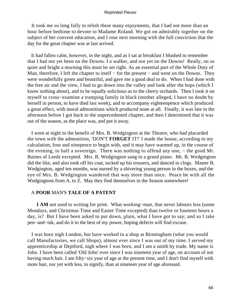It took me so long fully to relish these many enjoyments, that I had not more than an hour before bedtime to devote to Madame Roland. We got on admirably together on the subject of her convent education, and I rose next morning with the full conviction that the day for the great chapter was at last arrived.

 It had fallen calm, however, in the night, and as I sat at breakfast I blushed to remember that I had not yet been on the Downs. I a walker, and not yet on the Downs! Really, on so quiet and bright a morning this must be set right. As an essential part of the Whole Duty of Man, therefore, I left the chapter to itself – for the present – and went on the Downs. They were wonderfully green and beautiful, and gave me a good deal to do. When I had done with the free air and the view, I had to go down into the valley and look after the hops (which I know nothing about), and to be equally solicitous as to the cherry orchards. Then I took it on myself to cross−examine a tramping family in black (mother alleged, I have no doubt by herself in person, to have died last week), and to accompany eighteenpence which produced a great effect, with moral admonitions which produced none at all. Finally, it was late in the afternoon before I got back to the unprecedented chapter, and then I determined that it was out of the season, as the place was, and put it away.

 I went at night to the benefit of Mrs. B. Wedgington at the Theatre, who had placarded the town with the admonition, 'DON'T **FORGET** IT!' I made the house, according to my calculation, four and ninepence to begin with, and it may have warmed up, in the course of the evening, to half a sovereign. There was nothing to offend any one, − the good Mr. Baines of Leeds excepted. Mrs. B. Wedgington sang to a grand piano. Mr. B. Wedgington did the like, and also took off his coat, tucked up his trousers, and danced in clogs. Master B. Wedgington, aged ten months, was nursed by a shivering young person in the boxes, and the eye of Mrs. B. Wedgington wandered that way more than once. Peace be with all the Wedgingtons from A. to Z. May they find themselves in the Season somewhere!

# A **POOR** MAN'S **TALE OF A PATENT**

**I AM** not used to writing for print. What working−man, that never labours less (some Mondays, and Christmas Time and Easter Time excepted) than twelve or fourteen hours a day, is? But I have been asked to put down, plain, what I have got to say; and so I take pen−and−ink, and do it to the best of my power, hoping defects will find excuse.

 I was born nigh London, but have worked in a shop at Birmingham (what you would call Manufactories, we call Shops), almost ever since I was out of my time. I served my apprenticeship at Deptford, nigh where I was born, and I am a smith by trade. My name is John. I have been called 'Old John' ever since I was nineteen year of age, on account of not having much hair. I am fifty−six year of age at the present time, and I don't find myself with more hair, nor yet with less, to signify, than at nineteen year of age aforesaid.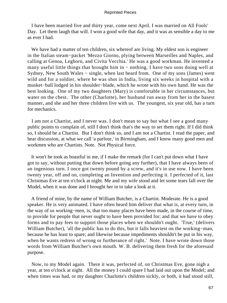I have been married five and thirty year, come next April. I was married on All Fools' Day. Let them laugh that will. I won a good wife that day, and it was as sensible a day to me as ever I had.

We have had a matter of ten children, six whereof are living. My eldest son is engineer in the Italian steam−packet 'Mezzo Giorno, plying between Marseilles and Naples, and calling at Genoa, Leghorn, and Civita Vecchia.' He was a good workman. He invented a many useful little things that brought him in – nothing. I have two sons doing well at Sydney, New South Wales − single, when last heard from. One of my sons (James) went wild and for a soldier, where he was shot in India, living six weeks in hospital with a musket−ball lodged in his shoulder−blade, which he wrote with his own hand. He was the best looking. One of my two daughters (Mary) is comfortable in her circumstances, but water on the chest. The other (Charlotte), her husband run away from her in the basest manner, and she and her three children live with us. The youngest, six year old, has a turn for mechanics.

 I am not a Chartist, and I never was. I don't mean to say but what I see a good many public points to complain of, still I don't think that's the way to set them right. If I did think so, I should be a Chartist. But I don't think so, and I am not a Chartist. I read the paper, and hear discussion, at what we call 'a parlour,' in Birmingham, and I know many good men and workmen who are Chartists. Note. Not Physical force.

 It won't be took as boastful in me, if I make the remark (for I can't put down what I have got to say, without putting that down before going any further), that I have always been of an ingenious turn. I once got twenty pound by a screw, and it's in use now. I have been twenty year, off and on, completing an Invention and perfecting it. I perfected of it, last Christmas Eve at ten o'clock at night. Me and my wife stood and let some tears fall over the Model, when it was done and I brought her in to take a look at it.

 A friend of mine, by the name of William Butcher, is a Chartist. Moderate. He is a good speaker. He is very animated. I have often heard him deliver that what is, at every turn, in the way of us working−men, is, that too many places have been made, in the course of time, to provide for people that never ought to have been provided for; and that we have to obey forms and to pay fees to support those places when we shouldn't ought. 'True,' (delivers William Butcher), 'all the public has to do this, but it falls heaviest on the working−man, because he has least to spare; and likewise because impediments shouldn't be put in his way, when he wants redress of wrong or furtherance of right.' Note. I have wrote down those words from William Butcher's own mouth. W. B. delivering them fresh for the aforesaid purpose.

 Now, to my Model again. There it was, perfected of, on Christmas Eve, gone nigh a year, at ten o'clock at night. All the money I could spare I had laid out upon the Model; and when times was bad, or my daughter Charlotte's children sickly, or both, it had stood still,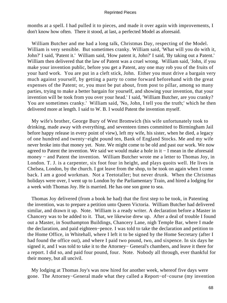months at a spell. I had pulled it to pieces, and made it over again with improvements, I don't know how often. There it stood, at last, a perfected Model as aforesaid.

 William Butcher and me had a long talk, Christmas Day, respecting of the Model. William is very sensible. But sometimes cranky. William said, 'What will you do with it, John?' I said, 'Patent it.' William said, 'How patent it, John?' I said, 'By taking out a Patent.' William then delivered that the law of Patent was a cruel wrong. William said, 'John, if you make your invention public, before you get a Patent, any one may rob you of the fruits of your hard work. You are put in a cleft stick, John. Either you must drive a bargain very much against yourself, by getting a party to come forward beforehand with the great expenses of the Patent; or, you must be put about, from post to pillar, among so many parties, trying to make a better bargain for yourself, and showing your invention, that your invention will be took from you over your head.' I said, 'William Butcher, are you cranky? You are sometimes cranky.' William said, 'No, John, I tell you the truth;' which he then delivered more at length. I said to W. B. I would Patent the invention myself.

 My wife's brother, George Bury of West Bromwich (his wife unfortunately took to drinking, made away with everything, and seventeen times committed to Birmingham Jail before happy release in every point of view), left my wife, his sister, when he died, a legacy of one hundred and twenty−eight pound ten, Bank of England Stocks. Me and my wife never broke into that money yet. Note. We might come to be old and past our work. We now agreed to Patent the invention. We said we would make a hole in it − I mean in the aforesaid money − and Patent the invention. William Butcher wrote me a letter to Thomas Joy, in London. T. J. is a carpenter, six foot four in height, and plays quoits well. He lives in Chelsea, London, by the church. I got leave from the shop, to be took on again when I come back. I am a good workman. Not a Teetotaller; but never drunk. When the Christmas holidays were over, I went up to London by the Parliamentary Train, and hired a lodging for a week with Thomas Joy. He is married. He has one son gone to sea.

 Thomas Joy delivered (from a book he had) that the first step to be took, in Patenting the invention, was to prepare a petition unto Queen Victoria. William Butcher had delivered similar, and drawn it up. Note. William is a ready writer. A declaration before a Master in Chancery was to be added to it. That, we likewise drew up. After a deal of trouble I found out a Master, in Southampton Buildings, Chancery Lane, nigh Temple Bar, where I made the declaration, and paid eighteen−pence. I was told to take the declaration and petition to the Home Office, in Whitehall, where I left it to be signed by the Home Secretary (after I had found the office out), and where I paid two pound, two, and sixpence. In six days he signed it, and I was told to take it to the Attorney− General's chambers, and leave it there for a report. I did so, and paid four pound, four. Note. Nobody all through, ever thankful for their money, but all uncivil.

 My lodging at Thomas Joy's was now hired for another week, whereof five days were gone. The Attorney−General made what they called a Report−of−course (my invention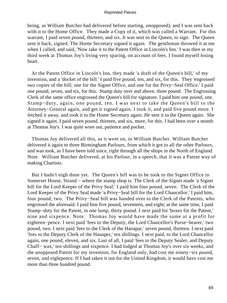being, as William Butcher had delivered before starting, unopposed), and I was sent back with it to the Home Office. They made a Copy of it, which was called a Warrant. For this warrant, I paid seven pound, thirteen, and six. It was sent to the Queen, to sign. The Queen sent it back, signed. The Home Secretary signed it again. The gentleman throwed it at me when I called, and said, 'Now take it to the Patent Office in Lincoln's Inn.' I was then in my third week at Thomas Joy's living very sparing, on account of fees. I found myself losing heart.

 At the Patent Office in Lincoln's Inn, they made 'a draft of the Queen's bill,' of my invention, and a 'docket of the bill.' I paid five pound, ten, and six, for this. They 'engrossed two copies of the bill; one for the Signet Office, and one for the Privy−Seal Office.' I paid one pound, seven, and six, for this. Stamp duty over and above, three pound. The Engrossing Clerk of the same office engrossed the Queen's bill for signature. I paid him one pound, one. Stamp−duty, again, one pound, ten. I was next to take the Queen's bill to the Attorney−General again, and get it signed again. I took it, and paid five pound more. I fetched it away, and took it to the Home Secretary again. He sent it to the Queen again. She signed it again. I paid seven pound, thirteen, and six, more, for this. I had been over a month at Thomas Joy's. I was quite wore out, patience and pocket.

 Thomas Joy delivered all this, as it went on, to William Butcher. William Butcher delivered it again to three Birmingham Parlours, from which it got to all the other Parlours, and was took, as I have been told since, right through all the shops in the North of England. Note. William Butcher delivered, at his Parlour, in a speech, that it was a Patent way of making Chartists.

 But I hadn't nigh done yet. The Queen's bill was to be took to the Signet Office in Somerset House, Strand − where the stamp shop is. The Clerk of the Signet made 'a Signet bill for the Lord Keeper of the Privy Seal.' I paid him four pound, seven. The Clerk of the Lord Keeper of the Privy Seal made 'a Privy−Seal bill for the Lord Chancellor.' I paid him, four pound, two. The Privy−Seal bill was handed over to the Clerk of the Patents, who engrossed the aforesaid. I paid him five pound, seventeen, and eight; at the same time, I paid Stamp−duty for the Patent, in one lump, thirty pound. I next paid for 'boxes for the Patent,' nine and sixpence. Note. Thomas Joy would have made the same at a profit for eighteen−pence. I next paid 'fees to the Deputy, the Lord Chancellor's Purse−bearer,' two pound, two. I next paid 'fees to the Clerk of the Hanapar,' seven pound, thirteen. I next paid 'fees to the Deputy Clerk of the Hanaper,' ten shillings. I next paid, to the Lord Chancellor again, one pound, eleven, and six. Last of all, I paid 'fees to the Deputy Sealer, and Deputy Chaff− wax,' ten shillings and sixpence. I had lodged at Thomas Joy's over six weeks, and the unopposed Patent for my invention, for England only, had cost me ninety−six pound, seven, and eightpence. If I had taken it out for the United Kingdom, it would have cost me more than three hundred pound.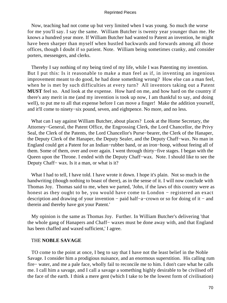Now, teaching had not come up but very limited when I was young. So much the worse for me you'll say. I say the same. William Butcher is twenty year younger than me. He knows a hundred year more. If William Butcher had wanted to Patent an invention, he might have been sharper than myself when hustled backwards and forwards among all those offices, though I doubt if so patient. Note. William being sometimes cranky, and consider porters, messengers, and clerks.

 Thereby I say nothing of my being tired of my life, while I was Patenting my invention. But I put this: Is it reasonable to make a man feel as if, in inventing an ingenious improvement meant to do good, he had done something wrong? How else can a man feel, when he is met by such difficulties at every turn? All inventors taking out a Patent **MUST** feel so. And look at the expense. How hard on me, and how hard on the country if there's any merit in me (and my invention is took up now, I am thankful to say, and doing well), to put me to all that expense before I can move a finger! Make the addition yourself, and it'll come to ninety−six pound, seven, and eightpence. No more, and no less.

 What can I say against William Butcher, about places? Look at the Home Secretary, the Attorney−General, the Patent Office, the Engrossing Clerk, the Lord Chancellor, the Privy Seal, the Clerk of the Patents, the Lord Chancellor's Purse−bearer, the Clerk of the Hanaper, the Deputy Clerk of the Hanaper, the Deputy Sealer, and the Deputy Chaff−wax. No man in England could get a Patent for an Indian−rubber band, or an iron−hoop, without feeing all of them. Some of them, over and over again. I went through thirty−five stages. I began with the Queen upon the Throne. I ended with the Deputy Chaff−wax. Note. I should like to see the Deputy Chaff− wax. Is it a man, or what is it?

What I had to tell, I have told. I have wrote it down. I hope it's plain. Not so much in the handwriting (though nothing to boast of there), as in the sense of it. I will now conclude with Thomas Joy. Thomas said to me, when we parted, 'John, if the laws of this country were as honest as they ought to be, you would have come to London − registered an exact description and drawing of your invention − paid half−a−crown or so for doing of it − and therein and thereby have got your Patent.'

 My opinion is the same as Thomas Joy. Further. In William Butcher's delivering 'that the whole gang of Hanapers and Chaff− waxes must be done away with, and that England has been chaffed and waxed sufficient,' I agree.

# THE **NOBLE SAVAGE**

 TO come to the point at once, I beg to say that I have not the least belief in the Noble Savage. I consider him a prodigious nuisance, and an enormous superstition. His calling rum fire− water, and me a pale face, wholly fail to reconcile me to him. I don't care what he calls me. I call him a savage, and I call a savage a something highly desirable to be civilised off the face of the earth. I think a mere gent (which I take to be the lowest form of civilisation)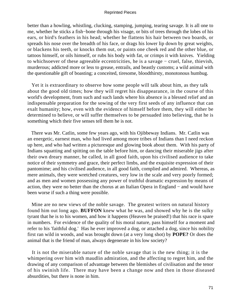better than a howling, whistling, clucking, stamping, jumping, tearing savage. It is all one to me, whether he sticks a fish−bone through his visage, or bits of trees through the lobes of his ears, or bird's feathers in his head; whether he flattens his hair between two boards, or spreads his nose over the breadth of his face, or drags his lower lip down by great weights, or blackens his teeth, or knocks them out, or paints one cheek red and the other blue, or tattoos himself, or oils himself, or rubs his body with fat, or crimps it with knives. Yielding to whichsoever of these agreeable eccentricities, he is a savage − cruel, false, thievish, murderous; addicted more or less to grease, entrails, and beastly customs; a wild animal with the questionable gift of boasting; a conceited, tiresome, bloodthirsty, monotonous humbug.

 Yet it is extraordinary to observe how some people will talk about him, as they talk about the good old times; how they will regret his disappearance, in the course of this world's development, from such and such lands where his absence is a blessed relief and an indispensable preparation for the sowing of the very first seeds of any influence that can exalt humanity; how, even with the evidence of himself before them, they will either be determined to believe, or will suffer themselves to be persuaded into believing, that he is something which their five senses tell them he is not.

 There was Mr. Catlin, some few years ago, with his Ojibbeway Indians. Mr. Catlin was an energetic, earnest man, who had lived among more tribes of Indians than I need reckon up here, and who had written a picturesque and glowing book about them. With his party of Indians squatting and spitting on the table before him, or dancing their miserable jigs after their own dreary manner, he called, in all good faith, upon his civilised audience to take notice of their symmetry and grace, their perfect limbs, and the exquisite expression of their pantomime; and his civilised audience, in all good faith, complied and admired. Whereas, as mere animals, they were wretched creatures, very low in the scale and very poorly formed; and as men and women possessing any power of truthful dramatic expression by means of action, they were no better than the chorus at an Italian Opera in England − and would have been worse if such a thing were possible.

 Mine are no new views of the noble savage. The greatest writers on natural history found him out long ago. **BUFFON** knew what he was, and showed why he is the sulky tyrant that he is to his women, and how it happens (Heaven be praised!) that his race is spare in numbers. For evidence of the quality of his moral nature, pass himself for a moment and refer to his 'faithful dog.' Has he ever improved a dog, or attached a dog, since his nobility first ran wild in woods, and was brought down (at a very long shot) by **POPE?** Or does the animal that is the friend of man, always degenerate in his low society?

 It is not the miserable nature of the noble savage that is the new thing; it is the whimpering over him with maudlin admiration, and the affecting to regret him, and the drawing of any comparison of advantage between the blemishes of civilisation and the tenor of his swinish life. There may have been a change now and then in those diseased absurdities, but there is none in him.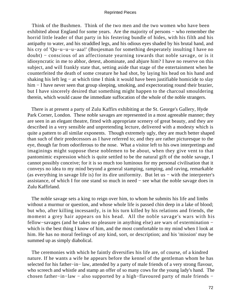Think of the Bushmen. Think of the two men and the two women who have been exhibited about England for some years. Are the majority of persons – who remember the horrid little leader of that party in his festering bundle of hides, with his filth and his antipathy to water, and his straddled legs, and his odious eyes shaded by his brutal hand, and his cry of 'Qu−u−u−u−aaa!' (Bosjesman for something desperately insulting I have no doubt) − conscious of an affectionate yearning towards that noble savage, or is it idiosyncratic in me to abhor, detest, abominate, and abjure him? I have no reserve on this subject, and will frankly state that, setting aside that stage of the entertainment when he counterfeited the death of some creature he had shot, by laying his head on his hand and shaking his left leg − at which time I think it would have been justifiable homicide to slay him − I have never seen that group sleeping, smoking, and expectorating round their brazier, but I have sincerely desired that something might happen to the charcoal smouldering therein, which would cause the immediate suffocation of the whole of the noble strangers.

 There is at present a party of Zulu Kaffirs exhibiting at the St. George's Gallery, Hyde Park Corner, London. These noble savages are represented in a most agreeable manner; they are seen in an elegant theatre, fitted with appropriate scenery of great beauty, and they are described in a very sensible and unpretending lecture, delivered with a modesty which is quite a pattern to all similar exponents. Though extremely ugly, they are much better shaped than such of their predecessors as I have referred to; and they are rather picturesque to the eye, though far from odoriferous to the nose. What a visitor left to his own interpretings and imaginings might suppose these noblemen to be about, when they give vent to that pantomimic expression which is quite settled to be the natural gift of the noble savage, I cannot possibly conceive; for it is so much too luminous for my personal civilisation that it conveys no idea to my mind beyond a general stamping, ramping, and raving, remarkable (as everything in savage life is) for its dire uniformity. But let us − with the interpreter's assistance, of which I for one stand so much in need − see what the noble savage does in Zulu Kaffirland.

 The noble savage sets a king to reign over him, to whom he submits his life and limbs without a murmur or question, and whose whole life is passed chin deep in a lake of blood; but who, after killing incessantly, is in his turn killed by his relations and friends, the moment a grey hair appears on his head. All the noble savage's wars with his fellow−savages (and he takes no pleasure in anything else) are wars of extermination − which is the best thing I know of him, and the most comfortable to my mind when I look at him. He has no moral feelings of any kind, sort, or description; and his 'mission' may be summed up as simply diabolical.

 The ceremonies with which he faintly diversifies his life are, of course, of a kindred nature. If he wants a wife he appears before the kennel of the gentleman whom he has selected for his father−in− law, attended by a party of male friends of a very strong flavour, who screech and whistle and stamp an offer of so many cows for the young lady's hand. The chosen father−in−law − also supported by a high−flavoured party of male friends −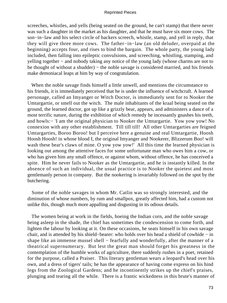screeches, whistles, and yells (being seated on the ground, he can't stamp) that there never was such a daughter in the market as his daughter, and that he must have six more cows. The son−in−law and his select circle of backers screech, whistle, stamp, and yell in reply, that they will give three more cows. The father−in−law (an old deluder, overpaid at the beginning) accepts four, and rises to bind the bargain. The whole party, the young lady included, then falling into epileptic convulsions, and screeching, whistling, stamping, and yelling together − and nobody taking any notice of the young lady (whose charms are not to be thought of without a shudder) – the noble savage is considered married, and his friends make demoniacal leaps at him by way of congratulation.

 When the noble savage finds himself a little unwell, and mentions the circumstance to his friends, it is immediately perceived that he is under the influence of witchcraft. A learned personage, called an Imyanger or Witch Doctor, is immediately sent for to Nooker the Umtargartie, or smell out the witch. The male inhabitants of the kraal being seated on the ground, the learned doctor, got up like a grizzly bear, appears, and administers a dance of a most terrific nature, during the exhibition of which remedy he incessantly gnashes his teeth, and howls:− 'I am the original physician to Nooker the Umtargartie. Yow yow yow! No connexion with any other establishment. Till till till! All other Umtargarties are feigned Umtargarties, Boroo Boroo! but I perceive here a genuine and real Umtargartie, Hoosh Hoosh Hoosh! in whose blood I, the original Imyanger and Nookerer, Blizzerum Boo! will wash these bear's claws of mine. O yow yow yow!' All this time the learned physician is looking out among the attentive faces for some unfortunate man who owes him a cow, or who has given him any small offence, or against whom, without offence, he has conceived a spite. Him he never fails to Nooker as the Umtargartie, and he is instantly killed. In the absence of such an individual, the usual practice is to Nooker the quietest and most gentlemanly person in company. But the nookering is invariably followed on the spot by the butchering.

 Some of the noble savages in whom Mr. Catlin was so strongly interested, and the diminution of whose numbers, by rum and smallpox, greatly affected him, had a custom not unlike this, though much more appalling and disgusting in its odious details.

 The women being at work in the fields, hoeing the Indian corn, and the noble savage being asleep in the shade, the chief has sometimes the condescension to come forth, and lighten the labour by looking at it. On these occasions, he seats himself in his own savage chair, and is attended by his shield−bearer: who holds over his head a shield of cowhide − in shape like an immense mussel shell – fearfully and wonderfully, after the manner of a theatrical supernumerary. But lest the great man should forget his greatness in the contemplation of the humble works of agriculture, there suddenly rushes in a poet, retained for the purpose, called a Praiser. This literary gentleman wears a leopard's head over his own, and a dress of tigers' tails; he has the appearance of having come express on his hind legs from the Zoological Gardens; and he incontinently strikes up the chief's praises, plunging and tearing all the while. There is a frantic wickedness in this brute's manner of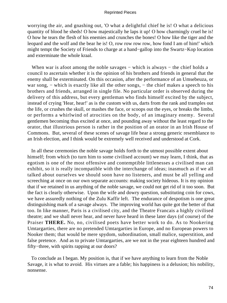worrying the air, and gnashing out, 'O what a delightful chief he is! O what a delicious quantity of blood he sheds! O how majestically he laps it up! O how charmingly cruel he is! O how he tears the flesh of his enemies and crunches the bones! O how like the tiger and the leopard and the wolf and the bear he is! O, row row row row, how fond I am of him!' which might tempt the Society of Friends to charge at a hand−gallop into the Swartz−Kop location and exterminate the whole kraal.

When war is afoot among the noble savages – which is always – the chief holds a council to ascertain whether it is the opinion of his brothers and friends in general that the enemy shall be exterminated. On this occasion, after the performance of an Umsebeuza, or war song, – which is exactly like all the other songs, – the chief makes a speech to his brothers and friends, arranged in single file. No particular order is observed during the delivery of this address, but every gentleman who finds himself excited by the subject, instead of crying 'Hear, hear!' as is the custom with us, darts from the rank and tramples out the life, or crushes the skull, or mashes the face, or scoops out the eyes, or breaks the limbs, or performs a whirlwind of atrocities on the body, of an imaginary enemy. Several gentlemen becoming thus excited at once, and pounding away without the least regard to the orator, that illustrious person is rather in the position of an orator in an Irish House of Commons. But, several of these scenes of savage life bear a strong generic resemblance to an Irish election, and I think would be extremely well received and understood at Cork.

 In all these ceremonies the noble savage holds forth to the utmost possible extent about himself; from which (to turn him to some civilised account) we may learn, I think, that as egotism is one of the most offensive and contemptible littlenesses a civilised man can exhibit, so it is really incompatible with the interchange of ideas; inasmuch as if we all talked about ourselves we should soon have no listeners, and must be all yelling and screeching at once on our own separate accounts: making society hideous. It is my opinion that if we retained in us anything of the noble savage, we could not get rid of it too soon. But the fact is clearly otherwise. Upon the wife and dowry question, substituting coin for cows, we have assuredly nothing of the Zulu Kaffir left. The endurance of despotism is one great distinguishing mark of a savage always. The improving world has quite got the better of that too. In like manner, Paris is a civilised city, and the Theatre Francais a highly civilised theatre; and we shall never hear, and never have heard in these later days (of course) of the Praiser **THERE.** No, no, civilised poets have better work to do. As to Nookering Umtargarties, there are no pretended Umtargarties in Europe, and no European powers to Nooker them; that would be mere spydom, subordination, small malice, superstition, and false pretence. And as to private Umtargarties, are we not in the year eighteen hundred and fifty−three, with spirits rapping at our doors?

 To conclude as I began. My position is, that if we have anything to learn from the Noble Savage, it is what to avoid. His virtues are a fable; his happiness is a delusion; his nobility, nonsense.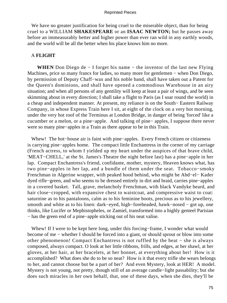We have no greater justification for being cruel to the miserable object, than for being cruel to a WILLIAM **SHAKESPEARE** or an **ISAAC NEWTON;** but he passes away before an immeasurably better and higher power than ever ran wild in any earthly woods, and the world will be all the better when his place knows him no more.

# A **FLIGHT**

WHEN Don Diego de − I forget his name – the inventor of the last new Flying Machines, price so many francs for ladies, so many more for gentlemen – when Don Diego, by permission of Deputy Chaff−wax and his noble band, shall have taken out a Patent for the Queen's dominions, and shall have opened a commodious Warehouse in an airy situation; and when all persons of any gentility will keep at least a pair of wings, and be seen skimming about in every direction; I shall take a flight to Paris (as I soar round the world) in a cheap and independent manner. At present, my reliance is on the South− Eastern Railway Company, in whose Express Train here I sit, at eight of the clock on a very hot morning, under the very hot roof of the Terminus at London Bridge, in danger of being 'forced' like a cucumber or a melon, or a pine−apple. And talking of pine− apples, I suppose there never were so many pine−apples in a Train as there appear to be in this Train.

 Whew! The hot−house air is faint with pine−apples. Every French citizen or citizeness is carrying pine−apples home. The compact little Enchantress in the corner of my carriage (French actress, to whom I yielded up my heart under the auspices of that brave child, 'MEAT−CHELL,' at the St. James's Theatre the night before last) has a pine−apple in her lap. Compact Enchantress's friend, confidante, mother, mystery, Heaven knows what, has two pine−apples in her lap, and a bundle of them under the seat. Tobacco−smoky Frenchman in Algerine wrapper, with peaked hood behind, who might be Abd−el− Kader dyed rifle−green, and who seems to be dressed entirely in dirt and braid, carries pine−apples in a covered basket. Tall, grave, melancholy Frenchman, with black Vandyke beard, and hair close−cropped, with expansive chest to waistcoat, and compressive waist to coat: saturnine as to his pantaloons, calm as to his feminine boots, precious as to his jewellery, smooth and white as to his linen: dark−eyed, high−foreheaded, hawk−nosed − got up, one thinks, like Lucifer or Mephistopheles, or Zamiel, transformed into a highly genteel Parisian − has the green end of a pine−apple sticking out of his neat valise.

 Whew! If I were to be kept here long, under this forcing−frame, I wonder what would become of me − whether I should be forced into a giant, or should sprout or blow into some other phenomenon! Compact Enchantress is not ruffled by the heat − she is always composed, always compact. O look at her little ribbons, frills, and edges, at her shawl, at her gloves, at her hair, at her bracelets, at her bonnet, at everything about her! How is it accomplished? What does she do to be so neat? How is it that every trifle she wears belongs to her, and cannot choose but be a part of her? And even Mystery, look at HER! A model. Mystery is not young, not pretty, though still of an average candle−light passability; but she does such miracles in her own behalf, that, one of these days, when she dies, they'll be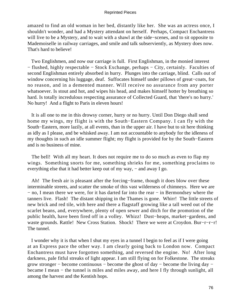amazed to find an old woman in her bed, distantly like her. She was an actress once, I shouldn't wonder, and had a Mystery attendant on herself. Perhaps, Compact Enchantress will live to be a Mystery, and to wait with a shawl at the side−scenes, and to sit opposite to Mademoiselle in railway carriages, and smile and talk subserviently, as Mystery does now. That's hard to believe!

 Two Englishmen, and now our carriage is full. First Englishman, in the monied interest − flushed, highly respectable − Stock Exchange, perhaps − City, certainly. Faculties of second Englishman entirely absorbed in hurry. Plunges into the carriage, blind. Calls out of window concerning his luggage, deaf. Suffocates himself under pillows of great−coats, for no reason, and in a demented manner. Will receive no assurance from any porter whatsoever. Is stout and hot, and wipes his head, and makes himself hotter by breathing so hard. Is totally incredulous respecting assurance of Collected Guard, that 'there's no hurry.' No hurry! And a flight to Paris in eleven hours!

 It is all one to me in this drowsy corner, hurry or no hurry. Until Don Diego shall send home my wings, my flight is with the South−Eastern Company. I can fly with the South−Eastern, more lazily, at all events, than in the upper air. I have but to sit here thinking as idly as I please, and be whisked away. I am not accountable to anybody for the idleness of my thoughts in such an idle summer flight; my flight is provided for by the South−Eastern and is no business of mine.

 The bell! With all my heart. It does not require me to do so much as even to flap my wings. Something snorts for me, something shrieks for me, something proclaims to everything else that it had better keep out of my way, – and away I go.

 Ah! The fresh air is pleasant after the forcing−frame, though it does blow over these interminable streets, and scatter the smoke of this vast wilderness of chimneys. Here we are − no, I mean there we were, for it has darted far into the rear − in Bermondsey where the tanners live. Flash! The distant shipping in the Thames is gone. Whirr! The little streets of new brick and red tile, with here and there a flagstaff growing like a tall weed out of the scarlet beans, and, everywhere, plenty of open sewer and ditch for the promotion of the public health, have been fired off in a volley. Whizz! Dust−heaps, market−gardens, and waste grounds. Rattle! New Cross Station. Shock! There we were at Croydon. Bur−r−r−r! The tunnel.

 I wonder why it is that when I shut my eyes in a tunnel I begin to feel as if I were going at an Express pace the other way. I am clearly going back to London now. Compact Enchantress must have forgotten something, and reversed the engine. No! After long darkness, pale fitful streaks of light appear. I am still flying on for Folkestone. The streaks grow stronger − become continuous − become the ghost of day − become the living day − became I mean − the tunnel is miles and miles away, and here I fly through sunlight, all among the harvest and the Kentish hops.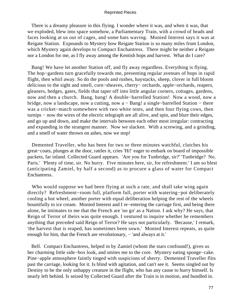There is a dreamy pleasure in this flying. I wonder where it was, and when it was, that we exploded, blew into space somehow, a Parliamentary Train, with a crowd of heads and faces looking at us out of cages, and some hats waving. Monied Interest says it was at Reigate Station. Expounds to Mystery how Reigate Station is so many miles from London, which Mystery again develops to Compact Enchantress. There might be neither a Reigate nor a London for me, as I fly away among the Kentish hops and harvest. What do I care?

 Bang! We have let another Station off, and fly away regardless. Everything is flying. The hop−gardens turn gracefully towards me, presenting regular avenues of hops in rapid flight, then whirl away. So do the pools and rushes, haystacks, sheep, clover in full bloom delicious to the sight and smell, corn−sheaves, cherry− orchards, apple−orchards, reapers, gleaners, hedges, gates, fields that taper off into little angular corners, cottages, gardens, now and then a church. Bang, bang! A double−barrelled Station! Now a wood, now a bridge, now a landscape, now a cutting, now a − Bang! a single−barrelled Station − there was a cricket−match somewhere with two white tents, and then four flying cows, then turnips − now the wires of the electric telegraph are all alive, and spin, and blurr their edges, and go up and down, and make the intervals between each other most irregular: contracting and expanding in the strangest manner. Now we slacken. With a screwing, and a grinding, and a smell of water thrown on ashes, now we stop!

 Demented Traveller, who has been for two or three minutes watchful, clutches his great−coats, plunges at the door, rattles it, cries 'Hi!' eager to embark on board of impossible packets, far inland. Collected Guard appears. 'Are you for Tunbridge, sir?' 'Tunbridge? No. Paris.' 'Plenty of time, sir. No hurry. Five minutes here, sir, for refreshment.' I am so blest (anticipating Zamiel, by half a second) as to procure a glass of water for Compact Enchantress.

 Who would suppose we had been flying at such a rate, and shall take wing again directly? Refreshment−room full, platform full, porter with watering−pot deliberately cooling a hot wheel, another porter with equal deliberation helping the rest of the wheels bountifully to ice cream. Monied Interest and I re−entering the carriage first, and being there alone, he intimates to me that the French are 'no go' as a Nation. I ask why? He says, that Reign of Terror of theirs was quite enough. I ventured to inquire whether he remembers anything that preceded said Reign of Terror? He says not particularly. 'Because,' I remark, 'the harvest that is reaped, has sometimes been sown.' Monied Interest repeats, as quite enough for him, that the French are revolutionary, – 'and always at it.'

 Bell. Compact Enchantress, helped in by Zamiel (whom the stars confound!), gives us her charming little side−box look, and smites me to the core. Mystery eating sponge−cake. Pine−apple atmosphere faintly tinged with suspicions of sherry. Demented Traveller flits past the carriage, looking for it. Is blind with agitation, and can't see it. Seems singled out by Destiny to be the only unhappy creature in the flight, who has any cause to hurry himself. Is nearly left behind. Is seized by Collected Guard after the Train is in motion, and bundled in.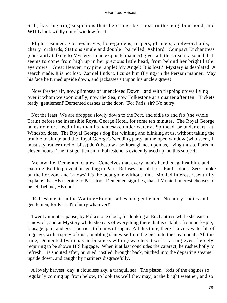Still, has lingering suspicions that there must be a boat in the neighbourhood, and **WILL** look wildly out of window for it.

 Flight resumed. Corn−sheaves, hop−gardens, reapers, gleaners, apple−orchards, cherry−orchards, Stations single and double− barrelled, Ashford. Compact Enchantress (constantly talking to Mystery, in an exquisite manner) gives a little scream; a sound that seems to come from high up in her precious little head; from behind her bright little eyebrows. 'Great Heaven, my pine−apple! My Angel! It is lost!' Mystery is desolated. A search made. It is not lost. Zamiel finds it. I curse him (flying) in the Persian manner. May his face be turned upside down, and jackasses sit upon his uncle's grave!

 Now fresher air, now glimpses of unenclosed Down−land with flapping crows flying over it whom we soon outfly, now the Sea, now Folkestone at a quarter after ten. 'Tickets ready, gentlemen!' Demented dashes at the door. 'For Paris, sir? No hurry.'

 Not the least. We are dropped slowly down to the Port, and sidle to and fro (the whole Train) before the insensible Royal George Hotel, for some ten minutes. The Royal George takes no more heed of us than its namesake under water at Spithead, or under earth at Windsor, does. The Royal George's dog lies winking and blinking at us, without taking the trouble to sit up; and the Royal George's 'wedding party' at the open window (who seem, I must say, rather tired of bliss) don't bestow a solitary glance upon us, flying thus to Paris in eleven hours. The first gentleman in Folkestone is evidently used up, on this subject.

 Meanwhile, Demented chafes. Conceives that every man's hand is against him, and exerting itself to prevent his getting to Paris. Refuses consolation. Rattles door. Sees smoke on the horizon, and 'knows' it's the boat gone without him. Monied Interest resentfully explains that HE is going to Paris too. Demented signifies, that if Monied Interest chooses to be left behind, HE don't.

 'Refreshments in the Waiting−Room, ladies and gentlemen. No hurry, ladies and gentlemen, for Paris. No hurry whatever!'

 Twenty minutes' pause, by Folkestone clock, for looking at Enchantress while she eats a sandwich, and at Mystery while she eats of everything there that is eatable, from pork−pie, sausage, jam, and gooseberries, to lumps of sugar. All this time, there is a very waterfall of luggage, with a spray of dust, tumbling slantwise from the pier into the steamboat. All this time, Demented (who has no business with it) watches it with starting eyes, fiercely requiring to be shown HIS luggage. When it at last concludes the cataract, he rushes hotly to refresh − is shouted after, pursued, jostled, brought back, pitched into the departing steamer upside down, and caught by mariners disgracefully.

 A lovely harvest−day, a cloudless sky, a tranquil sea. The piston− rods of the engines so regularly coming up from below, to look (as well they may) at the bright weather, and so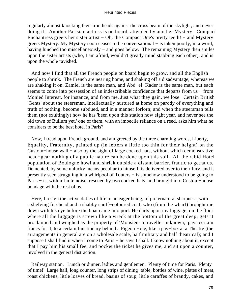regularly almost knocking their iron heads against the cross beam of the skylight, and never doing it! Another Parisian actress is on board, attended by another Mystery. Compact Enchantress greets her sister artist − Oh, the Compact One's pretty teeth! − and Mystery greets Mystery. My Mystery soon ceases to be conversational − is taken poorly, in a word, having lunched too miscellaneously − and goes below. The remaining Mystery then smiles upon the sister artists (who, I am afraid, wouldn't greatly mind stabbing each other), and is upon the whole ravished.

 And now I find that all the French people on board begin to grow, and all the English people to shrink. The French are nearing home, and shaking off a disadvantage, whereas we are shaking it on. Zamiel is the same man, and Abd−el−Kader is the same man, but each seems to come into possession of an indescribable confidence that departs from us − from Monied Interest, for instance, and from me. Just what they gain, we lose. Certain British 'Gents' about the steersman, intellectually nurtured at home on parody of everything and truth of nothing, become subdued, and in a manner forlorn; and when the steersman tells them (not exultingly) how he has 'been upon this station now eight year, and never see the old town of Bullum yet,' one of them, with an imbecile reliance on a reed, asks him what he considers to be the best hotel in Paris?

 Now, I tread upon French ground, and am greeted by the three charming words, Liberty, Equality, Fraternity, painted up (in letters a little too thin for their height) on the Custom−house wall − also by the sight of large cocked hats, without which demonstrative head−gear nothing of a public nature can be done upon this soil. All the rabid Hotel population of Boulogne howl and shriek outside a distant barrier, frantic to get at us. Demented, by some unlucky means peculiar to himself, is delivered over to their fury, and is presently seen struggling in a whirlpool of Touters − is somehow understood to be going to Paris − is, with infinite noise, rescued by two cocked hats, and brought into Custom−house bondage with the rest of us.

 Here, I resign the active duties of life to an eager being, of preternatural sharpness, with a shelving forehead and a shabby snuff−coloured coat, who (from the wharf) brought me down with his eye before the boat came into port. He darts upon my luggage, on the floor where all the luggage is strewn like a wreck at the bottom of the great deep; gets it proclaimed and weighed as the property of 'Monsieur a traveller unknown;' pays certain francs for it, to a certain functionary behind a Pigeon Hole, like a pay−box at a Theatre (the arrangements in general are on a wholesale scale, half military and half theatrical); and I suppose I shall find it when I come to Paris – he says I shall. I know nothing about it, except that I pay him his small fee, and pocket the ticket he gives me, and sit upon a counter, involved in the general distraction.

 Railway station. 'Lunch or dinner, ladies and gentlemen. Plenty of time for Paris. Plenty of time!' Large hall, long counter, long strips of dining−table, bottles of wine, plates of meat, roast chickens, little loaves of bread, basins of soup, little caraffes of brandy, cakes, and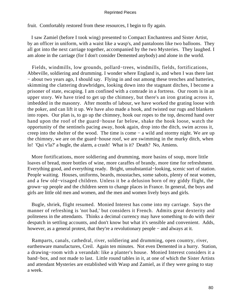fruit. Comfortably restored from these resources, I begin to fly again.

 I saw Zamiel (before I took wing) presented to Compact Enchantress and Sister Artist, by an officer in uniform, with a waist like a wasp's, and pantaloons like two balloons. They all got into the next carriage together, accompanied by the two Mysteries. They laughed. I am alone in the carriage (for I don't consider Demented anybody) and alone in the world.

 Fields, windmills, low grounds, pollard−trees, windmills, fields, fortifications, Abbeville, soldiering and drumming. I wonder where England is, and when I was there last − about two years ago, I should say. Flying in and out among these trenches and batteries, skimming the clattering drawbridges, looking down into the stagnant ditches, I become a prisoner of state, escaping. I am confined with a comrade in a fortress. Our room is in an upper story. We have tried to get up the chimney, but there's an iron grating across it, imbedded in the masonry. After months of labour, we have worked the grating loose with the poker, and can lift it up. We have also made a hook, and twisted our rugs and blankets into ropes. Our plan is, to go up the chimney, hook our ropes to the top, descend hand over hand upon the roof of the guard−house far below, shake the hook loose, watch the opportunity of the sentinels pacing away, hook again, drop into the ditch, swim across it, creep into the shelter of the wood. The time is come − a wild and stormy night. We are up the chimney, we are on the guard−house roof, we are swimming in the murky ditch, when lo! 'Qui v'la?' a bugle, the alarm, a crash! What is it? Death? No, Amiens.

 More fortifications, more soldiering and drumming, more basins of soup, more little loaves of bread, more bottles of wine, more caraffes of brandy, more time for refreshment. Everything good, and everything ready. Bright, unsubstantial−looking, scenic sort of station. People waiting. Houses, uniforms, beards, moustaches, some sabots, plenty of neat women, and a few old−visaged children. Unless it be a delusion born of my giddy flight, the grown−up people and the children seem to change places in France. In general, the boys and girls are little old men and women, and the men and women lively boys and girls.

 Bugle, shriek, flight resumed. Monied Interest has come into my carriage. Says the manner of refreshing is 'not bad,' but considers it French. Admits great dexterity and politeness in the attendants. Thinks a decimal currency may have something to do with their despatch in settling accounts, and don't know but what it's sensible and convenient. Adds, however, as a general protest, that they're a revolutionary people − and always at it.

 Ramparts, canals, cathedral, river, soldiering and drumming, open country, river, earthenware manufactures, Creil. Again ten minutes. Not even Demented in a hurry. Station, a drawing−room with a verandah: like a planter's house. Monied Interest considers it a band−box, and not made to last. Little round tables in it, at one of which the Sister Artists and attendant Mysteries are established with Wasp and Zamiel, as if they were going to stay a week.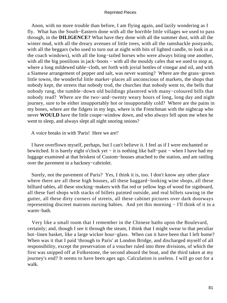Anon, with no more trouble than before, I am flying again, and lazily wondering as I fly. What has the South−Eastern done with all the horrible little villages we used to pass through, in the **DILIGENCE?** What have they done with all the summer dust, with all the winter mud, with all the dreary avenues of little trees, with all the ramshackle postyards, with all the beggars (who used to turn out at night with bits of lighted candle, to look in at the coach windows), with all the long−tailed horses who were always biting one another, with all the big postilions in jack–boots − with all the mouldy cafes that we used to stop at, where a long mildewed table−cloth, set forth with jovial bottles of vinegar and oil, and with a Siamese arrangement of pepper and salt, was never wanting? Where are the grass−grown little towns, the wonderful little market−places all unconscious of markets, the shops that nobody kept, the streets that nobody trod, the churches that nobody went to, the bells that nobody rang, the tumble−down old buildings plastered with many−coloured bills that nobody read? Where are the two−and−twenty weary hours of long, long day and night journey, sure to be either insupportably hot or insupportably cold? Where are the pains in my bones, where are the fidgets in my legs, where is the Frenchman with the nightcap who never **WOULD** have the little coupe−window down, and who always fell upon me when he went to sleep, and always slept all night snoring onions?

A voice breaks in with 'Paris! Here we are!'

 I have overflown myself, perhaps, but I can't believe it. I feel as if I were enchanted or bewitched. It is barely eight o'clock yet − it is nothing like half−past − when I have had my luggage examined at that briskest of Custom−houses attached to the station, and am rattling over the pavement in a hackney−cabriolet.

 Surely, not the pavement of Paris? Yes, I think it is, too. I don't know any other place where there are all these high houses, all these haggard−looking wine shops, all these billiard tables, all these stocking−makers with flat red or yellow legs of wood for signboard, all these fuel shops with stacks of billets painted outside, and real billets sawing in the gutter, all these dirty corners of streets, all these cabinet pictures over dark doorways representing discreet matrons nursing babies. And yet this morning − I'll think of it in a warm−bath.

 Very like a small room that I remember in the Chinese baths upon the Boulevard, certainly; and, though I see it through the steam, I think that I might swear to that peculiar hot−linen basket, like a large wicker hour−glass. When can it have been that I left home? When was it that I paid 'through to Paris' at London Bridge, and discharged myself of all responsibility, except the preservation of a voucher ruled into three divisions, of which the first was snipped off at Folkestone, the second aboard the boat, and the third taken at my journey's end? It seems to have been ages ago. Calculation is useless. I will go out for a walk.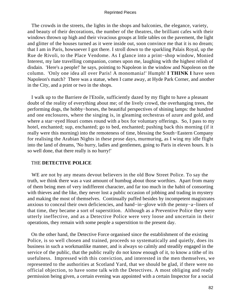The crowds in the streets, the lights in the shops and balconies, the elegance, variety, and beauty of their decorations, the number of the theatres, the brilliant cafes with their windows thrown up high and their vivacious groups at little tables on the pavement, the light and glitter of the houses turned as it were inside out, soon convince me that it is no dream; that I am in Paris, howsoever I got there. I stroll down to the sparkling Palais Royal, up the Rue de Rivoli, to the Place Vendome. As I glance into a print−shop window, Monied Interest, my late travelling companion, comes upon me, laughing with the highest relish of disdain. 'Here's a people!' he says, pointing to Napoleon in the window and Napoleon on the column. 'Only one idea all over Paris! A monomania!' Humph! **I THINK I** have seen Napoleon's match? There was a statue, when I came away, at Hyde Park Corner, and another in the City, and a print or two in the shops.

 I walk up to the Barriere de l'Etoile, sufficiently dazed by my flight to have a pleasant doubt of the reality of everything about me; of the lively crowd, the overhanging trees, the performing dogs, the hobby−horses, the beautiful perspectives of shining lamps: the hundred and one enclosures, where the singing is, in gleaming orchestras of azure and gold, and where a star−eyed Houri comes round with a box for voluntary offerings. So, I pass to my hotel, enchanted; sup, enchanted; go to bed, enchanted; pushing back this morning (if it really were this morning) into the remoteness of time, blessing the South−Eastern Company for realising the Arabian Nights in these prose days, murmuring, as I wing my idle flight into the land of dreams, 'No hurry, ladies and gentlemen, going to Paris in eleven hours. It is so well done, that there really is no hurry!'

# THE **DETECTIVE POLICE**

 WE are not by any means devout believers in the old Bow Street Police. To say the truth, we think there was a vast amount of humbug about those worthies. Apart from many of them being men of very indifferent character, and far too much in the habit of consorting with thieves and the like, they never lost a public occasion of jobbing and trading in mystery and making the most of themselves. Continually puffed besides by incompetent magistrates anxious to conceal their own deficiencies, and hand−in−glove with the penny−a−liners of that time, they became a sort of superstition. Although as a Preventive Police they were utterly ineffective, and as a Detective Police were very loose and uncertain in their operations, they remain with some people a superstition to the present day.

 On the other hand, the Detective Force organised since the establishment of the existing Police, is so well chosen and trained, proceeds so systematically and quietly, does its business in such a workmanlike manner, and is always so calmly and steadily engaged in the service of the public, that the public really do not know enough of it, to know a tithe of its usefulness. Impressed with this conviction, and interested in the men themselves, we represented to the authorities at Scotland Yard, that we should be glad, if there were no official objection, to have some talk with the Detectives. A most obliging and ready permission being given, a certain evening was appointed with a certain Inspector for a social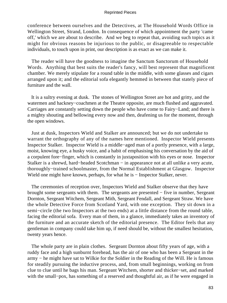conference between ourselves and the Detectives, at The Household Words Office in Wellington Street, Strand, London. In consequence of which appointment the party 'came off,' which we are about to describe. And we beg to repeat that, avoiding such topics as it might for obvious reasons be injurious to the public, or disagreeable to respectable individuals, to touch upon in print, our description is as exact as we can make it.

 The reader will have the goodness to imagine the Sanctum Sanctorum of Household Words. Anything that best suits the reader's fancy, will best represent that magnificent chamber. We merely stipulate for a round table in the middle, with some glasses and cigars arranged upon it; and the editorial sofa elegantly hemmed in between that stately piece of furniture and the wall.

 It is a sultry evening at dusk. The stones of Wellington Street are hot and gritty, and the watermen and hackney−coachmen at the Theatre opposite, are much flushed and aggravated. Carriages are constantly setting down the people who have come to Fairy−Land; and there is a mighty shouting and bellowing every now and then, deafening us for the moment, through the open windows.

 Just at dusk, Inspectors Wield and Stalker are announced; but we do not undertake to warrant the orthography of any of the names here mentioned. Inspector Wield presents Inspector Stalker. Inspector Wield is a middle−aged man of a portly presence, with a large, moist, knowing eye, a husky voice, and a habit of emphasising his conversation by the aid of a corpulent fore−finger, which is constantly in juxtaposition with his eyes or nose. Inspector Stalker is a shrewd, hard−headed Scotchman − in appearance not at all unlike a very acute, thoroughly−trained schoolmaster, from the Normal Establishment at Glasgow. Inspector Wield one might have known, perhaps, for what he is − Inspector Stalker, never.

 The ceremonies of reception over, Inspectors Wield and Stalker observe that they have brought some sergeants with them. The sergeants are presented − five in number, Sergeant Dornton, Sergeant Witchem, Sergeant Mith, Sergeant Fendall, and Sergeant Straw. We have the whole Detective Force from Scotland Yard, with one exception. They sit down in a semi−circle (the two Inspectors at the two ends) at a little distance from the round table, facing the editorial sofa. Every man of them, in a glance, immediately takes an inventory of the furniture and an accurate sketch of the editorial presence. The Editor feels that any gentleman in company could take him up, if need should be, without the smallest hesitation, twenty years hence.

 The whole party are in plain clothes. Sergeant Dornton about fifty years of age, with a ruddy face and a high sunburnt forehead, has the air of one who has been a Sergeant in the army − he might have sat to Wilkie for the Soldier in the Reading of the Will. He is famous for steadily pursuing the inductive process, and, from small beginnings, working on from clue to clue until he bags his man. Sergeant Witchem, shorter and thicker−set, and marked with the small−pox, has something of a reserved and thoughtful air, as if he were engaged in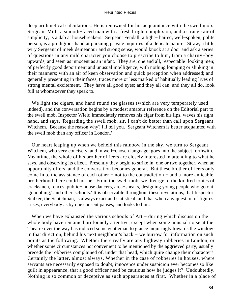deep arithmetical calculations. He is renowned for his acquaintance with the swell mob. Sergeant Mith, a smooth−faced man with a fresh bright complexion, and a strange air of simplicity, is a dab at housebreakers. Sergeant Fendall, a light− haired, well−spoken, polite person, is a prodigious hand at pursuing private inquiries of a delicate nature. Straw, a little wiry Sergeant of meek demeanour and strong sense, would knock at a door and ask a series of questions in any mild character you choose to prescribe to him, from a charity−boy upwards, and seem as innocent as an infant. They are, one and all, respectable−looking men; of perfectly good deportment and unusual intelligence; with nothing lounging or slinking in their manners; with an air of keen observation and quick perception when addressed; and generally presenting in their faces, traces more or less marked of habitually leading lives of strong mental excitement. They have all good eyes; and they all can, and they all do, look full at whomsoever they speak to.

 We light the cigars, and hand round the glasses (which are very temperately used indeed), and the conversation begins by a modest amateur reference on the Editorial part to the swell mob. Inspector Wield immediately removes his cigar from his lips, waves his right hand, and says, 'Regarding the swell mob, sir, I can't do better than call upon Sergeant Witchem. Because the reason why? I'll tell you. Sergeant Witchem is better acquainted with the swell mob than any officer in London.'

 Our heart leaping up when we beheld this rainbow in the sky, we turn to Sergeant Witchem, who very concisely, and in well−chosen language, goes into the subject forthwith. Meantime, the whole of his brother officers are closely interested in attending to what he says, and observing its effect. Presently they begin to strike in, one or two together, when an opportunity offers, and the conversation becomes general. But these brother officers only come in to the assistance of each other − not to the contradiction − and a more amicable brotherhood there could not be. From the swell mob, we diverge to the kindred topics of cracksmen, fences, public− house dancers, area−sneaks, designing young people who go out 'gonophing,' and other 'schools.' It is observable throughout these revelations, that Inspector Stalker, the Scotchman, is always exact and statistical, and that when any question of figures arises, everybody as by one consent pauses, and looks to him.

 When we have exhausted the various schools of Art − during which discussion the whole body have remained profoundly attentive, except when some unusual noise at the Theatre over the way has induced some gentleman to glance inquiringly towards the window in that direction, behind his next neighbour's back − we burrow for information on such points as the following. Whether there really are any highway robberies in London, or whether some circumstances not convenient to be mentioned by the aggrieved party, usually precede the robberies complained of, under that head, which quite change their character? Certainly the latter, almost always. Whether in the case of robberies in houses, where servants are necessarily exposed to doubt, innocence under suspicion ever becomes so like guilt in appearance, that a good officer need be cautious how he judges it? Undoubtedly. Nothing is so common or deceptive as such appearances at first. Whether in a place of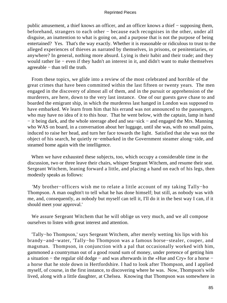public amusement, a thief knows an officer, and an officer knows a thief – supposing them, beforehand, strangers to each other − because each recognises in the other, under all disguise, an inattention to what is going on, and a purpose that is not the purpose of being entertained? Yes. That's the way exactly. Whether it is reasonable or ridiculous to trust to the alleged experiences of thieves as narrated by themselves, in prisons, or penitentiaries, or anywhere? In general, nothing more absurd. Lying is their habit and their trade; and they would rather lie − even if they hadn't an interest in it, and didn't want to make themselves agreeable − than tell the truth.

 From these topics, we glide into a review of the most celebrated and horrible of the great crimes that have been committed within the last fifteen or twenty years. The men engaged in the discovery of almost all of them, and in the pursuit or apprehension of the murderers, are here, down to the very last instance. One of our guests gave chase to and boarded the emigrant ship, in which the murderess last hanged in London was supposed to have embarked. We learn from him that his errand was not announced to the passengers, who may have no idea of it to this hour. That he went below, with the captain, lamp in hand − it being dark, and the whole steerage abed and sea−sick − and engaged the Mrs. Manning who WAS on board, in a conversation about her luggage, until she was, with no small pains, induced to raise her head, and turn her face towards the light. Satisfied that she was not the object of his search, he quietly re−embarked in the Government steamer along−side, and steamed home again with the intelligence.

 When we have exhausted these subjects, too, which occupy a considerable time in the discussion, two or three leave their chairs, whisper Sergeant Witchem, and resume their seat. Sergeant Witchem, leaning forward a little, and placing a hand on each of his legs, then modestly speaks as follows:

 'My brother−officers wish me to relate a little account of my taking Tally−ho Thompson. A man oughtn't to tell what he has done himself; but still, as nobody was with me, and, consequently, as nobody but myself can tell it, I'll do it in the best way I can, if it should meet your approval.'

 We assure Sergeant Witchem that he will oblige us very much, and we all compose ourselves to listen with great interest and attention.

 'Tally−ho Thompson,' says Sergeant Witchem, after merely wetting his lips with his brandy−and−water, 'Tally−ho Thompson was a famous horse−stealer, couper, and magsman. Thompson, in conjunction with a pal that occasionally worked with him, gammoned a countryman out of a good round sum of money, under pretence of getting him a situation − the regular old dodge − and was afterwards in the «Hue and Cry» for a horse − a horse that he stole down in Hertfordshire. I had to look after Thompson, and I applied myself, of course, in the first instance, to discovering where he was. Now, Thompson's wife lived, along with a little daughter, at Chelsea. Knowing that Thompson was somewhere in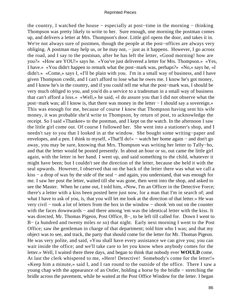the country, I watched the house − especially at post−time in the morning − thinking Thompson was pretty likely to write to her. Sure enough, one morning the postman comes up, and delivers a letter at Mrs. Thompson's door. Little girl opens the door, and takes it in. We're not always sure of postmen, though the people at the post−offices are always very obliging. A postman may help us, or he may not, − just as it happens. However, I go across the road, and I say to the postman, after he has left the letter, «Good morning! how are you?» «How are YOU!» says he. «You've just delivered a letter for Mrs. Thompson.» «Yes, I have.» «You didn't happen to remark what the post−mark was, perhaps?» «No,» says he, «I didn't.» «Come,» says I, «I'll be plain with you. I'm in a small way of business, and I have given Thompson credit, and I can't afford to lose what he owes me. I know he's got money, and I know he's in the country, and if you could tell me what the post−mark was, I should be very much obliged to you, and you'd do a service to a tradesman in a small way of business that can't afford a loss.» «Well,» he said, «I do assure you that I did not observe what the post−mark was; all I know is, that there was money in the letter − I should say a sovereign.» This was enough for me, because of course I knew that Thompson having sent his wife money, it was probable she'd write to Thompson, by return of post, to acknowledge the receipt. So I said «Thankee» to the postman, and I kept on the watch. In the afternoon I saw the little girl come out. Of course I followed her. She went into a stationer's shop, and I needn't say to you that I looked in at the window. She bought some writing−paper and envelopes, and a pen. I think to myself, «That'll do!» − watch her home again − and don't go away, you may be sure, knowing that Mrs. Thompson was writing her letter to Tally−ho, and that the letter would be posted presently. In about an hour or so, out came the little girl again, with the letter in her hand. I went up, and said something to the child, whatever it might have been; but I couldn't see the direction of the letter, because she held it with the seal upwards. However, I observed that on the back of the letter there was what we call a kiss − a drop of wax by the side of the seal − and again, you understand, that was enough for me. I saw her post the letter, waited till she was gone, then went into the shop, and asked to see the Master. When he came out, I told him, «Now, I'm an Officer in the Detective Force; there's a letter with a kiss been posted here just now, for a man that I'm in search of; and what I have to ask of you, is, that you will let me look at the direction of that letter.» He was very civil − took a lot of letters from the box in the window − shook 'em out on the counter with the faces downwards – and there among 'em was the identical letter with the kiss. It was directed, Mr. Thomas Pigeon, Post Office, B−, to be left till called for. Down I went to B− (a hundred and twenty miles or so) that night. Early next morning I went to the Post Office; saw the gentleman in charge of that department; told him who I was; and that my object was to see, and track, the party that should come for the letter for Mr. Thomas Pigeon. He was very polite, and said, «You shall have every assistance we can give you; you can wait inside the office; and we'll take care to let you know when anybody comes for the letter.» Well, I waited there three days, and began to think that nobody ever **WOULD** come. At last the clerk whispered to me, «Here! Detective! Somebody's come for the letter!» «Keep him a minute,» said I, and I ran round to the outside of the office. There I saw a young chap with the appearance of an Ostler, holding a horse by the bridle − stretching the bridle across the pavement, while he waited at the Post Office Window for the letter. I began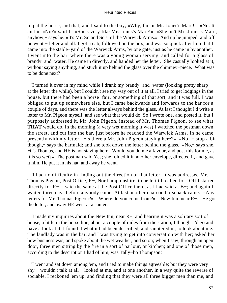to pat the horse, and that; and I said to the boy, «Why, this is Mr. Jones's Mare!» «No. It an't.» «No?» said I. «She's very like Mr. Jones's Mare!» «She an't Mr. Jones's Mare, anyhow,» says he. «It's Mr. So and So's, of the Warwick Arms.» And up he jumped, and off he went – letter and all. I got a cab, followed on the box, and was so quick after him that I came into the stable−yard of the Warwick Arms, by one gate, just as he came in by another. I went into the bar, where there was a young woman serving, and called for a glass of brandy−and−water. He came in directly, and handed her the letter. She casually looked at it, without saying anything, and stuck it up behind the glass over the chimney−piece. What was to be done next?

 'I turned it over in my mind while I drank my brandy−and−water (looking pretty sharp at the letter the while), but I couldn't see my way out of it at all. I tried to get lodgings in the house, but there had been a horse−fair, or something of that sort, and it was full. I was obliged to put up somewhere else, but I came backwards and forwards to the bar for a couple of days, and there was the letter always behind the glass. At last I thought I'd write a letter to Mr. Pigeon myself, and see what that would do. So I wrote one, and posted it, but I purposely addressed it, Mr. John Pigeon, instead of Mr. Thomas Pigeon, to see what **THAT** would do. In the morning (a very wet morning it was) I watched the postman down the street, and cut into the bar, just before he reached the Warwick Arms. In he came presently with my letter. «Is there a Mr. John Pigeon staying here?» «No! − stop a bit though,» says the barmaid; and she took down the letter behind the glass. «No,» says she, «it's Thomas, and HE is not staying here. Would you do me a favour, and post this for me, as it is so wet?» The postman said Yes; she folded it in another envelope, directed it, and gave it him. He put it in his hat, and away he went.

 'I had no difficulty in finding out the direction of that letter. It was addressed Mr. Thomas Pigeon, Post Office, R−, Northamptonshire, to be left till called for. Off I started directly for R−; I said the same at the Post Office there, as I had said at B−; and again I waited three days before anybody came. At last another chap on horseback came. «Any letters for Mr. Thomas Pigeon?» «Where do you come from?» «New Inn, near R−.» He got the letter, and away HE went at a canter.

 'I made my inquiries about the New Inn, near R−, and hearing it was a solitary sort of house, a little in the horse line, about a couple of miles from the station, I thought I'd go and have a look at it. I found it what it had been described, and sauntered in, to look about me. The landlady was in the bar, and I was trying to get into conversation with her; asked her how business was, and spoke about the wet weather, and so on; when I saw, through an open door, three men sitting by the fire in a sort of parlour, or kitchen; and one of those men, according to the description I had of him, was Tally−ho Thompson!

 'I went and sat down among 'em, and tried to make things agreeable; but they were very shy – wouldn't talk at all – looked at me, and at one another, in a way quite the reverse of sociable. I reckoned 'em up, and finding that they were all three bigger men than me, and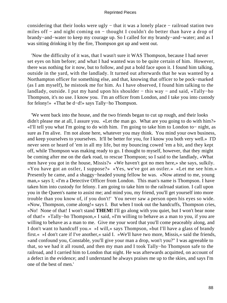considering that their looks were ugly − that it was a lonely place − railroad station two miles off − and night coming on − thought I couldn't do better than have a drop of brandy−and−water to keep my courage up. So I called for my brandy−and−water; and as I was sitting drinking it by the fire, Thompson got up and went out.

 'Now the difficulty of it was, that I wasn't sure it WAS Thompson, because I had never set eyes on him before; and what I had wanted was to be quite certain of him. However, there was nothing for it now, but to follow, and put a bold face upon it. I found him talking, outside in the yard, with the landlady. It turned out afterwards that he was wanted by a Northampton officer for something else, and that, knowing that officer to be pock−marked (as I am myself), he mistook me for him. As I have observed, I found him talking to the landlady, outside. I put my hand upon his shoulder − this way − and said, «Tally−ho Thompson, it's no use. I know you. I'm an officer from London, and I take you into custody for felony!» «That be d−d!» says Tally−ho Thompson.

 'We went back into the house, and the two friends began to cut up rough, and their looks didn't please me at all, I assure you. «Let the man go. What are you going to do with him?» «I'll tell you what I'm going to do with him. I'm going to take him to London to− night, as sure as I'm alive. I'm not alone here, whatever you may think. You mind your own business, and keep yourselves to yourselves. It'll be better for you, for I know you both very well.» I'D never seen or heard of 'em in all my life, but my bouncing cowed 'em a bit, and they kept off, while Thompson was making ready to go. I thought to myself, however, that they might be coming after me on the dark road, to rescue Thompson; so I said to the landlady, «What men have you got in the house, Missis?» «We haven't got no men here,» she says, sulkily. «You have got an ostler, I suppose?» «Yes, we've got an ostler.» «Let me see him.» Presently he came, and a shaggy−headed young fellow he was. «Now attend to me, young man,» says I; «I'm a Detective Officer from London. This man's name is Thompson. I have taken him into custody for felony. I am going to take him to the railroad station. I call upon you in the Queen's name to assist me; and mind you, my friend, you'll get yourself into more trouble than you know of, if you don't!' You never saw a person open his eyes so wide. »Now, Thompson, come along!« says I. But when I took out the handcuffs, Thompson cries, »No! None of that! I won't stand **THEM!** I'll go along with you quiet, but I won't bear none of that!« »Tally−ho Thompson,« I said, »I'm willing to behave as a man to you, if you are willing to behave as a man to me. Give me your word that you'll come peaceably along, and I don't want to handcuff you.« »I will,« says Thompson, »but I'll have a glass of brandy first.« »I don't care if I've another,« said I. »We'll have two more, Missis,« said the friends, »and confound you, Constable, you'll give your man a drop, won't you?" I was agreeable to that, so we had it all round, and then my man and I took Tally−ho Thompson safe to the railroad, and I carried him to London that night. He was afterwards acquitted, on account of a defect in the evidence; and I understand he always praises me up to the skies, and says I'm one of the best of men.'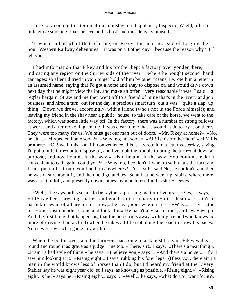This story coming to a termination amidst general applause, Inspector Wield, after a little grave smoking, fixes his eye on his host, and thus delivers himself:

 'It wasn't a bad plant that of mine, on Fikey, the man accused of forging the Sou'−Western Railway debentures − it was only t'other day − because the reason why? I'll tell you.

 'I had information that Fikey and his brother kept a factory over yonder there,' − indicating any region on the Surrey side of the river − 'where he bought second−hand carriages; so after I'd tried in vain to get hold of him by other means, I wrote him a letter in an assumed name, saying that I'd got a horse and shay to dispose of, and would drive down next day that he might view the lot, and make an offer – very reasonable it was, I said – a reg'lar bargain. Straw and me then went off to a friend of mine that's in the livery and job business, and hired a turn−out for the day, a precious smart turn−out it was − quite a slap−up thing! Down we drove, accordingly, with a friend (who's not in the Force himself); and leaving my friend in the shay near a public−house, to take care of the horse, we went to the factory, which was some little way off. In the factory, there was a number of strong fellows at work, and after reckoning 'em up, it was clear to me that it wouldn't do to try it on there. They were too many for us. We must get our man out of doors. «Mr. Fikey at home?» «No, he ain't.» «Expected home soon?» «Why, no, not soon.» «Ah! Is his brother here?» «I'M his brother.» «Oh! well, this is an ill−conwenience, this is. I wrote him a letter yesterday, saying I'd got a little turn−out to dispose of, and I've took the trouble to bring the turn−out down a' purpose, and now he ain't in the way.» «No, he ain't in the way. You couldn't make it convenient to call again, could you?» «Why, no, I couldn't. I want to sell; that's the fact; and I can't put it off. Could you find him anywheres?» At first he said No, he couldn't, and then he wasn't sure about it, and then he'd go and try. So at last he went up−stairs, where there was a sort of loft, and presently down comes my man himself in his shirt−sleeves.

 '«Well,» he says, «this seems to be rayther a pressing matter of yours.» «Yes,» I says, «it IS rayther a pressing matter, and you'll find it a bargain − dirt cheap.» «I ain't in partickler want of a bargain just now,» he says, «but where is it?» «Why,» I says, «the turn−out's just outside. Come and look at it.» He hasn't any suspicions, and away we go. And the first thing that happens is, that the horse runs away with my friend (who knows no more of driving than a child) when he takes a little trot along the road to show his paces. You never saw such a game in your life!

 'When the bolt is over, and the turn−out has come to a standstill again, Fikey walks round and round it as grave as a judge − me too. «There, sir!» I says. «There's a neat thing!» «It ain't a bad style of thing,» he says. «I believe you,» says I. «And there's a horse!» − for I saw him looking at it. «Rising eight!» I says, rubbing his fore−legs. (Bless you, there ain't a man in the world knows less of horses than I do, but I'd heard my friend at the Livery Stables say he was eight year old, so I says, as knowing as possible, «Rising eight.») «Rising eight, is he?» says he. «Rising eight,» says I. «Well,» he says, «what do you want for it?»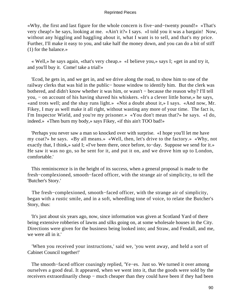«Why, the first and last figure for the whole concern is five−and−twenty pound!» «That's very cheap!» he says, looking at me. «Ain't it?» I says. «I told you it was a bargain! Now, without any higgling and haggling about it, what I want is to sell, and that's my price. Further, I'll make it easy to you, and take half the money down, and you can do a bit of stiff (1) for the balance.»

 « Well,» he says again, «that's very cheap.» «I believe you,» says I; «get in and try it, and you'll buy it. Come! take a trial!»

 'Ecod, he gets in, and we get in, and we drive along the road, to show him to one of the railway clerks that was hid in the public− house window to identify him. But the clerk was bothered, and didn't know whether it was him, or wasn't − because the reason why? I'll tell you, − on account of his having shaved his whiskers. «It's a clever little horse,» he says, «and trots well; and the shay runs light.» «Not a doubt about it,» I says. «And now, Mr. Fikey, I may as well make it all right, without wasting any more of your time. The fact is, I'm Inspector Wield, and you're my prisoner.» «You don't mean that?» he says. «I do, indeed.» «Then burn my body,» says Fikey, «if this ain't TOO bad!»

 'Perhaps you never saw a man so knocked over with surprise. «I hope you'll let me have my coat?» he says. «By all means.» «Well, then, let's drive to the factory.» «Why, not exactly that, I think,» said I; «I've been there, once before, to−day. Suppose we send for it.» He saw it was no go, so he sent for it, and put it on, and we drove him up to London, comfortable.'

 This reminiscence is in the height of its success, when a general proposal is made to the fresh−complexioned, smooth−faced officer, with the strange air of simplicity, to tell the 'Butcher's Story.'

 The fresh−complexioned, smooth−faced officer, with the strange air of simplicity, began with a rustic smile, and in a soft, wheedling tone of voice, to relate the Butcher's Story, thus:

 'It's just about six years ago, now, since information was given at Scotland Yard of there being extensive robberies of lawns and silks going on, at some wholesale houses in the City. Directions were given for the business being looked into; and Straw, and Fendall, and me, we were all in it.'

 'When you received your instructions,' said we, 'you went away, and held a sort of Cabinet Council together!'

 The smooth−faced officer coaxingly replied, 'Ye−es. Just so. We turned it over among ourselves a good deal. It appeared, when we went into it, that the goods were sold by the receivers extraordinarily cheap − much cheaper than they could have been if they had been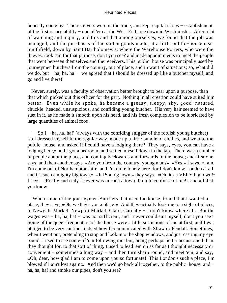honestly come by. The receivers were in the trade, and kept capital shops – establishments of the first respectability − one of 'em at the West End, one down in Westminster. After a lot of watching and inquiry, and this and that among ourselves, we found that the job was managed, and the purchases of the stolen goods made, at a little public−house near Smithfield, down by Saint Bartholomew's; where the Warehouse Porters, who were the thieves, took 'em for that purpose, don't you see? and made appointments to meet the people that went between themselves and the receivers. This public−house was principally used by journeymen butchers from the country, out of place, and in want of situations; so, what did we do, but – ha, ha, ha! – we agreed that I should be dressed up like a butcher myself, and go and live there!'

 Never, surely, was a faculty of observation better brought to bear upon a purpose, than that which picked out this officer for the part. Nothing in all creation could have suited him better. Even while he spoke, he became a greasy, sleepy, shy, good−natured, chuckle−headed, unsuspicious, and confiding young butcher. His very hair seemed to have suet in it, as he made it smooth upon his head, and his fresh complexion to be lubricated by large quantities of animal food.

 ' − So I − ha, ha, ha!' (always with the confiding snigger of the foolish young butcher) 'so I dressed myself in the regular way, made up a little bundle of clothes, and went to the public−house, and asked if I could have a lodging there? They says, «yes, you can have a lodging here,» and I got a bedroom, and settled myself down in the tap. There was a number of people about the place, and coming backwards and forwards to the house; and first one says, and then another says, «Are you from the country, young man?» «Yes,» I says, «I am. I'm come out of Northamptonshire, and I'm quite lonely here, for I don't know London at all, and it's such a mighty big town.» «It **IS a** big town,» they says. «Oh, it's a VERY big town!» I says. «Really and truly I never was in such a town. It quite confuses of me!» and all that, you know.

 'When some of the journeymen Butchers that used the house, found that I wanted a place, they says, «Oh, we'll get you a place!» And they actually took me to a sight of places, in Newgate Market, Newport Market, Clare, Carnaby − I don't know where all. But the wages was − ha, ha, ha! − was not sufficient, and I never could suit myself, don't you see? Some of the queer frequenters of the house were a little suspicious of me at first, and I was obliged to be very cautious indeed how I communicated with Straw or Fendall. Sometimes, when I went out, pretending to stop and look into the shop windows, and just casting my eye round, I used to see some of 'em following me; but, being perhaps better accustomed than they thought for, to that sort of thing, I used to lead 'em on as far as I thought necessary or convenient − sometimes a long way − and then turn sharp round, and meet 'em, and say, «Oh, dear, how glad I am to come upon you so fortunate! This London's such a place, I'm blowed if I ain't lost again!» And then we'd go back all together, to the public−house, and − ha, ha, ha! and smoke our pipes, don't you see?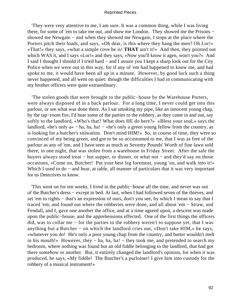'They were very attentive to me, I am sure. It was a common thing, while I was living there, for some of 'em to take me out, and show me London. They showed me the Prisons − showed me Newgate − and when they showed me Newgate, I stops at the place where the Porters pitch their loads, and says, «Oh dear, is this where they hang the men? Oh Lor!» «That!» they says, «what a simple cove he is! **THAT** ain't it!» And then, they pointed out which WAS it, and I says «Lor!» and they says, «Now you'll know it agen, won't you?» And I said I thought I should if I tried hard − and I assure you I kept a sharp look out for the City Police when we were out in this way, for if any of 'em had happened to know me, and had spoke to me, it would have been all up in a minute. However, by good luck such a thing never happened, and all went on quiet: though the difficulties I had in communicating with my brother officers were quite extraordinary.

 'The stolen goods that were brought to the public−house by the Warehouse Porters, were always disposed of in a back parlour. For a long time, I never could get into this parlour, or see what was done there. As I sat smoking my pipe, like an innocent young chap, by the tap−room fire, I'd hear some of the parties to the robbery, as they came in and out, say softly to the landlord, «Who's that? What does HE do here?» «Bless your soul,» says the landlord, «he's only a» – ha, ha, ha! – «he's only a green young fellow from the country, as is looking for a butcher's sitiwation. Don't mind HIM!» So, in course of time, they were so convinced of my being green, and got to be so accustomed to me, that I was as free of the parlour as any of 'em, and I have seen as much as Seventy Pounds' Worth of fine lawn sold there, in one night, that was stolen from a warehouse in Friday Street. After the sale the buyers always stood treat − hot supper, or dinner, or what not − and they'd say on those occasions, «Come on, Butcher! Put your best leg foremost, young 'un, and walk into it!» Which I used to do – and hear, at table, all manner of particulars that it was very important for us Detectives to know.

 'This went on for ten weeks. I lived in the public−house all the time, and never was out of the Butcher's dress − except in bed. At last, when I had followed seven of the thieves, and set 'em to rights – that's an expression of ours, don't you see, by which I mean to say that I traced 'em, and found out where the robberies were done, and all about 'em − Straw, and Fendall, and I, gave one another the office, and at a time agreed upon, a descent was made upon the public−house, and the apprehensions effected. One of the first things the officers did, was to collar me − for the parties to the robbery weren't to suppose yet, that I was anything but a Butcher − on which the landlord cries out, «Don't take HIM,» he says, «whatever you do! He's only a poor young chap from the country, and butter wouldn't melt in his mouth!» However, they − ha, ha, ha! − they took me, and pretended to search my bedroom, where nothing was found but an old fiddle belonging to the landlord, that had got there somehow or another. But, it entirely changed the landlord's opinion, for when it was produced, he says, «My fiddle! The Butcher's a purloiner! I give him into custody for the robbery of a musical instrument!»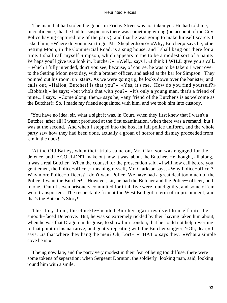'The man that had stolen the goods in Friday Street was not taken yet. He had told me, in confidence, that he had his suspicions there was something wrong (on account of the City Police having captured one of the party), and that he was going to make himself scarce. I asked him, «Where do you mean to go, Mr. Shepherdson?» «Why, Butcher,» says he, «the Setting Moon, in the Commercial Road, is a snug house, and I shall bang out there for a time. I shall call myself Simpson, which appears to me to be a modest sort of a name. Perhaps you'll give us a look in, Butcher?» «Well,» says I, «I think **I WILL** give you a call» − which I fully intended, don't you see, because, of course, he was to be taken! I went over to the Setting Moon next day, with a brother officer, and asked at the bar for Simpson. They pointed out his room, up−stairs. As we were going up, he looks down over the banister, and calls out, «Halloa, Butcher! is that you?» «Yes, it's me. How do you find yourself?» «Bobbish,» he says; «but who's that with you?» «It's only a young man, that's a friend of mine,» I says. «Come along, then,» says he; «any friend of the Butcher's is as welcome as the Butcher!» So, I made my friend acquainted with him, and we took him into custody.

 'You have no idea, sir, what a sight it was, in Court, when they first knew that I wasn't a Butcher, after all! I wasn't produced at the first examination, when there was a remand; but I was at the second. And when I stepped into the box, in full police uniform, and the whole party saw how they had been done, actually a groan of horror and dismay proceeded from 'em in the dock!

 'At the Old Bailey, when their trials came on, Mr. Clarkson was engaged for the defence, and he COULDN'T make out how it was, about the Butcher. He thought, all along, it was a real Butcher. When the counsel for the prosecution said, «I will now call before you, gentlemen, the Police−officer,» meaning myself, Mr. Clarkson says, «Why Police−officer? Why more Police−officers? I don't want Police. We have had a great deal too much of the Police. I want the Butcher!» However, sir, he had the Butcher and the Police− officer, both in one. Out of seven prisoners committed for trial, five were found guilty, and some of 'em were transported. The respectable firm at the West End got a term of imprisonment; and that's the Butcher's Story!'

 The story done, the chuckle−headed Butcher again resolved himself into the smooth−faced Detective. But, he was so extremely tickled by their having taken him about, when he was that Dragon in disguise, to show him London, that he could not help reverting to that point in his narrative; and gently repeating with the Butcher snigger, '«Oh, dear,» I says, «is that where they hang the men? Oh, Lor!» «THAT!» says they. «What a simple cove he is!»'

 It being now late, and the party very modest in their fear of being too diffuse, there were some tokens of separation; when Sergeant Dornton, the soldierly−looking man, said, looking round him with a smile: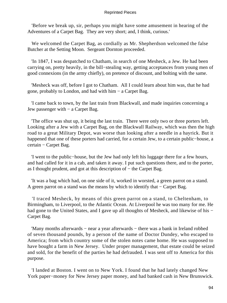'Before we break up, sir, perhaps you might have some amusement in hearing of the Adventures of a Carpet Bag. They are very short; and, I think, curious.'

 We welcomed the Carpet Bag, as cordially as Mr. Shepherdson welcomed the false Butcher at the Setting Moon. Sergeant Dornton proceeded.

 'In 1847, I was despatched to Chatham, in search of one Mesheck, a Jew. He had been carrying on, pretty heavily, in the bill−stealing way, getting acceptances from young men of good connexions (in the army chiefly), on pretence of discount, and bolting with the same.

 'Mesheck was off, before I got to Chatham. All I could learn about him was, that he had gone, probably to London, and had with him − a Carpet Bag.

 'I came back to town, by the last train from Blackwall, and made inquiries concerning a Jew passenger with − a Carpet Bag.

 'The office was shut up, it being the last train. There were only two or three porters left. Looking after a Jew with a Carpet Bag, on the Blackwall Railway, which was then the high road to a great Military Depot, was worse than looking after a needle in a hayrick. But it happened that one of these porters had carried, for a certain Jew, to a certain public−house, a certain − Carpet Bag.

 'I went to the public−house, but the Jew had only left his luggage there for a few hours, and had called for it in a cab, and taken it away. I put such questions there, and to the porter, as I thought prudent, and got at this description of − the Carpet Bag.

 'It was a bag which had, on one side of it, worked in worsted, a green parrot on a stand. A green parrot on a stand was the means by which to identify that – Carpet Bag.

 'I traced Mesheck, by means of this green parrot on a stand, to Cheltenham, to Birmingham, to Liverpool, to the Atlantic Ocean. At Liverpool he was too many for me. He had gone to the United States, and I gave up all thoughts of Mesheck, and likewise of his − Carpet Bag.

 'Many months afterwards − near a year afterwards − there was a bank in Ireland robbed of seven thousand pounds, by a person of the name of Doctor Dundey, who escaped to America; from which country some of the stolen notes came home. He was supposed to have bought a farm in New Jersey. Under proper management, that estate could be seized and sold, for the benefit of the parties he had defrauded. I was sent off to America for this purpose.

 'I landed at Boston. I went on to New York. I found that he had lately changed New York paper−money for New Jersey paper money, and had banked cash in New Brunswick.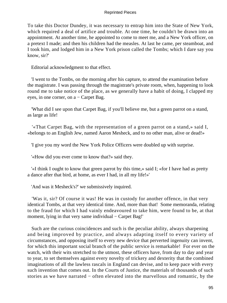To take this Doctor Dundey, it was necessary to entrap him into the State of New York, which required a deal of artifice and trouble. At one time, he couldn't be drawn into an appointment. At another time, he appointed to come to meet me, and a New York officer, on a pretext I made; and then his children had the measles. At last he came, per steamboat, and I took him, and lodged him in a New York prison called the Tombs; which I dare say you know, sir?'

Editorial acknowledgment to that effect.

 'I went to the Tombs, on the morning after his capture, to attend the examination before the magistrate. I was passing through the magistrate's private room, when, happening to look round me to take notice of the place, as we generally have a habit of doing, I clapped my eyes, in one corner, on a − Carpet Bag.

 'What did I see upon that Carpet Bag, if you'll believe me, but a green parrot on a stand, as large as life!

 '«That Carpet Bag, with the representation of a green parrot on a stand,» said I, «belongs to an English Jew, named Aaron Mesheck, and to no other man, alive or dead!»

'I give you my word the New York Police Officers were doubled up with surprise.

'«How did you ever come to know that?» said they.

 '«I think I ought to know that green parrot by this time,» said I; «for I have had as pretty a dance after that bird, at home, as ever I had, in all my life!»'

'And was it Mesheck's?' we submissively inquired.

 'Was it, sir? Of course it was! He was in custody for another offence, in that very identical Tombs, at that very identical time. And, more than that! Some memoranda, relating to the fraud for which I had vainly endeavoured to take him, were found to be, at that moment, lying in that very same individual – Carpet Bag!'

 Such are the curious coincidences and such is the peculiar ability, always sharpening and being improved by practice, and always adapting itself to every variety of circumstances, and opposing itself to every new device that perverted ingenuity can invent, for which this important social branch of the public service is remarkable! For ever on the watch, with their wits stretched to the utmost, these officers have, from day to day and year to year, to set themselves against every novelty of trickery and dexterity that the combined imaginations of all the lawless rascals in England can devise, and to keep pace with every such invention that comes out. In the Courts of Justice, the materials of thousands of such stories as we have narrated − often elevated into the marvellous and romantic, by the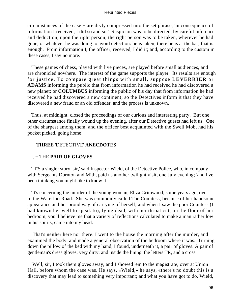circumstances of the case − are dryly compressed into the set phrase, 'in consequence of information I received, I did so and so.' Suspicion was to be directed, by careful inference and deduction, upon the right person; the right person was to be taken, wherever he had gone, or whatever he was doing to avoid detection: he is taken; there he is at the bar; that is enough. From information I, the officer, received, I did it; and, according to the custom in these cases, I say no more.

 These games of chess, played with live pieces, are played before small audiences, and are chronicled nowhere. The interest of the game supports the player. Its results are enough for justice. To compare great things with small, suppose **LEVERRIER** or **ADAMS** informing the public that from information he had received he had discovered a new planet; or **COLUMBUS** informing the public of his day that from information he had received he had discovered a new continent; so the Detectives inform it that they have discovered a new fraud or an old offender, and the process is unknown.

 Thus, at midnight, closed the proceedings of our curious and interesting party. But one other circumstance finally wound up the evening, after our Detective guests had left us. One of the sharpest among them, and the officer best acquainted with the Swell Mob, had his pocket picked, going home!

# **THREE** 'DETECTIVE' **ANECDOTES**

# I. − THE **PAIR OF GLOVES**

 'IT'S a singler story, sir,' said Inspector Wield, of the Detective Police, who, in company with Sergeants Dornton and Mith, paid us another twilight visit, one July evening; 'and I've been thinking you might like to know it.

 'It's concerning the murder of the young woman, Eliza Grimwood, some years ago, over in the Waterloo Road. She was commonly called The Countess, because of her handsome appearance and her proud way of carrying of herself; and when I saw the poor Countess (I had known her well to speak to), lying dead, with her throat cut, on the floor of her bedroom, you'll believe me that a variety of reflections calculated to make a man rather low in his spirits, came into my head.

 'That's neither here nor there. I went to the house the morning after the murder, and examined the body, and made a general observation of the bedroom where it was. Turning down the pillow of the bed with my hand, I found, underneath it, a pair of gloves. A pair of gentleman's dress gloves, very dirty; and inside the lining, the letters TR, and a cross.

 'Well, sir, I took them gloves away, and I showed 'em to the magistrate, over at Union Hall, before whom the case was. He says, «Wield,» he says, «there's no doubt this is a discovery that may lead to something very important; and what you have got to do, Wield,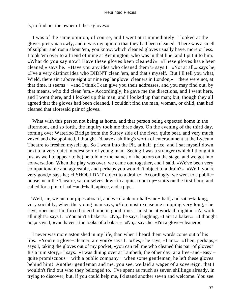is, to find out the owner of these gloves.»

 'I was of the same opinion, of course, and I went at it immediately. I looked at the gloves pretty narrowly, and it was my opinion that they had been cleaned. There was a smell of sulphur and rosin about 'em, you know, which cleaned gloves usually have, more or less. I took 'em over to a friend of mine at Kennington, who was in that line, and I put it to him. «What do you say now? Have these gloves been cleaned?» «These gloves have been cleaned,» says he. «Have you any idea who cleaned them?» says I. «Not at all,» says he; «I've a very distinct idea who DIDN'T clean 'em, and that's myself. But I'll tell you what, Wield, there ain't above eight or nine reg'lar glove−cleaners in London,» − there were not, at that time, it seems − «and I think I can give you their addresses, and you may find out, by that means, who did clean 'em.» Accordingly, he gave me the directions, and I went here, and I went there, and I looked up this man, and I looked up that man; but, though they all agreed that the gloves had been cleaned, I couldn't find the man, woman, or child, that had cleaned that aforesaid pair of gloves.

 'What with this person not being at home, and that person being expected home in the afternoon, and so forth, the inquiry took me three days. On the evening of the third day, coming over Waterloo Bridge from the Surrey side of the river, quite beat, and very much vexed and disappointed, I thought I'd have a shilling's worth of entertainment at the Lyceum Theatre to freshen myself up. So I went into the Pit, at half−price, and I sat myself down next to a very quiet, modest sort of young man. Seeing I was a stranger (which I thought it just as well to appear to be) he told me the names of the actors on the stage, and we got into conversation. When the play was over, we came out together, and I said, «We've been very companionable and agreeable, and perhaps you wouldn't object to a drain?» «Well, you're very good,» says he; «I SHOULDN'T object to a drain.» Accordingly, we went to a public− house, near the Theatre, sat ourselves down in a quiet room up− stairs on the first floor, and called for a pint of half−and−half, apiece, and a pipe.

 'Well, sir, we put our pipes aboard, and we drank our half−and− half, and sat a−talking, very sociably, when the young man says, «You must excuse me stopping very long,» he says, «because I'm forced to go home in good time. I must be at work all night.» «At work all night?» says I. «You ain't a baker?» «No,» he says, laughing, «I ain't a baker.» «I thought not,» says I, «you haven't the looks of a baker.» «No,» says he, «I'm a glove−cleaner.»

 'I never was more astonished in my life, than when I heard them words come out of his lips. «You're a glove−cleaner, are you?» says I. «Yes,» he says, «I am.» «Then, perhaps,» says I, taking the gloves out of my pocket, «you can tell me who cleaned this pair of gloves? It's a rum story,» I says. «I was dining over at Lambeth, the other day, at a free−and−easy − quite promiscuous – with a public company – when some gentleman, he left these gloves behind him! Another gentleman and me, you see, we laid a wager of a sovereign, that I wouldn't find out who they belonged to. I've spent as much as seven shillings already, in trying to discover; but, if you could help me, I'd stand another seven and welcome. You see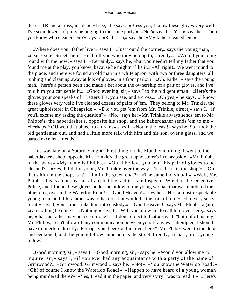there's TR and a cross, inside.» «I see,» he says. «Bless you, I know these gloves very well! I've seen dozens of pairs belonging to the same party.» «No?» says I. «Yes,» says he. «Then you know who cleaned 'em?» says I. «Rather so,» says he. «My father cleaned 'em.»

 '«Where does your father live?» says I. «Just round the corner,» says the young man, «near Exeter Street, here. He'll tell you who they belong to, directly.» «Would you come round with me now?» says I. «Certainly,» says he, «but you needn't tell my father that you found me at the play, you know, because he mightn't like it.» «All right!» We went round to the place, and there we found an old man in a white apron, with two or three daughters, all rubbing and cleaning away at lots of gloves, in a front parlour. «Oh, Father!» says the young man, «here's a person been and made a bet about the ownership of a pair of gloves, and I've told him you can settle it.» «Good evening, sir,» says I to the old gentleman. «Here's the gloves your son speaks of. Letters TR, you see, and a cross.» «Oh yes,» he says, «I know these gloves very well; I've cleaned dozens of pairs of 'em. They belong to Mr. Trinkle, the great upholsterer in Cheapside.» «Did you get 'em from Mr. Trinkle, direct,» says I, «if you'll excuse my asking the question?» «No,» says he; «Mr. Trinkle always sends 'em to Mr. Phibbs's, the haberdasher's, opposite his shop, and the haberdasher sends 'em to me.» «Perhaps YOU wouldn't object to a drain?» says I. «Not in the least!» says he. So I took the old gentleman out, and had a little more talk with him and his son, over a glass, and we parted excellent friends.

 'This was late on a Saturday night. First thing on the Monday morning, I went to the haberdasher's shop, opposite Mr. Trinkle's, the great upholsterer's in Cheapside. «Mr. Phibbs in the way?» «My name is Phibbs.» «Oh! I believe you sent this pair of gloves to be cleaned?» «Yes, I did, for young Mr. Trinkle over the way. There he is in the shop!» «Oh! that's him in the shop, is it? Him in the green coat?» «The same individual.» «Well, Mr. Phibbs, this is an unpleasant affair; but the fact is, I am Inspector Wield of the Detective Police, and I found these gloves under the pillow of the young woman that was murdered the other day, over in the Waterloo Road!» «Good Heaven!» says he. «He's a most respectable young man, and if his father was to hear of it, it would be the ruin of him!» «I'm very sorry for it,» says I, «but I must take him into custody.» «Good Heaven!» says Mr. Phibbs, again; «can nothing be done?» «Nothing,» says I. «Will you allow me to call him over here,» says he, «that his father may not see it done?» «I don't object to that,» says I; "but unfortunately, Mr. Phibbs, I can't allow of any communication between you. If any was attempted, I should have to interfere directly. Perhaps you'll beckon him over here?' Mr. Phibbs went to the door and beckoned, and the young fellow came across the street directly; a smart, brisk young fellow.

 '«Good morning, sir,» says I. «Good morning, sir,» says he. «Would you allow me to inquire, sir,» says I, «if you ever had any acquaintance with a party of the name of Grimwood?» «Grimwood! Grimwood!» says he. «No!» «You know the Waterloo Road?» «Oh! of course I know the Waterloo Road!» «Happen to have heard of a young woman being murdered there?» «Yes, I read it in the paper, and very sorry I was to read it.» «Here's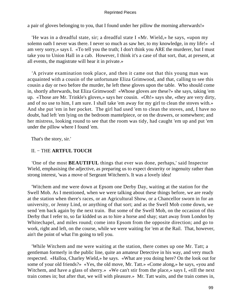a pair of gloves belonging to you, that I found under her pillow the morning afterwards!»

 'He was in a dreadful state, sir; a dreadful state I «Mr. Wield,» he says, «upon my solemn oath I never was there. I never so much as saw her, to my knowledge, in my life!» «I am very sorry,» says I. «To tell you the truth; I don't think you ARE the murderer, but I must take you to Union Hall in a cab. However, I think it's a case of that sort, that, at present, at all events, the magistrate will hear it in private.»

 'A private examination took place, and then it came out that this young man was acquainted with a cousin of the unfortunate Eliza Grimwood, and that, calling to see this cousin a day or two before the murder, he left these gloves upon the table. Who should come in, shortly afterwards, but Eliza Grimwood! «Whose gloves are these?» she says, taking 'em up. «Those are Mr. Trinkle's gloves,» says her cousin. «Oh!» says she, «they are very dirty, and of no use to him, I am sure. I shall take 'em away for my girl to clean the stoves with.» And she put 'em in her pocket. The girl had used 'em to clean the stoves, and, I have no doubt, had left 'em lying on the bedroom mantelpiece, or on the drawers, or somewhere; and her mistress, looking round to see that the room was tidy, had caught 'em up and put 'em under the pillow where I found 'em.

That's the story, sir.'

# II. − THE **ARTFUL TOUCH**

 'One of the most **BEAUTIFUL** things that ever was done, perhaps,' said Inspector Wield, emphasising the adjective, as preparing us to expect dexterity or ingenuity rather than strong interest, 'was a move of Sergeant Witchem's. It was a lovely idea!

 'Witchem and me were down at Epsom one Derby Day, waiting at the station for the Swell Mob. As I mentioned, when we were talking about these things before, we are ready at the station when there's races, or an Agricultural Show, or a Chancellor sworn in for an university, or Jenny Lind, or anything of that sort; and as the Swell Mob come down, we send 'em back again by the next train. But some of the Swell Mob, on the occasion of this Derby that I refer to, so far kidded us as to hire a horse and shay; start away from London by Whitechapel, and miles round; come into Epsom from the opposite direction; and go to work, right and left, on the course, while we were waiting for 'em at the Rail. That, however, ain't the point of what I'm going to tell you.

 'While Witchem and me were waiting at the station, there comes up one Mr. Tatt; a gentleman formerly in the public line, quite an amateur Detective in his way, and very much respected. «Halloa, Charley Wield,» he says. «What are you doing here? On the look out for some of your old friends?» «Yes, the old move, Mr. Tatt.» «Come along,» he says, «you and Witchem, and have a glass of sherry.» «We can't stir from the place,» says I, «till the next train comes in; but after that, we will with pleasure.» Mr. Tatt waits, and the train comes in,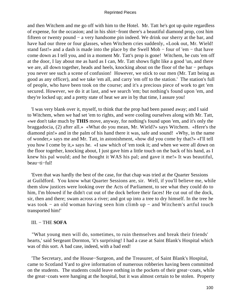and then Witchem and me go off with him to the Hotel. Mr. Tatt he's got up quite regardless of expense, for the occasion; and in his shirt−front there's a beautiful diamond prop, cost him fifteen or twenty pound − a very handsome pin indeed. We drink our sherry at the bar, and have had our three or four glasses, when Witchem cries suddenly, «Look out, Mr. Wield! stand fast!» and a dash is made into the place by the Swell Mob − four of 'em − that have come down as I tell you, and in a moment Mr. Tatt's prop is gone! Witchem, he cuts 'em off at the door, I lay about me as hard as I can, Mr. Tatt shows fight like a good 'un, and there we are, all down together, heads and heels, knocking about on the floor of the bar – perhaps you never see such a scene of confusion! However, we stick to our men (Mr. Tatt being as good as any officer), and we take 'em all, and carry 'em off to the station.' The station's full of people, who have been took on the course; and it's a precious piece of work to get 'em secured. However, we do it at last, and we search 'em; but nothing's found upon 'em, and they're locked up; and a pretty state of heat we are in by that time, I assure you!

 'I was very blank over it, myself, to think that the prop had been passed away; and I said to Witchem, when we had set 'em to rights, and were cooling ourselves along with Mr. Tatt, «we don't take much by **THIS** move, anyway, for nothing's found upon 'em, and it's only the braggadocia, (2) after all.» «What do you mean, Mr. Wield?» says Witchem. «Here's the diamond pin!» and in the palm of his hand there it was, safe and sound! «Why, in the name of wonder,» says me and Mr. Tatt, in astonishment, «how did you come by that?» «I'll tell you how I come by it,» says he. «I saw which of 'em took it; and when we were all down on the floor together, knocking about, I just gave him a little touch on the back of his hand, as I knew his pal would; and he thought it WAS his pal; and gave it me!» It was beautiful, beau−ti−ful!

 'Even that was hardly the best of the case, for that chap was tried at the Quarter Sessions at Guildford. You know what Quarter Sessions are, sir. Well, if you'll believe me, while them slow justices were looking over the Acts of Parliament, to see what they could do to him, I'm blowed if he didn't cut out of the dock before their faces! He cut out of the dock, sir, then and there; swam across a river; and got up into a tree to dry himself. In the tree he was took − an old woman having seen him climb up − and Witchem's artful touch transported him!'

# III. − THE **SOFA**

 "What young men will do, sometimes, to ruin themselves and break their friends' hearts,' said Sergeant Dornton, 'it's surprising! I had a case at Saint Blank's Hospital which was of this sort. A bad case, indeed, with a bad end!

 'The Secretary, and the House−Surgeon, and the Treasurer, of Saint Blank's Hospital, came to Scotland Yard to give information of numerous robberies having been committed on the students. The students could leave nothing in the pockets of their great−coats, while the great−coats were hanging at the hospital, but it was almost certain to be stolen. Property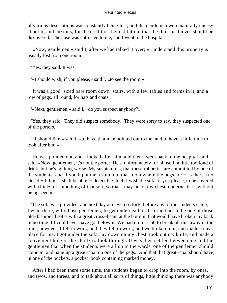of various descriptions was constantly being lost; and the gentlemen were naturally uneasy about it, and anxious, for the credit of the institution, that the thief or thieves should be discovered. The case was entrusted to me, and I went to the hospital.

 '«Now, gentlemen,» said I, after we had talked it over; «I understand this property is usually lost from one room.»

'Yes, they said. It was.

'«I should wish, if you please,» said I, «to see the room.»

 'It was a good−sized bare room down−stairs, with a few tables and forms in it, and a row of pegs, all round, for hats and coats.

'«Next, gentlemen,» said I, «do you suspect anybody?»

 'Yes, they said. They did suspect somebody. They were sorry to say, they suspected one of the porters.

 '«I should like,» said I, «to have that man pointed out to me, and to have a little time to look after him.»

 'He was pointed out, and I looked after him, and then I went back to the hospital, and said, «Now, gentlemen, it's not the porter. He's, unfortunately for himself, a little too fond of drink, but he's nothing worse. My suspicion is, that these robberies are committed by one of the students; and if you'll put me a sofa into that room where the pegs are − as there's no closet − I think I shall be able to detect the thief. I wish the sofa, if you please, to be covered with chintz, or something of that sort, so that I may lie on my chest, underneath it, without being seen.»

 'The sofa was provided, and next day at eleven o'clock, before any of the students came, I went there, with those gentlemen, to get underneath it. It turned out to be one of those old−fashioned sofas with a great cross−beam at the bottom, that would have broken my back in no time if I could ever have got below it. We had quite a job to break all this away in the time; however, I fell to work, and they fell to work, and we broke it out, and made a clear place for me. I got under the sofa, lay down on my chest, took out my knife, and made a convenient hole in the chintz to look through. It was then settled between me and the gentlemen that when the students were all up in the wards, one of the gentlemen should come in, and hang up a great−coat on one of the pegs. And that that great−coat should have, in one of the pockets, a pocket−book containing marked money.

 'After I had been there some time, the students began to drop into the room, by ones, and twos, and threes, and to talk about all sorts of things, little thinking there was anybody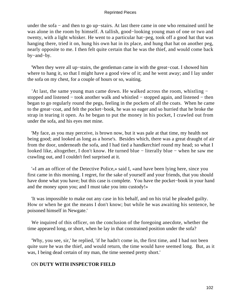under the sofa − and then to go up−stairs. At last there came in one who remained until he was alone in the room by himself. A tallish, good−looking young man of one or two and twenty, with a light whisker. He went to a particular hat−peg, took off a good hat that was hanging there, tried it on, hung his own hat in its place, and hung that hat on another peg, nearly opposite to me. I then felt quite certain that he was the thief, and would come back by−and−by.

 'When they were all up−stairs, the gentleman came in with the great−coat. I showed him where to hang it, so that I might have a good view of it; and he went away; and I lay under the sofa on my chest, for a couple of hours or so, waiting.

 'At last, the same young man came down. He walked across the room, whistling − stopped and listened − took another walk and whistled − stopped again, and listened − then began to go regularly round the pegs, feeling in the pockets of all the coats. When he came to the great−coat, and felt the pocket−book, he was so eager and so hurried that he broke the strap in tearing it open. As he began to put the money in his pocket, I crawled out from under the sofa, and his eyes met mine.

 'My face, as you may perceive, is brown now, but it was pale at that time, my health not being good; and looked as long as a horse's. Besides which, there was a great draught of air from the door, underneath the sofa, and I had tied a handkerchief round my head; so what I looked like, altogether, I don't know. He turned blue − literally blue − when he saw me crawling out, and I couldn't feel surprised at it.

 '«I am an officer of the Detective Police,» said I, «and have been lying here, since you first came in this morning. I regret, for the sake of yourself and your friends, that you should have done what you have; but this case is complete. You have the pocket−book in your hand and the money upon you; and I must take you into custody!»

 'It was impossible to make out any case in his behalf, and on his trial he pleaded guilty. How or when he got the means I don't know; but while he was awaiting his sentence, he poisoned himself in Newgate.'

 We inquired of this officer, on the conclusion of the foregoing anecdote, whether the time appeared long, or short, when he lay in that constrained position under the sofa?

 'Why, you see, sir,' he replied, 'if he hadn't come in, the first time, and I had not been quite sure he was the thief, and would return, the time would have seemed long. But, as it was, I being dead certain of my man, the time seemed pretty short.'

# ON **DUTY WITH INSPECTOR FIELD**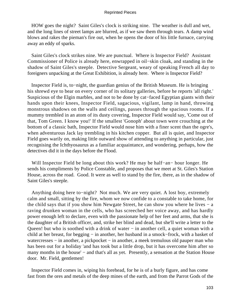HOW goes the night? Saint Giles's clock is striking nine. The weather is dull and wet, and the long lines of street lamps are blurred, as if we saw them through tears. A damp wind blows and rakes the pieman's fire out, when he opens the door of his little furnace, carrying away an eddy of sparks.

 Saint Giles's clock strikes nine. We are punctual. Where is Inspector Field? Assistant Commissioner of Police is already here, enwrapped in oil−skin cloak, and standing in the shadow of Saint Giles's steeple. Detective Sergeant, weary of speaking French all day to foreigners unpacking at the Great Exhibition, is already here. Where is Inspector Field?

 Inspector Field is, to−night, the guardian genius of the British Museum. He is bringing his shrewd eye to bear on every corner of its solitary galleries, before he reports 'all right.' Suspicious of the Elgin marbles, and not to be done by cat−faced Egyptian giants with their hands upon their knees, Inspector Field, sagacious, vigilant, lamp in hand, throwing monstrous shadows on the walls and ceilings, passes through the spacious rooms. If a mummy trembled in an atom of its dusty covering, Inspector Field would say, 'Come out of that, Tom Green. I know you!' If the smallest 'Gonoph' about town were crouching at the bottom of a classic bath, Inspector Field would nose him with a finer scent than the ogre's, when adventurous Jack lay trembling in his kitchen copper. But all is quiet, and Inspector Field goes warily on, making little outward show of attending to anything in particular, just recognising the Ichthyosaurus as a familiar acquaintance, and wondering, perhaps, how the detectives did it in the days before the Flood.

 Will Inspector Field be long about this work? He may be half−an− hour longer. He sends his compliments by Police Constable, and proposes that we meet at St. Giles's Station House, across the road. Good. It were as well to stand by the fire, there, as in the shadow of Saint Giles's steeple.

 Anything doing here to−night? Not much. We are very quiet. A lost boy, extremely calm and small, sitting by the fire, whom we now confide to a constable to take home, for the child says that if you show him Newgate Street, he can show you where he lives − a raving drunken woman in the cells, who has screeched her voice away, and has hardly power enough left to declare, even with the passionate help of her feet and arms, that she is the daughter of a British officer, and, strike her blind and dead, but she'll write a letter to the Queen! but who is soothed with a drink of water – in another cell, a quiet woman with a child at her breast, for begging − in another, her husband in a smock−frock, with a basket of watercresses – in another, a pickpocket – in another, a meek tremulous old pauper man who has been out for a holiday 'and has took but a little drop, but it has overcome him after so many months in the house' – and that's all as yet. Presently, a sensation at the Station House door. Mr. Field, gentlemen!

 Inspector Field comes in, wiping his forehead, for he is of a burly figure, and has come fast from the ores and metals of the deep mines of the earth, and from the Parrot Gods of the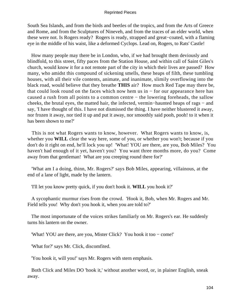South Sea Islands, and from the birds and beetles of the tropics, and from the Arts of Greece and Rome, and from the Sculptures of Nineveh, and from the traces of an elder world, when these were not. Is Rogers ready? Rogers is ready, strapped and great−coated, with a flaming eye in the middle of his waist, like a deformed Cyclops. Lead on, Rogers, to Rats' Castle!

 How many people may there be in London, who, if we had brought them deviously and blindfold, to this street, fifty paces from the Station House, and within call of Saint Giles's church, would know it for a not remote part of the city in which their lives are passed? How many, who amidst this compound of sickening smells, these heaps of filth, these tumbling houses, with all their vile contents, animate, and inanimate, slimily overflowing into the black road, would believe that they breathe **THIS** air? How much Red Tape may there be, that could look round on the faces which now hem us in − for our appearance here has caused a rush from all points to a common centre − the lowering foreheads, the sallow cheeks, the brutal eyes, the matted hair, the infected, vermin−haunted heaps of rags − and say, 'I have thought of this. I have not dismissed the thing. I have neither blustered it away, nor frozen it away, nor tied it up and put it away, nor smoothly said pooh, pooh! to it when it has been shown to me?'

 This is not what Rogers wants to know, however. What Rogers wants to know, is, whether you **WILL** clear the way here, some of you, or whether you won't; because if you don't do it right on end, he'll lock you up! 'What! YOU are there, are you, Bob Miles? You haven't had enough of it yet, haven't you? You want three months more, do you? Come away from that gentleman! What are you creeping round there for?'

 'What am I a doing, thinn, Mr. Rogers?' says Bob Miles, appearing, villainous, at the end of a lane of light, made by the lantern.

'I'll let you know pretty quick, if you don't hook it. **WILL** you hook it?'

 A sycophantic murmur rises from the crowd. 'Hook it, Bob, when Mr. Rogers and Mr. Field tells you! Why don't you hook it, when you are told to?'

 The most importunate of the voices strikes familiarly on Mr. Rogers's ear. He suddenly turns his lantern on the owner.

'What! YOU are there, are you, Mister Click? You hook it too − come!'

'What for?' says Mr. Click, discomfited.

'You hook it, will you!' says Mr. Rogers with stern emphasis.

 Both Click and Miles DO 'hook it,' without another word, or, in plainer English, sneak away.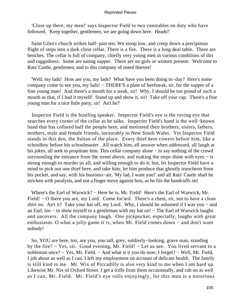'Close up there, my men!' says Inspector Field to two constables on duty who have followed. 'Keep together, gentlemen; we are going down here. Heads!'

 Saint Giles's church strikes half−past ten. We stoop low, and creep down a precipitous flight of steps into a dark close cellar. There is a fire. There is a long deal table. There are benches. The cellar is full of company, chiefly very young men in various conditions of dirt and raggedness. Some are eating supper. There are no girls or women present. Welcome to Rats' Castle, gentlemen, and to this company of noted thieves!

 'Well, my lads! How are you, my lads? What have you been doing to−day? Here's some company come to see you, my lads! − THERE'S a plate of beefsteak, sir, for the supper of a fine young man! And there's a mouth for a steak, sir! Why, I should be too proud of such a mouth as that, if I had it myself! Stand up and show it, sir! Take off your cap. There's a fine young man for a nice little party, sir! An't he?'

 Inspector Field is the bustling speaker. Inspector Field's eye is the roving eye that searches every corner of the cellar as he talks. Inspector Field's hand is the well−known hand that has collared half the people here, and motioned their brothers, sisters, fathers, mothers, male and female friends, inexorably to New South Wales. Yet Inspector Field stands in this den, the Sultan of the place. Every thief here cowers before him, like a schoolboy before his schoolmaster. All watch him, all answer when addressed, all laugh at his jokes, all seek to propitiate him. This cellar company alone − to say nothing of the crowd surrounding the entrance from the street above, and making the steps shine with eyes  $-$  is strong enough to murder us all, and willing enough to do it; but, let Inspector Field have a mind to pick out one thief here, and take him; let him produce that ghostly truncheon from his pocket, and say, with his business−air, 'My lad, I want you!' and all Rats' Castle shall be stricken with paralysis, and not a finger move against him, as he fits the handcuffs on!

 Where's the Earl of Warwick? − Here he is, Mr. Field! Here's the Earl of Warwick, Mr. Field! − O there you are, my Lord. Come for'ard. There's a chest, sir, not to have a clean shirt on. An't it? Take your hat off, my Lord. Why, I should be ashamed if I was you – and an Earl, too − to show myself to a gentleman with my hat on! − The Earl of Warwick laughs and uncovers. All the company laugh. One pickpocket, especially, laughs with great enthusiasm. O what a jolly game it is, when Mr. Field comes down − and don't want nobody!

 So, YOU are here, too, are you, you tall, grey, soldierly−looking, grave man, standing by the fire? − Yes, sir. Good evening, Mr. Field! − Let us see. You lived servant to a nobleman once? − Yes, Mr. Field. − And what is it you do now; I forget? − Well, Mr. Field, I job about as well as I can. I left my employment on account of delicate health. The family is still kind to me. Mr. Wix of Piccadilly is also very kind to me when I am hard up. Likewise Mr. Nix of Oxford Street. I get a trifle from them occasionally, and rub on as well as I can, Mr. Field. Mr. Field's eye rolls enjoyingly, for this man is a notorious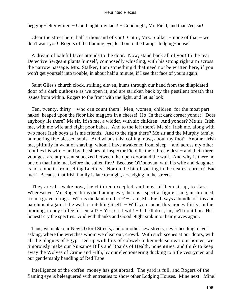begging−letter writer. − Good night, my lads! − Good night, Mr. Field, and thank'ee, sir!

 Clear the street here, half a thousand of you! Cut it, Mrs. Stalker − none of that − we don't want you! Rogers of the flaming eye, lead on to the tramps' lodging−house!

 A dream of baleful faces attends to the door. Now, stand back all of you! In the rear Detective Sergeant plants himself, composedly whistling, with his strong right arm across the narrow passage. Mrs. Stalker, I am something'd that need not be written here, if you won't get yourself into trouble, in about half a minute, if I see that face of yours again!

 Saint Giles's church clock, striking eleven, hums through our hand from the dilapidated door of a dark outhouse as we open it, and are stricken back by the pestilent breath that issues from within. Rogers to the front with the light, and let us look!

Ten, twenty, thirty – who can count them! Men, women, children, for the most part naked, heaped upon the floor like maggots in a cheese! Ho! In that dark corner yonder! Does anybody lie there? Me sir, Irish me, a widder, with six children. And yonder? Me sir, Irish me, with me wife and eight poor babes. And to the left there? Me sir, Irish me, along with two more Irish boys as is me friends. And to the right there? Me sir and the Murphy fam'ly, numbering five blessed souls. And what's this, coiling, now, about my foot? Another Irish me, pitifully in want of shaving, whom I have awakened from sleep − and across my other foot lies his wife − and by the shoes of Inspector Field lie their three eldest − and their three youngest are at present squeezed between the open door and the wall. And why is there no one on that little mat before the sullen fire? Because O'Donovan, with his wife and daughter, is not come in from selling Lucifers! Nor on the bit of sacking in the nearest corner? Bad luck! Because that Irish family is late to−night, a−cadging in the streets!

 They are all awake now, the children excepted, and most of them sit up, to stare. Wheresoever Mr. Rogers turns the flaming eye, there is a spectral figure rising, unshrouded, from a grave of rags. Who is the landlord here? − I am, Mr. Field! says a bundle of ribs and parchment against the wall, scratching itself. – Will you spend this money fairly, in the morning, to buy coffee for 'em all? – Yes, sir, I will! – O he'll do it, sir, he'll do it fair. He's honest! cry the spectres. And with thanks and Good Night sink into their graves again.

 Thus, we make our New Oxford Streets, and our other new streets, never heeding, never asking, where the wretches whom we clear out, crowd. With such scenes at our doors, with all the plagues of Egypt tied up with bits of cobweb in kennels so near our homes, we timorously make our Nuisance Bills and Boards of Health, nonentities, and think to keep away the Wolves of Crime and Filth, by our electioneering ducking to little vestrymen and our gentlemanly handling of Red Tape!

 Intelligence of the coffee−money has got abroad. The yard is full, and Rogers of the flaming eye is beleaguered with entreaties to show other Lodging Houses. Mine next! Mine!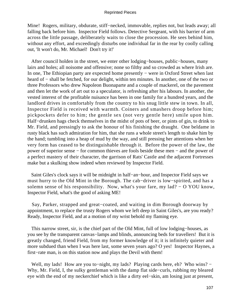Mine! Rogers, military, obdurate, stiff−necked, immovable, replies not, but leads away; all falling back before him. Inspector Field follows. Detective Sergeant, with his barrier of arm across the little passage, deliberately waits to close the procession. He sees behind him, without any effort, and exceedingly disturbs one individual far in the rear by coolly calling out, 'It won't do, Mr. Michael! Don't try it!'

 After council holden in the street, we enter other lodging−houses, public−houses, many lairs and holes; all noisome and offensive; none so filthy and so crowded as where Irish are. In one, The Ethiopian party are expected home presently − were in Oxford Street when last heard of – shall be fetched, for our delight, within ten minutes. In another, one of the two or three Professors who drew Napoleon Buonaparte and a couple of mackerel, on the pavement and then let the work of art out to a speculator, is refreshing after his labours. In another, the vested interest of the profitable nuisance has been in one family for a hundred years, and the landlord drives in comfortably from the country to his snug little stew in town. In all, Inspector Field is received with warmth. Coiners and smashers droop before him; pickpockets defer to him; the gentle sex (not very gentle here) smile upon him. Half−drunken hags check themselves in the midst of pots of beer, or pints of gin, to drink to Mr. Field, and pressingly to ask the honour of his finishing the draught. One beldame in rusty black has such admiration for him, that she runs a whole street's length to shake him by the hand; tumbling into a heap of mud by the way, and still pressing her attentions when her very form has ceased to be distinguishable through it. Before the power of the law, the power of superior sense − for common thieves are fools beside these men − and the power of a perfect mastery of their character, the garrison of Rats' Castle and the adjacent Fortresses make but a skulking show indeed when reviewed by Inspector Field.

 Saint Giles's clock says it will be midnight in half−an−hour, and Inspector Field says we must hurry to the Old Mint in the Borough. The cab−driver is low−spirited, and has a solemn sense of his responsibility. Now, what's your fare, my lad? – O YOU know, Inspector Field, what's the good of asking ME!

 Say, Parker, strapped and great−coated, and waiting in dim Borough doorway by appointment, to replace the trusty Rogers whom we left deep in Saint Giles's, are you ready? Ready, Inspector Field, and at a motion of my wrist behold my flaming eye.

 This narrow street, sir, is the chief part of the Old Mint, full of low lodging−houses, as you see by the transparent canvas−lamps and blinds, announcing beds for travellers! But it is greatly changed, friend Field, from my former knowledge of it; it is infinitely quieter and more subdued than when I was here last, some seven years ago? O yes! Inspector Haynes, a first−rate man, is on this station now and plays the Devil with them!

Well, my lads! How are you to–night, my lads? Playing cards here, eh? Who wins? − Why, Mr. Field, I, the sulky gentleman with the damp flat side−curls, rubbing my bleared eye with the end of my neckerchief which is like a dirty eel−skin, am losing just at present,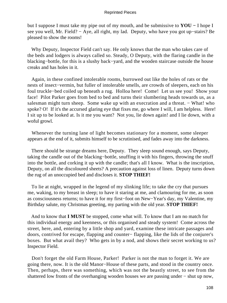but I suppose I must take my pipe out of my mouth, and be submissive to **YOU −** I hope I see you well, Mr. Field? − Aye, all right, my lad. Deputy, who have you got up−stairs? Be pleased to show the rooms!

 Why Deputy, Inspector Field can't say. He only knows that the man who takes care of the beds and lodgers is always called so. Steady, O Deputy, with the flaring candle in the blacking−bottle, for this is a slushy back−yard, and the wooden staircase outside the house creaks and has holes in it.

 Again, in these confined intolerable rooms, burrowed out like the holes of rats or the nests of insect−vermin, but fuller of intolerable smells, are crowds of sleepers, each on his foul truckle−bed coiled up beneath a rug. Holloa here! Come! Let us see you! Show your face! Pilot Parker goes from bed to bed and turns their slumbering heads towards us, as a salesman might turn sheep. Some wake up with an execration and a threat. – What! who spoke? O! If it's the accursed glaring eye that fixes me, go where I will, I am helpless. Here! I sit up to be looked at. Is it me you want? Not you, lie down again! and I lie down, with a woful growl.

 Whenever the turning lane of light becomes stationary for a moment, some sleeper appears at the end of it, submits himself to be scrutinised, and fades away into the darkness.

 There should be strange dreams here, Deputy. They sleep sound enough, says Deputy, taking the candle out of the blacking−bottle, snuffing it with his fingers, throwing the snuff into the bottle, and corking it up with the candle; that's all I know. What is the inscription, Deputy, on all the discoloured sheets? A precaution against loss of linen. Deputy turns down the rug of an unoccupied bed and discloses it. **STOP THIEF!**

 To lie at night, wrapped in the legend of my slinking life; to take the cry that pursues me, waking, to my breast in sleep; to have it staring at me, and clamouring for me, as soon as consciousness returns; to have it for my first−foot on New−Year's day, my Valentine, my Birthday salute, my Christmas greeting, my parting with the old year. **STOP THIEF!**

 And to know that **I MUST** be stopped, come what will. To know that I am no match for this individual energy and keenness, or this organised and steady system! Come across the street, here, and, entering by a little shop and yard, examine these intricate passages and doors, contrived for escape, flapping and counter− flapping, like the lids of the conjurer's boxes. But what avail they? Who gets in by a nod, and shows their secret working to us? Inspector Field.

 Don't forget the old Farm House, Parker! Parker is not the man to forget it. We are going there, now. It is the old Manor−House of these parts, and stood in the country once. Then, perhaps, there was something, which was not the beastly street, to see from the shattered low fronts of the overhanging wooden houses we are passing under − shut up now,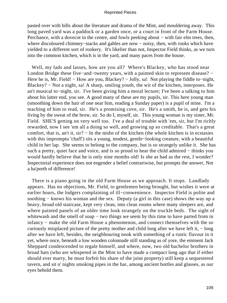pasted over with bills about the literature and drama of the Mint, and mouldering away. This long paved yard was a paddock or a garden once, or a court in front of the Farm House. Perchance, with a dovecot in the centre, and fowls peeking about – with fair elm trees, then, where discoloured chimney−stacks and gables are now − noisy, then, with rooks which have yielded to a different sort of rookery. It's likelier than not, Inspector Field thinks, as we turn into the common kitchen, which is in the yard, and many paces from the house.

 Well, my lads and lasses, how are you all? Where's Blackey, who has stood near London Bridge these five−and−twenty years, with a painted skin to represent disease? − Here he is, Mr. Field! − How are you, Blackey? − Jolly, sa! Not playing the fiddle to–night, Blackey? − Not a night, sa! A sharp, smiling youth, the wit of the kitchen, interposes. He an't musical to−night, sir. I've been giving him a moral lecture; I've been a talking to him about his latter end, you see. A good many of these are my pupils, sir. This here young man (smoothing down the hair of one near him, reading a Sunday paper) is a pupil of mine. I'm a teaching of him to read, sir. He's a promising cove, sir. He's a smith, he is, and gets his living by the sweat of the brow, sir. So do I, myself, sir. This young woman is my sister, Mr. Field. SHE'S getting on very well too. I've a deal of trouble with 'em, sir, but I'm richly rewarded, now I see 'em all a doing so well, and growing up so creditable. That's a great comfort, that is, an't it, sir? − In the midst of the kitchen (the whole kitchen is in ecstasies with this impromptu 'chaff') sits a young, modest, gentle−looking creature, with a beautiful child in her lap. She seems to belong to the company, but is so strangely unlike it. She has such a pretty, quiet face and voice, and is so proud to hear the child admired – thinks you would hardly believe that he is only nine months old! Is she as bad as the rest, I wonder? Inspectorial experience does not engender a belief contrariwise, but prompts the answer, Not a ha'porth of difference!

 There is a piano going in the old Farm House as we approach. It stops. Landlady appears. Has no objections, Mr. Field, to gentlemen being brought, but wishes it were at earlier hours, the lodgers complaining of ill−conwenience. Inspector Field is polite and soothing − knows his woman and the sex. Deputy (a girl in this case) shows the way up a heavy, broad old staircase, kept very clean, into clean rooms where many sleepers are, and where painted panels of an older time look strangely on the truckle beds. The sight of whitewash and the smell of soap – two things we seem by this time to have parted from in infancy − make the old Farm House a phenomenon, and connect themselves with the so curiously misplaced picture of the pretty mother and child long after we have left it, − long after we have left, besides, the neighbouring nook with something of a rustic flavour in it yet, where once, beneath a low wooden colonnade still standing as of yore, the eminent Jack Sheppard condescended to regale himself, and where, now, two old bachelor brothers in broad hats (who are whispered in the Mint to have made a compact long ago that if either should ever marry, he must forfeit his share of the joint property) still keep a sequestered tavern, and sit o' nights smoking pipes in the bar, among ancient bottles and glasses, as our eyes behold them.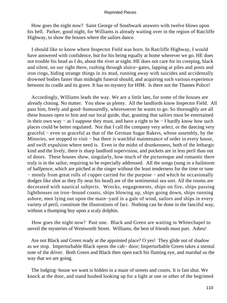How goes the night now? Saint George of Southwark answers with twelve blows upon his bell. Parker, good night, for Williams is already waiting over in the region of Ratcliffe Highway, to show the houses where the sailors dance.

 I should like to know where Inspector Field was born. In Ratcliffe Highway, I would have answered with confidence, but for his being equally at home wherever we go. HE does not trouble his head as I do, about the river at night. HE does not care for its creeping, black and silent, on our right there, rushing through sluice−gates, lapping at piles and posts and iron rings, hiding strange things in its mud, running away with suicides and accidentally drowned bodies faster than midnight funeral should, and acquiring such various experience between its cradle and its grave. It has no mystery for HIM. Is there not the Thames Police!

 Accordingly, Williams leads the way. We are a little late, for some of the houses are already closing. No matter. You show us plenty. All the landlords know Inspector Field. All pass him, freely and good−humouredly, wheresoever he wants to go. So thoroughly are all these houses open to him and our local guide, that, granting that sailors must be entertained in their own way − as I suppose they must, and have a right to be − I hardly know how such places could be better regulated. Not that I call the company very select, or the dancing very graceful − even so graceful as that of the German Sugar Bakers, whose assembly, by the Minories, we stopped to visit – but there is watchful maintenance of order in every house, and swift expulsion where need is. Even in the midst of drunkenness, both of the lethargic kind and the lively, there is sharp landlord supervision, and pockets are in less peril than out of doors. These houses show, singularly, how much of the picturesque and romantic there truly is in the sailor, requiring to be especially addressed. All the songs (sung in a hailstorm of halfpence, which are pitched at the singer without the least tenderness for the time or tune − mostly from great rolls of copper carried for the purpose − and which he occasionally dodges like shot as they fly near his head) are of the sentimental sea sort. All the rooms are decorated with nautical subjects. Wrecks, engagements, ships on fire, ships passing lighthouses on iron−bound coasts, ships blowing up, ships going down, ships running ashore, men lying out upon the main−yard in a gale of wind, sailors and ships in every variety of peril, constitute the illustrations of fact. Nothing can be done in the fanciful way, without a thumping boy upon a scaly dolphin.

 How goes the night now? Past one. Black and Green are waiting in Whitechapel to unveil the mysteries of Wentworth Street. Williams, the best of friends must part. Adieu!

 Are not Black and Green ready at the appointed place? O yes! They glide out of shadow as we stop. Imperturbable Black opens the cab− door; Imperturbable Green takes a mental note of the driver. Both Green and Black then open each his flaming eye, and marshal us the way that we are going.

 The lodging−house we want is hidden in a maze of streets and courts. It is fast shut. We knock at the door, and stand hushed looking up for a light at one or other of the begrimed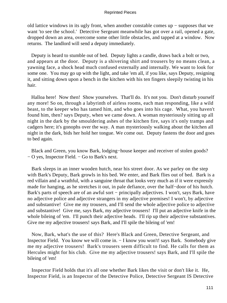old lattice windows in its ugly front, when another constable comes up − supposes that we want 'to see the school.' Detective Sergeant meanwhile has got over a rail, opened a gate, dropped down an area, overcome some other little obstacles, and tapped at a window. Now returns. The landlord will send a deputy immediately.

 Deputy is heard to stumble out of bed. Deputy lights a candle, draws back a bolt or two, and appears at the door. Deputy is a shivering shirt and trousers by no means clean, a yawning face, a shock head much confused externally and internally. We want to look for some one. You may go up with the light, and take 'em all, if you like, says Deputy, resigning it, and sitting down upon a bench in the kitchen with his ten fingers sleepily twisting in his hair.

 Halloa here! Now then! Show yourselves. That'll do. It's not you. Don't disturb yourself any more! So on, through a labyrinth of airless rooms, each man responding, like a wild beast, to the keeper who has tamed him, and who goes into his cage. What, you haven't found him, then? says Deputy, when we came down. A woman mysteriously sitting up all night in the dark by the smouldering ashes of the kitchen fire, says it's only tramps and cadgers here; it's gonophs over the way. A man mysteriously walking about the kitchen all night in the dark, bids her hold her tongue. We come out. Deputy fastens the door and goes to bed again.

 Black and Green, you know Bark, lodging−house keeper and receiver of stolen goods? − O yes, Inspector Field. − Go to Bark's next.

 Bark sleeps in an inner wooden hutch, near his street door. As we parley on the step with Bark's Deputy, Bark growls in his bed. We enter, and Bark flies out of bed. Bark is a red villain and a wrathful, with a sanguine throat that looks very much as if it were expressly made for hanging, as he stretches it out, in pale defiance, over the half−door of his hutch. Bark's parts of speech are of an awful sort − principally adjectives. I won't, says Bark, have no adjective police and adjective strangers in my adjective premises! I won't, by adjective and substantive! Give me my trousers, and I'll send the whole adjective police to adjective and substantive! Give me, says Bark, my adjective trousers! I'll put an adjective knife in the whole bileing of 'em. I'll punch their adjective heads. I'll rip up their adjective substantives. Give me my adjective trousers! says Bark, and I'll spile the bileing of 'em!

 Now, Bark, what's the use of this? Here's Black and Green, Detective Sergeant, and Inspector Field. You know we will come in. − I know you won't! says Bark. Somebody give me my adjective trousers! Bark's trousers seem difficult to find. He calls for them as Hercules might for his club. Give me my adjective trousers! says Bark, and I'll spile the bileing of 'em!

 Inspector Field holds that it's all one whether Bark likes the visit or don't like it. He, Inspector Field, is an Inspector of the Detective Police, Detective Sergeant IS Detective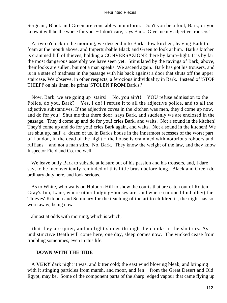Sergeant, Black and Green are constables in uniform. Don't you be a fool, Bark, or you know it will be the worse for you. − I don't care, says Bark. Give me my adjective trousers!

 At two o'clock in the morning, we descend into Bark's low kitchen, leaving Bark to foam at the mouth above, and Imperturbable Black and Green to look at him. Bark's kitchen is crammed full of thieves, holding a CONVERSAZIONE there by lamp−light. It is by far the most dangerous assembly we have seen yet. Stimulated by the ravings of Bark, above, their looks are sullen, but not a man speaks. We ascend again. Bark has got his trousers, and is in a state of madness in the passage with his back against a door that shuts off the upper staircase. We observe, in other respects, a ferocious individuality in Bark. Instead of 'STOP THIEF!' on his linen, he prints 'STOLEN **FROM** Bark's!'

 Now, Bark, we are going up−stairs! − No, you ain't! − YOU refuse admission to the Police, do you, Bark? − Yes, I do! I refuse it to all the adjective police, and to all the adjective substantives. If the adjective coves in the kitchen was men, they'd come up now, and do for you! Shut me that there door! says Bark, and suddenly we are enclosed in the passage. They'd come up and do for you! cries Bark, and waits. Not a sound in the kitchen! They'd come up and do for you! cries Bark again, and waits. Not a sound in the kitchen! We are shut up, half−a−dozen of us, in Bark's house in the innermost recesses of the worst part of London, in the dead of the night − the house is crammed with notorious robbers and ruffians − and not a man stirs. No, Bark. They know the weight of the law, and they know Inspector Field and Co. too well.

 We leave bully Bark to subside at leisure out of his passion and his trousers, and, I dare say, to be inconveniently reminded of this little brush before long. Black and Green do ordinary duty here, and look serious.

 As to White, who waits on Holborn Hill to show the courts that are eaten out of Rotten Gray's Inn, Lane, where other lodging−houses are, and where (in one blind alley) the Thieves' Kitchen and Seminary for the teaching of the art to children is, the night has so worn away, being now

almost at odds with morning, which is which,

 that they are quiet, and no light shines through the chinks in the shutters. As undistinctive Death will come here, one day, sleep comes now. The wicked cease from troubling sometimes, even in this life.

# **DOWN WITH THE TIDE**

 A **VERY** dark night it was, and bitter cold; the east wind blowing bleak, and bringing with it stinging particles from marsh, and moor, and fen − from the Great Desert and Old Egypt, may be. Some of the component parts of the sharp−edged vapour that came flying up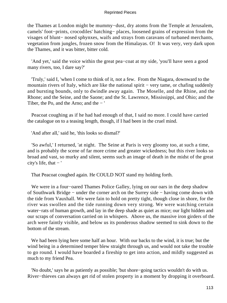the Thames at London might be mummy−dust, dry atoms from the Temple at Jerusalem, camels' foot−prints, crocodiles' hatching− places, loosened grains of expression from the visages of blunt− nosed sphynxes, waifs and strays from caravans of turbaned merchants, vegetation from jungles, frozen snow from the Himalayas. O! It was very, very dark upon the Thames, and it was bitter, bitter cold.

 'And yet,' said the voice within the great pea−coat at my side, 'you'll have seen a good many rivers, too, I dare say?'

 'Truly,' said I, 'when I come to think of it, not a few. From the Niagara, downward to the mountain rivers of Italy, which are like the national spirit − very tame, or chafing suddenly and bursting bounds, only to dwindle away again. The Moselle, and the Rhine, and the Rhone; and the Seine, and the Saone; and the St. Lawrence, Mississippi, and Ohio; and the Tiber, the Po, and the Arno; and the − '

 Peacoat coughing as if he had had enough of that, I said no more. I could have carried the catalogue on to a teasing length, though, if I had been in the cruel mind.

'And after all,' said he, 'this looks so dismal?'

 'So awful,' I returned, 'at night. The Seine at Paris is very gloomy too, at such a time, and is probably the scene of far more crime and greater wickedness; but this river looks so broad and vast, so murky and silent, seems such an image of death in the midst of the great city's life, that  $-$ '

That Peacoat coughed again. He COULD NOT stand my holding forth.

 We were in a four−oared Thames Police Galley, lying on our oars in the deep shadow of Southwark Bridge − under the corner arch on the Surrey side − having come down with the tide from Vauxhall. We were fain to hold on pretty tight, though close in shore, for the river was swollen and the tide running down very strong. We were watching certain water−rats of human growth, and lay in the deep shade as quiet as mice; our light hidden and our scraps of conversation carried on in whispers. Above us, the massive iron girders of the arch were faintly visible, and below us its ponderous shadow seemed to sink down to the bottom of the stream.

 We had been lying here some half an hour. With our backs to the wind, it is true; but the wind being in a determined temper blew straight through us, and would not take the trouble to go round. I would have boarded a fireship to get into action, and mildly suggested as much to my friend Pea.

 'No doubt,' says he as patiently as possible; 'but shore−going tactics wouldn't do with us. River−thieves can always get rid of stolen property in a moment by dropping it overboard.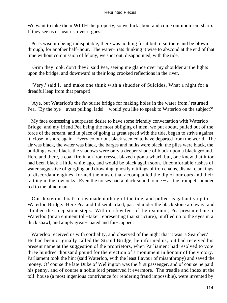We want to take them **WITH** the property, so we lurk about and come out upon 'em sharp. If they see us or hear us, over it goes.'

 Pea's wisdom being indisputable, there was nothing for it but to sit there and be blown through, for another half−hour. The water− rats thinking it wise to abscond at the end of that time without commission of felony, we shot out, disappointed, with the tide.

 'Grim they look, don't they?' said Pea, seeing me glance over my shoulder at the lights upon the bridge, and downward at their long crooked reflections in the river.

 'Very,' said I, 'and make one think with a shudder of Suicides. What a night for a dreadful leap from that parapet!'

 'Aye, but Waterloo's the favourite bridge for making holes in the water from,' returned Pea. 'By the bye – avast pulling, lads! – would you like to speak to Waterloo on the subject?'

 My face confessing a surprised desire to have some friendly conversation with Waterloo Bridge, and my friend Pea being the most obliging of men, we put about, pulled out of the force of the stream, and in place of going at great speed with the tide, began to strive against it, close in shore again. Every colour but black seemed to have departed from the world. The air was black, the water was black, the barges and hulks were black, the piles were black, the buildings were black, the shadows were only a deeper shade of black upon a black ground. Here and there, a coal fire in an iron cresset blazed upon a wharf; but, one knew that it too had been black a little while ago, and would be black again soon. Uncomfortable rushes of water suggestive of gurgling and drowning, ghostly rattlings of iron chains, dismal clankings of discordant engines, formed the music that accompanied the dip of our oars and their rattling in the rowlocks. Even the noises had a black sound to me − as the trumpet sounded red to the blind man.

 Our dexterous boat's crew made nothing of the tide, and pulled us gallantly up to Waterloo Bridge. Here Pea and I disembarked, passed under the black stone archway, and climbed the steep stone steps. Within a few feet of their summit, Pea presented me to Waterloo (or an eminent toll−taker representing that structure), muffled up to the eyes in a thick shawl, and amply great−coated and fur−capped.

 Waterloo received us with cordiality, and observed of the night that it was 'a Searcher.' He had been originally called the Strand Bridge, he informed us, but had received his present name at the suggestion of the proprietors, when Parliament had resolved to vote three hundred thousand pound for the erection of a monument in honour of the victory. Parliament took the hint (said Waterloo, with the least flavour of misanthropy) and saved the money. Of course the late Duke of Wellington was the first passenger, and of course he paid his penny, and of course a noble lord preserved it evermore. The treadle and index at the toll−house (a most ingenious contrivance for rendering fraud impossible), were invented by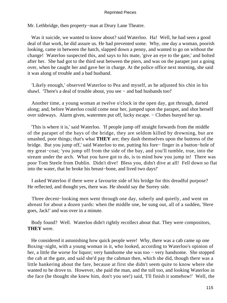Mr. Lethbridge, then property−man at Drury Lane Theatre.

Was it suicide, we wanted to know about? said Waterloo. Ha! Well, he had seen a good deal of that work, he did assure us. He had prevented some. Why, one day a woman, poorish looking, came in between the hatch, slapped down a penny, and wanted to go on without the change! Waterloo suspected this, and says to his mate, 'give an eye to the gate,' and bolted after her. She had got to the third seat between the piers, and was on the parapet just a going over, when he caught her and gave her in charge. At the police office next morning, she said it was along of trouble and a bad husband.

 'Likely enough,' observed Waterloo to Pea and myself, as he adjusted his chin in his shawl. 'There's a deal of trouble about, you see − and bad husbands too!'

 Another time, a young woman at twelve o'clock in the open day, got through, darted along; and, before Waterloo could come near her, jumped upon the parapet, and shot herself over sideways. Alarm given, watermen put off, lucky escape. − Clothes buoyed her up.

 'This is where it is,' said Waterloo. 'If people jump off straight forwards from the middle of the parapet of the bays of the bridge, they are seldom killed by drowning, but are smashed, poor things; that's what **THEY** are; they dash themselves upon the buttress of the bridge. But you jump off,' said Waterloo to me, putting his fore− finger in a button−hole of my great−coat; 'you jump off from the side of the bay, and you'll tumble, true, into the stream under the arch. What you have got to do, is to mind how you jump in! There was poor Tom Steele from Dublin. Didn't dive! Bless you, didn't dive at all! Fell down so flat into the water, that he broke his breast−bone, and lived two days!'

 I asked Waterloo if there were a favourite side of his bridge for this dreadful purpose? He reflected, and thought yes, there was. He should say the Surrey side.

Three decent–looking men went through one day, soberly and quietly, and went on abreast for about a dozen yards: when the middle one, he sung out, all of a sudden, 'Here goes, Jack!' and was over in a minute.

 Body found? Well. Waterloo didn't rightly recollect about that. They were compositors, **THEY** were.

 He considered it astonishing how quick people were! Why, there was a cab came up one Boxing−night, with a young woman in it, who looked, according to Waterloo's opinion of her, a little the worse for liquor; very handsome she was too − very handsome. She stopped the cab at the gate, and said she'd pay the cabman then, which she did, though there was a little hankering about the fare, because at first she didn't seem quite to know where she wanted to be drove to. However, she paid the man, and the toll too, and looking Waterloo in the face (he thought she knew him, don't you see!) said, 'I'll finish it somehow!' Well, the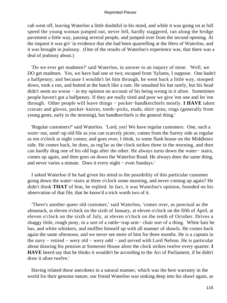cab went off, leaving Waterloo a little doubtful in his mind, and while it was going on at full speed the young woman jumped out, never fell, hardly staggered, ran along the bridge pavement a little way, passing several people, and jumped over from the second opening. At the inquest it was giv' in evidence that she had been quarrelling at the Hero of Waterloo, and it was brought in jealousy. (One of the results of Waterloo's experience was, that there was a deal of jealousy about.)

 'Do we ever get madmen?' said Waterloo, in answer to an inquiry of mine. 'Well, we DO get madmen. Yes, we have had one or two; escaped from 'Sylums, I suppose. One hadn't a halfpenny; and because I wouldn't let him through, he went back a little way, stooped down, took a run, and butted at the hatch like a ram. He smashed his hat rarely, but his head didn't seem no worse − in my opinion on account of his being wrong in it afore. Sometimes people haven't got a halfpenny. If they are really tired and poor we give 'em one and let 'em through. Other people will leave things − pocket−handkerchiefs mostly. **I HAVE** taken cravats and gloves, pocket−knives, tooth−picks, studs, shirt−pins, rings (generally from young gents, early in the morning), but handkerchiefs is the general thing.'

 'Regular customers?' said Waterloo. 'Lord, yes! We have regular customers. One, such a worn−out, used−up old file as you can scarcely picter, comes from the Surrey side as regular as ten o'clock at night comes; and goes over, I think, to some flash house on the Middlesex side. He comes back, he does, as reg'lar as the clock strikes three in the morning, and then can hardly drag one of his old legs after the other. He always turns down the water− stairs, comes up again, and then goes on down the Waterloo Road. He always does the same thing, and never varies a minute. Does it every night − even Sundays.'

 I asked Waterloo if he had given his mind to the possibility of this particular customer going down the water−stairs at three o'clock some morning, and never coming up again? He didn't think **THAT** of him, he replied. In fact, it was Waterloo's opinion, founded on his observation of that file, that he know'd a trick worth two of it.

 'There's another queer old customer,' said Waterloo, 'comes over, as punctual as the almanack, at eleven o'clock on the sixth of January, at eleven o'clock on the fifth of April, at eleven o'clock on the sixth of July, at eleven o'clock on the tenth of October. Drives a shaggy little, rough pony, in a sort of a rattle−trap arm− chair sort of a thing. White hair he has, and white whiskers, and muffles himself up with all manner of shawls. He comes back again the same afternoon, and we never see more of him for three months. He is a captain in the navy − retired − wery old − wery odd − and served with Lord Nelson. He is particular about drawing his pension at Somerset House afore the clock strikes twelve every quarter. **I HAVE** heerd say that he thinks it wouldn't be according to the Act of Parliament, if he didn't draw it afore twelve.'

 Having related these anecdotes in a natural manner, which was the best warranty in the world for their genuine nature, our friend Waterloo was sinking deep into his shawl again, as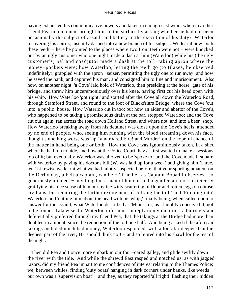having exhausted his communicative powers and taken in enough east wind, when my other friend Pea in a moment brought him to the surface by asking whether he had not been occasionally the subject of assault and battery in the execution of his duty? Waterloo recovering his spirits, instantly dashed into a new branch of his subject. We learnt how 'both these teeth' − here he pointed to the places where two front teeth were not − were knocked out by an ugly customer who one night made a dash at him (Waterloo) while his (the ugly customer's) pal and coadjutor made a dash at the toll−taking apron where the money−pockets were; how Waterloo, letting the teeth go (to Blazes, he observed indefinitely), grappled with the apron− seizer, permitting the ugly one to run away; and how he saved the bank, and captured his man, and consigned him to fine and imprisonment. Also how, on another night, 'a Cove' laid hold of Waterloo, then presiding at the horse−gate of his bridge, and threw him unceremoniously over his knee, having first cut his head open with his whip. How Waterloo 'got right,' and started after the Cove all down the Waterloo Road, through Stamford Street, and round to the foot of Blackfriars Bridge, where the Cove 'cut into' a public−house. How Waterloo cut in too; but how an aider and abettor of the Cove's, who happened to be taking a promiscuous drain at the bar, stopped Waterloo; and the Cove cut out again, ran across the road down Holland Street, and where not, and into a beer−shop. How Waterloo breaking away from his detainer was close upon the Cove's heels, attended by no end of people, who, seeing him running with the blood streaming down his face, thought something worse was 'up,' and roared Fire! and Murder! on the hopeful chance of the matter in hand being one or both. How the Cove was ignominiously taken, in a shed where he had run to hide, and how at the Police Court they at first wanted to make a sessions job of it; but eventually Waterloo was allowed to be 'spoke to,' and the Cove made it square with Waterloo by paying his doctor's bill (W. was laid up for a week) and giving him 'Three, ten.' Likewise we learnt what we had faintly suspected before, that your sporting amateur on the Derby day, albeit a captain, can be − 'if he be,' as Captain Bobadil observes, 'so generously minded' – anything but a man of honour and a gentleman; not sufficiently gratifying his nice sense of humour by the witty scattering of flour and rotten eggs on obtuse civilians, but requiring the further excitement of 'bilking the toll,' and 'Pitching into' Waterloo, and 'cutting him about the head with his whip;' finally being, when called upon to answer for the assault, what Waterloo described as 'Minus,' or, as I humbly conceived it, not to be found. Likewise did Waterloo inform us, in reply to my inquiries, admiringly and deferentially preferred through my friend Pea, that the takings at the Bridge had more than doubled in amount, since the reduction of the toll one half. And being asked if the aforesaid takings included much bad money, Waterloo responded, with a look far deeper than the deepest part of the river, HE should think not! − and so retired into his shawl for the rest of the night.

 Then did Pea and I once more embark in our four−oared galley, and glide swiftly down the river with the tide. And while the shrewd East rasped and notched us, as with jagged razors, did my friend Pea impart to me confidences of interest relating to the Thames Police; we, between whiles, finding 'duty boats' hanging in dark corners under banks, like weeds − our own was a 'supervision boat' – and they, as they reported 'all right!' flashing their hidden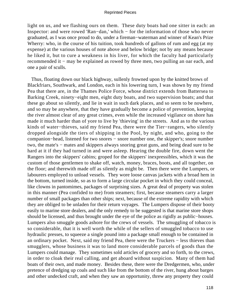light on us, and we flashing ours on them. These duty boats had one sitter in each: an Inspector: and were rowed 'Ran−dan,' which − for the information of those who never graduated, as I was once proud to do, under a fireman−waterman and winner of Kean's Prize Wherry: who, in the course of his tuition, took hundreds of gallons of rum and egg (at my expense) at the various houses of note above and below bridge; not by any means because he liked it, but to cure a weakness in his liver, for which the faculty had particularly recommended it − may be explained as rowed by three men, two pulling an oar each, and one a pair of sculls.

 Thus, floating down our black highway, sullenly frowned upon by the knitted brows of Blackfriars, Southwark, and London, each in his lowering turn, I was shown by my friend Pea that there are, in the Thames Police Force, whose district extends from Battersea to Barking Creek, ninety−eight men, eight duty boats, and two supervision boats; and that these go about so silently, and lie in wait in such dark places, and so seem to be nowhere, and so may be anywhere, that they have gradually become a police of prevention, keeping the river almost clear of any great crimes, even while the increased vigilance on shore has made it much harder than of yore to live by 'thieving' in the streets. And as to the various kinds of water−thieves, said my friend Pea, there were the Tier−rangers, who silently dropped alongside the tiers of shipping in the Pool, by night, and who, going to the companion−head, listened for two snores − snore number one, the skipper's; snore number two, the mate's − mates and skippers always snoring great guns, and being dead sure to be hard at it if they had turned in and were asleep. Hearing the double fire, down went the Rangers into the skippers' cabins; groped for the skippers' inexpressibles, which it was the custom of those gentlemen to shake off, watch, money, braces, boots, and all together, on the floor; and therewith made off as silently as might be. Then there were the Lumpers, or labourers employed to unload vessels. They wore loose canvas jackets with a broad hem in the bottom, turned inside, so as to form a large circular pocket in which they could conceal, like clowns in pantomimes, packages of surprising sizes. A great deal of property was stolen in this manner (Pea confided to me) from steamers; first, because steamers carry a larger number of small packages than other ships; next, because of the extreme rapidity with which they are obliged to be unladen for their return voyages. The Lumpers dispose of their booty easily to marine store dealers, and the only remedy to be suggested is that marine store shops should be licensed, and thus brought under the eye of the police as rigidly as public−houses. Lumpers also smuggle goods ashore for the crews of vessels. The smuggling of tobacco is so considerable, that it is well worth the while of the sellers of smuggled tobacco to use hydraulic presses, to squeeze a single pound into a package small enough to be contained in an ordinary pocket. Next, said my friend Pea, there were the Truckers − less thieves than smugglers, whose business it was to land more considerable parcels of goods than the Lumpers could manage. They sometimes sold articles of grocery and so forth, to the crews, in order to cloak their real calling, and get aboard without suspicion. Many of them had boats of their own, and made money. Besides these, there were the Dredgermen, who, under pretence of dredging up coals and such like from the bottom of the river, hung about barges and other undecked craft, and when they saw an opportunity, threw any property they could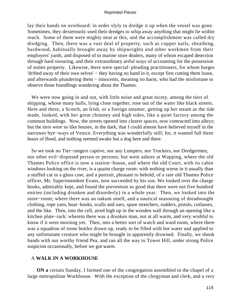lay their hands on overboard: in order slyly to dredge it up when the vessel was gone. Sometimes, they dexterously used their dredges to whip away anything that might lie within reach. Some of them were mighty neat at this, and the accomplishment was called dry dredging. Then, there was a vast deal of property, such as copper nails, sheathing, hardwood, habitually brought away by shipwrights and other workmen from their employers' yards, and disposed of to marine store dealers, many of whom escaped detection through hard swearing, and their extraordinary artful ways of accounting for the possession of stolen property. Likewise, there were special−pleading practitioners, for whom barges 'drifted away of their own selves' − they having no hand in it, except first cutting them loose, and afterwards plundering them − innocents, meaning no harm, who had the misfortune to observe those foundlings wandering about the Thames.

 We were now going in and out, with little noise and great nicety, among the tiers of shipping, whose many hulls, lying close together, rose out of the water like black streets. Here and there, a Scotch, an Irish, or a foreign steamer, getting up her steam as the tide made, looked, with her great chimney and high sides, like a quiet factory among the common buildings. Now, the streets opened into clearer spaces, now contracted into alleys; but the tiers were so like houses, in the dark, that I could almost have believed myself in the narrower bye−ways of Venice. Everything was wonderfully still; for, it wanted full three hours of flood, and nothing seemed awake but a dog here and there.

 So we took no Tier−rangers captive, nor any Lumpers, nor Truckers, nor Dredgermen, nor other evil−disposed person or persons; but went ashore at Wapping, where the old Thames Police office is now a station−house, and where the old Court, with its cabin windows looking on the river, is a quaint charge room: with nothing worse in it usually than a stuffed cat in a glass case, and a portrait, pleasant to behold, of a rare old Thames Police officer, Mr. Superintendent Evans, now succeeded by his son. We looked over the charge books, admirably kept, and found the prevention so good that there were not five hundred entries (including drunken and disorderly) in a whole year. Then, we looked into the store−room; where there was an oakum smell, and a nautical seasoning of dreadnought clothing, rope yarn, boat−hooks, sculls and oars, spare stretchers, rudders, pistols, cutlasses, and the like. Then, into the cell, aired high up in the wooden wall through an opening like a kitchen plate−rack: wherein there was a drunken man, not at all warm, and very wishful to know if it were morning yet. Then, into a better sort of watch and ward room, where there was a squadron of stone bottles drawn up, ready to be filled with hot water and applied to any unfortunate creature who might be brought in apparently drowned. Finally, we shook hands with our worthy friend Pea, and ran all the way to Tower Hill, under strong Police suspicion occasionally, before we got warm.

# A **WALK IN A WORKHOUSE**

**ON a** certain Sunday, I formed one of the congregation assembled in the chapel of a large metropolitan Workhouse. With the exception of the clergyman and clerk, and a very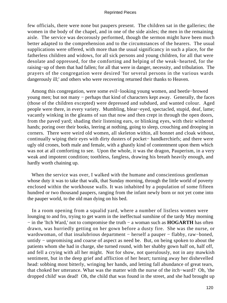few officials, there were none but paupers present. The children sat in the galleries; the women in the body of the chapel, and in one of the side aisles; the men in the remaining aisle. The service was decorously performed, though the sermon might have been much better adapted to the comprehension and to the circumstances of the hearers. The usual supplications were offered, with more than the usual significancy in such a place, for the fatherless children and widows, for all sick persons and young children, for all that were desolate and oppressed, for the comforting and helping of the weak−hearted, for the raising−up of them that had fallen; for all that were in danger, necessity, and tribulation. The prayers of the congregation were desired 'for several persons in the various wards dangerously ill;' and others who were recovering returned their thanks to Heaven.

 Among this congregation, were some evil−looking young women, and beetle−browed young men; but not many − perhaps that kind of characters kept away. Generally, the faces (those of the children excepted) were depressed and subdued, and wanted colour. Aged people were there, in every variety. Mumbling, blear−eyed, spectacled, stupid, deaf, lame; vacantly winking in the gleams of sun that now and then crept in through the open doors, from the paved yard; shading their listening ears, or blinking eyes, with their withered hands; poring over their books, leering at nothing, going to sleep, crouching and drooping in corners. There were weird old women, all skeleton within, all bonnet and cloak without, continually wiping their eyes with dirty dusters of pocket− handkerchiefs; and there were ugly old crones, both male and female, with a ghastly kind of contentment upon them which was not at all comforting to see. Upon the whole, it was the dragon, Pauperism, in a very weak and impotent condition; toothless, fangless, drawing his breath heavily enough, and hardly worth chaining up.

When the service was over, I walked with the humane and conscientious gentleman whose duty it was to take that walk, that Sunday morning, through the little world of poverty enclosed within the workhouse walls. It was inhabited by a population of some fifteen hundred or two thousand paupers, ranging from the infant newly born or not yet come into the pauper world, to the old man dying on his bed.

 In a room opening from a squalid yard, where a number of listless women were lounging to and fro, trying to get warm in the ineffectual sunshine of the tardy May morning − in the 'Itch Ward,' not to compromise the truth − a woman such as **HOGARTH** has often drawn, was hurriedly getting on her gown before a dusty fire. She was the nurse, or wardswoman, of that insalubrious department − herself a pauper − flabby, raw−boned, untidy − unpromising and coarse of aspect as need be. But, on being spoken to about the patients whom she had in charge, she turned round, with her shabby gown half on, half off, and fell a crying with all her might. Not for show, not querulously, not in any mawkish sentiment, but in the deep grief and affliction of her heart; turning away her dishevelled head: sobbing most bitterly, wringing her hands, and letting fall abundance of great tears, that choked her utterance. What was the matter with the nurse of the itch−ward? Oh, 'the dropped child' was dead! Oh, the child that was found in the street, and she had brought up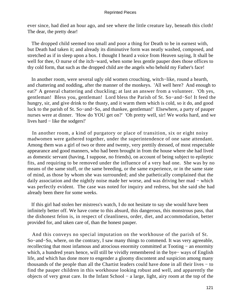ever since, had died an hour ago, and see where the little creature lay, beneath this cloth! The dear, the pretty dear!

 The dropped child seemed too small and poor a thing for Death to be in earnest with, but Death had taken it; and already its diminutive form was neatly washed, composed, and stretched as if in sleep upon a box. I thought I heard a voice from Heaven saying, It shall be well for thee, O nurse of the itch−ward, when some less gentle pauper does those offices to thy cold form, that such as the dropped child are the angels who behold my Father's face!

 In another room, were several ugly old women crouching, witch−like, round a hearth, and chattering and nodding, after the manner of the monkeys. 'All well here? And enough to eat?' A general chattering and chuckling; at last an answer from a volunteer. 'Oh yes, gentleman! Bless you, gentleman! Lord bless the Parish of St. So−and−So! It feed the hungry, sir, and give drink to the thusty, and it warm them which is cold, so it do, and good luck to the parish of St. So−and−So, and thankee, gentleman!' Elsewhere, a party of pauper nurses were at dinner. 'How do YOU get on?' 'Oh pretty well, sir! We works hard, and we lives hard − like the sodgers!'

 In another room, a kind of purgatory or place of transition, six or eight noisy madwomen were gathered together, under the superintendence of one sane attendant. Among them was a girl of two or three and twenty, very prettily dressed, of most respectable appearance and good manners, who had been brought in from the house where she had lived as domestic servant (having, I suppose, no friends), on account of being subject to epileptic fits, and requiring to be removed under the influence of a very bad one. She was by no means of the same stuff, or the same breeding, or the same experience, or in the same state of mind, as those by whom she was surrounded; and she pathetically complained that the daily association and the nightly noise made her worse, and was driving her mad − which was perfectly evident. The case was noted for inquiry and redress, but she said she had already been there for some weeks.

 If this girl had stolen her mistress's watch, I do not hesitate to say she would have been infinitely better off. We have come to this absurd, this dangerous, this monstrous pass, that the dishonest felon is, in respect of cleanliness, order, diet, and accommodation, better provided for, and taken care of, than the honest pauper.

 And this conveys no special imputation on the workhouse of the parish of St. So−and−So, where, on the contrary, I saw many things to commend. It was very agreeable, recollecting that most infamous and atrocious enormity committed at Tooting − an enormity which, a hundred years hence, will still be vividly remembered in the bye− ways of English life, and which has done more to engender a gloomy discontent and suspicion among many thousands of the people than all the Chartist leaders could have done in all their lives − to find the pauper children in this workhouse looking robust and well, and apparently the objects of very great care. In the Infant School − a large, light, airy room at the top of the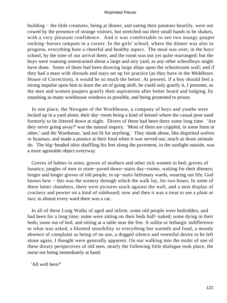building − the little creatures, being at dinner, and eating their potatoes heartily, were not cowed by the presence of strange visitors, but stretched out their small hands to be shaken, with a very pleasant confidence. And it was comfortable to see two mangy pauper rocking−horses rampant in a corner. In the girls' school, where the dinner was also in progress, everything bore a cheerful and healthy aspect. The meal was over, in the boys' school, by the time of our arrival there, and the room was not yet quite rearranged; but the boys were roaming unrestrained about a large and airy yard, as any other schoolboys might have done. Some of them had been drawing large ships upon the schoolroom wall; and if they had a mast with shrouds and stays set up for practice (as they have in the Middlesex House of Correction), it would be so much the better. At present, if a boy should feel a strong impulse upon him to learn the art of going aloft, he could only gratify it, I presume, as the men and women paupers gratify their aspirations after better board and lodging, by smashing as many workhouse windows as possible, and being promoted to prison.

 In one place, the Newgate of the Workhouse, a company of boys and youths were locked up in a yard alone; their day−room being a kind of kennel where the casual poor used formerly to be littered down at night. Divers of them had been there some long time. 'Are they never going away?' was the natural inquiry. 'Most of them are crippled, in some form or other,' said the Wardsman, 'and not fit for anything.' They slunk about, like dispirited wolves or hyaenas; and made a pounce at their food when it was served out, much as those animals do. The big−headed idiot shuffling his feet along the pavement, in the sunlight outside, was a more agreeable object everyway.

 Groves of babies in arms; groves of mothers and other sick women in bed; groves of lunatics; jungles of men in stone−paved down−stairs day−rooms, waiting for their dinners; longer and longer groves of old people, in up−stairs Infirmary wards, wearing out life, God knows how − this was the scenery through which the walk lay, for two hours. In some of these latter chambers, there were pictures stuck against the wall, and a neat display of crockery and pewter on a kind of sideboard; now and then it was a treat to see a plant or two; in almost every ward there was a cat.

 In all of these Long Walks of aged and infirm, some old people were bedridden, and had been for a long time; some were sitting on their beds half−naked; some dying in their beds; some out of bed, and sitting at a table near the fire. A sullen or lethargic indifference to what was asked, a blunted sensibility to everything but warmth and food, a moody absence of complaint as being of no use, a dogged silence and resentful desire to be left alone again, I thought were generally apparent. On our walking into the midst of one of these dreary perspectives of old men, nearly the following little dialogue took place, the nurse not being immediately at hand:

'All well here?'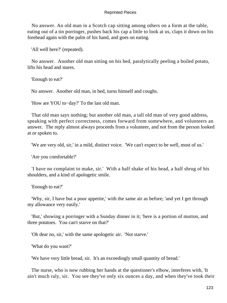No answer. An old man in a Scotch cap sitting among others on a form at the table, eating out of a tin porringer, pushes back his cap a little to look at us, claps it down on his forehead again with the palm of his hand, and goes on eating.

'All well here?' (repeated).

 No answer. Another old man sitting on his bed, paralytically peeling a boiled potato, lifts his head and stares.

'Enough to eat?'

No answer. Another old man, in bed, turns himself and coughs.

'How are YOU to−day?' To the last old man.

 That old man says nothing; but another old man, a tall old man of very good address, speaking with perfect correctness, comes forward from somewhere, and volunteers an answer. The reply almost always proceeds from a volunteer, and not from the person looked at or spoken to.

'We are very old, sir,' in a mild, distinct voice. 'We can't expect to be well, most of us.'

'Are you comfortable?'

 'I have no complaint to make, sir.' With a half shake of his head, a half shrug of his shoulders, and a kind of apologetic smile.

'Enough to eat?'

 'Why, sir, I have but a poor appetite,' with the same air as before; 'and yet I get through my allowance very easily.'

 'But,' showing a porringer with a Sunday dinner in it; 'here is a portion of mutton, and three potatoes. You can't starve on that?'

'Oh dear no, sir,' with the same apologetic air. 'Not starve.'

'What do you want?'

'We have very little bread, sir. It's an exceedingly small quantity of bread.'

 The nurse, who is now rubbing her hands at the questioner's elbow, interferes with, 'It ain't much raly, sir. You see they've only six ounces a day, and when they've took their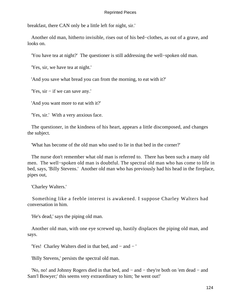breakfast, there CAN only be a little left for night, sir.'

 Another old man, hitherto invisible, rises out of his bed−clothes, as out of a grave, and looks on.

'You have tea at night?' The questioner is still addressing the well−spoken old man.

'Yes, sir, we have tea at night.'

'And you save what bread you can from the morning, to eat with it?'

'Yes, sir − if we can save any.'

'And you want more to eat with it?'

'Yes, sir.' With a very anxious face.

 The questioner, in the kindness of his heart, appears a little discomposed, and changes the subject.

'What has become of the old man who used to lie in that bed in the corner?'

 The nurse don't remember what old man is referred to. There has been such a many old men. The well−spoken old man is doubtful. The spectral old man who has come to life in bed, says, 'Billy Stevens.' Another old man who has previously had his head in the fireplace, pipes out,

'Charley Walters.'

 Something like a feeble interest is awakened. I suppose Charley Walters had conversation in him.

'He's dead,' says the piping old man.

 Another old man, with one eye screwed up, hastily displaces the piping old man, and says.

'Yes! Charley Walters died in that bed, and − and − '

'Billy Stevens,' persists the spectral old man.

 'No, no! and Johnny Rogers died in that bed, and − and − they're both on 'em dead − and Sam'l Bowyer;' this seems very extraordinary to him; 'he went out!'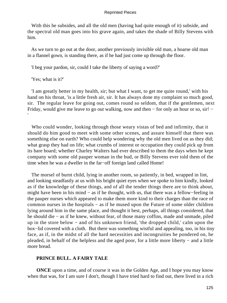With this he subsides, and all the old men (having had quite enough of it) subside, and the spectral old man goes into his grave again, and takes the shade of Billy Stevens with him.

 As we turn to go out at the door, another previously invisible old man, a hoarse old man in a flannel gown, is standing there, as if he had just come up through the floor.

'I beg your pardon, sir, could I take the liberty of saying a word?'

'Yes; what is it?'

'

 'I am greatly better in my health, sir; but what I want, to get me quite round,' with his hand on his throat, 'is a little fresh air, sir. It has always done my complaint so much good, sir. The regular leave for going out, comes round so seldom, that if the gentlemen, next Friday, would give me leave to go out walking, now and then – for only an hour or so, sir! –

 Who could wonder, looking through those weary vistas of bed and infirmity, that it should do him good to meet with some other scenes, and assure himself that there was something else on earth? Who could help wondering why the old men lived on as they did; what grasp they had on life; what crumbs of interest or occupation they could pick up from its bare board; whether Charley Walters had ever described to them the days when he kept company with some old pauper woman in the bud, or Billy Stevens ever told them of the time when he was a dweller in the far−off foreign land called Home!

 The morsel of burnt child, lying in another room, so patiently, in bed, wrapped in lint, and looking steadfastly at us with his bright quiet eyes when we spoke to him kindly, looked as if the knowledge of these things, and of all the tender things there are to think about, might have been in his mind − as if he thought, with us, that there was a fellow−feeling in the pauper nurses which appeared to make them more kind to their charges than the race of common nurses in the hospitals − as if he mused upon the Future of some older children lying around him in the same place, and thought it best, perhaps, all things considered, that he should die − as if he knew, without fear, of those many coffins, made and unmade, piled up in the store below − and of his unknown friend, 'the dropped child,' calm upon the box−lid covered with a cloth. But there was something wistful and appealing, too, in his tiny face, as if, in the midst of all the hard necessities and incongruities he pondered on, he pleaded, in behalf of the helpless and the aged poor, for a little more liberty − and a little more bread.

# **PRINCE BULL. A FAIRY TALE**

**ONCE** upon a time, and of course it was in the Golden Age, and I hope you may know when that was, for I am sure I don't, though I have tried hard to find out, there lived in a rich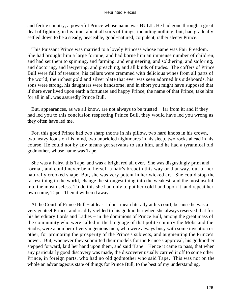and fertile country, a powerful Prince whose name was **BULL.** He had gone through a great deal of fighting, in his time, about all sorts of things, including nothing; but, had gradually settled down to be a steady, peaceable, good−natured, corpulent, rather sleepy Prince.

 This Puissant Prince was married to a lovely Princess whose name was Fair Freedom. She had brought him a large fortune, and had borne him an immense number of children, and had set them to spinning, and farming, and engineering, and soldiering, and sailoring, and doctoring, and lawyering, and preaching, and all kinds of trades. The coffers of Prince Bull were full of treasure, his cellars were crammed with delicious wines from all parts of the world, the richest gold and silver plate that ever was seen adorned his sideboards, his sons were strong, his daughters were handsome, and in short you might have supposed that if there ever lived upon earth a fortunate and happy Prince, the name of that Prince, take him for all in all, was assuredly Prince Bull.

 But, appearances, as we all know, are not always to be trusted − far from it; and if they had led you to this conclusion respecting Prince Bull, they would have led you wrong as they often have led me.

 For, this good Prince had two sharp thorns in his pillow, two hard knobs in his crown, two heavy loads on his mind, two unbridled nightmares in his sleep, two rocks ahead in his course. He could not by any means get servants to suit him, and he had a tyrannical old godmother, whose name was Tape.

 She was a Fairy, this Tape, and was a bright red all over. She was disgustingly prim and formal, and could never bend herself a hair's breadth this way or that way, out of her naturally crooked shape. But, she was very potent in her wicked art. She could stop the fastest thing in the world, change the strongest thing into the weakest, and the most useful into the most useless. To do this she had only to put her cold hand upon it, and repeat her own name, Tape. Then it withered away.

 At the Court of Prince Bull − at least I don't mean literally at his court, because he was a very genteel Prince, and readily yielded to his godmother when she always reserved that for his hereditary Lords and Ladies − in the dominions of Prince Bull, among the great mass of the community who were called in the language of that polite country the Mobs and the Snobs, were a number of very ingenious men, who were always busy with some invention or other, for promoting the prosperity of the Prince's subjects, and augmenting the Prince's power. But, whenever they submitted their models for the Prince's approval, his godmother stepped forward, laid her hand upon them, and said 'Tape.' Hence it came to pass, that when any particularly good discovery was made, the discoverer usually carried it off to some other Prince, in foreign parts, who had no old godmother who said Tape. This was not on the whole an advantageous state of things for Prince Bull, to the best of my understanding.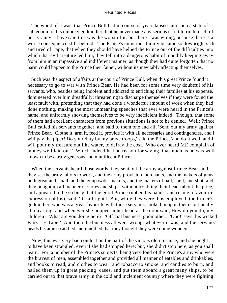The worst of it was, that Prince Bull had in course of years lapsed into such a state of subjection to this unlucky godmother, that he never made any serious effort to rid himself of her tyranny. I have said this was the worst of it, but there I was wrong, because there is a worse consequence still, behind. The Prince's numerous family became so downright sick and tired of Tape, that when they should have helped the Prince out of the difficulties into which that evil creature led him, they fell into a dangerous habit of moodily keeping away from him in an impassive and indifferent manner, as though they had quite forgotten that no harm could happen to the Prince their father, without its inevitably affecting themselves.

 Such was the aspect of affairs at the court of Prince Bull, when this great Prince found it necessary to go to war with Prince Bear. He had been for some time very doubtful of his servants, who, besides being indolent and addicted to enriching their families at his expense, domineered over him dreadfully; threatening to discharge themselves if they were found the least fault with, pretending that they had done a wonderful amount of work when they had done nothing, making the most unmeaning speeches that ever were heard in the Prince's name, and uniformly showing themselves to be very inefficient indeed. Though, that some of them had excellent characters from previous situations is not to be denied. Well; Prince Bull called his servants together, and said to them one and all, 'Send out my army against Prince Bear. Clothe it, arm it, feed it, provide it with all necessaries and contingencies, and I will pay the piper! Do your duty by my brave troops,' said the Prince, 'and do it well, and I will pour my treasure out like water, to defray the cost. Who ever heard ME complain of money well laid out!' Which indeed he had reason for saying, inasmuch as he was well known to be a truly generous and munificent Prince.

 When the servants heard those words, they sent out the army against Prince Bear, and they set the army tailors to work, and the army provision merchants, and the makers of guns both great and small, and the gunpowder makers, and the makers of ball, shell, and shot; and they bought up all manner of stores and ships, without troubling their heads about the price, and appeared to be so busy that the good Prince rubbed his hands, and (using a favourite expression of his), said, 'It's all right I' But, while they were thus employed, the Prince's godmother, who was a great favourite with those servants, looked in upon them continually all day long, and whenever she popped in her head at the door said, How do you do, my children? What are you doing here?' 'Official business, godmother.' 'Oho!' says this wicked Fairy. '− Tape!' And then the business all went wrong, whatever it was, and the servants' heads became so addled and muddled that they thought they were doing wonders.

 Now, this was very bad conduct on the part of the vicious old nuisance, and she ought to have been strangled, even if she had stopped here; but, she didn't stop here, as you shall learn. For, a number of the Prince's subjects, being very fond of the Prince's army who were the bravest of men, assembled together and provided all manner of eatables and drinkables, and books to read, and clothes to wear, and tobacco to smoke, and candies to burn, and nailed them up in great packing−cases, and put them aboard a great many ships, to be carried out to that brave army in the cold and inclement country where they were fighting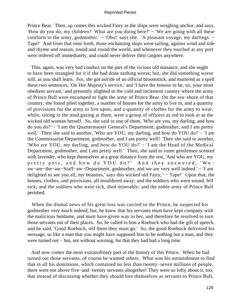Prince Bear. Then, up comes this wicked Fairy as the ships were weighing anchor, and says, 'How do you do, my children? What are you doing here?' – 'We are going with all these comforts to the army, godmother.' − 'Oho!' says she. 'A pleasant voyage, my darlings. – Tape!' And from that time forth, those enchanting ships went sailing, against wind and tide and rhyme and reason, round and round the world, and whenever they touched at any port were ordered off immediately, and could never deliver their cargoes anywhere.

 This, again, was very bad conduct on the part of the vicious old nuisance, and she ought to have been strangled for it if she had done nothing worse; but, she did something worse still, as you shall learn. For, she got astride of an official broomstick, and muttered as a spell these two sentences, 'On Her Majesty's service,' and 'I have the honour to be, sir, your most obedient servant,' and presently alighted in the cold and inclement country where the army of Prince Bull were encamped to fight the army of Prince Bear. On the sea−shore of that country, she found piled together, a number of houses for the army to live in, and a quantity of provisions for the army to live upon, and a quantity of clothes for the army to wear: while, sitting in the mud gazing at them, were a group of officers as red to look at as the wicked old woman herself. So, she said to one of them, 'Who are you, my darling, and how do you do?' − 'I am the Quartermaster General's Department, godmother, and I am pretty well.' Then she said to another, 'Who are YOU, my darling, and how do YOU do?' – 'I am the Commissariat Department, godmother, and I am pretty well! Then she said to another, 'Who are YOU, my darling, and how do YOU do?' – 'I am the Head of the Medical Department, godmother, and I am pretty well.' Then, she said to some gentlemen scented with lavender, who kept themselves at a great distance from the rest, 'And who are YOU, my pretty pets, and how do YOU do?' And they answered, 'We− aw−are−the−aw−Staff−aw−Department, godmother, and we are very well indeed.' − 'I am delighted to see you all, my beauties,' says this wicked old Fairy, ' – Tape!' Upon that, the houses, clothes, and provisions, all mouldered away; and the soldiers who were sound, fell sick; and the soldiers who were sick, died miserably: and the noble army of Prince Bull perished.

 When the dismal news of his great loss was carried to the Prince, he suspected his godmother very much indeed; but, he knew that his servants must have kept company with the malicious beldame, and must have given way to her, and therefore he resolved to turn those servants out of their places. So, he called to him a Roebuck who had the gift of speech, and he said, 'Good Roebuck, tell them they must go.' So, the good Roebuck delivered his message, so like a man that you might have supposed him to be nothing but a man, and they were turned out – but, not without warning, for that they had had a long time.

 And now comes the most extraordinary part of the history of this Prince. When he had turned out those servants, of course he wanted others. What was his astonishment to find that in all his dominions, which contained no less than twenty−seven millions of people, there were not above five−and−twenty servants altogether! They were so lofty about it, too, that instead of discussing whether they should hire themselves as servants to Prince Bull,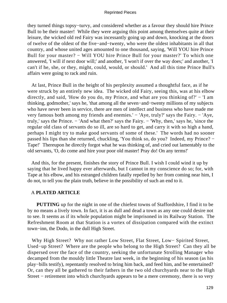they turned things topsy−turvy, and considered whether as a favour they should hire Prince Bull to be their master! While they were arguing this point among themselves quite at their leisure, the wicked old red Fairy was incessantly going up and down, knocking at the doors of twelve of the oldest of the five−and−twenty, who were the oldest inhabitants in all that country, and whose united ages amounted to one thousand, saying, 'Will YOU hire Prince Bull for your master? − Will YOU hire Prince Bull for your master?' To which one answered, 'I will if next door will;' and another, 'I won't if over the way does;' and another, 'I can't if he, she, or they, might, could, would, or should.' And all this time Prince Bull's affairs were going to rack and ruin.

 At last, Prince Bull in the height of his perplexity assumed a thoughtful face, as if he were struck by an entirely new idea. The wicked old Fairy, seeing this, was at his elbow directly, and said, 'How do you do, my Prince, and what are you thinking of?' − 'I am thinking, godmother,' says he, 'that among all the seven−and−twenty millions of my subjects who have never been in service, there are men of intellect and business who have made me very famous both among my friends and enemies.' − 'Aye, truly?' says the Fairy. − 'Aye, truly,' says the Prince. − 'And what then?' says the Fairy. − 'Why, then,' says he, 'since the regular old class of servants do so ill, are so hard to get, and carry it with so high a hand, perhaps I might try to make good servants of some of these.' The words had no sooner passed his lips than she returned, chuckling, 'You think so, do you? Indeed, my Prince? − Tape!' Thereupon he directly forgot what he was thinking of, and cried out lamentably to the old servants, 'O, do come and hire your poor old master! Pray do! On any terms!'

 And this, for the present, finishes the story of Prince Bull. I wish I could wind it up by saying that he lived happy ever afterwards, but I cannot in my conscience do so; for, with Tape at his elbow, and his estranged children fatally repelled by her from coming near him, I do not, to tell you the plain truth, believe in the possibility of such an end to it.

# A **PLATED ARTICLE**

**PUTTING** up for the night in one of the chiefest towns of Staffordshire, I find it to be by no means a lively town. In fact, it is as dull and dead a town as any one could desire not to see. It seems as if its whole population might be imprisoned in its Railway Station. The Refreshment Room at that Station is a vortex of dissipation compared with the extinct town−inn, the Dodo, in the dull High Street.

 Why High Street? Why not rather Low Street, Flat Street, Low− Spirited Street, Used−up Street? Where are the people who belong to the High Street? Can they all be dispersed over the face of the country, seeking the unfortunate Strolling Manager who decamped from the mouldy little Theatre last week, in the beginning of his season (as his play−bills testify), repentantly resolved to bring him back, and feed him, and be entertained? Or, can they all be gathered to their fathers in the two old churchyards near to the High Street − retirement into which churchyards appears to be a mere ceremony, there is so very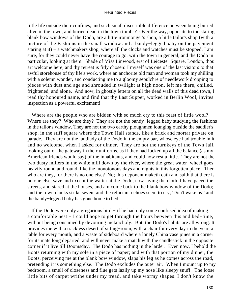little life outside their confines, and such small discernible difference between being buried alive in the town, and buried dead in the town tombs? Over the way, opposite to the staring blank bow windows of the Dodo, are a little ironmonger's shop, a little tailor's shop (with a picture of the Fashions in the small window and a bandy−legged baby on the pavement staring at it) – a watchmakers shop, where all the clocks and watches must be stopped, I am sure, for they could never have the courage to go, with the town in general, and the Dodo in particular, looking at them. Shade of Miss Linwood, erst of Leicester Square, London, thou art welcome here, and thy retreat is fitly chosen! I myself was one of the last visitors to that awful storehouse of thy life's work, where an anchorite old man and woman took my shilling with a solemn wonder, and conducting me to a gloomy sepulchre of needlework dropping to pieces with dust and age and shrouded in twilight at high noon, left me there, chilled, frightened, and alone. And now, in ghostly letters on all the dead walls of this dead town, I read thy honoured name, and find that thy Last Supper, worked in Berlin Wool, invites inspection as a powerful excitement!

Where are the people who are bidden with so much cry to this feast of little wool? Where are they? Who are they? They are not the bandy−legged baby studying the fashions in the tailor's window. They are not the two earthy ploughmen lounging outside the saddler's shop, in the stiff square where the Town Hall stands, like a brick and mortar private on parade. They are not the landlady of the Dodo in the empty bar, whose eye had trouble in it and no welcome, when I asked for dinner. They are not the turnkeys of the Town Jail, looking out of the gateway in their uniforms, as if they had locked up all the balance (as my American friends would say) of the inhabitants, and could now rest a little. They are not the two dusty millers in the white mill down by the river, where the great water−wheel goes heavily round and round, like the monotonous days and nights in this forgotten place. Then who are they, for there is no one else? No; this deponent maketh oath and saith that there is no one else, save and except the waiter at the Dodo, now laying the cloth. I have paced the streets, and stared at the houses, and am come back to the blank bow window of the Dodo; and the town clocks strike seven, and the reluctant echoes seem to cry, 'Don't wake us!' and the bandy−legged baby has gone home to bed.

 If the Dodo were only a gregarious bird − if he had only some confused idea of making a comfortable nest − I could hope to get through the hours between this and bed−time, without being consumed by devouring melancholy. But, the Dodo's habits are all wrong. It provides me with a trackless desert of sitting−room, with a chair for every day in the year, a table for every month, and a waste of sideboard where a lonely China vase pines in a corner for its mate long departed, and will never make a match with the candlestick in the opposite corner if it live till Doomsday. The Dodo has nothing in the larder. Even now, I behold the Boots returning with my sole in a piece of paper; and with that portion of my dinner, the Boots, perceiving me at the blank bow window, slaps his leg as he comes across the road, pretending it is something else. The Dodo excludes the outer air. When I mount up to my bedroom, a smell of closeness and flue gets lazily up my nose like sleepy snuff. The loose little bits of carpet writhe under my tread, and take wormy shapes. I don't know the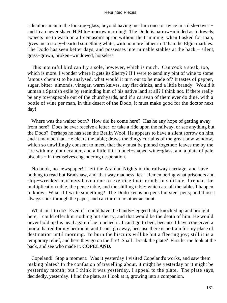ridiculous man in the looking−glass, beyond having met him once or twice in a dish−cover − and I can never shave HIM to−morrow morning! The Dodo is narrow−minded as to towels; expects me to wash on a freemason's apron without the trimming: when I asked for soap, gives me a stony−hearted something white, with no more lather in it than the Elgin marbles. The Dodo has seen better days, and possesses interminable stables at the back – silent, grass−grown, broken−windowed, horseless.

 This mournful bird can fry a sole, however, which is much. Can cook a steak, too, which is more. I wonder where it gets its Sherry? If I were to send my pint of wine to some famous chemist to be analysed, what would it turn out to be made of? It tastes of pepper, sugar, bitter−almonds, vinegar, warm knives, any flat drinks, and a little brandy. Would it unman a Spanish exile by reminding him of his native land at all? I think not. If there really be any townspeople out of the churchyards, and if a caravan of them ever do dine, with a bottle of wine per man, in this desert of the Dodo, it must make good for the doctor next day!

 Where was the waiter born? How did he come here? Has he any hope of getting away from here? Does he ever receive a letter, or take a ride upon the railway, or see anything but the Dodo? Perhaps he has seen the Berlin Wool. He appears to have a silent sorrow on him, and it may be that. He clears the table; draws the dingy curtains of the great bow window, which so unwillingly consent to meet, that they must be pinned together; leaves me by the fire with my pint decanter, and a little thin funnel−shaped wine−glass, and a plate of pale biscuits − in themselves engendering desperation.

 No book, no newspaper! I left the Arabian Nights in the railway carriage, and have nothing to read but Bradshaw, and 'that way madness lies.' Remembering what prisoners and ship−wrecked mariners have done to exercise their minds in solitude, I repeat the multiplication table, the pence table, and the shilling table: which are all the tables I happen to know. What if I write something? The Dodo keeps no pens but steel pens; and those I always stick through the paper, and can turn to no other account.

 What am I to do? Even if I could have the bandy−legged baby knocked up and brought here, I could offer him nothing but sherry, and that would be the death of him. He would never hold up his head again if he touched it. I can't go to bed, because I have conceived a mortal hatred for my bedroom; and I can't go away, because there is no train for my place of destination until morning. To burn the biscuits will be but a fleeting joy; still it is a temporary relief, and here they go on the fire! Shall I break the plate? First let me look at the back, and see who made it. **COPELAND.**

 Copeland! Stop a moment. Was it yesterday I visited Copeland's works, and saw them making plates? In the confusion of travelling about, it might be yesterday or it might be yesterday month; but I think it was yesterday. I appeal to the plate. The plate says, decidedly, yesterday. I find the plate, as I look at it, growing into a companion.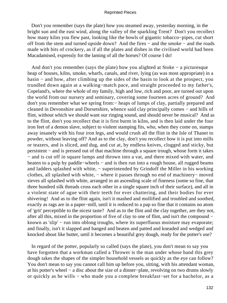Don't you remember (says the plate) how you steamed away, yesterday morning, in the bright sun and the east wind, along the valley of the sparkling Trent? Don't you recollect how many kilns you flew past, looking like the bowls of gigantic tobacco−pipes, cut short off from the stem and turned upside down? And the fires − and the smoke − and the roads made with bits of crockery, as if all the plates and dishes in the civilised world had been Macadamised, expressly for the laming of all the horses? Of course I do!

 And don't you remember (says the plate) how you alighted at Stoke − a picturesque heap of houses, kilns, smoke, wharfs, canals, and river, lying (as was most appropriate) in a basin − and how, after climbing up the sides of the basin to look at the prospect, you trundled down again at a walking−match pace, and straight proceeded to my father's, Copeland's, where the whole of my family, high and low, rich and poor, are turned out upon the world from our nursery and seminary, covering some fourteen acres of ground? And don't you remember what we spring from:− heaps of lumps of clay, partially prepared and cleaned in Devonshire and Dorsetshire, whence said clay principally comes − and hills of flint, without which we should want our ringing sound, and should never be musical? And as to the flint, don't you recollect that it is first burnt in kilns, and is then laid under the four iron feet of a demon slave, subject to violent stamping fits, who, when they come on, stamps away insanely with his four iron legs, and would crush all the flint in the Isle of Thanet to powder, without leaving off? And as to the clay, don't you recollect how it is put into mills or teazers, and is sliced, and dug, and cut at, by endless knives, clogged and sticky, but persistent − and is pressed out of that machine through a square trough, whose form it takes − and is cut off in square lumps and thrown into a vat, and there mixed with water, and beaten to a pulp by paddle−wheels − and is then run into a rough house, all rugged beams and ladders splashed with white, − superintended by Grindoff the Miller in his working clothes, all splashed with white, − where it passes through no end of machinery− moved sieves all splashed with white, arranged in an ascending scale of fineness (some so fine, that three hundred silk threads cross each other in a single square inch of their surface), and all in a violent state of ague with their teeth for ever chattering, and their bodies for ever shivering! And as to the flint again, isn't it mashed and mollified and troubled and soothed, exactly as rags are in a paper−mill, until it is reduced to a pap so fine that it contains no atom of 'grit' perceptible to the nicest taste? And as to the flint and the clay together, are they not, after all this, mixed in the proportion of five of clay to one of flint, and isn't the compound − known as 'slip' – run into oblong troughs, where its superfluous moisture may evaporate; and finally, isn't it slapped and banged and beaten and patted and kneaded and wedged and knocked about like butter, until it becomes a beautiful grey dough, ready for the potter's use?

 In regard of the potter, popularly so called (says the plate), you don't mean to say you have forgotten that a workman called a Thrower is the man under whose hand this grey dough takes the shapes of the simpler household vessels as quickly as the eye can follow? You don't mean to say you cannot call him up before you, sitting, with his attendant woman, at his potter's wheel − a disc about the size of a dinner−plate, revolving on two drums slowly or quickly as he wills − who made you a complete breakfast−set for a bachelor, as a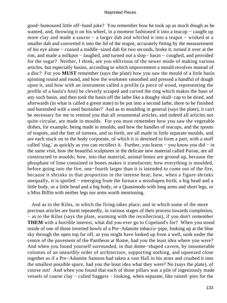good−humoured little off−hand joke? You remember how he took up as much dough as he wanted, and, throwing it on his wheel, in a moment fashioned it into a teacup – caught up more clay and made a saucer − a larger dab and whirled it into a teapot − winked at a smaller dab and converted it into the lid of the teapot, accurately fitting by the measurement of his eye alone − coaxed a middle−sized dab for two seconds, broke it, turned it over at the rim, and made a milkpot − laughed, and turned out a slop− basin − coughed, and provided for the sugar? Neither, I think, are you oblivious of the newer mode of making various articles, but especially basins, according to which improvement a mould revolves instead of a disc? For you **MUST** remember (says the plate) how you saw the mould of a little basin spinning round and round, and how the workmen smoothed and pressed a handful of dough upon it, and how with an instrument called a profile (a piece of wood, representing the profile of a basin's foot) he cleverly scraped and carved the ring which makes the base of any such basin, and then took the basin off the lathe like a doughy skull−cap to be dried, and afterwards (in what is called a green state) to be put into a second lathe, there to be finished and burnished with a steel burnisher? And as to moulding in general (says the plate), it can't be necessary for me to remind you that all ornamental articles, and indeed all articles not quite circular, are made in moulds. For you must remember how you saw the vegetable dishes, for example, being made in moulds; and how the handles of teacups, and the spouts of teapots, and the feet of tureens, and so forth, are all made in little separate moulds, and are each stuck on to the body corporate, of which it is destined to form a part, with a stuff called 'slag,' as quickly as you can recollect it. Further, you learnt − you know you did − in the same visit, how the beautiful sculptures in the delicate new material called Parian, are all constructed in moulds; how, into that material, animal bones are ground up, because the phosphate of lime contained in bones makes it translucent; how everything is moulded, before going into the fire, one−fourth larger than it is intended to come out of the fire, because it shrinks in that proportion in the intense heat; how, when a figure shrinks unequally, it is spoiled − emerging from the furnace a misshapen birth; a big head and a little body, or a little head and a big body, or a Quasimodo with long arms and short legs, or a Miss Biffin with neither legs nor arms worth mentioning.

 And as to the Kilns, in which the firing takes place, and in which some of the more precious articles are burnt repeatedly, in various stages of their process towards completion, − as to the Kilns (says the plate, warming with the recollection), if you don't remember **THEM** with a horrible interest, what did you ever go to Copeland's for? When you stood inside of one of those inverted bowls of a Pre−Adamite tobacco−pipe, looking up at the blue sky through the open top far off, as you might have looked up from a well, sunk under the centre of the pavement of the Pantheon at Rome, had you the least idea where you were? And when you found yourself surrounded, in that dome−shaped cavern, by innumerable columns of an unearthly order of architecture, supporting nothing, and squeezed close together as if a Pre−Adamite Samson had taken a vast Hall in his arms and crushed it into the smallest possible space, had you the least idea what they were? No (says the plate), of course not! And when you found that each of those pillars was a pile of ingeniously made vessels of coarse clay − called Saggers − looking, when separate, like raised−pies for the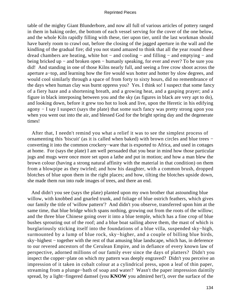table of the mighty Giant Blunderbore, and now all full of various articles of pottery ranged in them in baking order, the bottom of each vessel serving for the cover of the one below, and the whole Kiln rapidly filling with these, tier upon tier, until the last workman should have barely room to crawl out, before the closing of the jagged aperture in the wall and the kindling of the gradual fire; did you not stand amazed to think that all the year round these dread chambers are heating, white hot − and cooling − and filling − and emptying − and being bricked up − and broken open − humanly speaking, for ever and ever? To be sure you did! And standing in one of those Kilns nearly full, and seeing a free crow shoot across the aperture a−top, and learning how the fire would wax hotter and hotter by slow degrees, and would cool similarly through a space of from forty to sixty hours, did no remembrance of the days when human clay was burnt oppress you? Yes. I think so! I suspect that some fancy of a fiery haze and a shortening breath, and a growing heat, and a gasping prayer; and a figure in black interposing between you and the sky (as figures in black are very apt to do), and looking down, before it grew too hot to look and live, upon the Heretic in his edifying agony − I say I suspect (says the plate) that some such fancy was pretty strong upon you when you went out into the air, and blessed God for the bright spring day and the degenerate times!

 After that, I needn't remind you what a relief it was to see the simplest process of ornamenting this 'biscuit' (as it is called when baked) with brown circles and blue trees − converting it into the common crockery−ware that is exported to Africa, and used in cottages at home. For (says the plate) I am well persuaded that you bear in mind how those particular jugs and mugs were once more set upon a lathe and put in motion; and how a man blew the brown colour (having a strong natural affinity with the material in that condition) on them from a blowpipe as they twirled; and how his daughter, with a common brush, dropped blotches of blue upon them in the right places; and how, tilting the blotches upside down, she made them run into rude images of trees, and there an end.

 And didn't you see (says the plate) planted upon my own brother that astounding blue willow, with knobbed and gnarled trunk, and foliage of blue ostrich feathers, which gives our family the title of 'willow pattern'? And didn't you observe, transferred upon him at the same time, that blue bridge which spans nothing, growing out from the roots of the willow; and the three blue Chinese going over it into a blue temple, which has a fine crop of blue bushes sprouting out of the roof; and a blue boat sailing above them, the mast of which is burglariously sticking itself into the foundations of a blue villa, suspended sky−high, surmounted by a lump of blue rock, sky−higher, and a couple of billing blue birds, sky–highest – together with the rest of that amusing blue landscape, which has, in deference to our revered ancestors of the Cerulean Empire, and in defiance of every known law of perspective, adorned millions of our family ever since the days of platters? Didn't you inspect the copper−plate on which my pattern was deeply engraved? Didn't you perceive an impression of it taken in cobalt colour at a cylindrical press, upon a leaf of thin paper, streaming from a plunge−bath of soap and water? Wasn't the paper impression daintily spread, by a light−fingered damsel (you **KNOW** you admired her!), over the surface of the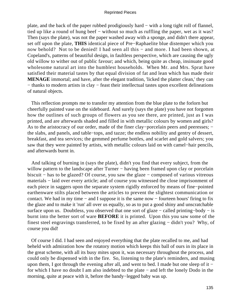plate, and the back of the paper rubbed prodigiously hard − with a long tight roll of flannel, tied up like a round of hung beef – without so much as ruffling the paper, wet as it was? Then (says the plate), was not the paper washed away with a sponge, and didn't there appear, set off upon the plate, **THIS** identical piece of Pre−Raphaelite blue distemper which you now behold? Not to be denied! I had seen all this – and more. I had been shown, at Copeland's, patterns of beautiful design, in faultless perspective, which are causing the ugly old willow to wither out of public favour; and which, being quite as cheap, insinuate good wholesome natural art into the humblest households. When Mr. and Mrs. Sprat have satisfied their material tastes by that equal division of fat and lean which has made their **MENAGE** immortal; and have, after the elegant tradition, 'licked the platter clean,' they can − thanks to modern artists in clay − feast their intellectual tastes upon excellent delineations of natural objects.

 This reflection prompts me to transfer my attention from the blue plate to the forlorn but cheerfully painted vase on the sideboard. And surely (says the plate) you have not forgotten how the outlines of such groups of flowers as you see there, are printed, just as I was printed, and are afterwards shaded and filled in with metallic colours by women and girls? As to the aristocracy of our order, made of the finer clay–porcelain peers and peeresses; − the slabs, and panels, and table−tops, and tazze; the endless nobility and gentry of dessert, breakfast, and tea services; the gemmed perfume bottles, and scarlet and gold salvers; you saw that they were painted by artists, with metallic colours laid on with camel−hair pencils, and afterwards burnt in.

 And talking of burning in (says the plate), didn't you find that every subject, from the willow pattern to the landscape after Turner – having been framed upon clay or porcelain biscuit − has to be glazed? Of course, you saw the glaze − composed of various vitreous materials − laid over every article; and of course you witnessed the close imprisonment of each piece in saggers upon the separate system rigidly enforced by means of fine−pointed earthenware stilts placed between the articles to prevent the slightest communication or contact. We had in my time − and I suppose it is the same now − fourteen hours' firing to fix the glaze and to make it 'run' all over us equally, so as to put a good shiny and unscratchable surface upon us. Doubtless, you observed that one sort of glaze – called printing–body – is burnt into the better sort of ware **BEFORE** it is printed. Upon this you saw some of the finest steel engravings transferred, to be fixed by an after glazing − didn't you? Why, of course you did!

 Of course I did. I had seen and enjoyed everything that the plate recalled to me, and had beheld with admiration how the rotatory motion which keeps this ball of ours in its place in the great scheme, with all its busy mites upon it, was necessary throughout the process, and could only be dispensed with in the fire. So, listening to the plate's reminders, and musing upon them, I got through the evening after all, and went to bed. I made but one sleep of it − for which I have no doubt I am also indebted to the plate − and left the lonely Dodo in the morning, quite at peace with it, before the bandy−legged baby was up.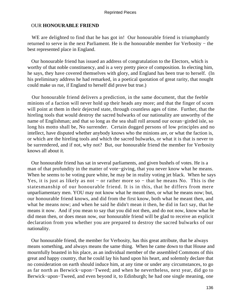# OUR **HONOURABLE FRIEND**

WE are delighted to find that he has got in! Our honourable friend is triumphantly returned to serve in the next Parliament. He is the honourable member for Verbosity − the best represented place in England.

 Our honourable friend has issued an address of congratulation to the Electors, which is worthy of that noble constituency, and is a very pretty piece of composition. In electing him, he says, they have covered themselves with glory, and England has been true to herself. (In his preliminary address he had remarked, in a poetical quotation of great rarity, that nought could make us rue, if England to herself did prove but true.)

 Our honourable friend delivers a prediction, in the same document, that the feeble minions of a faction will never hold up their heads any more; and that the finger of scorn will point at them in their dejected state, through countless ages of time. Further, that the hireling tools that would destroy the sacred bulwarks of our nationality are unworthy of the name of Englishman; and that so long as the sea shall roll around our ocean−girded isle, so long his motto shall be, No surrender. Certain dogged persons of low principles and no intellect, have disputed whether anybody knows who the minions are, or what the faction is, or which are the hireling tools and which the sacred bulwarks, or what it is that is never to be surrendered, and if not, why not? But, our honourable friend the member for Verbosity knows all about it.

 Our honourable friend has sat in several parliaments, and given bushels of votes. He is a man of that profundity in the matter of vote−giving, that you never know what he means. When he seems to be voting pure white, he may be in reality voting jet black. When he says Yes, it is just as likely as not − or rather more so − that he means No. This is the statesmanship of our honourable friend. It is in this, that he differs from mere unparliamentary men. YOU may not know what he meant then, or what he means now; but, our honourable friend knows, and did from the first know, both what he meant then, and what he means now; and when he said he didn't mean it then, he did in fact say, that he means it now. And if you mean to say that you did not then, and do not now, know what he did mean then, or does mean now, our honourable friend will be glad to receive an explicit declaration from you whether you are prepared to destroy the sacred bulwarks of our nationality.

 Our honourable friend, the member for Verbosity, has this great attribute, that he always means something, and always means the same thing. When he came down to that House and mournfully boasted in his place, as an individual member of the assembled Commons of this great and happy country, that he could lay his hand upon his heart, and solemnly declare that no consideration on earth should induce him, at any time or under any circumstances, to go as far north as Berwick−upon−Tweed; and when he nevertheless, next year, did go to Berwick−upon−Tweed, and even beyond it, to Edinburgh; he had one single meaning, one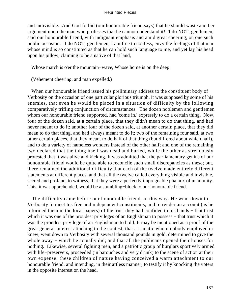and indivisible. And God forbid (our honourable friend says) that he should waste another argument upon the man who professes that he cannot understand it! 'I do NOT, gentlemen,' said our honourable friend, with indignant emphasis and amid great cheering, on one such public occasion. 'I do NOT, gentlemen, I am free to confess, envy the feelings of that man whose mind is so constituted as that he can hold such language to me, and yet lay his head upon his pillow, claiming to be a native of that land,

Whose march is o'er the mountain−wave, Whose home is on the deep!

(Vehement cheering, and man expelled.)

 When our honourable friend issued his preliminary address to the constituent body of Verbosity on the occasion of one particular glorious triumph, it was supposed by some of his enemies, that even he would be placed in a situation of difficulty by the following comparatively trifling conjunction of circumstances. The dozen noblemen and gentlemen whom our honourable friend supported, had 'come in,' expressly to do a certain thing. Now, four of the dozen said, at a certain place, that they didn't mean to do that thing, and had never meant to do it; another four of the dozen said, at another certain place, that they did mean to do that thing, and had always meant to do it; two of the remaining four said, at two other certain places, that they meant to do half of that thing (but differed about which half), and to do a variety of nameless wonders instead of the other half; and one of the remaining two declared that the thing itself was dead and buried, while the other as strenuously protested that it was alive and kicking. It was admitted that the parliamentary genius of our honourable friend would be quite able to reconcile such small discrepancies as these; but, there remained the additional difficulty that each of the twelve made entirely different statements at different places, and that all the twelve called everything visible and invisible, sacred and profane, to witness, that they were a perfectly impregnable phalanx of unanimity. This, it was apprehended, would be a stumbling−block to our honourable friend.

 The difficulty came before our honourable friend, in this way. He went down to Verbosity to meet his free and independent constituents, and to render an account (as he informed them in the local papers) of the trust they had confided to his hands − that trust which it was one of the proudest privileges of an Englishman to possess – that trust which it was the proudest privilege of an Englishman to hold. It may be mentioned as a proof of the great general interest attaching to the contest, that a Lunatic whom nobody employed or knew, went down to Verbosity with several thousand pounds in gold, determined to give the whole away − which he actually did; and that all the publicans opened their houses for nothing. Likewise, several fighting men, and a patriotic group of burglars sportively armed with life−preservers, proceeded (in barouches and very drunk) to the scene of action at their own expense; these children of nature having conceived a warm attachment to our honourable friend, and intending, in their artless manner, to testify it by knocking the voters in the opposite interest on the head.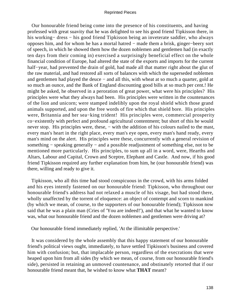Our honourable friend being come into the presence of his constituents, and having professed with great suavity that he was delighted to see his good friend Tipkisson there, in his working− dress − his good friend Tipkisson being an inveterate saddler, who always opposes him, and for whom he has a mortal hatred − made them a brisk, ginger−beery sort of speech, in which he showed them how the dozen noblemen and gentlemen had (in exactly ten days from their coming in) exercised a surprisingly beneficial effect on the whole financial condition of Europe, had altered the state of the exports and imports for the current half−year, had prevented the drain of gold, had made all that matter right about the glut of the raw material, and had restored all sorts of balances with which the superseded noblemen and gentlemen had played the deuce − and all this, with wheat at so much a quarter, gold at so much an ounce, and the Bank of England discounting good bills at so much per cent.! He might be asked, he observed in a peroration of great power, what were his principles? His principles were what they always had been. His principles were written in the countenances of the lion and unicorn; were stamped indelibly upon the royal shield which those grand animals supported, and upon the free words of fire which that shield bore. His principles were, Britannia and her sea−king trident! His principles were, commercial prosperity co−existently with perfect and profound agricultural contentment; but short of this he would never stop. His principles were, these, – with the addition of his colours nailed to the mast, every man's heart in the right place, every man's eye open, every man's hand ready, every man's mind on the alert. His principles were these, concurrently with a general revision of something – speaking generally – and a possible readjustment of something else, not to be mentioned more particularly. His principles, to sum up all in a word, were, Hearths and Altars, Labour and Capital, Crown and Sceptre, Elephant and Castle. And now, if his good friend Tipkisson required any further explanation from him, he (our honourable friend) was there, willing and ready to give it.

 Tipkisson, who all this time had stood conspicuous in the crowd, with his arms folded and his eyes intently fastened on our honourable friend: Tipkisson, who throughout our honourable friend's address had not relaxed a muscle of his visage, but had stood there, wholly unaffected by the torrent of eloquence: an object of contempt and scorn to mankind (by which we mean, of course, to the supporters of our honourable friend); Tipkisson now said that he was a plain man (Cries of 'You are indeed!'), and that what he wanted to know was, what our honourable friend and the dozen noblemen and gentlemen were driving at?

Our honourable friend immediately replied, 'At the illimitable perspective.'

 It was considered by the whole assembly that this happy statement of our honourable friend's political views ought, immediately, to have settled Tipkisson's business and covered him with confusion; but, that implacable person, regardless of the execrations that were heaped upon him from all sides (by which we mean, of course, from our honourable friend's side), persisted in retaining an unmoved countenance, and obstinately retorted that if our honourable friend meant that, he wished to know what **THAT** meant?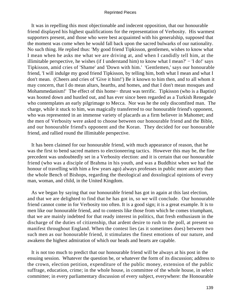It was in repelling this most objectionable and indecent opposition, that our honourable friend displayed his highest qualifications for the representation of Verbosity. His warmest supporters present, and those who were best acquainted with his generalship, supposed that the moment was come when he would fall back upon the sacred bulwarks of our nationality. No such thing. He replied thus: 'My good friend Tipkisson, gentlemen, wishes to know what I mean when he asks me what we are driving at, and when I candidly tell him, at the illimitable perspective, he wishes (if I understand him) to know what I mean?'  $-$  'I do!' says Tipkisson, amid cries of 'Shame' and 'Down with him.' 'Gentlemen,' says our honourable friend, 'I will indulge my good friend Tipkisson, by telling him, both what I mean and what I don't mean. (Cheers and cries of 'Give it him!') Be it known to him then, and to all whom it may concern, that I do mean altars, hearths, and homes, and that I don't mean mosques and Mohammedanism!' The effect of this home– thrust was terrific. Tipkisson (who is a Baptist) was hooted down and hustled out, and has ever since been regarded as a Turkish Renegade who contemplates an early pilgrimage to Mecca. Nor was he the only discomfited man. The charge, while it stuck to him, was magically transferred to our honourable friend's opponent, who was represented in an immense variety of placards as a firm believer in Mahomet; and the men of Verbosity were asked to choose between our honourable friend and the Bible, and our honourable friend's opponent and the Koran. They decided for our honourable friend, and rallied round the illimitable perspective.

 It has been claimed for our honourable friend, with much appearance of reason, that he was the first to bend sacred matters to electioneering tactics. However this may be, the fine precedent was undoubtedly set in a Verbosity election: and it is certain that our honourable friend (who was a disciple of Brahma in his youth, and was a Buddhist when we had the honour of travelling with him a few years ago) always professes in public more anxiety than the whole Bench of Bishops, regarding the theological and doxological opinions of every man, woman, and child, in the United Kingdom.

 As we began by saying that our honourable friend has got in again at this last election, and that we are delighted to find that he has got in, so we will conclude. Our honourable friend cannot come in for Verbosity too often. It is a good sign; it is a great example. It is to men like our honourable friend, and to contests like those from which he comes triumphant, that we are mainly indebted for that ready interest in politics, that fresh enthusiasm in the discharge of the duties of citizenship, that ardent desire to rush to the poll, at present so manifest throughout England. When the contest lies (as it sometimes does) between two such men as our honourable friend, it stimulates the finest emotions of our nature, and awakens the highest admiration of which our heads and hearts are capable.

 It is not too much to predict that our honourable friend will be always at his post in the ensuing session. Whatever the question be, or whatever the form of its discussion; address to the crown, election petition, expenditure of the public money, extension of the public suffrage, education, crime; in the whole house, in committee of the whole house, in select committee; in every parliamentary discussion of every subject, everywhere: the Honourable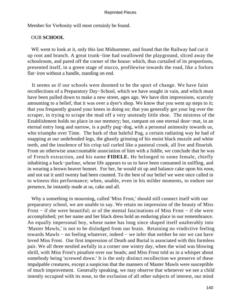Member for Verbosity will most certainly be found.

# OUR **SCHOOL**

WE went to look at it, only this last Midsummer, and found that the Railway had cut it up root and branch. A great trunk−line had swallowed the playground, sliced away the schoolroom, and pared off the corner of the house: which, thus curtailed of its proportions, presented itself, in a green stage of stucco, profilewise towards the road, like a forlorn flat−iron without a handle, standing on end.

 It seems as if our schools were doomed to be the sport of change. We have faint recollections of a Preparatory Day−School, which we have sought in vain, and which must have been pulled down to make a new street, ages ago. We have dim impressions, scarcely amounting to a belief, that it was over a dyer's shop. We know that you went up steps to it; that you frequently grazed your knees in doing so; that you generally got your leg over the scraper, in trying to scrape the mud off a very unsteady little shoe. The mistress of the Establishment holds no place in our memory; but, rampant on one eternal door−mat, in an eternal entry long and narrow, is a puffy pug−dog, with a personal animosity towards us, who triumphs over Time. The bark of that baleful Pug, a certain radiating way he had of snapping at our undefended legs, the ghastly grinning of his moist black muzzle and white teeth, and the insolence of his crisp tail curled like a pastoral crook, all live and flourish. From an otherwise unaccountable association of him with a fiddle, we conclude that he was of French extraction, and his name **FIDELE.** He belonged to some female, chiefly inhabiting a back−parlour, whose life appears to us to have been consumed in sniffing, and in wearing a brown beaver bonnet. For her, he would sit up and balance cake upon his nose, and not eat it until twenty had been counted. To the best of our belief we were once called in to witness this performance; when, unable, even in his milder moments, to endure our presence, he instantly made at us, cake and all.

 Why a something in mourning, called 'Miss Frost,' should still connect itself with our preparatory school, we are unable to say. We retain no impression of the beauty of Miss Frost − if she were beautiful; or of the mental fascinations of Miss Frost − if she were accomplished; yet her name and her black dress hold an enduring place in our remembrance. An equally impersonal boy, whose name has long since shaped itself unalterably into 'Master Mawls,' is not to be dislodged from our brain. Retaining no vindictive feeling towards Mawls − no feeling whatever, indeed − we infer that neither he nor we can have loved Miss Frost. Our first impression of Death and Burial is associated with this formless pair. We all three nestled awfully in a corner one wintry day, when the wind was blowing shrill, with Miss Frost's pinafore over our heads; and Miss Frost told us in a whisper about somebody being 'screwed down.' It is the only distinct recollection we preserve of these impalpable creatures, except a suspicion that the manners of Master Mawls were susceptible of much improvement. Generally speaking, we may observe that whenever we see a child intently occupied with its nose, to the exclusion of all other subjects of interest, our mind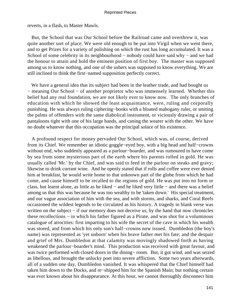reverts, in a flash, to Master Mawls.

 But, the School that was Our School before the Railroad came and overthrew it, was quite another sort of place. We were old enough to be put into Virgil when we went there, and to get Prizes for a variety of polishing on which the rust has long accumulated. It was a School of some celebrity in its neighbourhood – nobody could have said why – and we had the honour to attain and hold the eminent position of first boy. The master was supposed among us to know nothing, and one of the ushers was supposed to know everything. We are still inclined to think the first−named supposition perfectly correct.

 We have a general idea that its subject had been in the leather trade, and had bought us − meaning Our School − of another proprietor who was immensely learned. Whether this belief had any real foundation, we are not likely ever to know now. The only branches of education with which he showed the least acquaintance, were, ruling and corporally punishing. He was always ruling ciphering−books with a bloated mahogany ruler, or smiting the palms of offenders with the same diabolical instrument, or viciously drawing a pair of pantaloons tight with one of his large hands, and caning the wearer with the other. We have no doubt whatever that this occupation was the principal solace of his existence.

 A profound respect for money pervaded Our School, which was, of course, derived from its Chief. We remember an idiotic goggle−eyed boy, with a big head and half−crowns without end, who suddenly appeared as a parlour−boarder, and was rumoured to have come by sea from some mysterious part of the earth where his parents rolled in gold. He was usually called 'Mr.' by the Chief, and was said to feed in the parlour on steaks and gravy; likewise to drink currant wine. And he openly stated that if rolls and coffee were ever denied him at breakfast, he would write home to that unknown part of the globe from which he had come, and cause himself to be recalled to the regions of gold. He was put into no form or class, but learnt alone, as little as he liked − and he liked very little − and there was a belief among us that this was because he was too wealthy to be 'taken down.' His special treatment, and our vague association of him with the sea, and with storms, and sharks, and Coral Reefs occasioned the wildest legends to be circulated as his history. A tragedy in blank verse was written on the subject – if our memory does not deceive us, by the hand that now chronicles these recollections − in which his father figured as a Pirate, and was shot for a voluminous catalogue of atrocities: first imparting to his wife the secret of the cave in which his wealth was stored, and from which his only son's half−crowns now issued. Dumbledon (the boy's name) was represented as 'yet unborn' when his brave father met his fate; and the despair and grief of Mrs. Dumbledon at that calamity was movingly shadowed forth as having weakened the parlour−boarder's mind. This production was received with great favour, and was twice performed with closed doors in the dining− room. But, it got wind, and was seized as libellous, and brought the unlucky poet into severe affliction. Some two years afterwards, all of a sudden one day, Dumbledon vanished. It was whispered that the Chief himself had taken him down to the Docks, and re−shipped him for the Spanish Main; but nothing certain was ever known about his disappearance. At this hour, we cannot thoroughly disconnect him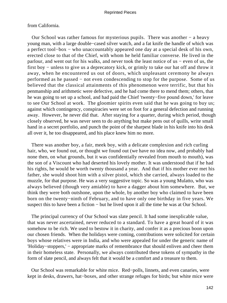# from California.

 Our School was rather famous for mysterious pupils. There was another − a heavy young man, with a large double−cased silver watch, and a fat knife the handle of which was a perfect tool−box − who unaccountably appeared one day at a special desk of his own, erected close to that of the Chief, with whom he held familiar converse. He lived in the parlour, and went out for his walks, and never took the least notice of us − even of us, the first boy − unless to give us a deprecatory kick, or grimly to take our hat off and throw it away, when he encountered us out of doors, which unpleasant ceremony he always performed as he passed − not even condescending to stop for the purpose. Some of us believed that the classical attainments of this phenomenon were terrific, but that his penmanship and arithmetic were defective, and he had come there to mend them; others, that he was going to set up a school, and had paid the Chief 'twenty−five pound down,' for leave to see Our School at work. The gloomier spirits even said that he was going to buy us; against which contingency, conspiracies were set on foot for a general defection and running away. However, he never did that. After staying for a quarter, during which period, though closely observed, he was never seen to do anything but make pens out of quills, write small hand in a secret portfolio, and punch the point of the sharpest blade in his knife into his desk all over it, he too disappeared, and his place knew him no more.

 There was another boy, a fair, meek boy, with a delicate complexion and rich curling hair, who, we found out, or thought we found out (we have no idea now, and probably had none then, on what grounds, but it was confidentially revealed from mouth to mouth), was the son of a Viscount who had deserted his lovely mother. It was understood that if he had his rights, he would be worth twenty thousand a year. And that if his mother ever met his father, she would shoot him with a silver pistol, which she carried, always loaded to the muzzle, for that purpose. He was a very suggestive topic. So was a young Mulatto, who was always believed (though very amiable) to have a dagger about him somewhere. But, we think they were both outshone, upon the whole, by another boy who claimed to have been born on the twenty−ninth of February, and to have only one birthday in five years. We suspect this to have been a fiction – but he lived upon it all the time he was at Our School.

 The principal currency of Our School was slate pencil. It had some inexplicable value, that was never ascertained, never reduced to a standard. To have a great hoard of it was somehow to be rich. We used to bestow it in charity, and confer it as a precious boon upon our chosen friends. When the holidays were coming, contributions were solicited for certain boys whose relatives were in India, and who were appealed for under the generic name of 'Holiday−stoppers,' − appropriate marks of remembrance that should enliven and cheer them in their homeless state. Personally, we always contributed these tokens of sympathy in the form of slate pencil, and always felt that it would be a comfort and a treasure to them.

 Our School was remarkable for white mice. Red−polls, linnets, and even canaries, were kept in desks, drawers, hat−boxes, and other strange refuges for birds; but white mice were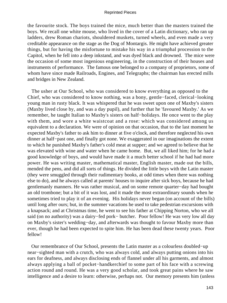the favourite stock. The boys trained the mice, much better than the masters trained the boys. We recall one white mouse, who lived in the cover of a Latin dictionary, who ran up ladders, drew Roman chariots, shouldered muskets, turned wheels, and even made a very creditable appearance on the stage as the Dog of Montargis. He might have achieved greater things, but for having the misfortune to mistake his way in a triumphal procession to the Capitol, when he fell into a deep inkstand, and was dyed black and drowned. The mice were the occasion of some most ingenious engineering, in the construction of their houses and instruments of performance. The famous one belonged to a company of proprietors, some of whom have since made Railroads, Engines, and Telegraphs; the chairman has erected mills and bridges in New Zealand.

 The usher at Our School, who was considered to know everything as opposed to the Chief, who was considered to know nothing, was a bony, gentle−faced, clerical−looking young man in rusty black. It was whispered that he was sweet upon one of Maxby's sisters (Maxby lived close by, and was a day pupil), and further that he 'favoured Maxby.' As we remember, he taught Italian to Maxby's sisters on half−holidays. He once went to the play with them, and wore a white waistcoat and a rose: which was considered among us equivalent to a declaration. We were of opinion on that occasion, that to the last moment he expected Maxby's father to ask him to dinner at five o'clock, and therefore neglected his own dinner at half−past one, and finally got none. We exaggerated in our imaginations the extent to which he punished Maxby's father's cold meat at supper; and we agreed to believe that he was elevated with wine and water when he came home. But, we all liked him; for he had a good knowledge of boys, and would have made it a much better school if he had had more power. He was writing master, mathematical master, English master, made out the bills, mended the pens, and did all sorts of things. He divided the little boys with the Latin master (they were smuggled through their rudimentary books, at odd times when there was nothing else to do), and he always called at parents' houses to inquire after sick boys, because he had gentlemanly manners. He was rather musical, and on some remote quarter−day had bought an old trombone; but a bit of it was lost, and it made the most extraordinary sounds when he sometimes tried to play it of an evening. His holidays never began (on account of the bills) until long after ours; but, in the summer vacations he used to take pedestrian excursions with a knapsack; and at Christmas time, he went to see his father at Chipping Norton, who we all said (on no authority) was a dairy−fed pork− butcher. Poor fellow! He was very low all day on Maxby's sister's wedding−day, and afterwards was thought to favour Maxby more than ever, though he had been expected to spite him. He has been dead these twenty years. Poor fellow!

 Our remembrance of Our School, presents the Latin master as a colourless doubled−up near−sighted man with a crutch, who was always cold, and always putting onions into his ears for deafness, and always disclosing ends of flannel under all his garments, and almost always applying a ball of pocket−handkerchief to some part of his face with a screwing action round and round. He was a very good scholar, and took great pains where he saw intelligence and a desire to learn: otherwise, perhaps not. Our memory presents him (unless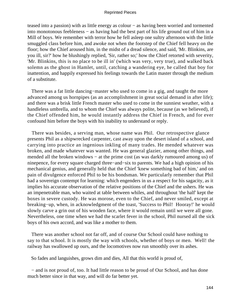teased into a passion) with as little energy as colour − as having been worried and tormented into monotonous feebleness − as having had the best part of his life ground out of him in a Mill of boys. We remember with terror how he fell asleep one sultry afternoon with the little smuggled class before him, and awoke not when the footstep of the Chief fell heavy on the floor; how the Chief aroused him, in the midst of a dread silence, and said, 'Mr. Blinkins, are you ill, sir?' how he blushingly replied, 'Sir, rather so;' how the Chief retorted with severity, 'Mr. Blinkins, this is no place to be ill in' (which was very, very true), and walked back solemn as the ghost in Hamlet, until, catching a wandering eye, he called that boy for inattention, and happily expressed his feelings towards the Latin master through the medium of a substitute.

There was a fat little dancing–master who used to come in a gig, and taught the more advanced among us hornpipes (as an accomplishment in great social demand in after life); and there was a brisk little French master who used to come in the sunniest weather, with a handleless umbrella, and to whom the Chief was always polite, because (as we believed), if the Chief offended him, he would instantly address the Chief in French, and for ever confound him before the boys with his inability to understand or reply.

 There was besides, a serving man, whose name was Phil. Our retrospective glance presents Phil as a shipwrecked carpenter, cast away upon the desert island of a school, and carrying into practice an ingenious inkling of many trades. He mended whatever was broken, and made whatever was wanted. He was general glazier, among other things, and mended all the broken windows – at the prime cost (as was darkly rumoured among us) of ninepence, for every square charged three−and−six to parents. We had a high opinion of his mechanical genius, and generally held that the Chief 'knew something bad of him,' and on pain of divulgence enforced Phil to be his bondsman. We particularly remember that Phil had a sovereign contempt for learning: which engenders in us a respect for his sagacity, as it implies his accurate observation of the relative positions of the Chief and the ushers. He was an impenetrable man, who waited at table between whiles, and throughout 'the half' kept the boxes in severe custody. He was morose, even to the Chief, and never smiled, except at breaking−up, when, in acknowledgment of the toast, 'Success to Phil! Hooray!' he would slowly carve a grin out of his wooden face, where it would remain until we were all gone. Nevertheless, one time when we had the scarlet fever in the school, Phil nursed all the sick boys of his own accord, and was like a mother to them.

 There was another school not far off, and of course Our School could have nothing to say to that school. It is mostly the way with schools, whether of boys or men. Well! the railway has swallowed up ours, and the locomotives now run smoothly over its ashes.

So fades and languishes, grows dim and dies, All that this world is proud of,

 − and is not proud of, too. It had little reason to be proud of Our School, and has done much better since in that way, and will do far better yet.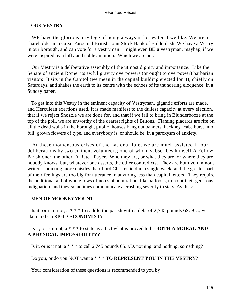## OUR **VESTRY**

 WE have the glorious privilege of being always in hot water if we like. We are a shareholder in a Great Parochial British Joint Stock Bank of Balderdash. We have a Vestry in our borough, and can vote for a vestryman − might even **BE a** vestryman, mayhap, if we were inspired by a lofty and noble ambition. Which we are not.

 Our Vestry is a deliberative assembly of the utmost dignity and importance. Like the Senate of ancient Rome, its awful gravity overpowers (or ought to overpower) barbarian visitors. It sits in the Capitol (we mean in the capital building erected for it), chiefly on Saturdays, and shakes the earth to its centre with the echoes of its thundering eloquence, in a Sunday paper.

 To get into this Vestry in the eminent capacity of Vestryman, gigantic efforts are made, and Herculean exertions used. It is made manifest to the dullest capacity at every election, that if we reject Snozzle we are done for, and that if we fail to bring in Blunderbooze at the top of the poll, we are unworthy of the dearest rights of Britons. Flaming placards are rife on all the dead walls in the borough, public−houses hang out banners, hackney−cabs burst into full−grown flowers of type, and everybody is, or should be, in a paroxysm of anxiety.

 At these momentous crises of the national fate, we are much assisted in our deliberations by two eminent volunteers; one of whom subscribes himself A Fellow Parishioner, the other, A Rate− Payer. Who they are, or what they are, or where they are, nobody knows; but, whatever one asserts, the other contradicts. They are both voluminous writers, indicting more epistles than Lord Chesterfield in a single week; and the greater part of their feelings are too big for utterance in anything less than capital letters. They require the additional aid of whole rows of notes of admiration, like balloons, to point their generous indignation; and they sometimes communicate a crushing severity to stars. As thus:

## MEN **OF MOONEYMOUNT.**

Is it, or is it not,  $a^*$  \* to saddle the parish with a debt of 2,745 pounds 6S. 9D., yet claim to be a RIGID **ECONOMIST?**

## Is it, or is it not, a \* \* \* to state as a fact what is proved to be **BOTH A MORAL AND A PHYSICAL IMPOSSIBILITY?**

Is it, or is it not, a \* \* \* to call 2,745 pounds 6S. 9D. nothing; and nothing, something?

# Do you, or do you NOT want a \* \* \* **TO REPRESENT YOU IN THE VESTRY?**

Your consideration of these questions is recommended to you by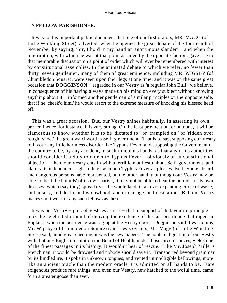## A **FELLOW PARISHIONER.**

 It was to this important public document that one of our first orators, MR. MAGG (of Little Winkling Street), adverted, when he opened the great debate of the fourteenth of November by saying, 'Sir, I hold in my hand an anonymous slander' − and when the interruption, with which he was at that point assailed by the opposite faction, gave rise to that memorable discussion on a point of order which will ever be remembered with interest by constitutional assemblies. In the animated debate to which we refer, no fewer than thirty−seven gentlemen, many of them of great eminence, including MR. WIGSBY (of Chumbledon Square), were seen upon their legs at one time; and it was on the same great occasion that **DOGGINSON −** regarded in our Vestry as 'a regular John Bull:' we believe, in consequence of his having always made up his mind on every subject without knowing anything about it − informed another gentleman of similar principles on the opposite side, that if he 'cheek'd him,' he would resort to the extreme measure of knocking his blessed head off.

 This was a great occasion. But, our Vestry shines habitually. In asserting its own pre−eminence, for instance, it is very strong. On the least provocation, or on none, it will be clamorous to know whether it is to be 'dictated to,' or 'trampled on,' or 'ridden over rough−shod.' Its great watchword is Self−government. That is to say, supposing our Vestry to favour any little harmless disorder like Typhus Fever, and supposing the Government of the country to be, by any accident, in such ridiculous hands, as that any of its authorities should consider it a duty to object to Typhus Fever − obviously an unconstitutional objection − then, our Vestry cuts in with a terrible manifesto about Self−government, and claims its independent right to have as much Typhus Fever as pleases itself. Some absurd and dangerous persons have represented, on the other hand, that though our Vestry may be able to 'beat the bounds' of its own parish, it may not be able to beat the bounds of its own diseases; which (say they) spread over the whole land, in an ever expanding circle of waste, and misery, and death, and widowhood, and orphanage, and desolation. But, our Vestry makes short work of any such fellows as these.

 It was our Vestry − pink of Vestries as it is − that in support of its favourite principle took the celebrated ground of denying the existence of the last pestilence that raged in England, when the pestilence was raging at the Vestry doors. Dogginson said it was plums; Mr. Wigsby (of Chumbledon Square) said it was oysters; Mr. Magg (of Little Winkling Street) said, amid great cheering, it was the newspapers. The noble indignation of our Vestry with that un− English institution the Board of Health, under those circumstances, yields one of the finest passages in its history. It wouldn't hear of rescue. Like Mr. Joseph Miller's Frenchman, it would be drowned and nobody should save it. Transported beyond grammar by its kindled ire, it spoke in unknown tongues, and vented unintelligible bellowings, more like an ancient oracle than the modern oracle it is admitted on all hands to be. Rare exigencies produce rare things; and even our Vestry, new hatched to the woful time, came forth a greater goose than ever.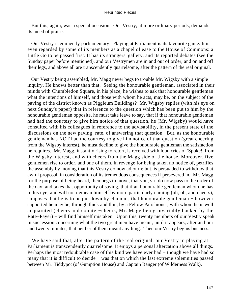But this, again, was a special occasion. Our Vestry, at more ordinary periods, demands its meed of praise.

 Our Vestry is eminently parliamentary. Playing at Parliament is its favourite game. It is even regarded by some of its members as a chapel of ease to the House of Commons: a Little Go to be passed first. It has its strangers' gallery, and its reported debates (see the Sunday paper before mentioned), and our Vestrymen are in and out of order, and on and off their legs, and above all are transcendently quarrelsome, after the pattern of the real original.

 Our Vestry being assembled, Mr. Magg never begs to trouble Mr. Wigsby with a simple inquiry. He knows better than that. Seeing the honourable gentleman, associated in their minds with Chumbledon Square, in his place, he wishes to ask that honourable gentleman what the intentions of himself, and those with whom he acts, may be, on the subject of the paving of the district known as Piggleum Buildings? Mr. Wigsby replies (with his eye on next Sunday's paper) that in reference to the question which has been put to him by the honourable gentleman opposite, he must take leave to say, that if that honourable gentleman had had the courtesy to give him notice of that question, he (Mr. Wigsby) would have consulted with his colleagues in reference to the advisability, in the present state of the discussions on the new paving−rate, of answering that question. But, as the honourable gentleman has NOT had the courtesy to give him notice of that question (great cheering from the Wigsby interest), he must decline to give the honourable gentleman the satisfaction he requires. Mr. Magg, instantly rising to retort, is received with loud cries of 'Spoke!' from the Wigsby interest, and with cheers from the Magg side of the house. Moreover, five gentlemen rise to order, and one of them, in revenge for being taken no notice of, petrifies the assembly by moving that this Vestry do now adjourn; but, is persuaded to withdraw that awful proposal, in consideration of its tremendous consequences if persevered in. Mr. Magg, for the purpose of being heard, then begs to move, that you, sir, do now pass to the order of the day; and takes that opportunity of saying, that if an honourable gentleman whom he has in his eye, and will not demean himself by more particularly naming (oh, oh, and cheers), supposes that he is to be put down by clamour, that honourable gentleman − however supported he may be, through thick and thin, by a Fellow Parishioner, with whom he is well acquainted (cheers and counter−cheers, Mr. Magg being invariably backed by the Rate−Payer) − will find himself mistaken. Upon this, twenty members of our Vestry speak in succession concerning what the two great men have meant, until it appears, after an hour and twenty minutes, that neither of them meant anything. Then our Vestry begins business.

 We have said that, after the pattern of the real original, our Vestry in playing at Parliament is transcendently quarrelsome. It enjoys a personal altercation above all things. Perhaps the most redoubtable case of this kind we have ever had − though we have had so many that it is difficult to decide – was that on which the last extreme solemnities passed between Mr. Tiddypot (of Gumption House) and Captain Banger (of Wilderness Walk).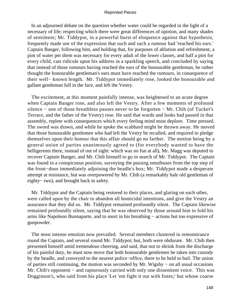In an adjourned debate on the question whether water could be regarded in the light of a necessary of life; respecting which there were great differences of opinion, and many shades of sentiment; Mr. Tiddypot, in a powerful burst of eloquence against that hypothesis, frequently made use of the expression that such and such a rumour had 'reached his ears.' Captain Banger, following him, and holding that, for purposes of ablution and refreshment, a pint of water per diem was necessary for every adult of the lower classes, and half a pint for every child, cast ridicule upon his address in a sparkling speech, and concluded by saying that instead of those rumours having reached the ears of the honourable gentleman, he rather thought the honourable gentleman's ears must have reached the rumours, in consequence of their well− known length. Mr. Tiddypot immediately rose, looked the honourable and gallant gentleman full in the face, and left the Vestry.

 The excitement, at this moment painfully intense, was heightened to an acute degree when Captain Banger rose, and also left the Vestry. After a few moments of profound silence − one of those breathless pauses never to be forgotten − Mr. Chib (of Tucket's Terrace, and the father of the Vestry) rose. He said that words and looks had passed in that assembly, replete with consequences which every feeling mind must deplore. Time pressed. The sword was drawn, and while he spoke the scabbard might be thrown away. He moved that those honourable gentlemen who had left the Vestry be recalled, and required to pledge themselves upon their honour that this affair should go no farther. The motion being by a general union of parties unanimously agreed to (for everybody wanted to have the belligerents there, instead of out of sight: which was no fun at all), Mr. Magg was deputed to recover Captain Banger, and Mr. Chib himself to go in search of Mr. Tiddypot. The Captain was found in a conspicuous position, surveying the passing omnibuses from the top step of the front−door immediately adjoining the beadle's box; Mr. Tiddypot made a desperate attempt at resistance, but was overpowered by Mr. Chib (a remarkably hale old gentleman of eighty− two), and brought back in safety.

 Mr. Tiddypot and the Captain being restored to their places, and glaring on each other, were called upon by the chair to abandon all homicidal intentions, and give the Vestry an assurance that they did so. Mr. Tiddypot remained profoundly silent. The Captain likewise remained profoundly silent, saying that he was observed by those around him to fold his arms like Napoleon Buonaparte, and to snort in his breathing − actions but too expressive of gunpowder.

 The most intense emotion now prevailed. Several members clustered in remonstrance round the Captain, and several round Mr. Tiddypot; but, both were obdurate. Mr. Chib then presented himself amid tremendous cheering, and said, that not to shrink from the discharge of his painful duty, he must now move that both honourable gentlemen be taken into custody by the beadle, and conveyed to the nearest police−office, there to be held to bail. The union of parties still continuing, the motion was seconded by Mr. Wigsby − on all usual occasions Mr. Chib's opponent – and rapturously carried with only one dissentient voice. This was Dogginson's, who said from his place 'Let 'em fight it out with fistes;' but whose coarse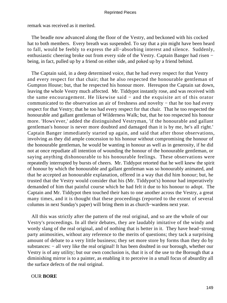remark was received as it merited.

 The beadle now advanced along the floor of the Vestry, and beckoned with his cocked hat to both members. Every breath was suspended. To say that a pin might have been heard to fall, would be feebly to express the all−absorbing interest and silence. Suddenly, enthusiastic cheering broke out from every side of the Vestry. Captain Banger had risen − being, in fact, pulled up by a friend on either side, and poked up by a friend behind.

 The Captain said, in a deep determined voice, that he had every respect for that Vestry and every respect for that chair; that he also respected the honourable gentleman of Gumpton House; but, that he respected his honour more. Hereupon the Captain sat down, leaving the whole Vestry much affected. Mr. Tiddypot instantly rose, and was received with the same encouragement. He likewise said − and the exquisite art of this orator communicated to the observation an air of freshness and novelty − that he too had every respect for that Vestry; that he too had every respect for that chair. That he too respected the honourable and gallant gentleman of Wilderness Walk; but, that he too respected his honour more. 'Hows'ever,' added the distinguished Vestryman, 'if the honourable and gallant gentleman's honour is never more doubted and damaged than it is by me, he's all right.' Captain Banger immediately started up again, and said that after those observations, involving as they did ample concession to his honour without compromising the honour of the honourable gentleman, he would be wanting in honour as well as in generosity, if he did not at once repudiate all intention of wounding the honour of the honourable gentleman, or saying anything dishonourable to his honourable feelings. These observations were repeatedly interrupted by bursts of cheers. Mr. Tiddypot retorted that he well knew the spirit of honour by which the honourable and gallant gentleman was so honourably animated, and that he accepted an honourable explanation, offered in a way that did him honour; but, he trusted that the Vestry would consider that his (Mr. Tiddypot's) honour had imperatively demanded of him that painful course which he had felt it due to his honour to adopt. The Captain and Mr. Tiddypot then touched their hats to one another across the Vestry, a great many times, and it is thought that these proceedings (reported to the extent of several columns in next Sunday's paper) will bring them in as church−wardens next year.

 All this was strictly after the pattern of the real original, and so are the whole of our Vestry's proceedings. In all their debates, they are laudably imitative of the windy and wordy slang of the real original, and of nothing that is better in it. They have head−strong party animosities, without any reference to the merits of questions; they tack a surprising amount of debate to a very little business; they set more store by forms than they do by substances: − all very like the real original! It has been doubted in our borough, whether our Vestry is of any utility; but our own conclusion is, that it is of the use to the Borough that a diminishing mirror is to a painter, as enabling it to perceive in a small focus of absurdity all the surface defects of the real original.

## OUR **BORE**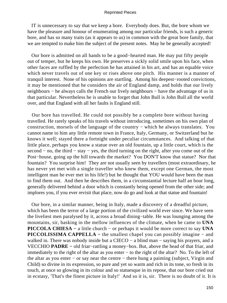IT is unnecessary to say that we keep a bore. Everybody does. But, the bore whom we have the pleasure and honour of enumerating among our particular friends, is such a generic bore, and has so many traits (as it appears to us) in common with the great bore family, that we are tempted to make him the subject of the present notes. May he be generally accepted!

 Our bore is admitted on all hands to be a good−hearted man. He may put fifty people out of temper, but he keeps his own. He preserves a sickly solid smile upon his face, when other faces are ruffled by the perfection he has attained in his art, and has an equable voice which never travels out of one key or rises above one pitch. His manner is a manner of tranquil interest. None of his opinions are startling. Among his deepest−rooted convictions, it may be mentioned that he considers the air of England damp, and holds that our lively neighbours – he always calls the French our lively neighbours – have the advantage of us in that particular. Nevertheless he is unable to forget that John Bull is John Bull all the world over, and that England with all her faults is England still.

 Our bore has travelled. He could not possibly be a complete bore without having travelled. He rarely speaks of his travels without introducing, sometimes on his own plan of construction, morsels of the language of the country − which he always translates. You cannot name to him any little remote town in France, Italy, Germany, or Switzerland but he knows it well; stayed there a fortnight under peculiar circumstances. And talking of that little place, perhaps you know a statue over an old fountain, up a little court, which is the second – no, the third – stay – yes, the third turning on the right, after you come out of the Post−house, going up the hill towards the market? You DON'T know that statue? Nor that fountain? You surprise him! They are not usually seen by travellers (most extraordinary, he has never yet met with a single traveller who knew them, except one German, the most intelligent man he ever met in his life!) but he thought that YOU would have been the man to find them out. And then he describes them, in a circumstantial lecture half an hour long, generally delivered behind a door which is constantly being opened from the other side; and implores you, if you ever revisit that place, now do go and look at that statue and fountain!

 Our bore, in a similar manner, being in Italy, made a discovery of a dreadful picture, which has been the terror of a large portion of the civilized world ever since. We have seen the liveliest men paralysed by it, across a broad dining−table. He was lounging among the mountains, sir, basking in the mellow influences of the climate, when he came to **UNA PICCOLA CHIESA −** a little church − or perhaps it would be more correct to say **UNA PICCOLISSIMA CAPPELLA −** the smallest chapel you can possibly imagine − and walked in. There was nobody inside but a CIECO – a blind man – saying his prayers, and a VECCHIO **PADRE −** old friar−rattling a money−box. But, above the head of that friar, and immediately to the right of the altar as you enter − to the right of the altar? No. To the left of the altar as you enter − or say near the centre − there hung a painting (subject, Virgin and Child) so divine in its expression, so pure and yet so warm and rich in its tone, so fresh in its touch, at once so glowing in its colour and so statuesque in its repose, that our bore cried out in ecstasy, 'That's the finest picture in Italy!' And so it is, sir. There is no doubt of it. It is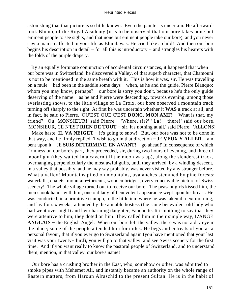astonishing that that picture is so little known. Even the painter is uncertain. He afterwards took Blumb, of the Royal Academy (it is to be observed that our bore takes none but eminent people to see sights, and that none but eminent people take our bore), and you never saw a man so affected in your life as Blumb was. He cried like a child! And then our bore begins his description in detail − for all this is introductory − and strangles his hearers with the folds of the purple drapery.

 By an equally fortunate conjunction of accidental circumstances, it happened that when our bore was in Switzerland, he discovered a Valley, of that superb character, that Chamouni is not to be mentioned in the same breath with it. This is how it was, sir. He was travelling on a mule − had been in the saddle some days − when, as he and the guide, Pierre Blanquo: whom you may know, perhaps? – our bore is sorry you don't, because he's the only guide deserving of the name − as he and Pierre were descending, towards evening, among those everlasting snows, to the little village of La Croix, our bore observed a mountain track turning off sharply to the right. At first he was uncertain whether it **WAS a** track at all, and in fact, he said to Pierre, 'QU'EST QUE C'EST **DONC, MON AMI?** − What is that, my friend? 'Ou, MONSIEUR!' said Pierre − 'Where, sir?' ' La! − there!' said our bore. 'MONSIEUR, CE N'EST **RIEN DE TOUT −** sir, it's nothing at all,' said Pierre. 'ALLONS! − Make haste. **IL VA NEIGET −** it's going to snow!' But, our bore was not to be done in that way, and he firmly replied, 'I wish to go in that direction − JE **VEUX Y ALLER.** I am bent upon it − JE **SUIS DETERMINE. EN AVANT!** − go ahead!' In consequence of which firmness on our bore's part, they proceeded, sir, during two hours of evening, and three of moonlight (they waited in a cavern till the moon was up), along the slenderest track, overhanging perpendicularly the most awful gulfs, until they arrived, by a winding descent, in a valley that possibly, and he may say probably, was never visited by any stranger before. What a valley! Mountains piled on mountains, avalanches stemmed by pine forests; waterfalls, chalets, mountain−torrents, wooden bridges, every conceivable picture of Swiss scenery! The whole village turned out to receive our bore. The peasant girls kissed him, the men shook hands with him, one old lady of benevolent appearance wept upon his breast. He was conducted, in a primitive triumph, to the little inn: where he was taken ill next morning, and lay for six weeks, attended by the amiable hostess (the same benevolent old lady who had wept over night) and her charming daughter, Fanchette. It is nothing to say that they were attentive to him; they doted on him. They called him in their simple way, L'ANGE **ANGLAIS −** the English Angel. When our bore left the valley, there was not a dry eye in the place; some of the people attended him for miles. He begs and entreats of you as a personal favour, that if you ever go to Switzerland again (you have mentioned that your last visit was your twenty−third), you will go to that valley, and see Swiss scenery for the first time. And if you want really to know the pastoral people of Switzerland, and to understand them, mention, in that valley, our bore's name!

 Our bore has a crushing brother in the East, who, somehow or other, was admitted to smoke pipes with Mehemet Ali, and instantly became an authority on the whole range of Eastern matters, from Haroun Alraschid to the present Sultan. He is in the habit of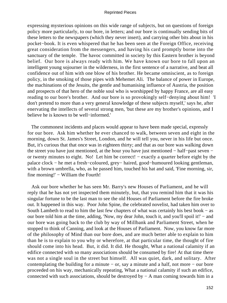expressing mysterious opinions on this wide range of subjects, but on questions of foreign policy more particularly, to our bore, in letters; and our bore is continually sending bits of these letters to the newspapers (which they never insert), and carrying other bits about in his pocket−book. It is even whispered that he has been seen at the Foreign Office, receiving great consideration from the messengers, and having his card promptly borne into the sanctuary of the temple. The havoc committed in society by this Eastern brother is beyond belief. Our bore is always ready with him. We have known our bore to fall upon an intelligent young sojourner in the wilderness, in the first sentence of a narrative, and beat all confidence out of him with one blow of his brother. He became omniscient, as to foreign policy, in the smoking of those pipes with Mehemet Ali. The balance of power in Europe, the machinations of the Jesuits, the gentle and humanising influence of Austria, the position and prospects of that hero of the noble soul who is worshipped by happy France, are all easy reading to our bore's brother. And our bore is so provokingly self−denying about him! 'I don't pretend to more than a very general knowledge of these subjects myself,' says he, after enervating the intellects of several strong men, 'but these are my brother's opinions, and I believe he is known to be well−informed.'

 The commonest incidents and places would appear to have been made special, expressly for our bore. Ask him whether he ever chanced to walk, between seven and eight in the morning, down St. James's Street, London, and he will tell you, never in his life but once. But, it's curious that that once was in eighteen thirty; and that as our bore was walking down the street you have just mentioned, at the hour you have just mentioned − half−past seven − or twenty minutes to eight. No! Let him be correct! − exactly a quarter before eight by the palace clock − he met a fresh−coloured, grey− haired, good−humoured looking gentleman, with a brown umbrella, who, as he passed him, touched his hat and said, 'Fine morning, sir, fine morning!' – William the Fourth!

 Ask our bore whether he has seen Mr. Barry's new Houses of Parliament, and he will reply that he has not yet inspected them minutely, but, that you remind him that it was his singular fortune to be the last man to see the old Houses of Parliament before the fire broke out. It happened in this way. Poor John Spine, the celebrated novelist, had taken him over to South Lambeth to read to him the last few chapters of what was certainly his best book − as our bore told him at the time, adding, 'Now, my dear John, touch it, and you'll spoil it!' – and our bore was going back to the club by way of Millbank and Parliament Street, when he stopped to think of Canning, and look at the Houses of Parliament. Now, you know far more of the philosophy of Mind than our bore does, and are much better able to explain to him than he is to explain to you why or wherefore, at that particular time, the thought of fire should come into his head. But, it did. It did. He thought, What a national calamity if an edifice connected with so many associations should be consumed by fire! At that time there was not a single soul in the street but himself. All was quiet, dark, and solitary. After contemplating the building for a minute − or, say a minute and a half, not more − our bore proceeded on his way, mechanically repeating, What a national calamity if such an edifice, connected with such associations, should be destroyed by − A man coming towards him in a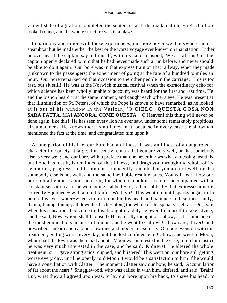violent state of agitation completed the sentence, with the exclamation, Fire! Our bore looked round, and the whole structure was in a blaze.

 In harmony and union with these experiences, our bore never went anywhere in a steamboat but he made either the best or the worst voyage ever known on that station. Either he overheard the captain say to himself, with his hands clasped, 'We are all lost!' or the captain openly declared to him that he had never made such a run before, and never should be able to do it again. Our bore was in that express train on that railway, when they made (unknown to the passengers) the experiment of going at the rate of a hundred to miles an hour. Our bore remarked on that occasion to the other people in the carriage, 'This is too fast, but sit still!' He was at the Norwich musical festival when the extraordinary echo for which science has been wholly unable to account, was heard for the first and last time. He and the bishop heard it at the same moment, and caught each other's eye. He was present at that illumination of St. Peter's, of which the Pope is known to have remarked, as he looked at it out of his window in the Vatican, 'O **CIELO! QUESTA COSA NON SARA FATTA,** MAI **ANCORA, COME QUESTA −** O Heaven! this thing will never be done again, like this!' He has seen every lion he ever saw, under some remarkably propitious circumstances. He knows there is no fancy in it, because in every case the showman mentioned the fact at the time, and congratulated him upon it.

 At one period of his life, our bore had an illness. It was an illness of a dangerous character for society at large. Innocently remark that you are very well, or that somebody else is very well; and our bore, with a preface that one never knows what a blessing health is until one has lost it, is reminded of that illness, and drags you through the whole of its symptoms, progress, and treatment. Innocently remark that you are not well, or that somebody else is not well, and the same inevitable result ensues. You will learn how our bore felt a tightness about here, sir, for which he couldn't account, accompanied with a constant sensation as if he were being stabbed − or, rather, jobbed − that expresses it more correctly − jobbed − with a blunt knife. Well, sir! This went on, until sparks began to flit before his eyes, water−wheels to turn round in his head, and hammers to beat incessantly, thump, thump, thump, all down his back − along the whole of the spinal vertebrae. Our bore, when his sensations had come to this, thought it a duty he owed to himself to take advice, and he said, Now, whom shall I consult? He naturally thought of Callow, at that time one of the most eminent physicians in London, and he went to Callow. Callow said, 'Liver!' and prescribed rhubarb and calomel, low diet, and moderate exercise. Our bore went on with this treatment, getting worse every day, until he lost confidence in Callow, and went to Moon, whom half the town was then mad about. Moon was interested in the case; to do him justice he was very much interested in the case; and he said, 'Kidneys!' He altered the whole treatment, sir − gave strong acids, cupped, and blistered. This went on, our bore still getting worse every day, until he openly told Moon it would be a satisfaction to him if he would have a consultation with Clatter. The moment Clatter saw our bore, he said, 'Accumulation of fat about the heart!' Snugglewood, who was called in with him, differed, and said, 'Brain!' But, what they all agreed upon was, to lay our bore upon his back, to shave his head, to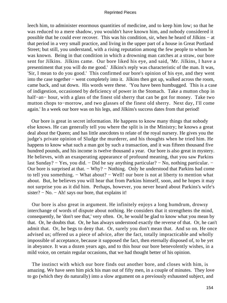leech him, to administer enormous quantities of medicine, and to keep him low; so that he was reduced to a mere shadow, you wouldn't have known him, and nobody considered it possible that he could ever recover. This was his condition, sir, when he heard of Jilkins − at that period in a very small practice, and living in the upper part of a house in Great Portland Street; but still, you understand, with a rising reputation among the few people to whom he was known. Being in that condition in which a drowning man catches at a straw, our bore sent for Jilkins. Jilkins came. Our bore liked his eye, and said, 'Mr. Jilkins, I have a presentiment that you will do me good.' Jilkins's reply was characteristic of the man. It was, 'Sir, I mean to do you good.' This confirmed our bore's opinion of his eye, and they went into the case together − went completely into it. Jilkins then got up, walked across the room, came back, and sat down. His words were these. 'You have been humbugged. This is a case of indigestion, occasioned by deficiency of power in the Stomach. Take a mutton chop in half−an− hour, with a glass of the finest old sherry that can be got for money. Take two mutton chops to−morrow, and two glasses of the finest old sherry. Next day, I'll come again.' In a week our bore was on his legs, and Jilkins's success dates from that period!

 Our bore is great in secret information. He happens to know many things that nobody else knows. He can generally tell you where the split is in the Ministry; he knows a great deal about the Queen; and has little anecdotes to relate of the royal nursery. He gives you the judge's private opinion of Sludge the murderer, and his thoughts when he tried him. He happens to know what such a man got by such a transaction, and it was fifteen thousand five hundred pounds, and his income is twelve thousand a year. Our bore is also great in mystery. He believes, with an exasperating appearance of profound meaning, that you saw Parkins last Sunday? − Yes, you did. − Did he say anything particular? − No, nothing particular. − Our bore is surprised at that. − Why? − Nothing. Only he understood that Parkins had come to tell you something. − What about? − Well! our bore is not at liberty to mention what about. But, he believes you will hear that from Parkins himself, soon, and he hopes it may not surprise you as it did him. Perhaps, however, you never heard about Parkins's wife's sister? – No. – Ah! says our bore, that explains it!

 Our bore is also great in argument. He infinitely enjoys a long humdrum, drowsy interchange of words of dispute about nothing. He considers that it strengthens the mind, consequently, he 'don't see that,' very often. Or, he would be glad to know what you mean by that. Or, he doubts that. Or, he has always understood exactly the reverse of that. Or, he can't admit that. Or, he begs to deny that. Or, surely you don't mean that. And so on. He once advised us; offered us a piece of advice, after the fact, totally impracticable and wholly impossible of acceptance, because it supposed the fact, then eternally disposed of, to be yet in abeyance. It was a dozen years ago, and to this hour our bore benevolently wishes, in a mild voice, on certain regular occasions, that we had thought better of his opinion.

 The instinct with which our bore finds out another bore, and closes with him, is amazing. We have seen him pick his man out of fifty men, in a couple of minutes. They love to go (which they do naturally) into a slow argument on a previously exhausted subject, and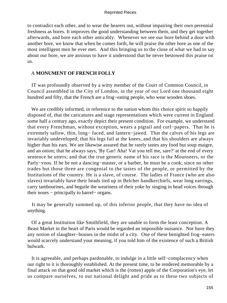to contradict each other, and to wear the hearers out, without impairing their own perennial freshness as bores. It improves the good understanding between them, and they get together afterwards, and bore each other amicably. Whenever we see our bore behind a door with another bore, we know that when he comes forth, he will praise the other bore as one of the most intelligent men he ever met. And this bringing us to the close of what we had to say about our bore, we are anxious to have it understood that he never bestowed this praise on us.

## A **MONUMENT OF FRENCH FOLLY**

 IT was profoundly observed by a witty member of the Court of Common Council, in Council assembled in the City of London, in the year of our Lord one thousand eight hundred and fifty, that the French are a frog−eating people, who wear wooden shoes.

We are credibly informed, in reference to the nation whom this choice spirit so happily disposed of, that the caricatures and stage representations which were current in England some half a century ago, exactly depict their present condition. For example, we understand that every Frenchman, without exception, wears a pigtail and curl−papers. That he is extremely sallow, thin, long− faced, and lantern−jawed. That the calves of his legs are invariably undeveloped; that his legs fail at the knees, and that his shoulders are always higher than his ears. We are likewise assured that he rarely tastes any food but soup maigre, and an onion; that he always says, 'By Gar! Aha! Vat you tell me, sare?' at the end of every sentence he utters; and that the true generic name of his race is the Mounseers, or the Parly−voos. If he be not a dancing−master, or a barber, he must be a cook; since no other trades but those three are congenial to the tastes of the people, or permitted by the Institutions of the country. He is a slave, of course. The ladies of France (who are also slaves) invariably have their heads tied up in Belcher handkerchiefs, wear long earrings, carry tambourines, and beguile the weariness of their yoke by singing in head voices through their noses − principally to barrel− organs.

 It may be generally summed up, of this inferior people, that they have no idea of anything.

 Of a great Institution like Smithfield, they are unable to form the least conception. A Beast Market in the heart of Paris would be regarded an impossible nuisance. Nor have they any notion of slaughter−houses in the midst of a city. One of these benighted frog−eaters would scarcely understand your meaning, if you told him of the existence of such a British bulwark.

 It is agreeable, and perhaps pardonable, to indulge in a little self−complacency when our right to it is thoroughly established. At the present time, to be rendered memorable by a final attack on that good old market which is the (rotten) apple of the Corporation's eye, let us compare ourselves, to our national delight and pride as to these two subjects of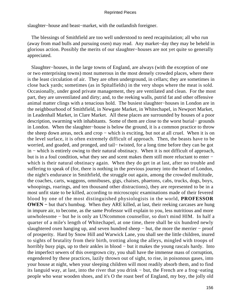slaughter−house and beast−market, with the outlandish foreigner.

 The blessings of Smithfield are too well understood to need recapitulation; all who run (away from mad bulls and pursuing oxen) may read. Any market−day they may be beheld in glorious action. Possibly the merits of our slaughter−houses are not yet quite so generally appreciated.

 Slaughter−houses, in the large towns of England, are always (with the exception of one or two enterprising towns) most numerous in the most densely crowded places, where there is the least circulation of air. They are often underground, in cellars; they are sometimes in close back yards; sometimes (as in Spitalfields) in the very shops where the meat is sold. Occasionally, under good private management, they are ventilated and clean. For the most part, they are unventilated and dirty; and, to the reeking walls, putrid fat and other offensive animal matter clings with a tenacious hold. The busiest slaughter−houses in London are in the neighbourhood of Smithfield, in Newgate Market, in Whitechapel, in Newport Market, in Leadenhall Market, in Clare Market. All these places are surrounded by houses of a poor description, swarming with inhabitants. Some of them are close to the worst burial− grounds in London. When the slaughter−house is below the ground, it is a common practice to throw the sheep down areas, neck and crop − which is exciting, but not at all cruel. When it is on the level surface, it is often extremely difficult of approach. Then, the beasts have to be worried, and goaded, and pronged, and tail− twisted, for a long time before they can be got in − which is entirely owing to their natural obstinacy. When it is not difficult of approach, but is in a foul condition, what they see and scent makes them still more reluctant to enter − which is their natural obstinacy again. When they do get in at last, after no trouble and suffering to speak of (for, there is nothing in the previous journey into the heart of London, the night's endurance in Smithfield, the struggle out again, among the crowded multitude, the coaches, carts, waggons, omnibuses, gigs, chaises, phaetons, cabs, trucks, dogs, boys, whoopings, roarings, and ten thousand other distractions), they are represented to be in a most unfit state to be killed, according to microscopic examinations made of their fevered blood by one of the most distinguished physiologists in the world, **PROFESSOR OWEN −** but that's humbug. When they ARE killed, at last, their reeking carcases are hung in impure air, to become, as the same Professor will explain to you, less nutritious and more unwholesome − but he is only an UNcommon counsellor, so don't mind HIM. In half a quarter of a mile's length of Whitechapel, at one time, there shall be six hundred newly slaughtered oxen hanging up, and seven hundred sheep – but, the more the merrier – proof of prosperity. Hard by Snow Hill and Warwick Lane, you shall see the little children, inured to sights of brutality from their birth, trotting along the alleys, mingled with troops of horribly busy pigs, up to their ankles in blood − but it makes the young rascals hardy. Into the imperfect sewers of this overgrown city, you shall have the immense mass of corruption, engendered by these practices, lazily thrown out of sight, to rise, in poisonous gases, into your house at night, when your sleeping children will most readily absorb them, and to find its languid way, at last, into the river that you drink − but, the French are a frog−eating people who wear wooden shoes, and it's O the roast beef of England, my boy, the jolly old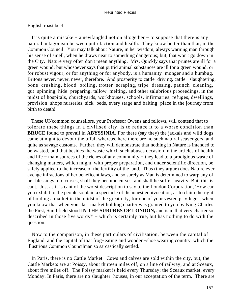## English roast beef.

 It is quite a mistake − a newfangled notion altogether − to suppose that there is any natural antagonism between putrefaction and health. They know better than that, in the Common Council. You may talk about Nature, in her wisdom, always warning man through his sense of smell, when he draws near to something dangerous; but, that won't go down in the City. Nature very often don't mean anything. Mrs. Quickly says that prunes are ill for a green wound; but whosoever says that putrid animal substances are ill for a green wound, or for robust vigour, or for anything or for anybody, is a humanity−monger and a humbug. Britons never, never, never, therefore. And prosperity to cattle−driving, cattle− slaughtering, bone−crushing, blood−boiling, trotter−scraping, tripe−dressing, paunch−cleaning, gut−spinning, hide−preparing, tallow−melting, and other salubrious proceedings, in the midst of hospitals, churchyards, workhouses, schools, infirmaries, refuges, dwellings, provision−shops nurseries, sick−beds, every stage and baiting−place in the journey from birth to death!

 These UNcommon counsellors, your Professor Owens and fellows, will contend that to tolerate these things in a civilised city, is to reduce it to a worse condition than **BRUCE** found to prevail in **ABYSSINIA.** For there (say they) the jackals and wild dogs came at night to devour the offal; whereas, here there are no such natural scavengers, and quite as savage customs. Further, they will demonstrate that nothing in Nature is intended to be wasted, and that besides the waste which such abuses occasion in the articles of health and life − main sources of the riches of any community − they lead to a prodigious waste of changing matters, which might, with proper preparation, and under scientific direction, be safely applied to the increase of the fertility of the land. Thus (they argue) does Nature ever avenge infractions of her beneficent laws, and so surely as Man is determined to warp any of her blessings into curses, shall they become curses, and shall he suffer heavily. But, this is cant. Just as it is cant of the worst description to say to the London Corporation, 'How can you exhibit to the people so plain a spectacle of dishonest equivocation, as to claim the right of holding a market in the midst of the great city, for one of your vested privileges, when you know that when your last market holding charter was granted to you by King Charles the First, Smithfield stood **IN THE SUBURBS OF LONDON,** and is in that very charter so described in those five words?' − which is certainly true, but has nothing to do with the question.

 Now to the comparison, in these particulars of civilisation, between the capital of England, and the capital of that frog−eating and wooden−shoe wearing country, which the illustrious Common Councilman so sarcastically settled.

 In Paris, there is no Cattle Market. Cows and calves are sold within the city, but, the Cattle Markets are at Poissy, about thirteen miles off, on a line of railway; and at Sceaux, about five miles off. The Poissy market is held every Thursday; the Sceaux market, every Monday. In Paris, there are no slaughter−houses, in our acceptation of the term. There are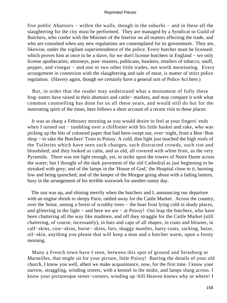five public Abattoirs − within the walls, though in the suburbs − and in these all the slaughtering for the city must be performed. They are managed by a Syndicat or Guild of Butchers, who confer with the Minister of the Interior on all matters affecting the trade, and who are consulted when any new regulations are contemplated for its government. They are, likewise, under the vigilant superintendence of the police. Every butcher must be licensed: which proves him at once to be a slave, for we don't license butchers in England − we only license apothecaries, attorneys, post−masters, publicans, hawkers, retailers of tobacco, snuff, pepper, and vinegar – and one or two other little trades, not worth mentioning. Every arrangement in connexion with the slaughtering and sale of meat, is matter of strict police regulation. (Slavery again, though we certainly have a general sort of Police Act here.)

 But, in order that the reader may understand what a monument of folly these frog−eaters have raised in their abattoirs and cattle− markets, and may compare it with what common counselling has done for us all these years, and would still do but for the innovating spirit of the times, here follows a short account of a recent visit to these places:

 It was as sharp a February morning as you would desire to feel at your fingers' ends when I turned out – tumbling over a chiffonier with his little basket and rake, who was picking up the bits of coloured paper that had been swept out, over−night, from a Bon−Bon shop – to take the Butchers' Train to Poissy. A cold, dim light just touched the high roofs of the Tuileries which have seen such changes, such distracted crowds, such riot and bloodshed; and they looked as calm, and as old, all covered with white frost, as the very Pyramids. There was not light enough, yet, to strike upon the towers of Notre Dame across the water; but I thought of the dark pavement of the old Cathedral as just beginning to be streaked with grey; and of the lamps in the 'House of God,' the Hospital close to it, burning low and being quenched; and of the keeper of the Morgue going about with a fading lantern, busy in the arrangement of his terrible waxwork for another sunny day.

 The sun was up, and shining merrily when the butchers and I, announcing our departure with an engine shriek to sleepy Paris, rattled away for the Cattle Market. Across the country, over the Seine, among a forest of scrubby trees – the hoar frost lying cold in shady places, and glittering in the light − and here we are − at Poissy! Out leap the butchers, who have been chattering all the way like madmen, and off they straggle for the Cattle Market (still chattering, of course, incessantly), in hats and caps of all shapes, in coats and blouses, in calf−skins, cow−skins, horse− skins, furs, shaggy mantles, hairy coats, sacking, baize, oil−skin, anything you please that will keep a man and a butcher warm, upon a frosty morning.

 Many a French town have I seen, between this spot of ground and Strasburg or Marseilles, that might sit for your picture, little Poissy! Barring the details of your old church, I know you well, albeit we make acquaintance, now, for the first time. I know your narrow, straggling, winding streets, with a kennel in the midst, and lamps slung across. I know your picturesque street−corners, winding up−hill Heaven knows why or where! I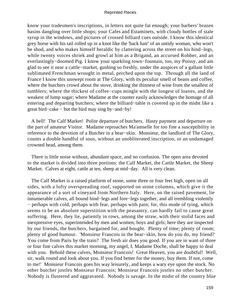know your tradesmen's inscriptions, in letters not quite fat enough; your barbers' brazen basins dangling over little shops; your Cafes and Estaminets, with cloudy bottles of stale syrup in the windows, and pictures of crossed billiard cues outside. I know this identical grey horse with his tail rolled up in a knot like the 'back hair' of an untidy woman, who won't be shod, and who makes himself heraldic by clattering across the street on his hind−legs, while twenty voices shriek and growl at him as a Brigand, an accursed Robber, and an everlastingly−doomed Pig. I know your sparkling town−fountain, too, my Poissy, and am glad to see it near a cattle−market, gushing so freshly, under the auspices of a gallant little sublimated Frenchman wrought in metal, perched upon the top. Through all the land of France I know this unswept room at The Glory, with its peculiar smell of beans and coffee, where the butchers crowd about the stove, drinking the thinnest of wine from the smallest of tumblers; where the thickest of coffee−cups mingle with the longest of loaves, and the weakest of lump sugar; where Madame at the counter easily acknowledges the homage of all entering and departing butchers; where the billiard−table is covered up in the midst like a great bird−cake − but the bird may sing by−and−by!

 A bell! The Calf Market! Polite departure of butchers. Hasty payment and departure on the part of amateur Visitor. Madame reproaches Ma'amselle for too fine a susceptibility in reference to the devotion of a Butcher in a bear−skin. Monsieur, the landlord of The Glory, counts a double handful of sous, without an unobliterated inscription, or an undamaged crowned head, among them.

 There is little noise without, abundant space, and no confusion. The open area devoted to the market is divided into three portions: the Calf Market, the Cattle Market, the Sheep Market. Calves at eight, cattle at ten, sheep at mid−day. All is very clean.

 The Calf Market is a raised platform of stone, some three or four feet high, open on all sides, with a lofty overspreading roof, supported on stone columns, which give it the appearance of a sort of vineyard from Northern Italy. Here, on the raised pavement, lie innumerable calves, all bound hind−legs and fore−legs together, and all trembling violently − perhaps with cold, perhaps with fear, perhaps with pain; for, this mode of tying, which seems to be an absolute superstition with the peasantry, can hardly fail to cause great suffering. Here, they lie, patiently in rows, among the straw, with their stolid faces and inexpressive eyes, superintended by men and women, boys and girls; here they are inspected by our friends, the butchers, bargained for, and bought. Plenty of time; plenty of room; plenty of good humour. 'Monsieur Francois in the bear−skin, how do you do, my friend? You come from Paris by the train? The fresh air does you good. If you are in want of three or four fine calves this market morning, my angel, I, Madame Doche, shall be happy to deal with you. Behold these calves, Monsieur Francois! Great Heaven, you are doubtful! Well, sir, walk round and look about you. If you find better for the money, buy them. If not, come to me!' Monsieur Francois goes his way leisurely, and keeps a wary eye upon the stock. No other butcher jostles Monsieur Francois; Monsieur Francois jostles no other butcher. Nobody is flustered and aggravated. Nobody is savage. In the midst of the country blue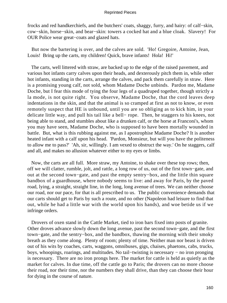frocks and red handkerchiefs, and the butchers' coats, shaggy, furry, and hairy: of calf−skin, cow−skin, horse−skin, and bear−skin: towers a cocked hat and a blue cloak. Slavery! For OUR Police wear great−coats and glazed hats.

 But now the bartering is over, and the calves are sold. 'Ho! Gregoire, Antoine, Jean, Louis! Bring up the carts, my children! Quick, brave infants! Hola! Hi!'

 The carts, well littered with straw, are backed up to the edge of the raised pavement, and various hot infants carry calves upon their heads, and dexterously pitch them in, while other hot infants, standing in the carts, arrange the calves, and pack them carefully in straw. Here is a promising young calf, not sold, whom Madame Doche unbinds. Pardon me, Madame Doche, but I fear this mode of tying the four legs of a quadruped together, though strictly a la mode, is not quite right. You observe, Madame Doche, that the cord leaves deep indentations in the skin, and that the animal is so cramped at first as not to know, or even remotely suspect that HE is unbound, until you are so obliging as to kick him, in your delicate little way, and pull his tail like a bell− rope. Then, he staggers to his knees, not being able to stand, and stumbles about like a drunken calf, or the horse at Franconi's, whom you may have seen, Madame Doche, who is supposed to have been mortally wounded in battle. But, what is this rubbing against me, as I apostrophise Madame Doche? It is another heated infant with a calf upon his head. 'Pardon, Monsieur, but will you have the politeness to allow me to pass?' 'Ah, sir, willingly. I am vexed to obstruct the way.' On he staggers, calf and all, and makes no allusion whatever either to my eyes or limbs.

 Now, the carts are all full. More straw, my Antoine, to shake over these top rows; then, off we will clatter, rumble, jolt, and rattle, a long row of us, out of the first town−gate, and out at the second town−gate, and past the empty sentry−box, and the little thin square bandbox of a guardhouse, where nobody seems to live: and away for Paris, by the paved road, lying, a straight, straight line, in the long, long avenue of trees. We can neither choose our road, nor our pace, for that is all prescribed to us. The public convenience demands that our carts should get to Paris by such a route, and no other (Napoleon had leisure to find that out, while he had a little war with the world upon his hands), and woe betide us if we infringe orders.

 Drovers of oxen stand in the Cattle Market, tied to iron bars fixed into posts of granite. Other droves advance slowly down the long avenue, past the second town−gate, and the first town−gate, and the sentry−box, and the bandbox, thawing the morning with their smoky breath as they come along. Plenty of room; plenty of time. Neither man nor beast is driven out of his wits by coaches, carts, waggons, omnibuses, gigs, chaises, phaetons, cabs, trucks, boys, whoopings, roarings, and multitudes. No tail−twisting is necessary − no iron pronging is necessary. There are no iron prongs here. The market for cattle is held as quietly as the market for calves. In due time, off the cattle go to Paris; the drovers can no more choose their road, nor their time, nor the numbers they shall drive, than they can choose their hour for dying in the course of nature.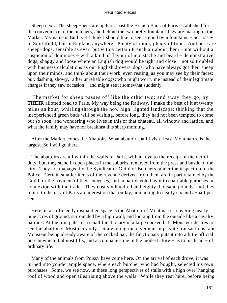Sheep next. The sheep−pens are up here, past the Branch Bank of Paris established for the convenience of the butchers, and behind the two pretty fountains they are making in the Market. My name is Bull: yet I think I should like to see as good twin fountains – not to say in Smithfield, but in England anywhere. Plenty of room; plenty of time. And here are sheep−dogs, sensible as ever, but with a certain French air about them − not without a suspicion of dominoes – with a kind of flavour of moustache and beard – demonstrative dogs, shaggy and loose where an English dog would be tight and close − not so troubled with business calculations as our English drovers' dogs, who have always got their sheep upon their minds, and think about their work, even resting, as you may see by their faces; but, dashing, showy, rather unreliable dogs: who might worry me instead of their legitimate charges if they saw occasion − and might see it somewhat suddenly.

 The market for sheep passes off like the other two; and away they go, by **THEIR** allotted road to Paris. My way being the Railway, I make the best of it at twenty miles an hour; whirling through the now high−lighted landscape; thinking that the inexperienced green buds will be wishing, before long, they had not been tempted to come out so soon; and wondering who lives in this or that chateau, all window and lattice, and what the family may have for breakfast this sharp morning.

 After the Market comes the Abattoir. What abattoir shall I visit first? Montmartre is the largest. So I will go there.

 The abattoirs are all within the walls of Paris, with an eye to the receipt of the octroi duty; but, they stand in open places in the suburbs, removed from the press and bustle of the city. They are managed by the Syndicat or Guild of Butchers, under the inspection of the Police. Certain smaller items of the revenue derived from them are in part retained by the Guild for the payment of their expenses, and in part devoted by it to charitable purposes in connexion with the trade. They cost six hundred and eighty thousand pounds; and they return to the city of Paris an interest on that outlay, amounting to nearly six and a−half per cent.

 Here, in a sufficiently dismantled space is the Abattoir of Montmartre, covering nearly nine acres of ground, surrounded by a high wall, and looking from the outside like a cavalry barrack. At the iron gates is a small functionary in a large cocked hat. 'Monsieur desires to see the abattoir? Most certainly.' State being inconvenient in private transactions, and Monsieur being already aware of the cocked hat, the functionary puts it into a little official bureau which it almost fills, and accompanies me in the modest attire − as to his head − of ordinary life.

 Many of the animals from Poissy have come here. On the arrival of each drove, it was turned into yonder ample space, where each butcher who had bought, selected his own purchases. Some, we see now, in these long perspectives of stalls with a high over−hanging roof of wood and open tiles rising above the walls. While they rest here, before being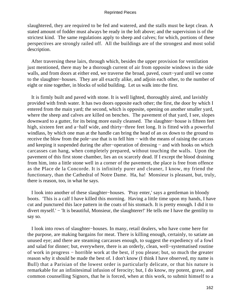slaughtered, they are required to be fed and watered, and the stalls must be kept clean. A stated amount of fodder must always be ready in the loft above; and the supervision is of the strictest kind. The same regulations apply to sheep and calves; for which, portions of these perspectives are strongly railed off. All the buildings are of the strongest and most solid description.

 After traversing these lairs, through which, besides the upper provision for ventilation just mentioned, there may be a thorough current of air from opposite windows in the side walls, and from doors at either end, we traverse the broad, paved, court−yard until we come to the slaughter−houses. They are all exactly alike, and adjoin each other, to the number of eight or nine together, in blocks of solid building. Let us walk into the first.

 It is firmly built and paved with stone. It is well lighted, thoroughly aired, and lavishly provided with fresh water. It has two doors opposite each other; the first, the door by which I entered from the main yard; the second, which is opposite, opening on another smaller yard, where the sheep and calves are killed on benches. The pavement of that yard, I see, slopes downward to a gutter, for its being more easily cleansed. The slaughter−house is fifteen feet high, sixteen feet and a−half wide, and thirty−three feet long. It is fitted with a powerful windlass, by which one man at the handle can bring the head of an ox down to the ground to receive the blow from the pole−axe that is to fell him − with the means of raising the carcass and keeping it suspended during the after−operation of dressing − and with hooks on which carcasses can hang, when completely prepared, without touching the walls. Upon the pavement of this first stone chamber, lies an ox scarcely dead. If I except the blood draining from him, into a little stone well in a corner of the pavement, the place is free from offence as the Place de la Concorde. It is infinitely purer and cleaner, I know, my friend the functionary, than the Cathedral of Notre Dame. Ha, ha! Monsieur is pleasant, but, truly, there is reason, too, in what he says.

 I look into another of these slaughter−houses. 'Pray enter,' says a gentleman in bloody boots. 'This is a calf I have killed this morning. Having a little time upon my hands, I have cut and punctured this lace pattern in the coats of his stomach. It is pretty enough. I did it to divert myself.' − 'It is beautiful, Monsieur, the slaughterer!' He tells me I have the gentility to say so.

 I look into rows of slaughter−houses. In many, retail dealers, who have come here for the purpose, are making bargains for meat. There is killing enough, certainly, to satiate an unused eye; and there are steaming carcasses enough, to suggest the expediency of a fowl and salad for dinner; but, everywhere, there is an orderly, clean, well−systematised routine of work in progress − horrible work at the best, if you please; but, so much the greater reason why it should be made the best of. I don't know (I think I have observed, my name is Bull) that a Parisian of the lowest order is particularly delicate, or that his nature is remarkable for an infinitesimal infusion of ferocity; but, I do know, my potent, grave, and common counselling Signors, that he is forced, when at this work, to submit himself to a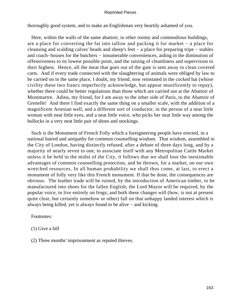thoroughly good system, and to make an Englishman very heartily ashamed of you.

 Here, within the walls of the same abattoir, in other roomy and commodious buildings, are a place for converting the fat into tallow and packing it for market − a place for cleansing and scalding calves' heads and sheep's feet − a place for preparing tripe − stables and coach−houses for the butchers − innumerable conveniences, aiding in the diminution of offensiveness to its lowest possible point, and the raising of cleanliness and supervision to their highest. Hence, all the meat that goes out of the gate is sent away in clean covered carts. And if every trade connected with the slaughtering of animals were obliged by law to be carried on in the same place, I doubt, my friend, now reinstated in the cocked hat (whose civility these two francs imperfectly acknowledge, but appear munificently to repay), whether there could be better regulations than those which are carried out at the Abattoir of Montmartre. Adieu, my friend, for I am away to the other side of Paris, to the Abattoir of Grenelle! And there I find exactly the same thing on a smaller scale, with the addition of a magnificent Artesian well, and a different sort of conductor, in the person of a neat little woman with neat little eyes, and a neat little voice, who picks her neat little way among the bullocks in a very neat little pair of shoes and stockings.

 Such is the Monument of French Folly which a foreigneering people have erected, in a national hatred and antipathy for common counselling wisdom. That wisdom, assembled in the City of London, having distinctly refused, after a debate of three days long, and by a majority of nearly seven to one, to associate itself with any Metropolitan Cattle Market unless it be held in the midst of the City, it follows that we shall lose the inestimable advantages of common counselling protection, and be thrown, for a market, on our own wretched resources. In all human probability we shall thus come, at last, to erect a monument of folly very like this French monument. If that be done, the consequences are obvious. The leather trade will be ruined, by the introduction of American timber, to be manufactured into shoes for the fallen English; the Lord Mayor will be required, by the popular voice, to live entirely on frogs; and both these changes will (how, is not at present quite clear, but certainly somehow or other) fall on that unhappy landed interest which is always being killed, yet is always found to be alive − and kicking.

Footnotes:

- (1) Give a bill
- (2) Three months' imprisonment as reputed thieves.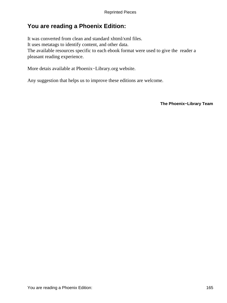# **You are reading a Phoenix Edition:**

It was converted from clean and standard xhtml/xml files. It uses metatags to identify content, and other data. The available resources specific to each ebook format were used to give the reader a pleasant reading experience.

More detais available at Phoenix−Library.org website.

Any suggestion that helps us to improve these editions are welcome.

**The Phoenix−Library Team**